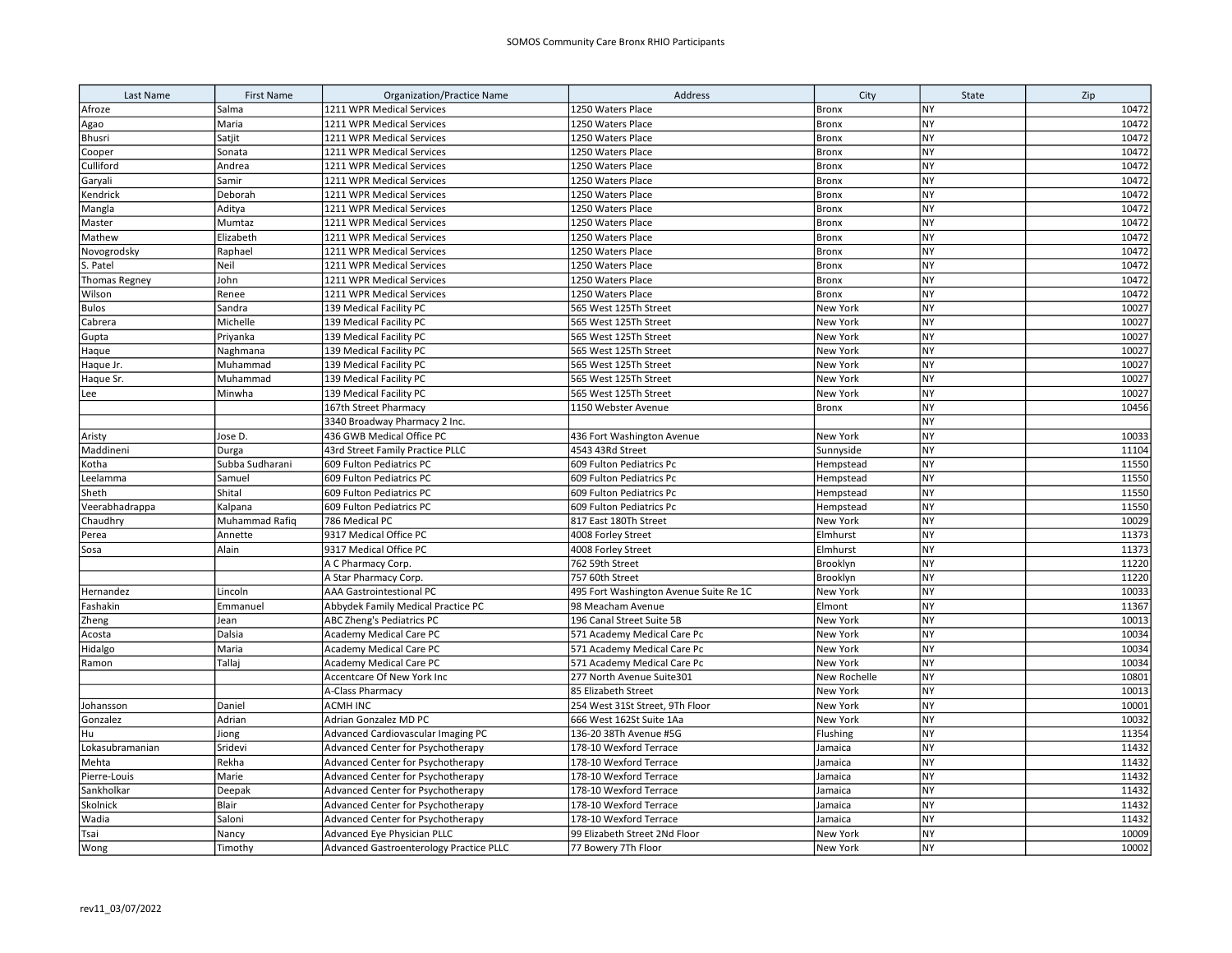| Last Name            | <b>First Name</b> | <b>Organization/Practice Name</b>       | Address                                | City         | State     | Zip   |
|----------------------|-------------------|-----------------------------------------|----------------------------------------|--------------|-----------|-------|
| Afroze               | Salma             | 1211 WPR Medical Services               | 1250 Waters Place                      | Bronx        | NY        | 10472 |
| Agao                 | Maria             | 1211 WPR Medical Services               | 1250 Waters Place                      | <b>Bronx</b> | <b>NY</b> | 10472 |
| Bhusri               | Satjit            | 1211 WPR Medical Services               | 1250 Waters Place                      | <b>Bronx</b> | NY        | 10472 |
| Cooper               | Sonata            | 1211 WPR Medical Services               | 1250 Waters Place                      | <b>Bronx</b> | NY        | 10472 |
| Culliford            | Andrea            | 1211 WPR Medical Services               | 1250 Waters Place                      | Bronx        | <b>NY</b> | 10472 |
| Garyali              | Samir             | 1211 WPR Medical Services               | 1250 Waters Place                      | <b>Bronx</b> | NY        | 10472 |
| Kendrick             | Deborah           | 1211 WPR Medical Services               | 1250 Waters Place                      | <b>Bronx</b> | NY        | 10472 |
| Mangla               | Aditya            | 1211 WPR Medical Services               | 1250 Waters Place                      | Bronx        | <b>NY</b> | 10472 |
| Master               | Mumtaz            | 1211 WPR Medical Services               | 1250 Waters Place                      | <b>Bronx</b> | <b>NY</b> | 10472 |
| Mathew               | Elizabeth         | 1211 WPR Medical Services               | 1250 Waters Place                      | <b>Bronx</b> | NY        | 10472 |
| Novogrodsky          | Raphael           | 1211 WPR Medical Services               | 1250 Waters Place                      | <b>Bronx</b> | NY        | 10472 |
| S. Patel             | Neil              | 1211 WPR Medical Services               | 1250 Waters Place                      | <b>Bronx</b> | NY        | 10472 |
| <b>Thomas Regney</b> | John              | 1211 WPR Medical Services               | 1250 Waters Place                      | <b>Bronx</b> | <b>NY</b> | 10472 |
| Wilson               | Renee             | 1211 WPR Medical Services               | 1250 Waters Place                      | Bronx        | NY        | 10472 |
| <b>Bulos</b>         | Sandra            | 139 Medical Facility PC                 | 565 West 125Th Street                  | New York     | NY        | 10027 |
| Cabrera              | Michelle          | 139 Medical Facility PC                 | 565 West 125Th Street                  | New York     | NY        | 10027 |
| Gupta                | Priyanka          | 139 Medical Facility PC                 | 565 West 125Th Street                  | New York     | <b>NY</b> | 10027 |
| Haque                | Naghmana          | 139 Medical Facility PC                 | 565 West 125Th Street                  | New York     | NY        | 10027 |
| Haque Jr.            | Muhammad          | 139 Medical Facility PC                 | 565 West 125Th Street                  | New York     | <b>NY</b> | 10027 |
| Haque Sr.            | Muhammad          | 139 Medical Facility PC                 | 565 West 125Th Street                  | New York     | <b>NY</b> | 10027 |
| Lee                  | Minwha            | 139 Medical Facility PC                 | 565 West 125Th Street                  | New York     | <b>NY</b> | 10027 |
|                      |                   | 167th Street Pharmacy                   | 1150 Webster Avenue                    | Bronx        | <b>NY</b> | 10456 |
|                      |                   | 3340 Broadway Pharmacy 2 Inc.           |                                        |              | <b>NY</b> |       |
| Aristy               | Jose D.           | 436 GWB Medical Office PC               | 436 Fort Washington Avenue             | New York     | <b>NY</b> | 10033 |
| Maddineni            | Durga             | 43rd Street Family Practice PLLC        | 4543 43Rd Street                       | Sunnyside    | <b>NY</b> | 11104 |
| Kotha                | Subba Sudharani   | 609 Fulton Pediatrics PC                | 609 Fulton Pediatrics Pc               | Hempstead    | <b>NY</b> | 11550 |
| Leelamma             | Samuel            | 609 Fulton Pediatrics PC                | 609 Fulton Pediatrics Pc               | Hempstead    | <b>NY</b> | 11550 |
| Sheth                | Shital            | 609 Fulton Pediatrics PC                | 609 Fulton Pediatrics Pc               | Hempstead    | <b>NY</b> | 11550 |
| Veerabhadrappa       | Kalpana           | 609 Fulton Pediatrics PC                | 609 Fulton Pediatrics Pc               | Hempstead    | <b>NY</b> | 11550 |
| Chaudhry             | Muhammad Rafiq    | 786 Medical PC                          | 817 East 180Th Street                  | New York     | <b>NY</b> | 10029 |
| Perea                | Annette           | 9317 Medical Office PC                  | 4008 Forley Street                     | Elmhurst     | <b>NY</b> | 11373 |
| Sosa                 | Alain             | 9317 Medical Office PC                  | 4008 Forley Street                     | Elmhurst     | <b>NY</b> | 11373 |
|                      |                   | A C Pharmacy Corp.                      | 762 59th Street                        | Brooklyn     | <b>NY</b> | 11220 |
|                      |                   | A Star Pharmacy Corp.                   | 757 60th Street                        | Brooklyn     | <b>NY</b> | 11220 |
| Hernandez            | Lincoln           | <b>AAA Gastrointestional PC</b>         | 495 Fort Washington Avenue Suite Re 1C | New York     | <b>NY</b> | 10033 |
| Fashakin             | Emmanuel          | Abbydek Family Medical Practice PC      | 98 Meacham Avenue                      | Elmont       | <b>NY</b> | 11367 |
| Zheng                | Jean              | ABC Zheng's Pediatrics PC               | 196 Canal Street Suite 5B              | New York     | <b>NY</b> | 10013 |
| Acosta               | Dalsia            | <b>Academy Medical Care PC</b>          | 571 Academy Medical Care Pc            | New York     | NY        | 10034 |
| Hidalgo              | Maria             | Academy Medical Care PC                 | 571 Academy Medical Care Pc            | New York     | <b>NY</b> | 10034 |
| Ramon                | Tallaj            | Academy Medical Care PC                 | 571 Academy Medical Care Pc            | New York     | <b>NY</b> | 10034 |
|                      |                   | Accentcare Of New York Inc              | 277 North Avenue Suite301              | New Rochelle | NY        | 10801 |
|                      |                   | A-Class Pharmacy                        | 85 Elizabeth Street                    | New York     | <b>NY</b> | 10013 |
| Johansson            | Daniel            | <b>ACMH INC</b>                         | 254 West 31St Street, 9Th Floor        | New York     | NY        | 10001 |
| Gonzalez             | Adrian            | Adrian Gonzalez MD PC                   | 666 West 162St Suite 1Aa               | New York     | <b>NY</b> | 10032 |
| Hu                   | Jiong             | Advanced Cardiovascular Imaging PC      | 136-20 38Th Avenue #5G                 | Flushing     | NY        | 11354 |
| Lokasubramanian      | Sridevi           | Advanced Center for Psychotherapy       | 178-10 Wexford Terrace                 | Jamaica      | NY        | 11432 |
| Mehta                | Rekha             | Advanced Center for Psychotherapy       | 178-10 Wexford Terrace                 | Jamaica      | NY        | 11432 |
| Pierre-Louis         | Marie             | Advanced Center for Psychotherapy       | 178-10 Wexford Terrace                 | Jamaica      | <b>NY</b> | 11432 |
| Sankholkar           | Deepak            | Advanced Center for Psychotherapy       | 178-10 Wexford Terrace                 | Jamaica      | NY        | 11432 |
| Skolnick             | Blair             | Advanced Center for Psychotherapy       | 178-10 Wexford Terrace                 | Jamaica      | <b>NY</b> | 11432 |
| Wadia                | Saloni            | Advanced Center for Psychotherapy       | 178-10 Wexford Terrace                 | Jamaica      | <b>NY</b> | 11432 |
| Tsai                 | Nancy             | Advanced Eye Physician PLLC             | 99 Elizabeth Street 2Nd Floor          | New York     | <b>NY</b> | 10009 |
| Wong                 | Timothy           | Advanced Gastroenterology Practice PLLC | 77 Bowery 7Th Floor                    | New York     | <b>NY</b> | 10002 |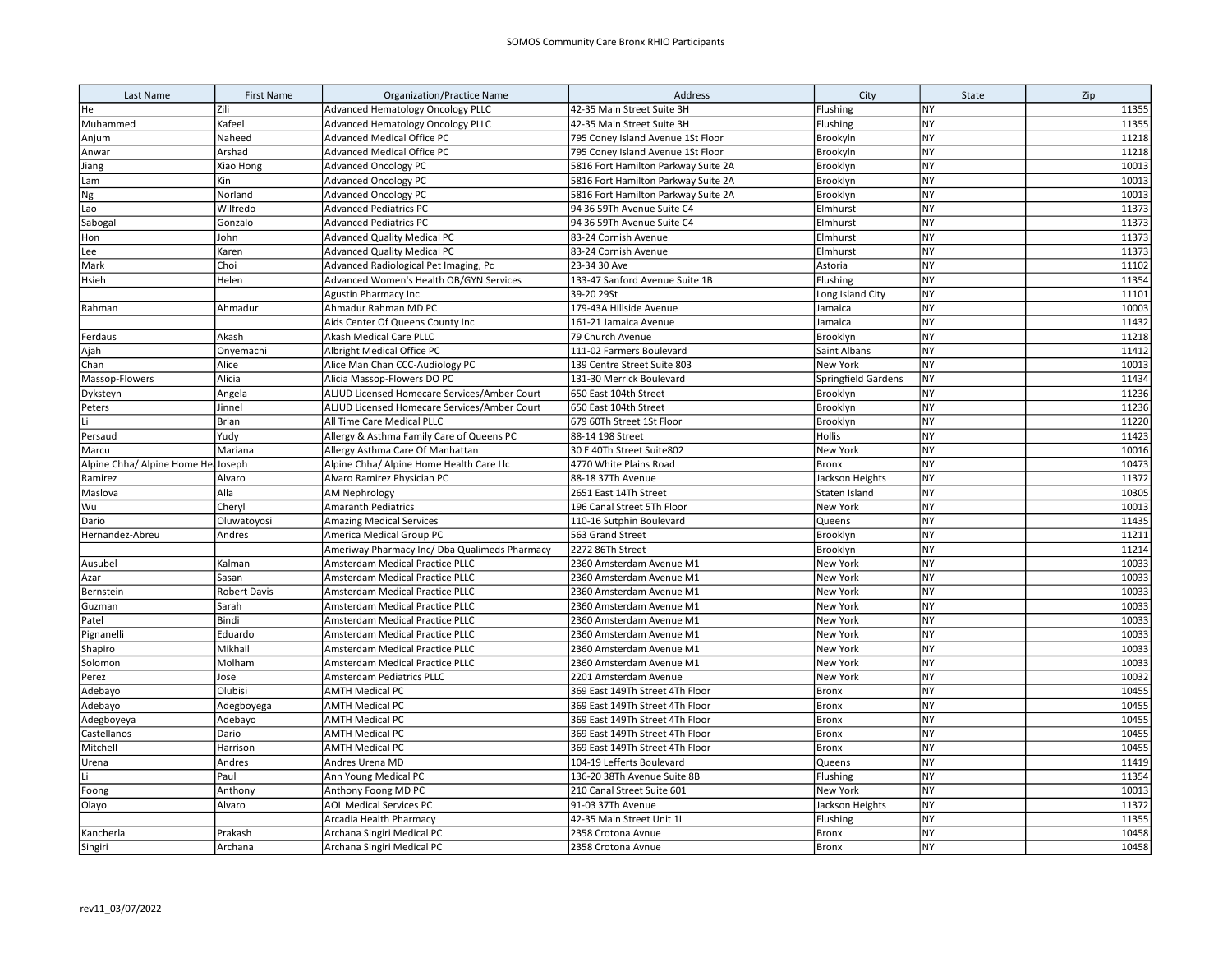| Last Name                   | <b>First Name</b>   | <b>Organization/Practice Name</b>             | Address                             | City                | State     | Zip   |
|-----------------------------|---------------------|-----------------------------------------------|-------------------------------------|---------------------|-----------|-------|
| He                          | Zili                | <b>Advanced Hematology Oncology PLLC</b>      | 42-35 Main Street Suite 3H          | Flushing            | <b>NY</b> | 11355 |
| Muhammed                    | Kafeel              | Advanced Hematology Oncology PLLC             | 42-35 Main Street Suite 3H          | Flushing            | <b>NY</b> | 11355 |
| Anjum                       | Naheed              | <b>Advanced Medical Office PC</b>             | 795 Coney Island Avenue 1St Floor   | Brookyln            | <b>NY</b> | 11218 |
| Anwar                       | Arshad              | Advanced Medical Office PC                    | 795 Coney Island Avenue 1St Floor   | Brookyln            | <b>NY</b> | 11218 |
| Jiang                       | Xiao Hong           | <b>Advanced Oncology PC</b>                   | 5816 Fort Hamilton Parkway Suite 2A | Brooklyn            | <b>NY</b> | 10013 |
| Lam                         | Kin                 | <b>Advanced Oncology PC</b>                   | 5816 Fort Hamilton Parkway Suite 2A | Brooklyn            | NY        | 10013 |
| Ng                          | Norland             | <b>Advanced Oncology PC</b>                   | 5816 Fort Hamilton Parkway Suite 2A | Brooklyn            | <b>NY</b> | 10013 |
| Lao                         | Wilfredo            | <b>Advanced Pediatrics PC</b>                 | 94 36 59Th Avenue Suite C4          | Elmhurst            | <b>NY</b> | 11373 |
| Sabogal                     | Gonzalo             | <b>Advanced Pediatrics PC</b>                 | 94 36 59Th Avenue Suite C4          | Elmhurst            | <b>NY</b> | 11373 |
| Hon                         | John                | <b>Advanced Quality Medical PC</b>            | 83-24 Cornish Avenue                | Elmhurst            | NY        | 11373 |
| Lee                         | Karen               | <b>Advanced Quality Medical PC</b>            | 83-24 Cornish Avenue                | Elmhurst            | <b>NY</b> | 11373 |
| Mark                        | Choi                | Advanced Radiological Pet Imaging, Pc         | 23-34 30 Ave                        | Astoria             | <b>NY</b> | 11102 |
| Hsieh                       | Helen               | Advanced Women's Health OB/GYN Services       | 133-47 Sanford Avenue Suite 1B      | Flushing            | <b>NY</b> | 11354 |
|                             |                     | Agustin Pharmacy Inc                          | 39-20 29St                          | Long Island City    | <b>NY</b> | 11101 |
| Rahman                      | Ahmadur             | Ahmadur Rahman MD PC                          | 179-43A Hillside Avenue             | Jamaica             | NY        | 10003 |
|                             |                     | Aids Center Of Queens County Inc              | 161-21 Jamaica Avenue               | Jamaica             | NY        | 11432 |
| Ferdaus                     | Akash               | Akash Medical Care PLLC                       | 79 Church Avenue                    | Brooklyn            | <b>NY</b> | 11218 |
| Ajah                        | Onyemachi           | Albright Medical Office PC                    | 111-02 Farmers Boulevard            | Saint Albans        | <b>NY</b> | 11412 |
| Chan                        | Alice               | Alice Man Chan CCC-Audiology PC               | 139 Centre Street Suite 803         | New York            | <b>NY</b> | 10013 |
| Massop-Flowers              | Alicia              | Alicia Massop-Flowers DO PC                   | 131-30 Merrick Boulevard            | Springfield Gardens | <b>NY</b> | 11434 |
| Dyksteyn                    | Angela              | ALJUD Licensed Homecare Services/Amber Court  | 650 East 104th Street               | Brooklyn            | NY        | 11236 |
| Peters                      | Jinnel              | ALJUD Licensed Homecare Services/Amber Court  | 650 East 104th Street               | Brooklyn            | <b>NY</b> | 11236 |
| Τi                          | Brian               | All Time Care Medical PLLC                    | 679 60Th Street 1St Floor           | Brooklyn            | NY        | 11220 |
| Persaud                     | Yudy                | Allergy & Asthma Family Care of Queens PC     | 88-14 198 Street                    | Hollis              | NY        | 11423 |
| Marcu                       | Mariana             | Allergy Asthma Care Of Manhattan              | 30 E 40Th Street Suite802           | New York            | NY        | 10016 |
| Alpine Chha/ Alpine Home He | Joseph              | Alpine Chha/ Alpine Home Health Care Llc      | 4770 White Plains Road              | <b>Bronx</b>        | <b>NY</b> | 10473 |
| Ramirez                     | Alvaro              | Alvaro Ramirez Physician PC                   | 88-18 37Th Avenue                   | Jackson Heights     | NY        | 11372 |
| Maslova                     | Alla                | <b>AM Nephrology</b>                          | 2651 East 14Th Street               | Staten Island       | <b>NY</b> | 10305 |
| Wu                          | Cheryl              | <b>Amaranth Pediatrics</b>                    | 196 Canal Street 5Th Floor          | New York            | <b>NY</b> | 10013 |
| Dario                       | Oluwatoyosi         | <b>Amazing Medical Services</b>               | 110-16 Sutphin Boulevard            | Queens              | <b>NY</b> | 11435 |
| Hernandez-Abreu             | Andres              | America Medical Group PC                      | 563 Grand Street                    | Brooklyn            | <b>NY</b> | 11211 |
|                             |                     | Ameriway Pharmacy Inc/ Dba Qualimeds Pharmacy | 2272 86Th Street                    | Brooklyn            | <b>NY</b> | 11214 |
| Ausubel                     | Kalman              | Amsterdam Medical Practice PLLC               | 2360 Amsterdam Avenue M1            | New York            | NY        | 10033 |
| Azar                        | Sasan               | <b>Amsterdam Medical Practice PLLC</b>        | 2360 Amsterdam Avenue M1            | New York            | <b>NY</b> | 10033 |
| Bernstein                   | <b>Robert Davis</b> | Amsterdam Medical Practice PLLC               | 2360 Amsterdam Avenue M1            | New York            | NY        | 10033 |
| Guzman                      | Sarah               | Amsterdam Medical Practice PLLC               | 2360 Amsterdam Avenue M1            | New York            | <b>NY</b> | 10033 |
| Patel                       | Bindi               | Amsterdam Medical Practice PLLC               | 2360 Amsterdam Avenue M1            | New York            | <b>NY</b> | 10033 |
| Pignanelli                  | Eduardo             | Amsterdam Medical Practice PLLC               | 2360 Amsterdam Avenue M1            | New York            | <b>NY</b> | 10033 |
| Shapiro                     | Mikhail             | Amsterdam Medical Practice PLLC               | 2360 Amsterdam Avenue M1            | New York            | <b>NY</b> | 10033 |
| Solomon                     | Molham              | Amsterdam Medical Practice PLLC               | 2360 Amsterdam Avenue M1            | New York            | <b>NY</b> | 10033 |
| Perez                       | Jose                | Amsterdam Pediatrics PLLC                     | 2201 Amsterdam Avenue               | New York            | <b>NY</b> | 10032 |
| Adebayo                     | Olubisi             | <b>AMTH Medical PC</b>                        | 369 East 149Th Street 4Th Floor     | <b>Bronx</b>        | NY        | 10455 |
| Adebayo                     | Adegboyega          | <b>AMTH Medical PC</b>                        | 369 East 149Th Street 4Th Floor     | <b>Bronx</b>        | <b>NY</b> | 10455 |
| Adegboyeya                  | Adebayo             | <b>AMTH Medical PC</b>                        | 369 East 149Th Street 4Th Floor     | <b>Bronx</b>        | NY        | 10455 |
| Castellanos                 | Dario               | <b>AMTH Medical PC</b>                        | 369 East 149Th Street 4Th Floor     | <b>Bronx</b>        | NY        | 10455 |
| Mitchell                    | Harrison            | <b>AMTH Medical PC</b>                        | 369 East 149Th Street 4Th Floor     | <b>Bronx</b>        | <b>NY</b> | 10455 |
| Urena                       | Andres              | Andres Urena MD                               | 104-19 Lefferts Boulevard           | Queens              | <b>NY</b> | 11419 |
| lti.                        | Paul                | Ann Young Medical PC                          | 136-20 38Th Avenue Suite 8B         | Flushing            | NY        | 11354 |
| Foong                       | Anthony             | Anthony Foong MD PC                           | 210 Canal Street Suite 601          | New York            | <b>NY</b> | 10013 |
| Olayo                       | Alvaro              | <b>AOL Medical Services PC</b>                | 91-03 37Th Avenue                   | Jackson Heights     | NY        | 11372 |
|                             |                     | Arcadia Health Pharmacy                       | 42-35 Main Street Unit 1L           | Flushing            | <b>NY</b> | 11355 |
| Kancherla                   | Prakash             | Archana Singiri Medical PC                    | 2358 Crotona Avnue                  | Bronx               | <b>NY</b> | 10458 |
| Singiri                     | Archana             | Archana Singiri Medical PC                    | 2358 Crotona Avnue                  | <b>Bronx</b>        | <b>NY</b> | 10458 |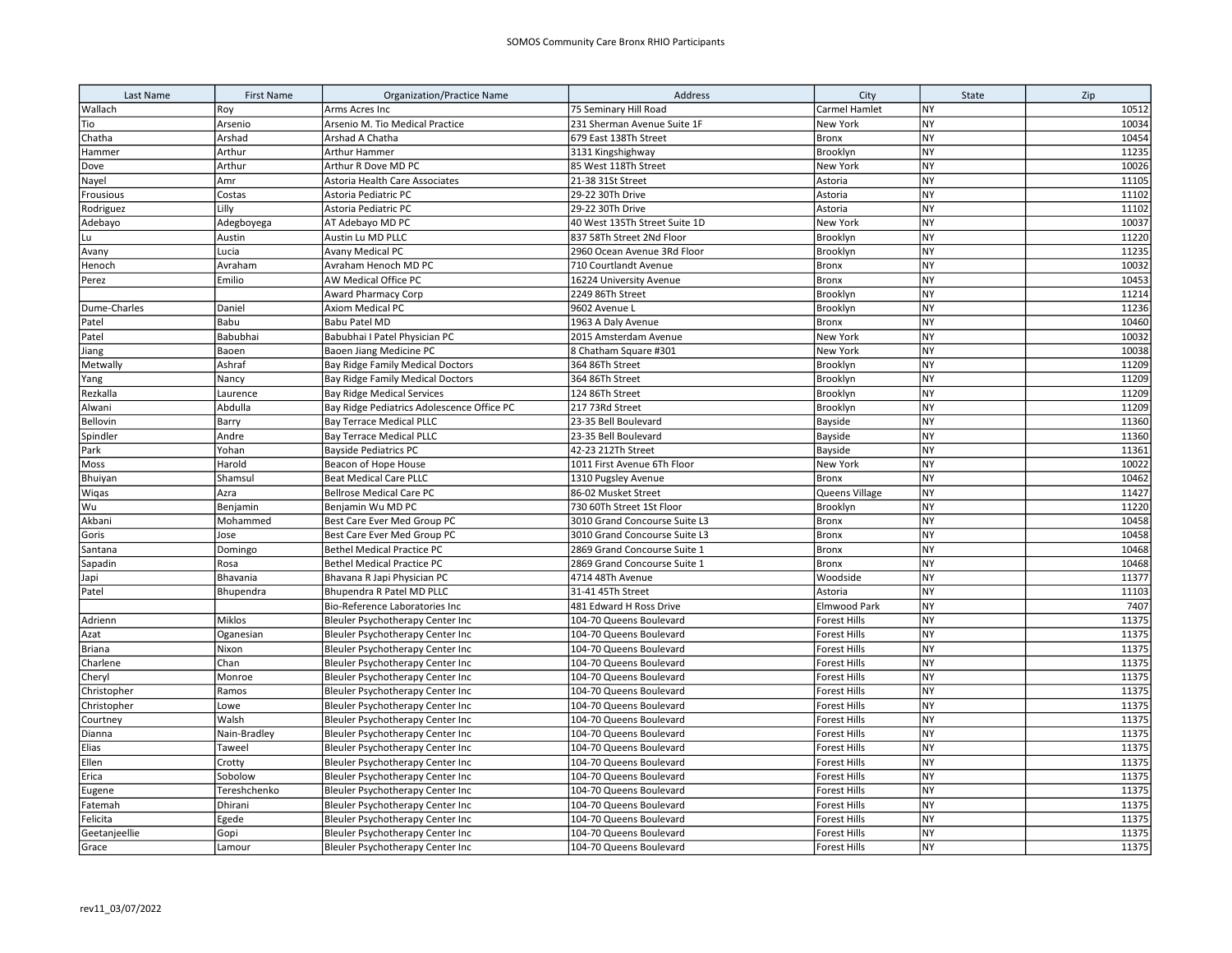| Last Name     | <b>First Name</b> | <b>Organization/Practice Name</b>          | Address                       | City                | State                  | Zip   |
|---------------|-------------------|--------------------------------------------|-------------------------------|---------------------|------------------------|-------|
| Wallach       | Roy               | Arms Acres Inc                             | 75 Seminary Hill Road         | Carmel Hamlet       | <b>NY</b>              | 10512 |
| Tio           | Arsenio           | Arsenio M. Tio Medical Practice            | 231 Sherman Avenue Suite 1F   | New York            | <b>NY</b>              | 10034 |
| Chatha        | Arshad            | Arshad A Chatha                            | 679 East 138Th Street         | <b>Bronx</b>        | <b>NY</b>              | 10454 |
| Hammer        | Arthur            | Arthur Hammer                              | 3131 Kingshighway             | Brooklyn            | NY                     | 11235 |
| Dove          | Arthur            | Arthur R Dove MD PC                        | 85 West 118Th Street          | New York            | <b>NY</b>              | 10026 |
| Nayel         | Amr               | Astoria Health Care Associates             | 21-38 31St Street             | Astoria             | <b>NY</b>              | 11105 |
| Frousious     | Costas            | Astoria Pediatric PC                       | 29-22 30Th Drive              | Astoria             | <b>NY</b>              | 11102 |
| Rodriguez     | Lilly             | Astoria Pediatric PC                       | 29-22 30Th Drive              | Astoria             | NY                     | 11102 |
| Adebayo       | Adegboyega        | AT Adebayo MD PC                           | 40 West 135Th Street Suite 1D | New York            | <b>NY</b>              | 10037 |
| Lu            | Austin            | Austin Lu MD PLLC                          | 837 58Th Street 2Nd Floor     | Brooklyn            | <b>NY</b>              | 11220 |
| Avany         | Lucia             | Avany Medical PC                           | 2960 Ocean Avenue 3Rd Floor   | Brooklyn            | <b>NY</b>              | 11235 |
| Henoch        | Avraham           | Avraham Henoch MD PC                       | 710 Courtlandt Avenue         | <b>Bronx</b>        | NY                     | 10032 |
| Perez         | Emilio            | AW Medical Office PC                       | 16224 University Avenue       | Bronx               | NY                     | 10453 |
|               |                   | <b>Award Pharmacy Corp</b>                 | 2249 86Th Street              | Brooklyn            | <b>NY</b>              | 11214 |
| Dume-Charles  | Daniel            | Axiom Medical PC                           | 9602 Avenue L                 | Brooklyn            | <b>NY</b>              | 11236 |
| Patel         | Babu              | Babu Patel MD                              | 1963 A Daly Avenue            | Bronx               | NY                     | 10460 |
| Patel         | Babubhai          | Babubhai I Patel Physician PC              | 2015 Amsterdam Avenue         | New York            | NY                     | 10032 |
| Jiang         | Baoen             | Baoen Jiang Medicine PC                    | 8 Chatham Square #301         | New York            | <b>NY</b>              | 10038 |
| Metwally      | Ashraf            | Bay Ridge Family Medical Doctors           | 364 86Th Street               | Brooklyn            | <b>NY</b>              | 11209 |
| Yang          | Nancy             | <b>Bay Ridge Family Medical Doctors</b>    | 364 86Th Street               | Brooklyn            | <b>NY</b>              | 11209 |
| Rezkalla      | Laurence          | <b>Bay Ridge Medical Services</b>          | 124 86Th Street               | Brooklyn            | <b>NY</b>              | 11209 |
| Alwani        | Abdulla           | Bay Ridge Pediatrics Adolescence Office PC | 217 73Rd Street               | Brooklyn            | <b>NY</b>              | 11209 |
| Bellovin      | Barry             | <b>Bay Terrace Medical PLLC</b>            | 23-35 Bell Boulevard          | Bayside             | <b>NY</b>              | 11360 |
| Spindler      | Andre             | <b>Bay Terrace Medical PLLC</b>            | 23-35 Bell Boulevard          | Bayside             | <b>NY</b>              | 11360 |
| Park          | Yohan             | <b>Bayside Pediatrics PC</b>               | 42-23 212Th Street            | Bayside             | <b>NY</b>              | 11361 |
| Moss          | Harold            | Beacon of Hope House                       | 1011 First Avenue 6Th Floor   | New York            | <b>NY</b>              | 10022 |
| Bhuiyan       | Shamsul           | <b>Beat Medical Care PLLC</b>              | 1310 Pugsley Avenue           | <b>Bronx</b>        | <b>NY</b>              | 10462 |
| Wigas         | Azra              | <b>Bellrose Medical Care PC</b>            | 86-02 Musket Street           | Queens Village      | <b>NY</b>              | 11427 |
| Wu            | Benjamin          | Benjamin Wu MD PC                          | 730 60Th Street 1St Floor     | Brooklyn            | <b>NY</b>              | 11220 |
| Akbani        | Mohammed          | Best Care Ever Med Group PC                | 3010 Grand Concourse Suite L3 | Bronx               | <b>NY</b>              | 10458 |
| Goris         | Jose              | Best Care Ever Med Group PC                | 3010 Grand Concourse Suite L3 | <b>Bronx</b>        | <b>NY</b>              | 10458 |
| Santana       | Domingo           | <b>Bethel Medical Practice PC</b>          | 2869 Grand Concourse Suite 1  | <b>Bronx</b>        | <b>NY</b>              | 10468 |
| Sapadin       | Rosa              | <b>Bethel Medical Practice PC</b>          | 2869 Grand Concourse Suite 1  | <b>Bronx</b>        | <b>NY</b>              | 10468 |
| Japi          | Bhavania          | Bhavana R Japi Physician PC                | 4714 48Th Avenue              | Woodside            | <b>NY</b>              | 11377 |
| Patel         | Bhupendra         | Bhupendra R Patel MD PLLC                  | 31-41 45Th Street             | Astoria             | <b>NY</b>              | 11103 |
|               |                   | Bio-Reference Laboratories Inc             | 481 Edward H Ross Drive       | Elmwood Park        | <b>NY</b>              | 7407  |
| Adrienn       | Miklos            | Bleuler Psychotherapy Center Inc           | 104-70 Queens Boulevard       | <b>Forest Hills</b> | <b>NY</b>              | 11375 |
| Azat          | Oganesian         | Bleuler Psychotherapy Center Inc           | 104-70 Queens Boulevard       | Forest Hills        | <b>NY</b>              | 11375 |
| <b>Briana</b> | Nixon             | Bleuler Psychotherapy Center Inc           | 104-70 Queens Boulevard       | <b>Forest Hills</b> | <b>NY</b>              | 11375 |
| Charlene      | Chan              | Bleuler Psychotherapy Center Inc           | 104-70 Queens Boulevard       | Forest Hills        | <b>NY</b>              | 11375 |
| Cheryl        | Monroe            | Bleuler Psychotherapy Center Inc           | 104-70 Queens Boulevard       | <b>Forest Hills</b> | <b>NY</b>              | 11375 |
| Christopher   | Ramos             | Bleuler Psychotherapy Center Inc           | 104-70 Queens Boulevard       | Forest Hills        | <b>NY</b>              | 11375 |
| Christopher   | Lowe              | Bleuler Psychotherapy Center Inc           | 104-70 Queens Boulevard       | Forest Hills        | NY                     | 11375 |
| Courtney      | Walsh             | Bleuler Psychotherapy Center Inc           | 104-70 Queens Boulevard       | Forest Hills        | <b>NY</b>              | 11375 |
| Dianna        | Nain-Bradley      | Bleuler Psychotherapy Center Inc           | 104-70 Queens Boulevard       | Forest Hills        | <b>NY</b>              | 11375 |
| Elias         | Taweel            | Bleuler Psychotherapy Center Inc           | 104-70 Queens Boulevard       | Forest Hills        | <b>NY</b>              | 11375 |
| Ellen         | Crotty            | Bleuler Psychotherapy Center Inc           | 104-70 Queens Boulevard       | Forest Hills        | <b>NY</b>              | 11375 |
| Erica         | Sobolow           | Bleuler Psychotherapy Center Inc           | 104-70 Queens Boulevard       | <b>Forest Hills</b> | NY                     | 11375 |
| Eugene        | Tereshchenko      | Bleuler Psychotherapy Center Inc           | 104-70 Queens Boulevard       | <b>Forest Hills</b> | <b>NY</b>              | 11375 |
| Fatemah       | Dhirani           | Bleuler Psychotherapy Center Inc           | 104-70 Queens Boulevard       | <b>Forest Hills</b> | <b>NY</b>              | 11375 |
| Felicita      | Egede             | Bleuler Psychotherapy Center Inc           | 104-70 Queens Boulevard       | Forest Hills        | <b>NY</b><br><b>NY</b> | 11375 |
| Geetanjeellie | Gopi              | Bleuler Psychotherapy Center Inc           | 104-70 Queens Boulevard       | <b>Forest Hills</b> |                        | 11375 |
| Grace         | Lamour            | Bleuler Psychotherapy Center Inc           | 104-70 Queens Boulevard       | <b>Forest Hills</b> | <b>NY</b>              | 11375 |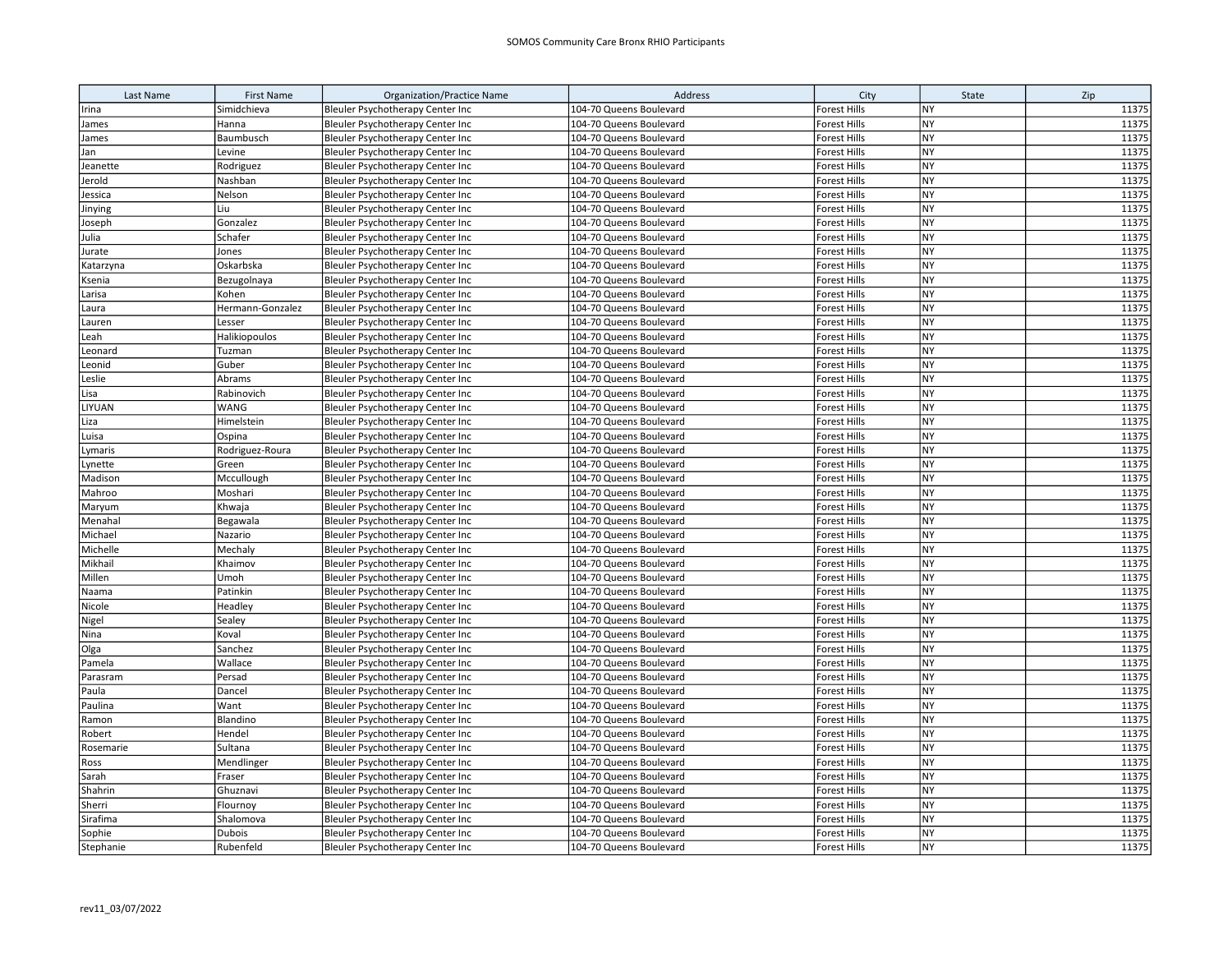| Last Name | <b>First Name</b> | <b>Organization/Practice Name</b> | Address                 | City                | State     | Zip   |
|-----------|-------------------|-----------------------------------|-------------------------|---------------------|-----------|-------|
| Irina     | Simidchieva       | Bleuler Psychotherapy Center Inc  | 104-70 Queens Boulevard | Forest Hills        | NY        | 11375 |
| James     | Hanna             | Bleuler Psychotherapy Center Inc  | 104-70 Queens Boulevard | Forest Hills        | <b>NY</b> | 11375 |
| James     | Baumbusch         | Bleuler Psychotherapy Center Inc  | 104-70 Queens Boulevard | Forest Hills        | <b>NY</b> | 11375 |
| Jan       | Levine            | Bleuler Psychotherapy Center Inc  | 104-70 Queens Boulevard | Forest Hills        | <b>NY</b> | 11375 |
| Jeanette  | Rodriguez         | Bleuler Psychotherapy Center Inc  | 104-70 Queens Boulevard | Forest Hills        | <b>NY</b> | 11375 |
| Jerold    | Nashban           | Bleuler Psychotherapy Center Inc  | 104-70 Queens Boulevard | <b>Forest Hills</b> | <b>NY</b> | 11375 |
| Jessica   | Nelson            | Bleuler Psychotherapy Center Inc  | 104-70 Queens Boulevard | Forest Hills        | <b>NY</b> | 11375 |
| Jinying   | Liu               | Bleuler Psychotherapy Center Inc  | 104-70 Queens Boulevard | Forest Hills        | <b>NY</b> | 11375 |
| Joseph    | Gonzalez          | Bleuler Psychotherapy Center Inc  | 104-70 Queens Boulevard | Forest Hills        | <b>NY</b> | 11375 |
| Julia     | Schafer           | Bleuler Psychotherapy Center Inc  | 104-70 Queens Boulevard | <b>Forest Hills</b> | <b>NY</b> | 11375 |
| Jurate    | Jones             | Bleuler Psychotherapy Center Inc  | 104-70 Queens Boulevard | <b>Forest Hills</b> | NY        | 11375 |
| Katarzyna | Oskarbska         | Bleuler Psychotherapy Center Inc  | 104-70 Queens Boulevard | Forest Hills        | <b>NY</b> | 11375 |
| Ksenia    | Bezugolnaya       | Bleuler Psychotherapy Center Inc  | 104-70 Queens Boulevard | Forest Hills        | <b>NY</b> | 11375 |
| Larisa    | Kohen             | Bleuler Psychotherapy Center Inc  | 104-70 Queens Boulevard | <b>Forest Hills</b> | <b>NY</b> | 11375 |
| Laura     | Hermann-Gonzalez  | Bleuler Psychotherapy Center Inc  | 104-70 Queens Boulevard | Forest Hills        | <b>NY</b> | 11375 |
| Lauren    | Lesser            | Bleuler Psychotherapy Center Inc  | 104-70 Queens Boulevard | Forest Hills        | <b>NY</b> | 11375 |
| Leah      | Halikiopoulos     | Bleuler Psychotherapy Center Inc  | 104-70 Queens Boulevard | Forest Hills        | <b>NY</b> | 11375 |
| Leonard   | Tuzman            | Bleuler Psychotherapy Center Inc  | 104-70 Queens Boulevard | Forest Hills        | <b>NY</b> | 11375 |
| Leonid    | Guber             | Bleuler Psychotherapy Center Inc  | 104-70 Queens Boulevard | <b>Forest Hills</b> | NY        | 11375 |
| Leslie    | Abrams            | Bleuler Psychotherapy Center Inc  | 104-70 Queens Boulevard | Forest Hills        | <b>NY</b> | 11375 |
| Lisa      | Rabinovich        | Bleuler Psychotherapy Center Inc  | 104-70 Queens Boulevard | Forest Hills        | NY        | 11375 |
| LIYUAN    | <b>WANG</b>       | Bleuler Psychotherapy Center Inc  | 104-70 Queens Boulevard | <b>Forest Hills</b> | <b>NY</b> | 11375 |
| Liza      | Himelstein        | Bleuler Psychotherapy Center Inc  | 104-70 Queens Boulevard | Forest Hills        | NY        | 11375 |
| Luisa     | Ospina            | Bleuler Psychotherapy Center Inc  | 104-70 Queens Boulevard | Forest Hills        | <b>NY</b> | 11375 |
| Lymaris   | Rodriguez-Roura   | Bleuler Psychotherapy Center Inc  | 104-70 Queens Boulevard | <b>Forest Hills</b> | <b>NY</b> | 11375 |
| Lynette   | Green             | Bleuler Psychotherapy Center Inc  | 104-70 Queens Boulevard | Forest Hills        | <b>NY</b> | 11375 |
| Madison   | Mccullough        | Bleuler Psychotherapy Center Inc  | 104-70 Queens Boulevard | <b>Forest Hills</b> | <b>NY</b> | 11375 |
| Mahroo    | Moshari           | Bleuler Psychotherapy Center Inc  | 104-70 Queens Boulevard | Forest Hills        | <b>NY</b> | 11375 |
| Maryum    | Khwaja            | Bleuler Psychotherapy Center Inc  | 104-70 Queens Boulevard | Forest Hills        | <b>NY</b> | 11375 |
| Menahal   | Begawala          | Bleuler Psychotherapy Center Inc  | 104-70 Queens Boulevard | <b>Forest Hills</b> | <b>NY</b> | 11375 |
| Michael   | Nazario           | Bleuler Psychotherapy Center Inc  | 104-70 Queens Boulevard | <b>Forest Hills</b> | <b>NY</b> | 11375 |
| Michelle  | Mechaly           | Bleuler Psychotherapy Center Inc  | 104-70 Queens Boulevard | Forest Hills        | <b>NY</b> | 11375 |
| Mikhail   | Khaimov           | Bleuler Psychotherapy Center Inc  | 104-70 Queens Boulevard | Forest Hills        | <b>NY</b> | 11375 |
| Millen    | Umoh              | Bleuler Psychotherapy Center Inc  | 104-70 Queens Boulevard | Forest Hills        | <b>NY</b> | 11375 |
| Naama     | Patinkin          | Bleuler Psychotherapy Center Inc  | 104-70 Queens Boulevard | <b>Forest Hills</b> | <b>NY</b> | 11375 |
| Nicole    | Headley           | Bleuler Psychotherapy Center Inc  | 104-70 Queens Boulevard | Forest Hills        | <b>NY</b> | 11375 |
| Nigel     | Sealey            | Bleuler Psychotherapy Center Inc  | 104-70 Queens Boulevard | Forest Hills        | <b>NY</b> | 11375 |
| Nina      | Koval             | Bleuler Psychotherapy Center Inc  | 104-70 Queens Boulevard | Forest Hills        | <b>NY</b> | 11375 |
| Olga      | Sanchez           | Bleuler Psychotherapy Center Inc  | 104-70 Queens Boulevard | <b>Forest Hills</b> | <b>NY</b> | 11375 |
| Pamela    | Wallace           | Bleuler Psychotherapy Center Inc  | 104-70 Queens Boulevard | <b>Forest Hills</b> | <b>NY</b> | 11375 |
| Parasram  | Persad            | Bleuler Psychotherapy Center Inc  | 104-70 Queens Boulevard | Forest Hills        | <b>NY</b> | 11375 |
| Paula     | Dancel            | Bleuler Psychotherapy Center Inc  | 104-70 Queens Boulevard | Forest Hills        | <b>NY</b> | 11375 |
| Paulina   | Want              | Bleuler Psychotherapy Center Inc  | 104-70 Queens Boulevard | <b>Forest Hills</b> | <b>NY</b> | 11375 |
| Ramon     | Blandino          | Bleuler Psychotherapy Center Inc  | 104-70 Queens Boulevard | Forest Hills        | <b>NY</b> | 11375 |
| Robert    | Hendel            | Bleuler Psychotherapy Center Inc  | 104-70 Queens Boulevard | Forest Hills        | <b>NY</b> | 11375 |
| Rosemarie | Sultana           | Bleuler Psychotherapy Center Inc  | 104-70 Queens Boulevard | Forest Hills        | NY        | 11375 |
| Ross      | Mendlinger        | Bleuler Psychotherapy Center Inc  | 104-70 Queens Boulevard | Forest Hills        | <b>NY</b> | 11375 |
| Sarah     | Fraser            | Bleuler Psychotherapy Center Inc  | 104-70 Queens Boulevard | <b>Forest Hills</b> | NY        | 11375 |
| Shahrin   | Ghuznavi          | Bleuler Psychotherapy Center Inc  | 104-70 Queens Boulevard | Forest Hills        | <b>NY</b> | 11375 |
| Sherri    | Flournoy          | Bleuler Psychotherapy Center Inc  | 104-70 Queens Boulevard | Forest Hills        | NY        | 11375 |
| Sirafima  | Shalomova         | Bleuler Psychotherapy Center Inc  | 104-70 Queens Boulevard | <b>Forest Hills</b> | <b>NY</b> | 11375 |
| Sophie    | <b>Dubois</b>     | Bleuler Psychotherapy Center Inc  | 104-70 Queens Boulevard | <b>Forest Hills</b> | NY        | 11375 |
| Stephanie | Rubenfeld         | Bleuler Psychotherapy Center Inc  | 104-70 Queens Boulevard | <b>Forest Hills</b> | <b>NY</b> | 11375 |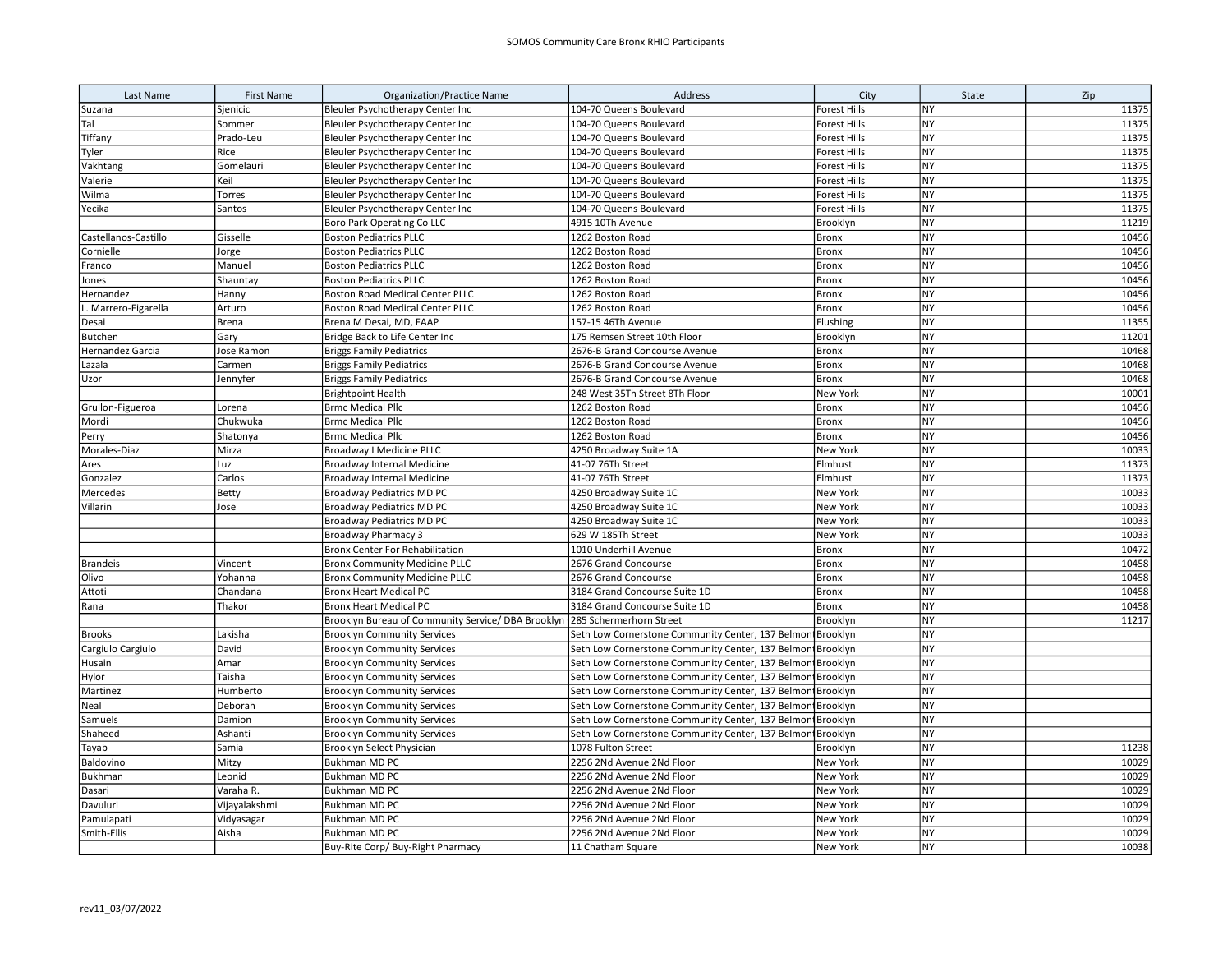| Last Name            | <b>First Name</b> | <b>Organization/Practice Name</b>                                           | Address                                                     | City                | State                  | Zip   |
|----------------------|-------------------|-----------------------------------------------------------------------------|-------------------------------------------------------------|---------------------|------------------------|-------|
| Suzana               | Sjenicic          | Bleuler Psychotherapy Center Inc                                            | 104-70 Queens Boulevard                                     | Forest Hills        | <b>NY</b>              | 11375 |
| Tal                  | Sommer            | Bleuler Psychotherapy Center Inc                                            | 104-70 Queens Boulevard                                     | Forest Hills        | <b>NY</b>              | 11375 |
| Tiffany              | Prado-Leu         | Bleuler Psychotherapy Center Inc                                            | 104-70 Queens Boulevard                                     | <b>Forest Hills</b> | <b>NY</b>              | 11375 |
| Tyler                | Rice              | Bleuler Psychotherapy Center Inc                                            | 104-70 Queens Boulevard                                     | <b>Forest Hills</b> | NY                     | 11375 |
| Vakhtang             | Gomelauri         | Bleuler Psychotherapy Center Inc                                            | 104-70 Queens Boulevard                                     | Forest Hills        | <b>NY</b>              | 11375 |
| Valerie              | Keil              | Bleuler Psychotherapy Center Inc                                            | 104-70 Queens Boulevard                                     | <b>Forest Hills</b> | <b>NY</b>              | 11375 |
| Wilma                | Torres            | Bleuler Psychotherapy Center Inc                                            | 104-70 Queens Boulevard                                     | <b>Forest Hills</b> | <b>NY</b>              | 11375 |
| Yecika               | Santos            | Bleuler Psychotherapy Center Inc                                            | 104-70 Queens Boulevard                                     | <b>Forest Hills</b> | NY                     | 11375 |
|                      |                   | Boro Park Operating Co LLC                                                  | 4915 10Th Avenue                                            | Brooklyn            | <b>NY</b>              | 11219 |
| Castellanos-Castillo | Gisselle          | <b>Boston Pediatrics PLLC</b>                                               | 1262 Boston Road                                            | <b>Bronx</b>        | <b>NY</b>              | 10456 |
| Cornielle            | Jorge             | <b>Boston Pediatrics PLLC</b>                                               | 1262 Boston Road                                            | <b>Bronx</b>        | <b>NY</b>              | 10456 |
| Franco               | Manuel            | <b>Boston Pediatrics PLLC</b>                                               | 1262 Boston Road                                            | Bronx               | NY                     | 10456 |
| Jones                | Shauntay          | <b>Boston Pediatrics PLLC</b>                                               | 1262 Boston Road                                            | Bronx               | <b>NY</b>              | 10456 |
| Hernandez            | Hanny             | <b>Boston Road Medical Center PLLC</b>                                      | 1262 Boston Road                                            | <b>Bronx</b>        | <b>NY</b>              | 10456 |
| L. Marrero-Figarella | Arturo            | Boston Road Medical Center PLLC                                             | 1262 Boston Road                                            | <b>Bronx</b>        | <b>NY</b>              | 10456 |
| Desai                | Brena             | Brena M Desai, MD, FAAP                                                     | 157-15 46Th Avenue                                          | Flushing            | <b>NY</b>              | 11355 |
| Butchen              | Gary              | Bridge Back to Life Center Inc                                              | 175 Remsen Street 10th Floor                                | Brooklyn            | <b>NY</b>              | 11201 |
| Hernandez Garcia     | Jose Ramon        | <b>Briggs Family Pediatrics</b>                                             | 2676-B Grand Concourse Avenue                               | <b>Bronx</b>        | <b>NY</b>              | 10468 |
| Lazala               | Carmen            | <b>Briggs Family Pediatrics</b>                                             | 2676-B Grand Concourse Avenue                               | <b>Bronx</b>        | <b>NY</b>              | 10468 |
| Uzor                 | Jennyfer          | <b>Briggs Family Pediatrics</b>                                             | 2676-B Grand Concourse Avenue                               | <b>Bronx</b>        | <b>NY</b>              | 10468 |
|                      |                   | <b>Brightpoint Health</b>                                                   | 248 West 35Th Street 8Th Floor                              | New York            | <b>NY</b>              | 10001 |
| Grullon-Figueroa     | Lorena            | <b>Brmc Medical Pllc</b>                                                    | 1262 Boston Road                                            | <b>Bronx</b>        | <b>NY</b>              | 10456 |
| Mordi                | Chukwuka          | <b>Brmc Medical Pllc</b>                                                    | 1262 Boston Road                                            | Bronx               | <b>NY</b>              | 10456 |
| Perry                | Shatonya          | <b>Brmc Medical Pllc</b>                                                    | 1262 Boston Road                                            | Bronx               | <b>NY</b>              | 10456 |
| Morales-Diaz         | Mirza             | Broadway I Medicine PLLC                                                    | 4250 Broadway Suite 1A                                      | New York            | NY                     | 10033 |
| Ares                 | Luz               | Broadway Internal Medicine                                                  | 41-07 76Th Street                                           | Elmhust             | <b>NY</b>              | 11373 |
| Gonzalez             | Carlos            | Broadway Internal Medicine                                                  | 41-07 76Th Street                                           | Elmhust             | <b>NY</b>              | 11373 |
| Mercedes             | Betty             | <b>Broadway Pediatrics MD PC</b>                                            | 4250 Broadway Suite 1C                                      | New York            | <b>NY</b>              | 10033 |
| Villarin             | Jose              | Broadway Pediatrics MD PC                                                   | 4250 Broadway Suite 1C                                      | New York            | <b>NY</b>              | 10033 |
|                      |                   | Broadway Pediatrics MD PC                                                   | 4250 Broadway Suite 1C                                      | New York            | <b>NY</b>              | 10033 |
|                      |                   | <b>Broadway Pharmacy 3</b>                                                  | 629 W 185Th Street                                          | New York            | <b>NY</b>              | 10033 |
|                      |                   | <b>Bronx Center For Rehabilitation</b>                                      | 1010 Underhill Avenue                                       | <b>Bronx</b>        | <b>NY</b>              | 10472 |
| <b>Brandeis</b>      | Vincent           | <b>Bronx Community Medicine PLLC</b>                                        | 2676 Grand Concourse                                        | <b>Bronx</b>        | <b>NY</b>              | 10458 |
| Olivo                | Yohanna           | <b>Bronx Community Medicine PLLC</b>                                        | 2676 Grand Concourse                                        | <b>Bronx</b>        | <b>NY</b>              | 10458 |
| Attoti               | Chandana          | <b>Bronx Heart Medical PC</b>                                               | 3184 Grand Concourse Suite 1D                               | <b>Bronx</b>        | <b>NY</b>              | 10458 |
| Rana                 | Thakor            | <b>Bronx Heart Medical PC</b>                                               | 3184 Grand Concourse Suite 1D                               | <b>Bronx</b>        | <b>NY</b>              | 10458 |
|                      |                   | Brooklyn Bureau of Community Service/ DBA Brooklyn (285 Schermerhorn Street |                                                             | Brooklyn            | <b>NY</b>              | 11217 |
| <b>Brooks</b>        | Lakisha           | <b>Brooklyn Community Services</b>                                          | Seth Low Cornerstone Community Center, 137 Belmon Brooklyn  |                     | <b>NY</b>              |       |
| Cargiulo Cargiulo    | David             | <b>Brooklyn Community Services</b>                                          | Seth Low Cornerstone Community Center, 137 Belmon Brooklyn  |                     | <b>NY</b>              |       |
| Husain               | Amar              | <b>Brooklyn Community Services</b>                                          | Seth Low Cornerstone Community Center, 137 Belmon Brooklyn  |                     | <b>NY</b>              |       |
| Hylor                | Taisha            | <b>Brooklyn Community Services</b>                                          | Seth Low Cornerstone Community Center, 137 Belmon Brooklyn  |                     | <b>NY</b>              |       |
| Martinez             | Humberto          | <b>Brooklyn Community Services</b>                                          | Seth Low Cornerstone Community Center, 137 Belmont Brooklyn |                     | <b>NY</b>              |       |
| Neal                 | Deborah           | <b>Brooklyn Community Services</b>                                          | Seth Low Cornerstone Community Center, 137 Belmon Brooklyn  |                     | <b>NY</b>              |       |
| Samuels              | Damion            | <b>Brooklyn Community Services</b>                                          | Seth Low Cornerstone Community Center, 137 Belmon Brooklyn  |                     | <b>NY</b>              |       |
| Shaheed              | Ashanti           | <b>Brooklyn Community Services</b>                                          | Seth Low Cornerstone Community Center, 137 Belmon Brooklyn  |                     | <b>NY</b>              |       |
| Tayab                | Samia             | Brooklyn Select Physician                                                   | 1078 Fulton Street                                          | Brooklyn            | <b>NY</b>              | 11238 |
| Baldovino            | Mitzy             | Bukhman MD PC                                                               | 2256 2Nd Avenue 2Nd Floor                                   | New York            | <b>NY</b>              | 10029 |
| Bukhman              | Leonid            | <b>Bukhman MD PC</b>                                                        | 2256 2Nd Avenue 2Nd Floor                                   | New York            | NY                     | 10029 |
| Dasari               | Varaha R.         | <b>Bukhman MD PC</b>                                                        | 2256 2Nd Avenue 2Nd Floor                                   | New York            | <b>NY</b>              | 10029 |
| Davuluri             | Vijayalakshmi     | Bukhman MD PC                                                               | 2256 2Nd Avenue 2Nd Floor                                   | New York            | <b>NY</b>              | 10029 |
| Pamulapati           | Vidyasagar        | <b>Bukhman MD PC</b>                                                        | 2256 2Nd Avenue 2Nd Floor                                   | New York            | <b>NY</b><br><b>NY</b> | 10029 |
| Smith-Ellis          | Aisha             | <b>Bukhman MD PC</b>                                                        | 2256 2Nd Avenue 2Nd Floor                                   | New York            |                        | 10029 |
|                      |                   | Buy-Rite Corp/ Buy-Right Pharmacy                                           | 11 Chatham Square                                           | New York            | <b>NY</b>              | 10038 |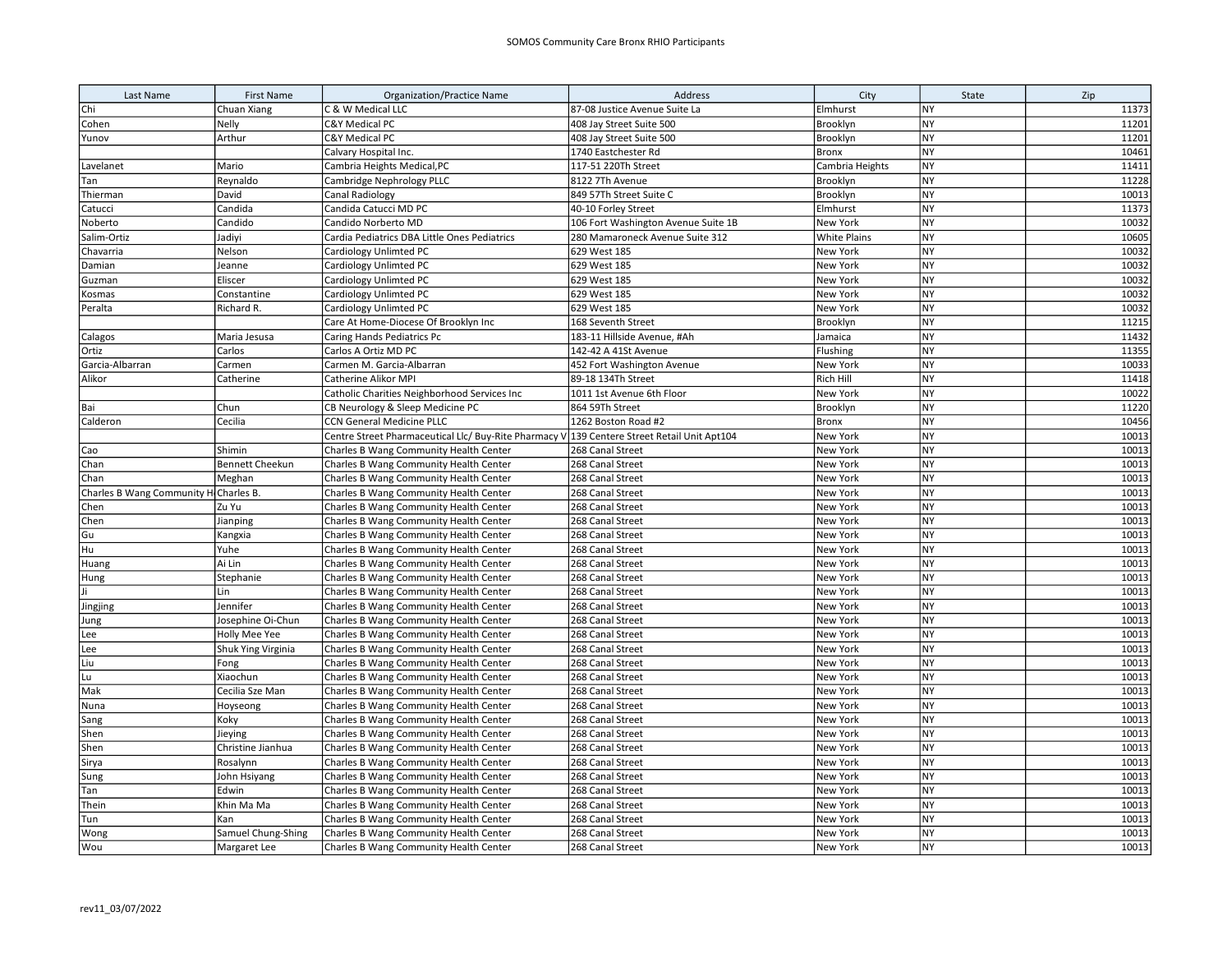| Last Name                             | <b>First Name</b>      | <b>Organization/Practice Name</b>                                                           | Address                             | City                 | State                  | Zip            |
|---------------------------------------|------------------------|---------------------------------------------------------------------------------------------|-------------------------------------|----------------------|------------------------|----------------|
| Chi                                   | Chuan Xiang            | C & W Medical LLC                                                                           | 87-08 Justice Avenue Suite La       | Elmhurst             | <b>NY</b>              | 11373          |
| Cohen                                 | Nelly                  | C&Y Medical PC                                                                              | 408 Jay Street Suite 500            | Brooklyn             | <b>NY</b>              | 11201          |
| Yunov                                 | Arthur                 | C&Y Medical PC                                                                              | 408 Jay Street Suite 500            | Brooklyn             | NY                     | 11201          |
|                                       |                        | Calvary Hospital Inc.                                                                       | 1740 Eastchester Rd                 | Bronx                | NY                     | 10461          |
| Lavelanet                             | Mario                  | Cambria Heights Medical, PC                                                                 | 117-51 220Th Street                 | Cambria Heights      | NY                     | 11411          |
| Tan                                   | Reynaldo               | Cambridge Nephrology PLLC                                                                   | 8122 7Th Avenue                     | Brooklyn             | <b>NY</b>              | 11228          |
| Thierman                              | David                  | Canal Radiology                                                                             | 849 57Th Street Suite C             | Brooklyn             | <b>NY</b>              | 10013          |
| Catucci                               | Candida                | Candida Catucci MD PC                                                                       | 40-10 Forley Street                 | Elmhurst             | <b>NY</b>              | 11373          |
| Noberto                               | Candido                | Candido Norberto MD                                                                         | 106 Fort Washington Avenue Suite 1B | New York             | <b>NY</b>              | 10032          |
| Salim-Ortiz                           | Jadiyi                 | Cardia Pediatrics DBA Little Ones Pediatrics                                                | 280 Mamaroneck Avenue Suite 312     | <b>White Plains</b>  | <b>NY</b>              | 10605          |
| Chavarria                             | Nelson                 | Cardiology Unlimted PC                                                                      | 629 West 185                        | New York             | <b>NY</b>              | 10032          |
| Damian                                | Jeanne                 | Cardiology Unlimted PC                                                                      | 629 West 185                        | New York             | NY                     | 10032          |
| Guzman                                | Eliscer                | Cardiology Unlimted PC                                                                      | 629 West 185                        | New York             | <b>NY</b>              | 10032          |
| Kosmas                                | Constantine            | Cardiology Unlimted PC                                                                      | 629 West 185                        | New York             | <b>NY</b>              | 10032          |
| Peralta                               | Richard R.             | Cardiology Unlimted PC                                                                      | 629 West 185                        | New York             | <b>NY</b>              | 10032          |
|                                       |                        | Care At Home-Diocese Of Brooklyn Inc                                                        | 168 Seventh Street                  | Brooklyn             | <b>NY</b>              | 11215          |
| Calagos                               | Maria Jesusa           | Caring Hands Pediatrics Pc                                                                  | 183-11 Hillside Avenue, #Ah         | Jamaica              | <b>NY</b>              | 11432          |
| Ortiz                                 | Carlos                 | Carlos A Ortiz MD PC                                                                        | 142-42 A 41St Avenue                | Flushing             | <b>NY</b>              | 11355          |
| Garcia-Albarran                       | Carmen                 | Carmen M. Garcia-Albarran                                                                   | 452 Fort Washington Avenue          | New York             | <b>NY</b>              | 10033          |
| Alikor                                | Catherine              | Catherine Alikor MPI                                                                        | 89-18 134Th Street                  | Rich Hill            | <b>NY</b>              | 11418          |
|                                       |                        | Catholic Charities Neighborhood Services Inc                                                | 1011 1st Avenue 6th Floor           | New York             | <b>NY</b>              | 10022          |
| Bai                                   | Chun                   | CB Neurology & Sleep Medicine PC                                                            | 864 59Th Street                     | Brooklyn             | <b>NY</b>              | 11220          |
| Calderon                              | Cecilia                | CCN General Medicine PLLC                                                                   | 1262 Boston Road #2                 | <b>Bronx</b>         | <b>NY</b>              | 10456          |
|                                       |                        | Centre Street Pharmaceutical Llc/ Buy-Rite Pharmacy V 139 Centere Street Retail Unit Apt104 |                                     | New York             | <b>NY</b>              | 10013          |
| Cao                                   | Shimin                 | Charles B Wang Community Health Center                                                      | 268 Canal Street                    | New York             | NY                     | 10013          |
| Chan                                  | <b>Bennett Cheekun</b> | Charles B Wang Community Health Center                                                      | 268 Canal Street                    | New York             | <b>NY</b>              | 10013          |
| Chan                                  | Meghan                 | Charles B Wang Community Health Center                                                      | 268 Canal Street                    | New York             | <b>NY</b>              | 10013          |
| Charles B Wang Community H Charles B. |                        | Charles B Wang Community Health Center                                                      | 268 Canal Street                    | New York             | <b>NY</b>              | 10013          |
| Chen                                  | Zu Yu                  | Charles B Wang Community Health Center                                                      | 268 Canal Street                    | New York             | <b>NY</b>              | 10013          |
| Chen                                  | Jianping               | Charles B Wang Community Health Center                                                      | 268 Canal Street                    | New York             | <b>NY</b>              | 10013          |
| Gu                                    | Kangxia                | Charles B Wang Community Health Center                                                      | 268 Canal Street                    | New York             | <b>NY</b>              | 10013          |
| Hu                                    | Yuhe                   | Charles B Wang Community Health Center                                                      | 268 Canal Street                    | New York             | <b>NY</b>              | 10013          |
| Huang                                 | Ai Lin                 | Charles B Wang Community Health Center                                                      | 268 Canal Street                    | New York             | <b>NY</b>              | 10013          |
| Hung                                  | Stephanie              | Charles B Wang Community Health Center                                                      | 268 Canal Street                    | New York             | <b>NY</b>              | 10013          |
| li.                                   | Lin                    | Charles B Wang Community Health Center                                                      | 268 Canal Street                    | New York             | <b>NY</b>              | 10013          |
| Jingjing                              | Jennifer               | Charles B Wang Community Health Center                                                      | 268 Canal Street                    | New York             | <b>NY</b>              | 10013          |
| Jung                                  | Josephine Oi-Chun      | Charles B Wang Community Health Center                                                      | 268 Canal Street                    | New York             | <b>NY</b>              | 10013          |
| Lee                                   | Holly Mee Yee          | Charles B Wang Community Health Center                                                      | 268 Canal Street                    | New York             | <b>NY</b>              | 10013          |
| Lee                                   | Shuk Ying Virginia     | Charles B Wang Community Health Center                                                      | 268 Canal Street                    | New York             | NY                     | 10013          |
| Liu                                   | Fong                   | Charles B Wang Community Health Center                                                      | 268 Canal Street                    | New York             | <b>NY</b>              | 10013          |
| Lu.                                   | Xiaochun               | Charles B Wang Community Health Center                                                      | 268 Canal Street                    | New York             | <b>NY</b><br><b>NY</b> | 10013          |
| Mak                                   | Cecilia Sze Man        | Charles B Wang Community Health Center                                                      | 268 Canal Street                    | New York             |                        | 10013          |
| Nuna                                  | Hoyseong               | Charles B Wang Community Health Center                                                      | 268 Canal Street                    | New York             | <b>NY</b>              | 10013          |
| Sang                                  | Koky                   | Charles B Wang Community Health Center                                                      | 268 Canal Street                    | New York             | <b>NY</b>              | 10013          |
| Shen                                  | Jieying                | Charles B Wang Community Health Center                                                      | 268 Canal Street                    | New York             | <b>NY</b>              | 10013          |
| Shen                                  | Christine Jianhua      | Charles B Wang Community Health Center                                                      | 268 Canal Street                    | New York             | <b>NY</b>              | 10013          |
| Sirya                                 | Rosalynn               | Charles B Wang Community Health Center                                                      | 268 Canal Street                    | New York             | <b>NY</b>              | 10013          |
| Sung                                  | John Hsiyang           | Charles B Wang Community Health Center                                                      | 268 Canal Street                    | New York             | NY                     | 10013          |
| Tan                                   | Edwin                  | Charles B Wang Community Health Center                                                      | 268 Canal Street                    | New York             | <b>NY</b>              | 10013          |
| Thein                                 | Khin Ma Ma             | Charles B Wang Community Health Center                                                      | 268 Canal Street                    | New York             | <b>NY</b><br><b>NY</b> | 10013<br>10013 |
| Tun                                   | Kan                    | Charles B Wang Community Health Center                                                      | 268 Canal Street                    | New York<br>New York | <b>NY</b>              | 10013          |
| Wong                                  | Samuel Chung-Shing     | Charles B Wang Community Health Center                                                      | 268 Canal Street                    |                      | <b>NY</b>              | 10013          |
| Wou                                   | Margaret Lee           | Charles B Wang Community Health Center                                                      | 268 Canal Street                    | New York             |                        |                |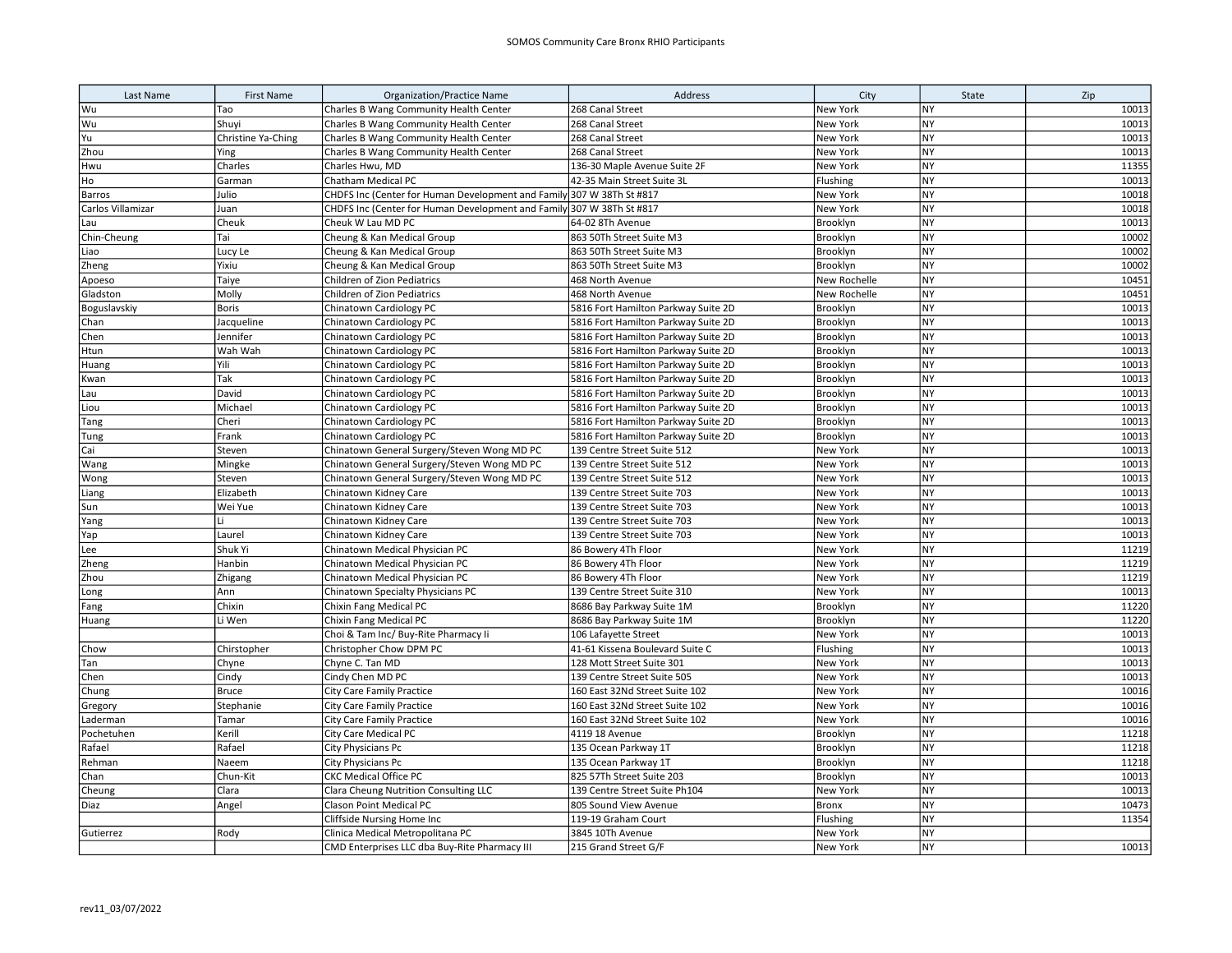| Last Name         | <b>First Name</b>  | <b>Organization/Practice Name</b>                                     | Address                             | City         | State     | Zip   |
|-------------------|--------------------|-----------------------------------------------------------------------|-------------------------------------|--------------|-----------|-------|
| Wu                | Тао                | Charles B Wang Community Health Center                                | 268 Canal Street                    | New York     | NY        | 10013 |
| Wu                | Shuyi              | Charles B Wang Community Health Center                                | 268 Canal Street                    | New York     | NY        | 10013 |
| Yu                | Christine Ya-Ching | Charles B Wang Community Health Center                                | 268 Canal Street                    | New York     | NY        | 10013 |
| Zhou              | Ying               | Charles B Wang Community Health Center                                | 268 Canal Street                    | New York     | NY        | 10013 |
| Hwu               | Charles            | Charles Hwu, MD                                                       | 136-30 Maple Avenue Suite 2F        | New York     | NY        | 11355 |
| Ho                | Garman             | Chatham Medical PC                                                    | 42-35 Main Street Suite 3L          | Flushing     | <b>NY</b> | 10013 |
| Barros            | Julio              | CHDFS Inc (Center for Human Development and Family 307 W 38Th St #817 |                                     | New York     | NY        | 10018 |
| Carlos Villamizar | Juan               | CHDFS Inc (Center for Human Development and Family 307 W 38Th St #817 |                                     | New York     | NY        | 10018 |
| Lau               | Cheuk              | Cheuk W Lau MD PC                                                     | 64-02 8Th Avenue                    | Brooklyn     | <b>NY</b> | 10013 |
| Chin-Cheung       | Tai                | Cheung & Kan Medical Group                                            | 863 50Th Street Suite M3            | Brooklyn     | <b>NY</b> | 10002 |
| Liao              | Lucy Le            | Cheung & Kan Medical Group                                            | 863 50Th Street Suite M3            | Brooklyn     | <b>NY</b> | 10002 |
| Zheng             | Yixiu              | Cheung & Kan Medical Group                                            | 863 50Th Street Suite M3            | Brooklyn     | <b>NY</b> | 10002 |
| Apoeso            | Taiye              | Children of Zion Pediatrics                                           | 468 North Avenue                    | New Rochelle | <b>NY</b> | 10451 |
| Gladston          | Molly              | Children of Zion Pediatrics                                           | 468 North Avenue                    | New Rochelle | <b>NY</b> | 10451 |
| Boguslavskiy      | <b>Boris</b>       | Chinatown Cardiology PC                                               | 5816 Fort Hamilton Parkway Suite 2D | Brooklyn     | <b>NY</b> | 10013 |
| Chan              | Jacqueline         | Chinatown Cardiology PC                                               | 5816 Fort Hamilton Parkway Suite 2D | Brooklyn     | <b>NY</b> | 10013 |
| Chen              | Jennifer           | Chinatown Cardiology PC                                               | 5816 Fort Hamilton Parkway Suite 2D | Brooklyn     | <b>NY</b> | 10013 |
| Htun              | Wah Wah            | Chinatown Cardiology PC                                               | 5816 Fort Hamilton Parkway Suite 2D | Brooklyn     | NY        | 10013 |
| Huang             | Yili               | Chinatown Cardiology PC                                               | 5816 Fort Hamilton Parkway Suite 2D | Brooklyn     | NY        | 10013 |
| Kwan              | Tak                | Chinatown Cardiology PC                                               | 5816 Fort Hamilton Parkway Suite 2D | Brooklyn     | <b>NY</b> | 10013 |
| Lau               | David              | Chinatown Cardiology PC                                               | 5816 Fort Hamilton Parkway Suite 2D | Brooklyn     | <b>NY</b> | 10013 |
| Liou              | Michael            | Chinatown Cardiology PC                                               | 5816 Fort Hamilton Parkway Suite 2D | Brooklyn     | NY        | 10013 |
| Tang              | Cheri              | Chinatown Cardiology PC                                               | 5816 Fort Hamilton Parkway Suite 2D | Brooklyn     | NY        | 10013 |
| Tung              | Frank              | Chinatown Cardiology PC                                               | 5816 Fort Hamilton Parkway Suite 2D | Brooklyn     | NY        | 10013 |
| Cai               | Steven             | Chinatown General Surgery/Steven Wong MD PC                           | 139 Centre Street Suite 512         | New York     | NY        | 10013 |
| Wang              | Mingke             | Chinatown General Surgery/Steven Wong MD PC                           | 139 Centre Street Suite 512         | New York     | <b>NY</b> | 10013 |
| Wong              | Steven             | Chinatown General Surgery/Steven Wong MD PC                           | 139 Centre Street Suite 512         | New York     | NY        | 10013 |
| Liang             | Elizabeth          | Chinatown Kidney Care                                                 | 139 Centre Street Suite 703         | New York     | <b>NY</b> | 10013 |
| Sun               | Wei Yue            | Chinatown Kidney Care                                                 | 139 Centre Street Suite 703         | New York     | <b>NY</b> | 10013 |
| Yang              | Li                 | Chinatown Kidney Care                                                 | 139 Centre Street Suite 703         | New York     | <b>NY</b> | 10013 |
| Yap               | Laurel             | Chinatown Kidney Care                                                 | 139 Centre Street Suite 703         | New York     | <b>NY</b> | 10013 |
| Lee               | Shuk Yi            | Chinatown Medical Physician PC                                        | 86 Bowery 4Th Floor                 | New York     | <b>NY</b> | 11219 |
| Zheng             | Hanbin             | Chinatown Medical Physician PC                                        | 86 Bowery 4Th Floor                 | New York     | <b>NY</b> | 11219 |
| Zhou              | Zhigang            | Chinatown Medical Physician PC                                        | 86 Bowery 4Th Floor                 | New York     | <b>NY</b> | 11219 |
| Long              | Ann                | Chinatown Specialty Physicians PC                                     | 139 Centre Street Suite 310         | New York     | <b>NY</b> | 10013 |
| Fang              | Chixin             | Chixin Fang Medical PC                                                | 8686 Bay Parkway Suite 1M           | Brooklyn     | <b>NY</b> | 11220 |
| Huang             | Li Wen             | Chixin Fang Medical PC                                                | 8686 Bay Parkway Suite 1M           | Brooklyn     | NY        | 11220 |
|                   |                    | Choi & Tam Inc/ Buy-Rite Pharmacy Ii                                  | 106 Lafayette Street                | New York     | NY        | 10013 |
| Chow              | Chirstopher        | Christopher Chow DPM PC                                               | 41-61 Kissena Boulevard Suite C     | Flushing     | <b>NY</b> | 10013 |
| Tan               | Chyne              | Chyne C. Tan MD                                                       | 128 Mott Street Suite 301           | New York     | <b>NY</b> | 10013 |
| Chen              | Cindy              | Cindy Chen MD PC                                                      | 139 Centre Street Suite 505         | New York     | <b>NY</b> | 10013 |
| Chung             | <b>Bruce</b>       | City Care Family Practice                                             | 160 East 32Nd Street Suite 102      | New York     | NY        | 10016 |
| Gregory           | Stephanie          | <b>City Care Family Practice</b>                                      | 160 East 32Nd Street Suite 102      | New York     | NY        | 10016 |
| Laderman          | Tamar              | City Care Family Practice                                             | 160 East 32Nd Street Suite 102      | New York     | <b>NY</b> | 10016 |
| Pochetuhen        | Kerill             | City Care Medical PC                                                  | 4119 18 Avenue                      | Brooklyn     | <b>NY</b> | 11218 |
| Rafael            | Rafael             | City Physicians Pc                                                    | 135 Ocean Parkway 1T                | Brooklyn     | NY        | 11218 |
| Rehman            | Naeem              | City Physicians Pc                                                    | 135 Ocean Parkway 1T                | Brooklyn     | <b>NY</b> | 11218 |
| Chan              | Chun-Kit           | <b>CKC Medical Office PC</b>                                          | 825 57Th Street Suite 203           | Brooklyn     | <b>NY</b> | 10013 |
| Cheung            | Clara              | Clara Cheung Nutrition Consulting LLC                                 | 139 Centre Street Suite Ph104       | New York     | <b>NY</b> | 10013 |
| Diaz              | Angel              | <b>Clason Point Medical PC</b>                                        | 805 Sound View Avenue               | Bronx        | <b>NY</b> | 10473 |
|                   |                    | Cliffside Nursing Home Inc                                            | 119-19 Graham Court                 | Flushing     | <b>NY</b> | 11354 |
| Gutierrez         | Rody               | Clinica Medical Metropolitana PC                                      | 3845 10Th Avenue                    | New York     | NY        |       |
|                   |                    | CMD Enterprises LLC dba Buy-Rite Pharmacy III                         | 215 Grand Street G/F                | New York     | <b>NY</b> | 10013 |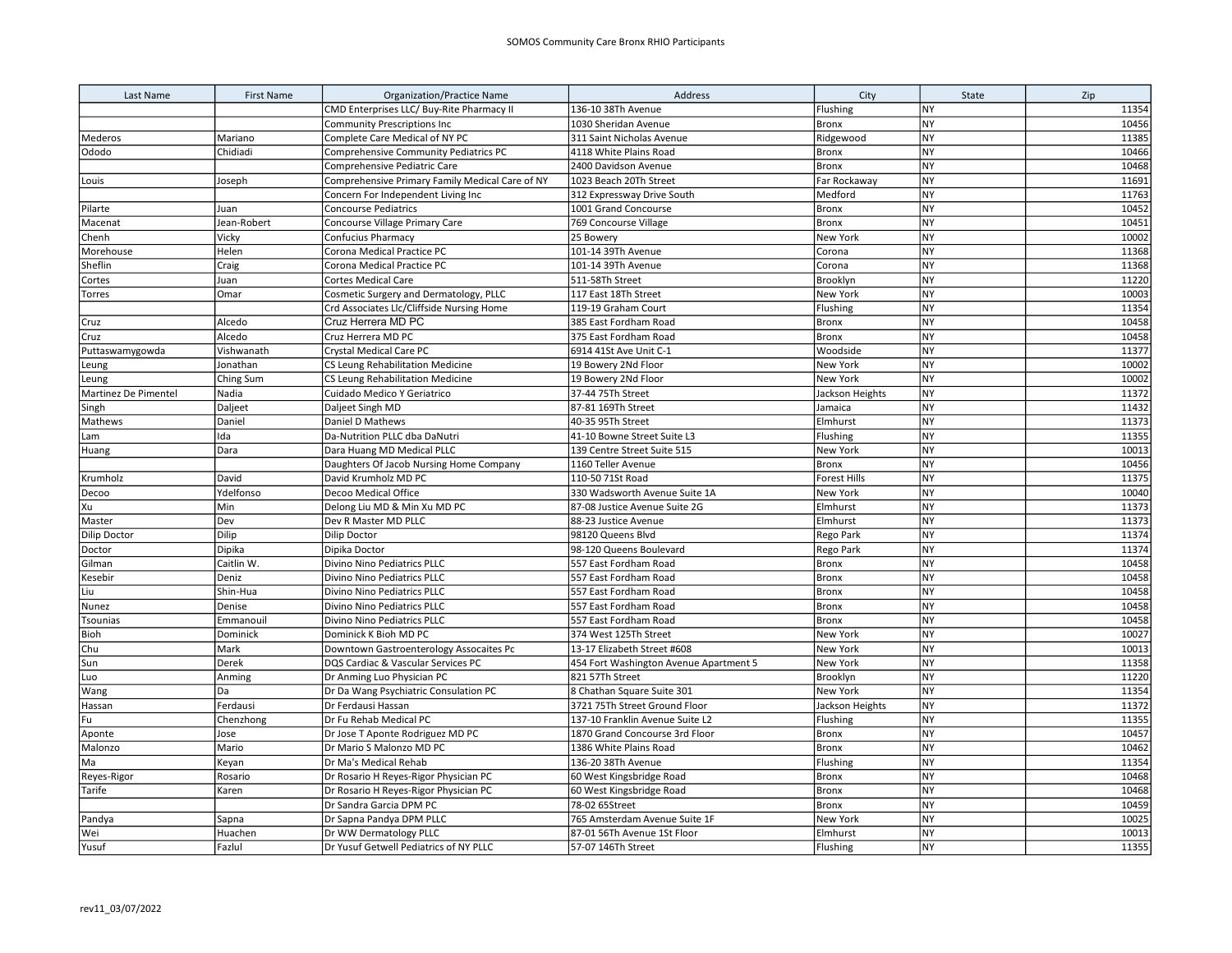| Last Name            | <b>First Name</b> | <b>Organization/Practice Name</b>               | Address                                | City                | State     | Zip   |
|----------------------|-------------------|-------------------------------------------------|----------------------------------------|---------------------|-----------|-------|
|                      |                   | CMD Enterprises LLC/ Buy-Rite Pharmacy II       | 136-10 38Th Avenue                     | Flushing            | <b>NY</b> | 11354 |
|                      |                   | <b>Community Prescriptions Inc</b>              | 1030 Sheridan Avenue                   | <b>Bronx</b>        | <b>NY</b> | 10456 |
| Mederos              | Mariano           | Complete Care Medical of NY PC                  | 311 Saint Nicholas Avenue              | Ridgewood           | <b>NY</b> | 11385 |
| Ododo                | Chidiadi          | Comprehensive Community Pediatrics PC           | 4118 White Plains Road                 | Bronx               | <b>NY</b> | 10466 |
|                      |                   | Comprehensive Pediatric Care                    | 2400 Davidson Avenue                   | <b>Bronx</b>        | <b>NY</b> | 10468 |
| Louis                | Joseph            | Comprehensive Primary Family Medical Care of NY | 1023 Beach 20Th Street                 | Far Rockaway        | <b>NY</b> | 11691 |
|                      |                   | Concern For Independent Living Inc              | 312 Expressway Drive South             | Medford             | <b>NY</b> | 11763 |
| Pilarte              | Juan              | Concourse Pediatrics                            | 1001 Grand Concourse                   | <b>Bronx</b>        | <b>NY</b> | 10452 |
| Macenat              | Jean-Robert       | Concourse Village Primary Care                  | 769 Concourse Village                  | <b>Bronx</b>        | <b>NY</b> | 10451 |
| Chenh                | Vicky             | Confucius Pharmacy                              | 25 Bowery                              | New York            | <b>NY</b> | 10002 |
| Morehouse            | Helen             | Corona Medical Practice PC                      | 101-14 39Th Avenue                     | Corona              | <b>NY</b> | 11368 |
| Sheflin              | Craig             | Corona Medical Practice PC                      | 101-14 39Th Avenue                     | Corona              | NY        | 11368 |
| Cortes               | Juan              | Cortes Medical Care                             | 511-58Th Street                        | Brooklyn            | <b>NY</b> | 11220 |
| Torres               | Omar              | Cosmetic Surgery and Dermatology, PLLC          | 117 East 18Th Street                   | New York            | <b>NY</b> | 10003 |
|                      |                   | Crd Associates Llc/Cliffside Nursing Home       | 119-19 Graham Court                    | Flushing            | <b>NY</b> | 11354 |
| Cruz                 | Alcedo            | Cruz Herrera MD PC                              | 385 East Fordham Road                  | Bronx               | NY        | 10458 |
| Cruz                 | Alcedo            | Cruz Herrera MD PC                              | 375 East Fordham Road                  | Bronx               | NY        | 10458 |
| Puttaswamygowda      | Vishwanath        | Crystal Medical Care PC                         | 6914 41St Ave Unit C-1                 | Woodside            | <b>NY</b> | 11377 |
| Leung                | Jonathan          | <b>CS Leung Rehabilitation Medicine</b>         | 19 Bowery 2Nd Floor                    | New York            | <b>NY</b> | 10002 |
| Leung                | Ching Sum         | CS Leung Rehabilitation Medicine                | 19 Bowery 2Nd Floor                    | New York            | <b>NY</b> | 10002 |
| Martinez De Pimentel | Nadia             | Cuidado Medico Y Geriatrico                     | 37-44 75Th Street                      | Jackson Heights     | NY        | 11372 |
| Singh                | Daljeet           | Daljeet Singh MD                                | 87-81 169Th Street                     | Jamaica             | <b>NY</b> | 11432 |
| Mathews              | Daniel            | Daniel D Mathews                                | 40-35 95Th Street                      | Elmhurst            | <b>NY</b> | 11373 |
| Lam                  | Ida               | Da-Nutrition PLLC dba DaNutri                   | 41-10 Bowne Street Suite L3            | Flushing            | <b>NY</b> | 11355 |
| Huang                | Dara              | Dara Huang MD Medical PLLC                      | 139 Centre Street Suite 515            | New York            | <b>NY</b> | 10013 |
|                      |                   | Daughters Of Jacob Nursing Home Company         | 1160 Teller Avenue                     | <b>Bronx</b>        | NY        | 10456 |
| Krumholz             | David             | David Krumholz MD PC                            | 110-50 71St Road                       | <b>Forest Hills</b> | <b>NY</b> | 11375 |
| Decoo                | Ydelfonso         | Decoo Medical Office                            | 330 Wadsworth Avenue Suite 1A          | New York            | <b>NY</b> | 10040 |
| Xu                   | Min               | Delong Liu MD & Min Xu MD PC                    | 87-08 Justice Avenue Suite 2G          | Elmhurst            | <b>NY</b> | 11373 |
| Master               | Dev               | Dev R Master MD PLLC                            | 88-23 Justice Avenue                   | Elmhurst            | NY        | 11373 |
| <b>Dilip Doctor</b>  | Dilip             | <b>Dilip Doctor</b>                             | 98120 Queens Blvd                      | Rego Park           | <b>NY</b> | 11374 |
| Doctor               | Dipika            | Dipika Doctor                                   | 98-120 Queens Boulevard                | Rego Park           | <b>NY</b> | 11374 |
| Gilman               | Caitlin W.        | Divino Nino Pediatrics PLLC                     | 557 East Fordham Road                  | Bronx               | <b>NY</b> | 10458 |
| Kesebir              | Deniz             | Divino Nino Pediatrics PLLC                     | 557 East Fordham Road                  | <b>Bronx</b>        | <b>NY</b> | 10458 |
| Liu                  | Shin-Hua          | Divino Nino Pediatrics PLLC                     | 557 East Fordham Road                  | <b>Bronx</b>        | NY        | 10458 |
| Nunez                | Denise            | Divino Nino Pediatrics PLLC                     | 557 East Fordham Road                  | <b>Bronx</b>        | <b>NY</b> | 10458 |
| Tsounias             | Emmanouil         | Divino Nino Pediatrics PLLC                     | 557 East Fordham Road                  | <b>Bronx</b>        | <b>NY</b> | 10458 |
| Bioh                 | Dominick          | Dominick K Bioh MD PC                           | 374 West 125Th Street                  | New York            | NY        | 10027 |
| Chu                  | Mark              | Downtown Gastroenterology Assocaites Pc         | 13-17 Elizabeth Street #608            | New York            | NY        | 10013 |
| Sun                  | Derek             | DQS Cardiac & Vascular Services PC              | 454 Fort Washington Avenue Apartment 5 | New York            | <b>NY</b> | 11358 |
| Luo                  | Anming            | Dr Anming Luo Physician PC                      | 821 57Th Street                        | Brooklyn            | <b>NY</b> | 11220 |
| Wang                 | Da                | Dr Da Wang Psychiatric Consulation PC           | 8 Chathan Square Suite 301             | New York            | <b>NY</b> | 11354 |
| Hassan               | Ferdausi          | Dr Ferdausi Hassan                              | 3721 75Th Street Ground Floor          | Jackson Heights     | NY        | 11372 |
| Fu                   | Chenzhong         | Dr Fu Rehab Medical PC                          | 137-10 Franklin Avenue Suite L2        | Flushing            | NY        | 11355 |
| Aponte               | Jose              | Dr Jose T Aponte Rodriguez MD PC                | 1870 Grand Concourse 3rd Floor         | <b>Bronx</b>        | <b>NY</b> | 10457 |
| Malonzo              | Mario             | Dr Mario S Malonzo MD PC                        | 1386 White Plains Road                 | Bronx               | <b>NY</b> | 10462 |
| Ma                   | Keyan             | Dr Ma's Medical Rehab                           | 136-20 38Th Avenue                     | Flushing            | <b>NY</b> | 11354 |
| Reyes-Rigor          | Rosario           | Dr Rosario H Reyes-Rigor Physician PC           | 60 West Kingsbridge Road               | <b>Bronx</b>        | <b>NY</b> | 10468 |
| Tarife               | Karen             | Dr Rosario H Reyes-Rigor Physician PC           | 60 West Kingsbridge Road               | <b>Bronx</b>        | <b>NY</b> | 10468 |
|                      |                   | Dr Sandra Garcia DPM PC                         | 78-02 65Street                         | <b>Bronx</b>        | <b>NY</b> | 10459 |
| Pandya               | Sapna             | Dr Sapna Pandya DPM PLLC                        | 765 Amsterdam Avenue Suite 1F          | New York            | <b>NY</b> | 10025 |
| Wei                  | Huachen           | Dr WW Dermatology PLLC                          | 87-01 56Th Avenue 1St Floor            | Elmhurst            | NY        | 10013 |
| Yusuf                | Fazlul            | Dr Yusuf Getwell Pediatrics of NY PLLC          | 57-07 146Th Street                     | Flushing            | <b>NY</b> | 11355 |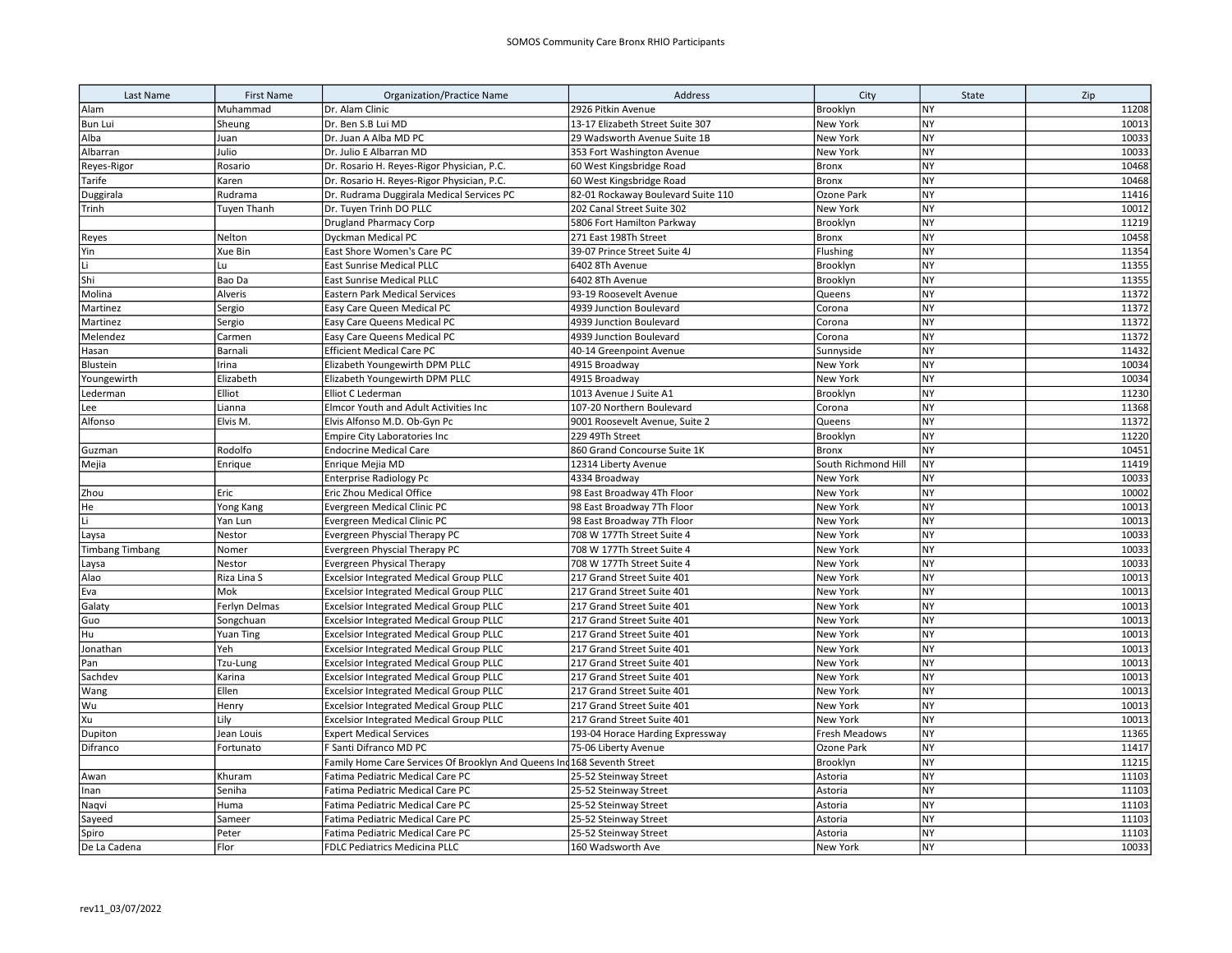| Last Name              | <b>First Name</b> | <b>Organization/Practice Name</b>                   | Address                            | City                | State     | Zip   |
|------------------------|-------------------|-----------------------------------------------------|------------------------------------|---------------------|-----------|-------|
| Alam                   | Muhammad          | Dr. Alam Clinic                                     | 2926 Pitkin Avenue                 | Brooklyn            | <b>NY</b> | 11208 |
| <b>Bun Lui</b>         | Sheung            | Dr. Ben S.B Lui MD                                  | 13-17 Elizabeth Street Suite 307   | New York            | <b>NY</b> | 10013 |
| Alba                   | Juan              | Dr. Juan A Alba MD PC                               | 29 Wadsworth Avenue Suite 1B       | New York            | <b>NY</b> | 10033 |
| Albarran               | Julio             | Dr. Julio E Albarran MD                             | 353 Fort Washington Avenue         | New York            | <b>NY</b> | 10033 |
| Reyes-Rigor            | Rosario           | Dr. Rosario H. Reyes-Rigor Physician, P.C.          | 60 West Kingsbridge Road           | <b>Bronx</b>        | <b>NY</b> | 10468 |
| Tarife                 | Karen             | Dr. Rosario H. Reyes-Rigor Physician, P.C.          | 60 West Kingsbridge Road           | <b>Bronx</b>        | <b>NY</b> | 10468 |
| Duggirala              | Rudrama           | Dr. Rudrama Duggirala Medical Services PC           | 82-01 Rockaway Boulevard Suite 110 | Ozone Park          | <b>NY</b> | 11416 |
| Trinh                  | Tuyen Thanh       | Dr. Tuyen Trinh DO PLLC                             | 202 Canal Street Suite 302         | New York            | <b>NY</b> | 10012 |
|                        |                   | <b>Drugland Pharmacy Corp</b>                       | 5806 Fort Hamilton Parkway         | Brooklyn            | <b>NY</b> | 11219 |
| Reyes                  | Nelton            | Dyckman Medical PC                                  | 271 East 198Th Street              | <b>Bronx</b>        | <b>NY</b> | 10458 |
| Yin                    | Xue Bin           | East Shore Women's Care PC                          | 39-07 Prince Street Suite 4J       | Flushing            | <b>NY</b> | 11354 |
| Li                     | Lu                | <b>East Sunrise Medical PLLC</b>                    | 6402 8Th Avenue                    | Brooklyn            | <b>NY</b> | 11355 |
| Shi                    | Bao Da            | East Sunrise Medical PLLC                           | 6402 8Th Avenue                    | Brooklyn            | <b>NY</b> | 11355 |
| Molina                 | Alveris           | <b>Eastern Park Medical Services</b>                | 93-19 Roosevelt Avenue             | Queens              | NY        | 11372 |
| Martinez               | Sergio            | Easy Care Queen Medical PC                          | 4939 Junction Boulevard            | Corona              | <b>NY</b> | 11372 |
| Martinez               | Sergio            | Easy Care Queens Medical PC                         | 4939 Junction Boulevard            | Corona              | <b>NY</b> | 11372 |
| Melendez               | Carmen            | Easy Care Queens Medical PC                         | 4939 Junction Boulevard            | Corona              | NY        | 11372 |
| Hasan                  | Barnali           | <b>Efficient Medical Care PC</b>                    | 40-14 Greenpoint Avenue            | Sunnyside           | <b>NY</b> | 11432 |
| Blustein               | Irina             | Elizabeth Youngewirth DPM PLLC                      | 4915 Broadway                      | New York            | <b>NY</b> | 10034 |
| Youngewirth            | Elizabeth         | Elizabeth Youngewirth DPM PLLC                      | 4915 Broadway                      | New York            | <b>NY</b> | 10034 |
| Lederman               | Elliot            | Elliot C Lederman                                   | 1013 Avenue J Suite A1             | Brooklyn            | <b>NY</b> | 11230 |
| Lee                    | Lianna            | Elmcor Youth and Adult Activities Inc               | 107-20 Northern Boulevard          | Corona              | <b>NY</b> | 11368 |
| Alfonso                | Elvis M.          | Elvis Alfonso M.D. Ob-Gyn Pc                        | 9001 Roosevelt Avenue, Suite 2     | Queens              | <b>NY</b> | 11372 |
|                        |                   | Empire City Laboratories Inc                        | 229 49Th Street                    | Brooklyn            | <b>NY</b> | 11220 |
| Guzman                 | Rodolfo           | <b>Endocrine Medical Care</b>                       | 860 Grand Concourse Suite 1K       | <b>Bronx</b>        | <b>NY</b> | 10451 |
| Mejia                  | Enrique           | Enrique Mejia MD                                    | 12314 Liberty Avenue               | South Richmond Hill | <b>NY</b> | 11419 |
|                        |                   | <b>Enterprise Radiology Pc</b>                      | 4334 Broadway                      | New York            | <b>NY</b> | 10033 |
| Zhou                   | Eric              | Eric Zhou Medical Office                            | 98 East Broadway 4Th Floor         | New York            | <b>NY</b> | 10002 |
| He                     | Yong Kang         | Evergreen Medical Clinic PC                         | 98 East Broadway 7Th Floor         | New York            | <b>NY</b> | 10013 |
| Li                     | Yan Lun           | Evergreen Medical Clinic PC                         | 98 East Broadway 7Th Floor         | New York            | <b>NY</b> | 10013 |
| Laysa                  | Nestor            | Evergreen Physcial Therapy PC                       | 708 W 177Th Street Suite 4         | New York            | <b>NY</b> | 10033 |
| <b>Timbang Timbang</b> | Nomer             | Evergreen Physcial Therapy PC                       | 708 W 177Th Street Suite 4         | New York            | <b>NY</b> | 10033 |
| Laysa                  | Nestor            | Evergreen Physical Therapy                          | 708 W 177Th Street Suite 4         | New York            | <b>NY</b> | 10033 |
| Alao                   | Riza Lina S       | <b>Excelsior Integrated Medical Group PLLC</b>      | 217 Grand Street Suite 401         | New York            | <b>NY</b> | 10013 |
| Eva                    | Mok               | <b>Excelsior Integrated Medical Group PLLC</b>      | 217 Grand Street Suite 401         | New York            | <b>NY</b> | 10013 |
| Galaty                 | Ferlyn Delmas     | <b>Excelsior Integrated Medical Group PLLC</b>      | 217 Grand Street Suite 401         | New York            | <b>NY</b> | 10013 |
| Guo                    | Songchuan         | <b>Excelsior Integrated Medical Group PLLC</b>      | 217 Grand Street Suite 401         | New York            | <b>NY</b> | 10013 |
| Hu                     | <b>Yuan Ting</b>  | <b>Excelsior Integrated Medical Group PLLC</b>      | 217 Grand Street Suite 401         | New York            | <b>NY</b> | 10013 |
| Jonathan               | Yeh               | <b>Excelsior Integrated Medical Group PLLC</b>      | 217 Grand Street Suite 401         | New York            | <b>NY</b> | 10013 |
| Pan                    | Tzu-Lung          | <b>Excelsior Integrated Medical Group PLLC</b>      | 217 Grand Street Suite 401         | New York            | <b>NY</b> | 10013 |
| Sachdev                | Karina            | <b>Excelsior Integrated Medical Group PLLC</b>      | 217 Grand Street Suite 401         | New York            | <b>NY</b> | 10013 |
| Wang                   | Ellen             | <b>Excelsior Integrated Medical Group PLLC</b>      | 217 Grand Street Suite 401         | New York            | <b>NY</b> | 10013 |
| Wu                     | Henry             | <b>Excelsior Integrated Medical Group PLLC</b>      | 217 Grand Street Suite 401         | New York            | <b>NY</b> | 10013 |
| Xu                     | Lily              | <b>Excelsior Integrated Medical Group PLLC</b>      | 217 Grand Street Suite 401         | New York            | NY        | 10013 |
| Dupiton                | Jean Louis        | <b>Expert Medical Services</b>                      | 193-04 Horace Harding Expressway   | Fresh Meadows       | <b>NY</b> | 11365 |
| Difranco               | Fortunato         | F Santi Difranco MD PC                              | 75-06 Liberty Avenue               | Ozone Park          | NY        | 11417 |
|                        |                   | Family Home Care Services Of Brooklyn And Queens In | 168 Seventh Street                 | Brooklyn            | <b>NY</b> | 11215 |
| Awan                   | Khuram            | Fatima Pediatric Medical Care PC                    | 25-52 Steinway Street              | Astoria             | <b>NY</b> | 11103 |
| Inan                   | Seniha            | Fatima Pediatric Medical Care PC                    | 25-52 Steinway Street              | Astoria             | <b>NY</b> | 11103 |
| Naqvi                  | Huma              | Fatima Pediatric Medical Care PC                    | 25-52 Steinway Street              | Astoria             | <b>NY</b> | 11103 |
| Sayeed                 | Sameer            | Fatima Pediatric Medical Care PC                    | 25-52 Steinway Street              | Astoria             | <b>NY</b> | 11103 |
| Spiro                  | Peter             | Fatima Pediatric Medical Care PC                    | 25-52 Steinway Street              | Astoria             | <b>NY</b> | 11103 |
| De La Cadena           | Flor              | <b>FDLC Pediatrics Medicina PLLC</b>                | 160 Wadsworth Ave                  | New York            | <b>NY</b> | 10033 |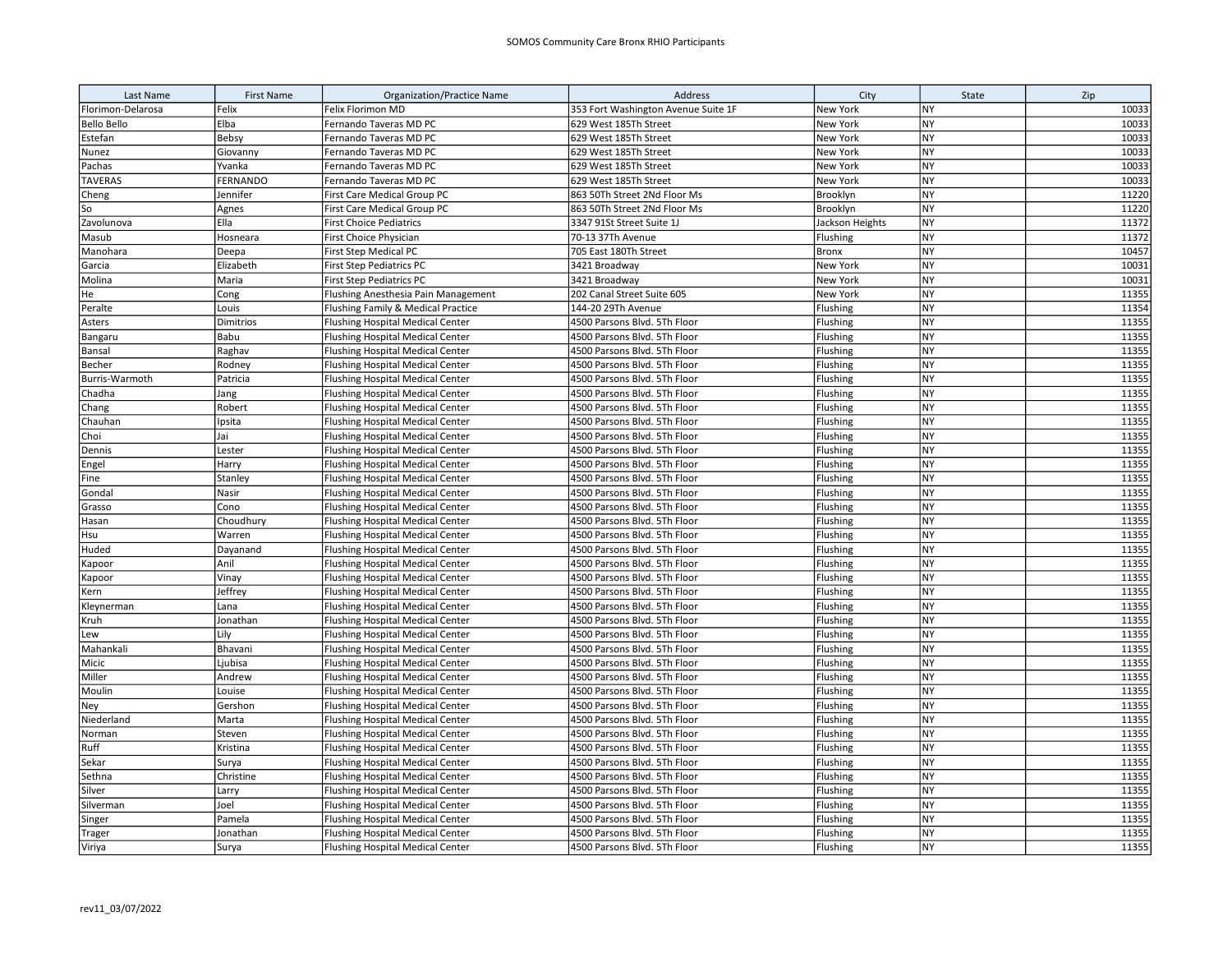| Last Name          | <b>First Name</b> | <b>Organization/Practice Name</b>                                                  | Address                                                      | City                 | State                  | Zip            |
|--------------------|-------------------|------------------------------------------------------------------------------------|--------------------------------------------------------------|----------------------|------------------------|----------------|
| Florimon-Delarosa  | Felix             | Felix Florimon MD                                                                  | 353 Fort Washington Avenue Suite 1F                          | New York             | <b>NY</b>              | 10033          |
| <b>Bello Bello</b> | Elba              | Fernando Taveras MD PC                                                             | 629 West 185Th Street                                        | New York             | NY                     | 10033          |
| Estefan            | Bebsy             | Fernando Taveras MD PC                                                             | 629 West 185Th Street                                        | New York             | <b>NY</b>              | 10033          |
| Nunez              | Giovanny          | Fernando Taveras MD PC                                                             | 629 West 185Th Street                                        | New York             | <b>NY</b>              | 10033          |
| Pachas             | Yvanka            | Fernando Taveras MD PC                                                             | 629 West 185Th Street                                        | New York             | <b>NY</b>              | 10033          |
| <b>TAVERAS</b>     | <b>FERNANDO</b>   | Fernando Taveras MD PC                                                             | 629 West 185Th Street                                        | New York             | <b>NY</b>              | 10033          |
| Cheng              | Jennifer          | First Care Medical Group PC                                                        | 863 50Th Street 2Nd Floor Ms                                 | Brooklyn             | <b>NY</b>              | 11220          |
| So                 | Agnes             | First Care Medical Group PC                                                        | 863 50Th Street 2Nd Floor Ms                                 | Brooklyn             | <b>NY</b>              | 11220          |
| Zavolunova         | Ella              | <b>First Choice Pediatrics</b>                                                     | 3347 91St Street Suite 1J                                    | Jackson Heights      | <b>NY</b>              | 11372          |
| Masub              | Hosneara          | First Choice Physician                                                             | 70-13 37Th Avenue                                            | Flushing             | <b>NY</b>              | 11372          |
| Manohara           | Deepa             | First Step Medical PC                                                              | 705 East 180Th Street                                        | <b>Bronx</b>         | <b>NY</b>              | 10457          |
| Garcia             | Elizabeth         | First Step Pediatrics PC                                                           | 3421 Broadway                                                | New York             | <b>NY</b>              | 10031          |
| Molina             | Maria             | <b>First Step Pediatrics PC</b>                                                    | 3421 Broadway                                                | New York             | <b>NY</b>              | 10031          |
| He                 | Cong              | Flushing Anesthesia Pain Management                                                | 202 Canal Street Suite 605                                   | New York             | <b>NY</b>              | 11355          |
| Peralte            | Louis             | Flushing Family & Medical Practice                                                 | 144-20 29Th Avenue                                           | Flushing             | <b>NY</b>              | 11354          |
| Asters             | Dimitrios         | <b>Flushing Hospital Medical Center</b>                                            | 4500 Parsons Blvd. 5Th Floor                                 | Flushing             | <b>NY</b>              | 11355          |
| Bangaru            | Babu              | <b>Flushing Hospital Medical Center</b>                                            | 4500 Parsons Blvd. 5Th Floor                                 | Flushing             | NY                     | 11355          |
| Bansal             | Raghav            | <b>Flushing Hospital Medical Center</b>                                            | 4500 Parsons Blvd. 5Th Floor                                 | Flushing             | <b>NY</b>              | 11355          |
| Becher             | Rodney            | <b>Flushing Hospital Medical Center</b>                                            | 4500 Parsons Blvd. 5Th Floor                                 | Flushing             | <b>NY</b>              | 11355          |
| Burris-Warmoth     | Patricia          | <b>Flushing Hospital Medical Center</b>                                            | 4500 Parsons Blvd. 5Th Floor                                 | Flushing             | <b>NY</b>              | 11355          |
| Chadha             | Jang              | <b>Flushing Hospital Medical Center</b>                                            | 4500 Parsons Blvd. 5Th Floor                                 | Flushing             | <b>NY</b>              | 11355          |
| Chang              | Robert            | <b>Flushing Hospital Medical Center</b>                                            | 4500 Parsons Blvd. 5Th Floor                                 | Flushing             | <b>NY</b>              | 11355          |
| Chauhan            | Ipsita            | <b>Flushing Hospital Medical Center</b>                                            | 4500 Parsons Blvd. 5Th Floor                                 | Flushing             | <b>NY</b>              | 11355          |
| Choi               | Jai               | <b>Flushing Hospital Medical Center</b>                                            | 4500 Parsons Blvd. 5Th Floor                                 | Flushing             | <b>NY</b>              | 11355          |
| Dennis             | Lester            | <b>Flushing Hospital Medical Center</b>                                            | 4500 Parsons Blvd. 5Th Floor                                 | Flushing             | <b>NY</b>              | 11355          |
| Engel              | Harry             | <b>Flushing Hospital Medical Center</b>                                            | 4500 Parsons Blvd. 5Th Floor                                 | Flushing             | <b>NY</b>              | 11355          |
| Fine               | Stanley           | <b>Flushing Hospital Medical Center</b>                                            | 4500 Parsons Blvd. 5Th Floor                                 | Flushing             | <b>NY</b>              | 11355          |
| Gondal             | Nasir             | <b>Flushing Hospital Medical Center</b>                                            | 4500 Parsons Blvd. 5Th Floor                                 | Flushing             | <b>NY</b>              | 11355          |
| Grasso             | Cono              | <b>Flushing Hospital Medical Center</b>                                            | 4500 Parsons Blvd. 5Th Floor                                 | Flushing             | <b>NY</b>              | 11355          |
| Hasan              | Choudhury         | <b>Flushing Hospital Medical Center</b>                                            | 4500 Parsons Blvd. 5Th Floor                                 | Flushing             | <b>NY</b>              | 11355          |
| Hsu                | Warren            | <b>Flushing Hospital Medical Center</b>                                            | 4500 Parsons Blvd. 5Th Floor                                 | Flushing             | <b>NY</b>              | 11355          |
| Huded              | Dayanand          | <b>Flushing Hospital Medical Center</b>                                            | 4500 Parsons Blvd. 5Th Floor                                 | Flushing             | <b>NY</b>              | 11355          |
| Kapoor             | Anil              | <b>Flushing Hospital Medical Center</b>                                            | 4500 Parsons Blvd. 5Th Floor                                 | Flushing             | <b>NY</b>              | 11355          |
| Kapoor             | Vinay             | <b>Flushing Hospital Medical Center</b>                                            | 4500 Parsons Blvd. 5Th Floor                                 | Flushing             | <b>NY</b>              | 11355          |
| Kern               | Jeffrey           | <b>Flushing Hospital Medical Center</b>                                            | 4500 Parsons Blvd. 5Th Floor                                 | Flushing             | <b>NY</b><br><b>NY</b> | 11355<br>11355 |
| Kleynerman         | Lana              | <b>Flushing Hospital Medical Center</b>                                            | 4500 Parsons Blvd. 5Th Floor                                 | Flushing             |                        |                |
| Kruh               | Jonathan          | <b>Flushing Hospital Medical Center</b>                                            | 4500 Parsons Blvd. 5Th Floor                                 | Flushing             | <b>NY</b>              | 11355          |
| Lew                | Lily              | <b>Flushing Hospital Medical Center</b>                                            | 4500 Parsons Blvd. 5Th Floor                                 | Flushing             | <b>NY</b><br><b>NY</b> | 11355<br>11355 |
| Mahankali<br>Micic | Bhavani           | <b>Flushing Hospital Medical Center</b>                                            | 4500 Parsons Blvd. 5Th Floor                                 | Flushing             | <b>NY</b>              | 11355          |
| Miller             | Ljubisa           | <b>Flushing Hospital Medical Center</b>                                            | 4500 Parsons Blvd. 5Th Floor                                 | Flushing             | <b>NY</b>              | 11355          |
|                    | Andrew            | <b>Flushing Hospital Medical Center</b>                                            | 4500 Parsons Blvd. 5Th Floor<br>4500 Parsons Blvd. 5Th Floor | Flushing             | <b>NY</b>              | 11355          |
| Moulin<br>Ney      | Louise<br>Gershon | <b>Flushing Hospital Medical Center</b><br><b>Flushing Hospital Medical Center</b> | 4500 Parsons Blvd. 5Th Floor                                 | Flushing<br>Flushing | <b>NY</b>              | 11355          |
| Niederland         | Marta             | <b>Flushing Hospital Medical Center</b>                                            | 4500 Parsons Blvd. 5Th Floor                                 | Flushing             | <b>NY</b>              | 11355          |
| Norman             | Steven            | <b>Flushing Hospital Medical Center</b>                                            | 4500 Parsons Blvd. 5Th Floor                                 | Flushing             | <b>NY</b>              | 11355          |
| Ruff               | Kristina          | <b>Flushing Hospital Medical Center</b>                                            | 4500 Parsons Blvd. 5Th Floor                                 | Flushing             | NY                     | 11355          |
| Sekar              | Surya             | <b>Flushing Hospital Medical Center</b>                                            | 4500 Parsons Blvd. 5Th Floor                                 | Flushing             | <b>NY</b>              | 11355          |
| Sethna             | Christine         | <b>Flushing Hospital Medical Center</b>                                            | 4500 Parsons Blvd. 5Th Floor                                 | Flushing             | <b>NY</b>              | 11355          |
| Silver             | Larry             | <b>Flushing Hospital Medical Center</b>                                            | 4500 Parsons Blvd. 5Th Floor                                 | Flushing             | <b>NY</b>              | 11355          |
| Silverman          | Joel              | <b>Flushing Hospital Medical Center</b>                                            | 4500 Parsons Blvd. 5Th Floor                                 | Flushing             | <b>NY</b>              | 11355          |
| Singer             | Pamela            | <b>Flushing Hospital Medical Center</b>                                            | 4500 Parsons Blvd. 5Th Floor                                 | Flushing             | <b>NY</b>              | 11355          |
| Trager             | Jonathan          | <b>Flushing Hospital Medical Center</b>                                            | 4500 Parsons Blvd. 5Th Floor                                 | Flushing             | NY                     | 11355          |
| Viriya             | Surya             | <b>Flushing Hospital Medical Center</b>                                            | 4500 Parsons Blvd. 5Th Floor                                 | Flushing             | <b>NY</b>              | 11355          |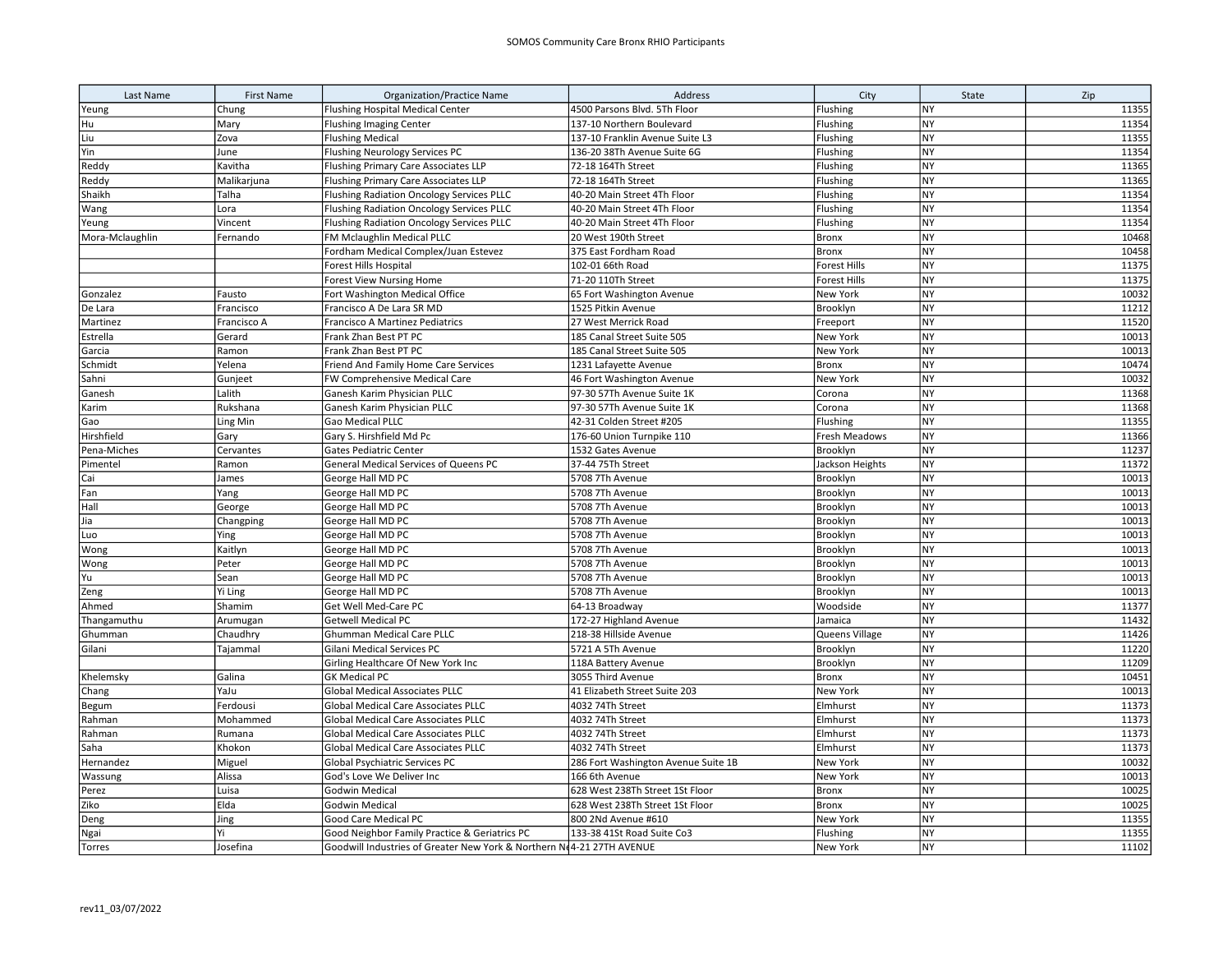| Last Name       | <b>First Name</b> | <b>Organization/Practice Name</b>                                     | Address                             | City            | State     | Zip   |
|-----------------|-------------------|-----------------------------------------------------------------------|-------------------------------------|-----------------|-----------|-------|
| Yeung           | Chung             | <b>Flushing Hospital Medical Center</b>                               | 4500 Parsons Blvd. 5Th Floor        | Flushing        | NY        | 11355 |
| Hu              | Mary              | Flushing Imaging Center                                               | 137-10 Northern Boulevard           | Flushing        | <b>NY</b> | 11354 |
| Liu             | Zova              | <b>Flushing Medical</b>                                               | 137-10 Franklin Avenue Suite L3     | Flushing        | NY        | 11355 |
| Yin             | June              | Flushing Neurology Services PC                                        | 136-20 38Th Avenue Suite 6G         | Flushing        | NY        | 11354 |
| Reddy           | Kavitha           | Flushing Primary Care Associates LLP                                  | 72-18 164Th Street                  | Flushing        | NY        | 11365 |
| Reddy           | Malikarjuna       | <b>Flushing Primary Care Associates LLP</b>                           | 72-18 164Th Street                  | Flushing        | NY        | 11365 |
| Shaikh          | Talha             | Flushing Radiation Oncology Services PLLC                             | 40-20 Main Street 4Th Floor         | Flushing        | <b>NY</b> | 11354 |
| Wang            | Lora              | Flushing Radiation Oncology Services PLLC                             | 40-20 Main Street 4Th Floor         | Flushing        | NY        | 11354 |
| Yeung           | Vincent           | Flushing Radiation Oncology Services PLLC                             | 40-20 Main Street 4Th Floor         | Flushing        | <b>NY</b> | 11354 |
| Mora-Mclaughlin | Fernando          | FM Mclaughlin Medical PLLC                                            | 20 West 190th Street                | Bronx           | <b>NY</b> | 10468 |
|                 |                   | Fordham Medical Complex/Juan Estevez                                  | 375 East Fordham Road               | <b>Bronx</b>    | <b>NY</b> | 10458 |
|                 |                   | Forest Hills Hospital                                                 | 102-01 66th Road                    | Forest Hills    | <b>NY</b> | 11375 |
|                 |                   | Forest View Nursing Home                                              | 71-20 110Th Street                  | Forest Hills    | <b>NY</b> | 11375 |
| Gonzalez        | Fausto            | Fort Washington Medical Office                                        | 65 Fort Washington Avenue           | New York        | <b>NY</b> | 10032 |
| De Lara         | Francisco         | Francisco A De Lara SR MD                                             | 1525 Pitkin Avenue                  | Brooklyn        | <b>NY</b> | 11212 |
| Martinez        | Francisco A       | Francisco A Martinez Pediatrics                                       | 27 West Merrick Road                | Freeport        | <b>NY</b> | 11520 |
| Estrella        | Gerard            | Frank Zhan Best PT PC                                                 | 185 Canal Street Suite 505          | New York        | <b>NY</b> | 10013 |
| Garcia          | Ramon             | Frank Zhan Best PT PC                                                 | 185 Canal Street Suite 505          | New York        | NY        | 10013 |
| Schmidt         | Yelena            | Friend And Family Home Care Services                                  | 1231 Lafayette Avenue               | <b>Bronx</b>    | <b>NY</b> | 10474 |
| Sahni           | Gunjeet           | FW Comprehensive Medical Care                                         | 46 Fort Washington Avenue           | New York        | <b>NY</b> | 10032 |
| Ganesh          | Lalith            | Ganesh Karim Physician PLLC                                           | 97-30 57Th Avenue Suite 1K          | Corona          | <b>NY</b> | 11368 |
| Karim           | Rukshana          | Ganesh Karim Physician PLLC                                           | 97-30 57Th Avenue Suite 1K          | Corona          | <b>NY</b> | 11368 |
| Gao             | Ling Min          | Gao Medical PLLC                                                      | 42-31 Colden Street #205            | Flushing        | <b>NY</b> | 11355 |
| Hirshfield      | Gary              | Gary S. Hirshfield Md Pc                                              | 176-60 Union Turnpike 110           | Fresh Meadows   | NY        | 11366 |
| Pena-Miches     | Cervantes         | <b>Gates Pediatric Center</b>                                         | 1532 Gates Avenue                   | Brooklyn        | NY        | 11237 |
| Pimentel        | Ramon             | General Medical Services of Queens PC                                 | 37-44 75Th Street                   | Jackson Heights | <b>NY</b> | 11372 |
| Cai             | James             | George Hall MD PC                                                     | 5708 7Th Avenue                     | Brooklyn        | <b>NY</b> | 10013 |
| Fan             | Yang              | George Hall MD PC                                                     | 5708 7Th Avenue                     | Brooklyn        | <b>NY</b> | 10013 |
| Hall            | George            | George Hall MD PC                                                     | 5708 7Th Avenue                     | Brooklyn        | NY        | 10013 |
| Jia             | Changping         | George Hall MD PC                                                     | 5708 7Th Avenue                     | Brooklyn        | <b>NY</b> | 10013 |
| Luo             | Ying              | George Hall MD PC                                                     | 5708 7Th Avenue                     | Brooklyn        | <b>NY</b> | 10013 |
| Wong            | Kaitlyn           | George Hall MD PC                                                     | 5708 7Th Avenue                     | Brooklyn        | <b>NY</b> | 10013 |
| Wong            | Peter             | George Hall MD PC                                                     | 5708 7Th Avenue                     | Brooklyn        | <b>NY</b> | 10013 |
| Yu              | Sean              | George Hall MD PC                                                     | 5708 7Th Avenue                     | Brooklyn        | <b>NY</b> | 10013 |
| Zeng            | Yi Ling           | George Hall MD PC                                                     | 5708 7Th Avenue                     | Brooklyn        | <b>NY</b> | 10013 |
| Ahmed           | Shamim            | Get Well Med-Care PC                                                  | 64-13 Broadway                      | Woodside        | <b>NY</b> | 11377 |
| Thangamuthu     | Arumugan          | <b>Getwell Medical PC</b>                                             | 172-27 Highland Avenue              | Jamaica         | <b>NY</b> | 11432 |
| Ghumman         | Chaudhry          | Ghumman Medical Care PLLC                                             | 218-38 Hillside Avenue              | Queens Village  | NY        | 11426 |
| Gilani          | Tajammal          | Gilani Medical Services PC                                            | 5721 A 5Th Avenue                   | Brooklyn        | <b>NY</b> | 11220 |
|                 |                   | Girling Healthcare Of New York Inc                                    | 118A Battery Avenue                 | Brooklyn        | <b>NY</b> | 11209 |
| Khelemsky       | Galina            | <b>GK Medical PC</b>                                                  | 3055 Third Avenue                   | <b>Bronx</b>    | <b>NY</b> | 10451 |
| Chang           | YaJu              | <b>Global Medical Associates PLLC</b>                                 | 41 Elizabeth Street Suite 203       | New York        | NY        | 10013 |
| Begum           | Ferdousi          | <b>Global Medical Care Associates PLLC</b>                            | 4032 74Th Street                    | Elmhurst        | NY        | 11373 |
| Rahman          | Mohammed          | Global Medical Care Associates PLLC                                   | 4032 74Th Street                    | Elmhurst        | <b>NY</b> | 11373 |
| Rahman          | Rumana            | <b>Global Medical Care Associates PLLC</b>                            | 4032 74Th Street                    | Elmhurst        | <b>NY</b> | 11373 |
| Saha            | Khokon            | <b>Global Medical Care Associates PLLC</b>                            | 4032 74Th Street                    | Elmhurst        | NY        | 11373 |
| Hernandez       | Miguel            | Global Psychiatric Services PC                                        | 286 Fort Washington Avenue Suite 1B | New York        | <b>NY</b> | 10032 |
| Wassung         | Alissa            | God's Love We Deliver Inc                                             | 166 6th Avenue                      | New York        | <b>NY</b> | 10013 |
| Perez           | Luisa             | <b>Godwin Medical</b>                                                 | 628 West 238Th Street 1St Floor     | <b>Bronx</b>    | <b>NY</b> | 10025 |
| Ziko            | Elda              | <b>Godwin Medical</b>                                                 | 628 West 238Th Street 1St Floor     | Bronx           | <b>NY</b> | 10025 |
| Deng            | Jing              | Good Care Medical PC                                                  | 800 2Nd Avenue #610                 | New York        | <b>NY</b> | 11355 |
| Ngai            | Yi                | Good Neighbor Family Practice & Geriatrics PC                         | 133-38 41St Road Suite Co3          | Flushing        | <b>NY</b> | 11355 |
| Torres          | Josefina          | Goodwill Industries of Greater New York & Northern Nd4-21 27TH AVENUE |                                     | New York        | <b>NY</b> | 11102 |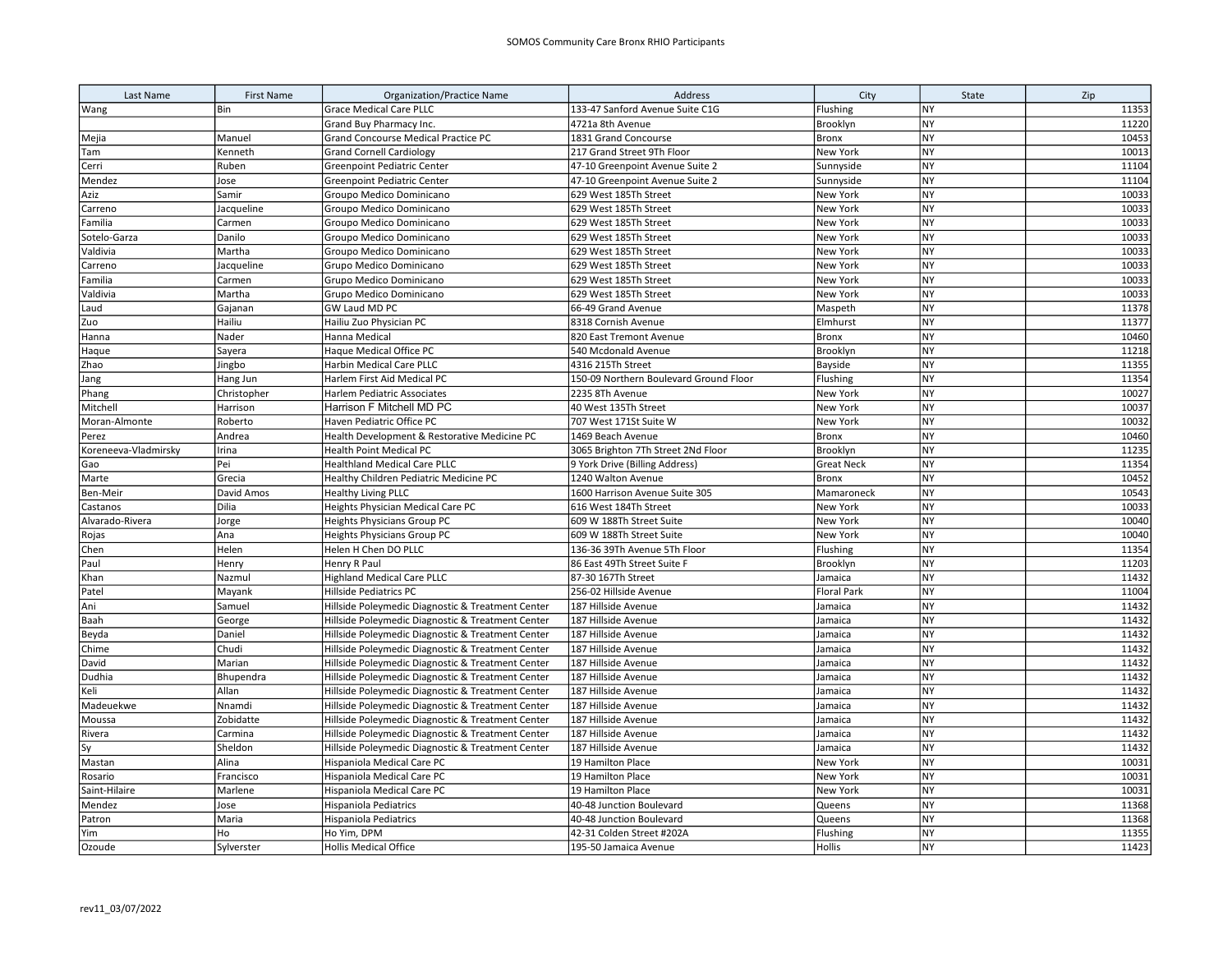| Last Name            | <b>First Name</b> | <b>Organization/Practice Name</b>                 | Address                                | City               | State     | Zip   |
|----------------------|-------------------|---------------------------------------------------|----------------------------------------|--------------------|-----------|-------|
| Wang                 | Bin               | <b>Grace Medical Care PLLC</b>                    | 133-47 Sanford Avenue Suite C1G        | Flushing           | <b>NY</b> | 11353 |
|                      |                   | Grand Buy Pharmacy Inc.                           | 4721a 8th Avenue                       | Brooklyn           | <b>NY</b> | 11220 |
| Mejia                | Manuel            | Grand Concourse Medical Practice PC               | 1831 Grand Concourse                   | Bronx              | <b>NY</b> | 10453 |
| Tam                  | Kenneth           | <b>Grand Cornell Cardiology</b>                   | 217 Grand Street 9Th Floor             | New York           | <b>NY</b> | 10013 |
| Cerri                | Ruben             | Greenpoint Pediatric Center                       | 47-10 Greenpoint Avenue Suite 2        | Sunnyside          | <b>NY</b> | 11104 |
| Mendez               | Jose              | Greenpoint Pediatric Center                       | 47-10 Greenpoint Avenue Suite 2        | Sunnyside          | <b>NY</b> | 11104 |
| Aziz                 | Samir             | Groupo Medico Dominicano                          | 629 West 185Th Street                  | New York           | <b>NY</b> | 10033 |
| Carreno              | Jacqueline        | Groupo Medico Dominicano                          | 629 West 185Th Street                  | New York           | <b>NY</b> | 10033 |
| Familia              | Carmen            | Groupo Medico Dominicano                          | 629 West 185Th Street                  | New York           | <b>NY</b> | 10033 |
| Sotelo-Garza         | Danilo            | Groupo Medico Dominicano                          | 629 West 185Th Street                  | New York           | <b>NY</b> | 10033 |
| Valdivia             | Martha            | Groupo Medico Dominicano                          | 629 West 185Th Street                  | New York           | <b>NY</b> | 10033 |
| Carreno              | Jacqueline        | Grupo Medico Dominicano                           | 629 West 185Th Street                  | New York           | <b>NY</b> | 10033 |
| Familia              | Carmen            | Grupo Medico Dominicano                           | 629 West 185Th Street                  | New York           | <b>NY</b> | 10033 |
| Valdivia             | Martha            | Grupo Medico Dominicano                           | 629 West 185Th Street                  | New York           | <b>NY</b> | 10033 |
| Laud                 | Gajanan           | GW Laud MD PC                                     | 66-49 Grand Avenue                     | Maspeth            | <b>NY</b> | 11378 |
| Zuo                  | Hailiu            | Hailiu Zuo Physician PC                           | 8318 Cornish Avenue                    | Elmhurst           | NY        | 11377 |
| Hanna                | Nader             | Hanna Medical                                     | 820 East Tremont Avenue                | <b>Bronx</b>       | <b>NY</b> | 10460 |
| Haque                | Sayera            | Haque Medical Office PC                           | 540 Mcdonald Avenue                    | Brooklyn           | <b>NY</b> | 11218 |
| Zhao                 | Jingbo            | Harbin Medical Care PLLC                          | 4316 215Th Street                      | Bayside            | NY        | 11355 |
| Jang                 | Hang Jun          | Harlem First Aid Medical PC                       | 150-09 Northern Boulevard Ground Floor | Flushing           | NY        | 11354 |
| Phang                | Christopher       | Harlem Pediatric Associates                       | 2235 8Th Avenue                        | New York           | <b>NY</b> | 10027 |
| Mitchell             | Harrison          | Harrison F Mitchell MD PC                         | 40 West 135Th Street                   | New York           | <b>NY</b> | 10037 |
| Moran-Almonte        | Roberto           | Haven Pediatric Office PC                         | 707 West 171St Suite W                 | New York           | NY        | 10032 |
| Perez                | Andrea            | Health Development & Restorative Medicine PC      | 1469 Beach Avenue                      | <b>Bronx</b>       | NY        | 10460 |
| Koreneeva-Vladmirsky | Irina             | Health Point Medical PC                           | 3065 Brighton 7Th Street 2Nd Floor     | Brooklyn           | NY        | 11235 |
| Gao                  | Pei               | <b>Healthland Medical Care PLLC</b>               | 9 York Drive (Billing Address)         | <b>Great Neck</b>  | <b>NY</b> | 11354 |
| Marte                | Grecia            | Healthy Children Pediatric Medicine PC            | 1240 Walton Avenue                     | Bronx              | NY        | 10452 |
| Ben-Meir             | David Amos        | <b>Healthy Living PLLC</b>                        | 1600 Harrison Avenue Suite 305         | Mamaroneck         | <b>NY</b> | 10543 |
| Castanos             | Dilia             | Heights Physician Medical Care PC                 | 616 West 184Th Street                  | New York           | <b>NY</b> | 10033 |
| Alvarado-Rivera      | Jorge             | <b>Heights Physicians Group PC</b>                | 609 W 188Th Street Suite               | New York           | <b>NY</b> | 10040 |
| Rojas                | Ana               | Heights Physicians Group PC                       | 609 W 188Th Street Suite               | New York           | <b>NY</b> | 10040 |
| Chen                 | Helen             | Helen H Chen DO PLLC                              | 136-36 39Th Avenue 5Th Floor           | Flushing           | <b>NY</b> | 11354 |
| Paul                 | Henry             | Henry R Paul                                      | 86 East 49Th Street Suite F            | Brooklyn           | NY        | 11203 |
| Khan                 | Nazmul            | <b>Highland Medical Care PLLC</b>                 | 87-30 167Th Street                     | Jamaica            | <b>NY</b> | 11432 |
| Patel                | Mayank            | <b>Hillside Pediatrics PC</b>                     | 256-02 Hillside Avenue                 | <b>Floral Park</b> | NY        | 11004 |
| Ani                  | Samuel            | Hillside Poleymedic Diagnostic & Treatment Center | 187 Hillside Avenue                    | Jamaica            | <b>NY</b> | 11432 |
| Baah                 | George            | Hillside Poleymedic Diagnostic & Treatment Center | 187 Hillside Avenue                    | Jamaica            | <b>NY</b> | 11432 |
| Beyda                | Daniel            | Hillside Poleymedic Diagnostic & Treatment Center | 187 Hillside Avenue                    | Jamaica            | NY        | 11432 |
| Chime                | Chudi             | Hillside Poleymedic Diagnostic & Treatment Center | 187 Hillside Avenue                    | Jamaica            | <b>NY</b> | 11432 |
| David                | Marian            | Hillside Poleymedic Diagnostic & Treatment Center | 187 Hillside Avenue                    | Jamaica            | <b>NY</b> | 11432 |
| Dudhia               | Bhupendra         | Hillside Poleymedic Diagnostic & Treatment Center | 187 Hillside Avenue                    | Jamaica            | <b>NY</b> | 11432 |
| Keli                 | Allan             | Hillside Poleymedic Diagnostic & Treatment Center | 187 Hillside Avenue                    | Jamaica            | <b>NY</b> | 11432 |
| Madeuekwe            | Nnamdi            | Hillside Poleymedic Diagnostic & Treatment Center | 187 Hillside Avenue                    | Jamaica            | <b>NY</b> | 11432 |
| Moussa               | Zobidatte         | Hillside Poleymedic Diagnostic & Treatment Center | 187 Hillside Avenue                    | Jamaica            | NY        | 11432 |
| Rivera               | Carmina           | Hillside Poleymedic Diagnostic & Treatment Center | 187 Hillside Avenue                    | Jamaica            | <b>NY</b> | 11432 |
| Sy                   | Sheldon           | Hillside Poleymedic Diagnostic & Treatment Center | 187 Hillside Avenue                    | Jamaica            | <b>NY</b> | 11432 |
| Mastan               | Alina             | Hispaniola Medical Care PC                        | 19 Hamilton Place                      | New York           | <b>NY</b> | 10031 |
| Rosario              | Francisco         | Hispaniola Medical Care PC                        | 19 Hamilton Place                      | New York           | NY        | 10031 |
| Saint-Hilaire        | Marlene           | Hispaniola Medical Care PC                        | 19 Hamilton Place                      | New York           | NY        | 10031 |
| Mendez               | Jose              | <b>Hispaniola Pediatrics</b>                      | 40-48 Junction Boulevard               | Queens             | <b>NY</b> | 11368 |
| Patron               | Maria             | <b>Hispaniola Pediatrics</b>                      | 40-48 Junction Boulevard               | Queens             | NY        | 11368 |
| Yim                  | Ho                | Ho Yim, DPM                                       | 42-31 Colden Street #202A              | Flushing           | <b>NY</b> | 11355 |
| Ozoude               | Sylverster        | <b>Hollis Medical Office</b>                      | 195-50 Jamaica Avenue                  | Hollis             | <b>NY</b> | 11423 |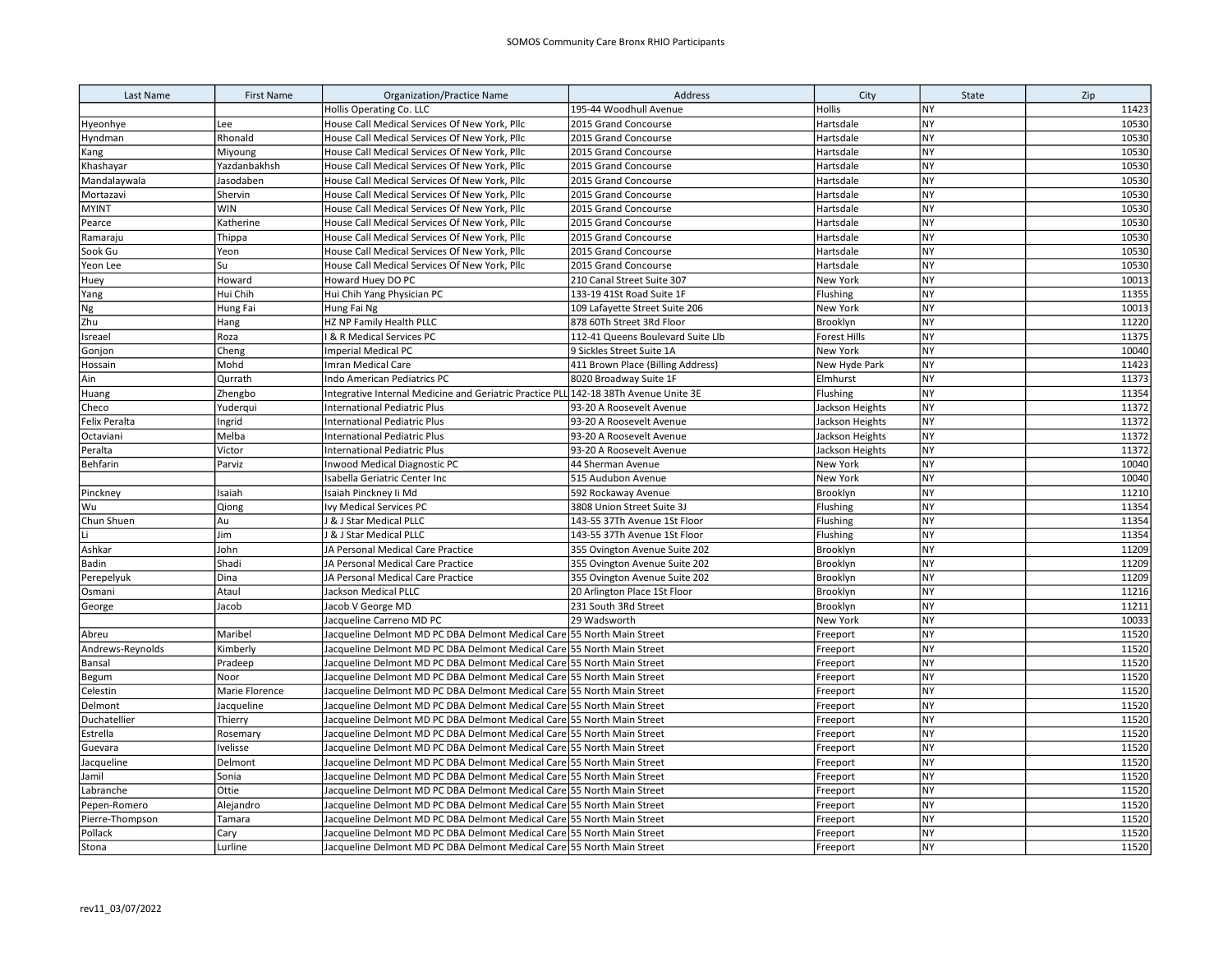| Last Name            | <b>First Name</b> | <b>Organization/Practice Name</b>                                                    | Address                           | City                | State     | Zip   |
|----------------------|-------------------|--------------------------------------------------------------------------------------|-----------------------------------|---------------------|-----------|-------|
|                      |                   | <b>Hollis Operating Co. LLC</b>                                                      | 195-44 Woodhull Avenue            | <b>Hollis</b>       | <b>NY</b> | 11423 |
| Hyeonhye             | Lee               | House Call Medical Services Of New York, Pllc                                        | 2015 Grand Concourse              | Hartsdale           | <b>NY</b> | 10530 |
| Hyndman              | Rhonald           | House Call Medical Services Of New York, Pllc                                        | 2015 Grand Concourse              | Hartsdale           | <b>NY</b> | 10530 |
| Kang                 | Miyoung           | House Call Medical Services Of New York, Pllc                                        | 2015 Grand Concourse              | Hartsdale           | <b>NY</b> | 10530 |
| Khashayar            | Yazdanbakhsh      | House Call Medical Services Of New York, Pllc                                        | 2015 Grand Concourse              | Hartsdale           | <b>NY</b> | 10530 |
| Mandalaywala         | Jasodaben         | House Call Medical Services Of New York, Pllc                                        | 2015 Grand Concourse              | Hartsdale           | <b>NY</b> | 10530 |
| Mortazavi            | Shervin           | House Call Medical Services Of New York, Pllc                                        | 2015 Grand Concourse              | Hartsdale           | <b>NY</b> | 10530 |
| <b>MYINT</b>         | <b>WIN</b>        | House Call Medical Services Of New York, Pllc                                        | 2015 Grand Concourse              | Hartsdale           | <b>NY</b> | 10530 |
| Pearce               | Katherine         | House Call Medical Services Of New York, Pllc                                        | 2015 Grand Concourse              | Hartsdale           | <b>NY</b> | 10530 |
| Ramaraju             | Thippa            | House Call Medical Services Of New York, Pllc                                        | 2015 Grand Concourse              | Hartsdale           | <b>NY</b> | 10530 |
| Sook Gu              | Yeon              | House Call Medical Services Of New York, Pllc                                        | 2015 Grand Concourse              | Hartsdale           | <b>NY</b> | 10530 |
| Yeon Lee             | Su                | House Call Medical Services Of New York, Pllc                                        | 2015 Grand Concourse              | Hartsdale           | <b>NY</b> | 10530 |
| Huey                 | Howard            | Howard Huey DO PC                                                                    | 210 Canal Street Suite 307        | New York            | <b>NY</b> | 10013 |
| Yang                 | Hui Chih          | Hui Chih Yang Physician PC                                                           | 133-19 41St Road Suite 1F         | Flushing            | <b>NY</b> | 11355 |
| Ng                   | Hung Fai          | Hung Fai Ng                                                                          | 109 Lafayette Street Suite 206    | New York            | <b>NY</b> | 10013 |
| Zhu                  | Hang              | HZ NP Family Health PLLC                                                             | 878 60Th Street 3Rd Floor         | Brooklyn            | <b>NY</b> | 11220 |
| Isreael              | Roza              | & R Medical Services PC                                                              | 112-41 Queens Boulevard Suite Llb | <b>Forest Hills</b> | <b>NY</b> | 11375 |
| Gonjon               | Cheng             | <b>Imperial Medical PC</b>                                                           | 9 Sickles Street Suite 1A         | New York            | <b>NY</b> | 10040 |
| Hossain              | Mohd              | Imran Medical Care                                                                   | 411 Brown Place (Billing Address) | New Hyde Park       | <b>NY</b> | 11423 |
| Ain                  | Qurrath           | Indo American Pediatrics PC                                                          | 8020 Broadway Suite 1F            | Elmhurst            | <b>NY</b> | 11373 |
| Huang                | Zhengbo           | Integrative Internal Medicine and Geriatric Practice PLL 142-18 38Th Avenue Unite 3E |                                   | Flushing            | <b>NY</b> | 11354 |
| Checo                | Yuderqui          | <b>International Pediatric Plus</b>                                                  | 93-20 A Roosevelt Avenue          | Jackson Heights     | <b>NY</b> | 11372 |
| <b>Felix Peralta</b> | Ingrid            | International Pediatric Plus                                                         | 93-20 A Roosevelt Avenue          | Jackson Heights     | <b>NY</b> | 11372 |
| Octaviani            | Melba             | <b>International Pediatric Plus</b>                                                  | 93-20 A Roosevelt Avenue          | Jackson Heights     | <b>NY</b> | 11372 |
| Peralta              | Victor            | <b>International Pediatric Plus</b>                                                  | 93-20 A Roosevelt Avenue          | Jackson Heights     | NY        | 11372 |
| Behfarin             | Parviz            | <b>Inwood Medical Diagnostic PC</b>                                                  | 44 Sherman Avenue                 | New York            | <b>NY</b> | 10040 |
|                      |                   | Isabella Geriatric Center Inc                                                        | 515 Audubon Avenue                | New York            | <b>NY</b> | 10040 |
| Pinckney             | Isaiah            | Isaiah Pinckney Ii Md                                                                | 592 Rockaway Avenue               | Brooklyn            | <b>NY</b> | 11210 |
| Wu                   | Qiong             | Ivy Medical Services PC                                                              | 3808 Union Street Suite 3J        | Flushing            | <b>NY</b> | 11354 |
| Chun Shuen           | Au                | <b>&amp; J Star Medical PLLC</b>                                                     | 143-55 37Th Avenue 1St Floor      | Flushing            | <b>NY</b> | 11354 |
|                      | Jim               | <b>8 J Star Medical PLLC</b>                                                         | 143-55 37Th Avenue 1St Floor      | Flushing            | <b>NY</b> | 11354 |
| Ashkar               | John              | JA Personal Medical Care Practice                                                    | 355 Ovington Avenue Suite 202     | Brooklyn            | <b>NY</b> | 11209 |
| Badin                | Shadi             | JA Personal Medical Care Practice                                                    | 355 Ovington Avenue Suite 202     | Brooklyn            | <b>NY</b> | 11209 |
| Perepelyuk           | Dina              | JA Personal Medical Care Practice                                                    | 355 Ovington Avenue Suite 202     | Brooklyn            | <b>NY</b> | 11209 |
| Osmani               | Ataul             | Jackson Medical PLLC                                                                 | 20 Arlington Place 1St Floor      | Brooklyn            | <b>NY</b> | 11216 |
| George               | Jacob             | Jacob V George MD                                                                    | 231 South 3Rd Street              | Brooklyn            | <b>NY</b> | 11211 |
|                      |                   | Jacqueline Carreno MD PC                                                             | 29 Wadsworth                      | New York            | <b>NY</b> | 10033 |
| Abreu                | Maribel           | Jacqueline Delmont MD PC DBA Delmont Medical Care 55 North Main Street               |                                   | Freeport            | <b>NY</b> | 11520 |
| Andrews-Reynolds     | Kimberly          | Jacqueline Delmont MD PC DBA Delmont Medical Care                                    | 55 North Main Street              | Freeport            | <b>NY</b> | 11520 |
| Bansal               | Pradeep           | Jacqueline Delmont MD PC DBA Delmont Medical Care                                    | 55 North Main Street              | Freeport            | <b>NY</b> | 11520 |
| Begum                | Noor              | Jacqueline Delmont MD PC DBA Delmont Medical Care 55 North Main Street               |                                   | Freeport            | <b>NY</b> | 11520 |
| Celestin             | Marie Florence    | Jacqueline Delmont MD PC DBA Delmont Medical Care 55 North Main Street               |                                   | Freeport            | <b>NY</b> | 11520 |
| Delmont              | Jacqueline        | Jacqueline Delmont MD PC DBA Delmont Medical Care 55 North Main Street               |                                   | Freeport            | <b>NY</b> | 11520 |
| Duchatellier         | Thierry           | Jacqueline Delmont MD PC DBA Delmont Medical Care 55 North Main Street               |                                   | Freeport            | <b>NY</b> | 11520 |
| Estrella             | Rosemary          | Jacqueline Delmont MD PC DBA Delmont Medical Care 55 North Main Street               |                                   | Freeport            | <b>NY</b> | 11520 |
| Guevara              | Ivelisse          | Jacqueline Delmont MD PC DBA Delmont Medical Care 55 North Main Street               |                                   | Freeport            | <b>NY</b> | 11520 |
| Jacqueline           | Delmont           | Jacqueline Delmont MD PC DBA Delmont Medical Care 55 North Main Street               |                                   | Freeport            | NY        | 11520 |
| Jamil                | Sonia             | Jacqueline Delmont MD PC DBA Delmont Medical Care 55 North Main Street               |                                   | Freeport            | <b>NY</b> | 11520 |
| Labranche            | Ottie             | Jacqueline Delmont MD PC DBA Delmont Medical Care 55 North Main Street               |                                   | Freeport            | <b>NY</b> | 11520 |
| Pepen-Romero         | Alejandro         | Jacqueline Delmont MD PC DBA Delmont Medical Care 55 North Main Street               |                                   | Freeport            | <b>NY</b> | 11520 |
| Pierre-Thompson      | Tamara            | Jacqueline Delmont MD PC DBA Delmont Medical Care 55 North Main Street               |                                   | Freeport            | <b>NY</b> | 11520 |
| Pollack              | Cary              | Jacqueline Delmont MD PC DBA Delmont Medical Care 55 North Main Street               |                                   | Freeport            | <b>NY</b> | 11520 |
| Stona                | Lurline           | Jacqueline Delmont MD PC DBA Delmont Medical Care 55 North Main Street               |                                   | Freeport            | <b>NY</b> | 11520 |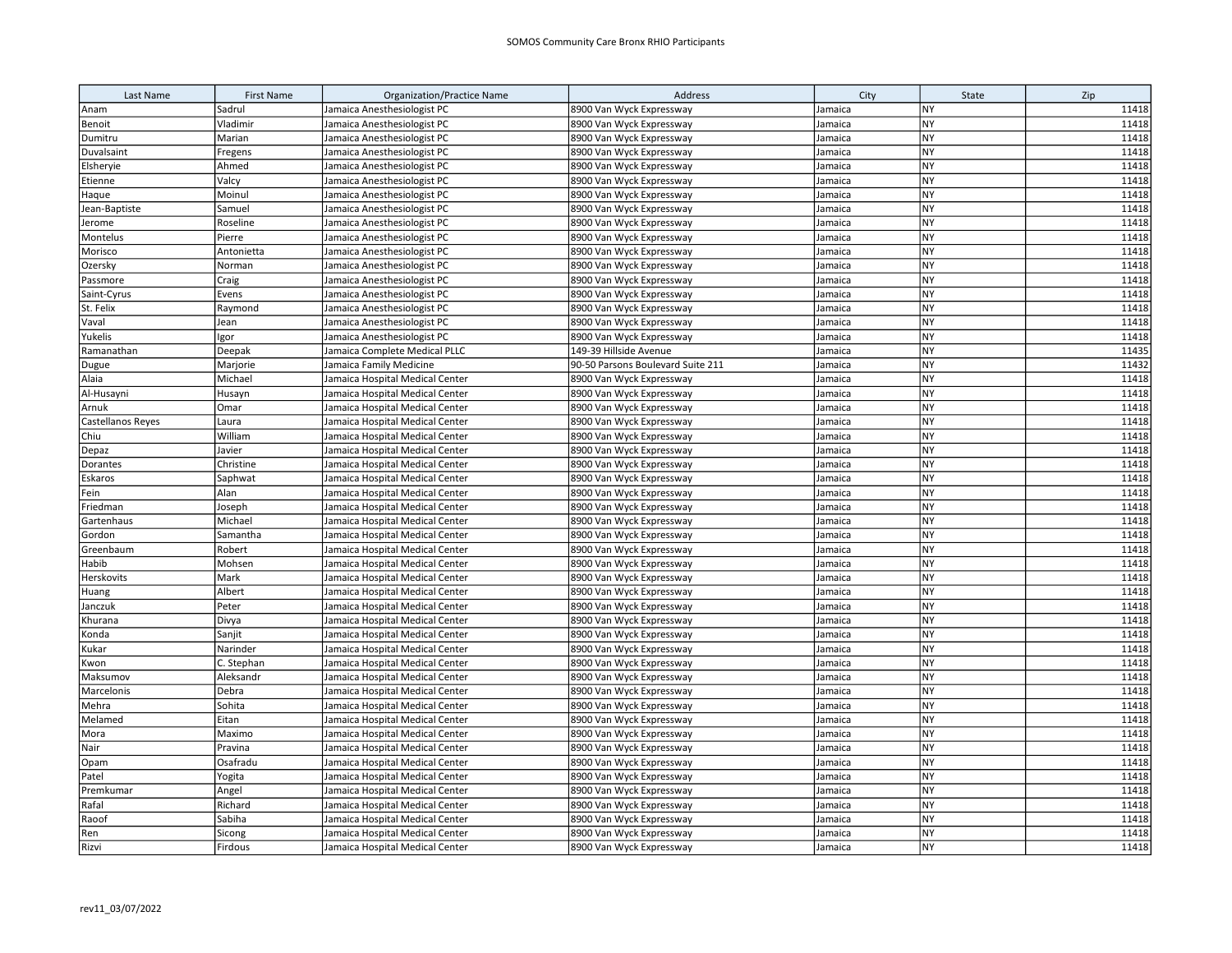| Last Name         | <b>First Name</b> | <b>Organization/Practice Name</b> | Address                           | City    | State     | Zip   |
|-------------------|-------------------|-----------------------------------|-----------------------------------|---------|-----------|-------|
| Anam              | Sadrul            | Jamaica Anesthesiologist PC       | 8900 Van Wyck Expressway          | Jamaica | NY        | 11418 |
| Benoit            | Vladimir          | Jamaica Anesthesiologist PC       | 8900 Van Wyck Expressway          | Jamaica | <b>NY</b> | 11418 |
| Dumitru           | Marian            | Jamaica Anesthesiologist PC       | 8900 Van Wyck Expressway          | Jamaica | <b>NY</b> | 11418 |
| Duvalsaint        | Fregens           | Jamaica Anesthesiologist PC       | 8900 Van Wyck Expressway          | Jamaica | <b>NY</b> | 11418 |
| Elsheryie         | Ahmed             | Jamaica Anesthesiologist PC       | 8900 Van Wyck Expressway          | Jamaica | <b>NY</b> | 11418 |
| Etienne           | Valcy             | Jamaica Anesthesiologist PC       | 8900 Van Wyck Expressway          | Jamaica | <b>NY</b> | 11418 |
| Haque             | Moinul            | Jamaica Anesthesiologist PC       | 8900 Van Wyck Expressway          | Jamaica | <b>NY</b> | 11418 |
| Jean-Baptiste     | Samuel            | Jamaica Anesthesiologist PC       | 8900 Van Wyck Expressway          | Jamaica | <b>NY</b> | 11418 |
| Jerome            | Roseline          | Jamaica Anesthesiologist PC       | 8900 Van Wyck Expressway          | Jamaica | <b>NY</b> | 11418 |
| Montelus          | Pierre            | Jamaica Anesthesiologist PC       | 8900 Van Wyck Expressway          | Jamaica | <b>NY</b> | 11418 |
| Morisco           | Antonietta        | Jamaica Anesthesiologist PC       | 8900 Van Wyck Expressway          | Jamaica | NY        | 11418 |
| Ozersky           | Norman            | Jamaica Anesthesiologist PC       | 8900 Van Wyck Expressway          | Jamaica | <b>NY</b> | 11418 |
| Passmore          | Craig             | Jamaica Anesthesiologist PC       | 8900 Van Wyck Expressway          | Jamaica | <b>NY</b> | 11418 |
| Saint-Cyrus       | Evens             | Jamaica Anesthesiologist PC       | 8900 Van Wyck Expressway          | Jamaica | <b>NY</b> | 11418 |
| St. Felix         | Raymond           | Jamaica Anesthesiologist PC       | 8900 Van Wyck Expressway          | Jamaica | <b>NY</b> | 11418 |
| Vaval             | Jean              | Jamaica Anesthesiologist PC       | 8900 Van Wyck Expressway          | Jamaica | <b>NY</b> | 11418 |
| Yukelis           | Igor              | Jamaica Anesthesiologist PC       | 8900 Van Wyck Expressway          | Jamaica | <b>NY</b> | 11418 |
| Ramanathan        | Deepak            | Jamaica Complete Medical PLLC     | 149-39 Hillside Avenue            | Jamaica | <b>NY</b> | 11435 |
| Dugue             | Marjorie          | Jamaica Family Medicine           | 90-50 Parsons Boulevard Suite 211 | Jamaica | NY        | 11432 |
| Alaia             | Michael           | Jamaica Hospital Medical Center   | 8900 Van Wyck Expressway          | Jamaica | <b>NY</b> | 11418 |
| Al-Husayni        | Husayn            | Jamaica Hospital Medical Center   | 8900 Van Wyck Expressway          | Jamaica | NY        | 11418 |
| Arnuk             | Omar              | Jamaica Hospital Medical Center   | 8900 Van Wyck Expressway          | Jamaica | <b>NY</b> | 11418 |
| Castellanos Reyes | Laura             | Jamaica Hospital Medical Center   | 8900 Van Wyck Expressway          | Jamaica | <b>NY</b> | 11418 |
| Chiu              | William           | Jamaica Hospital Medical Center   | 8900 Van Wyck Expressway          | Jamaica | <b>NY</b> | 11418 |
| Depaz             | Javier            | Jamaica Hospital Medical Center   | 8900 Van Wyck Expressway          | Jamaica | <b>NY</b> | 11418 |
| Dorantes          | Christine         | Jamaica Hospital Medical Center   | 8900 Van Wyck Expressway          | Jamaica | <b>NY</b> | 11418 |
| Eskaros           | Saphwat           | Jamaica Hospital Medical Center   | 8900 Van Wyck Expressway          | Jamaica | <b>NY</b> | 11418 |
| Fein              | Alan              | Jamaica Hospital Medical Center   | 8900 Van Wyck Expressway          | Jamaica | <b>NY</b> | 11418 |
| Friedman          | Joseph            | Jamaica Hospital Medical Center   | 8900 Van Wyck Expressway          | Jamaica | <b>NY</b> | 11418 |
| Gartenhaus        | Michael           | Jamaica Hospital Medical Center   | 8900 Van Wyck Expressway          | Jamaica | <b>NY</b> | 11418 |
| Gordon            | Samantha          | Jamaica Hospital Medical Center   | 8900 Van Wyck Expressway          | Jamaica | <b>NY</b> | 11418 |
| Greenbaum         | Robert            | Jamaica Hospital Medical Center   | 8900 Van Wyck Expressway          | Jamaica | <b>NY</b> | 11418 |
| Habib             | Mohsen            | Jamaica Hospital Medical Center   | 8900 Van Wyck Expressway          | Jamaica | <b>NY</b> | 11418 |
| Herskovits        | Mark              | Jamaica Hospital Medical Center   | 8900 Van Wyck Expressway          | Jamaica | <b>NY</b> | 11418 |
| Huang             | Albert            | Jamaica Hospital Medical Center   | 8900 Van Wyck Expressway          | Jamaica | <b>NY</b> | 11418 |
| Janczuk           | Peter             | Jamaica Hospital Medical Center   | 8900 Van Wyck Expressway          | Jamaica | <b>NY</b> | 11418 |
| Khurana           | Divya             | Jamaica Hospital Medical Center   | 8900 Van Wyck Expressway          | Jamaica | <b>NY</b> | 11418 |
| Konda             | Sanjit            | Jamaica Hospital Medical Center   | 8900 Van Wyck Expressway          | Jamaica | <b>NY</b> | 11418 |
| Kukar             | Narinder          | Jamaica Hospital Medical Center   | 8900 Van Wyck Expressway          | Jamaica | <b>NY</b> | 11418 |
| Kwon              | C. Stephan        | Jamaica Hospital Medical Center   | 8900 Van Wyck Expressway          | Jamaica | <b>NY</b> | 11418 |
| Maksumov          | Aleksandr         | Jamaica Hospital Medical Center   | 8900 Van Wyck Expressway          | Jamaica | <b>NY</b> | 11418 |
| Marcelonis        | Debra             | Jamaica Hospital Medical Center   | 8900 Van Wyck Expressway          | Jamaica | <b>NY</b> | 11418 |
| Mehra             | Sohita            | Jamaica Hospital Medical Center   | 8900 Van Wyck Expressway          | Jamaica | <b>NY</b> | 11418 |
| Melamed           | Eitan             | Jamaica Hospital Medical Center   | 8900 Van Wyck Expressway          | Jamaica | <b>NY</b> | 11418 |
| Mora              | Maximo            | Jamaica Hospital Medical Center   | 8900 Van Wyck Expressway          | Jamaica | <b>NY</b> | 11418 |
| Nair              | Pravina           | Jamaica Hospital Medical Center   | 8900 Van Wyck Expressway          | Jamaica | NY        | 11418 |
| Opam              | Osafradu          | Jamaica Hospital Medical Center   | 8900 Van Wyck Expressway          | Jamaica | <b>NY</b> | 11418 |
| Patel             | Yogita            | Jamaica Hospital Medical Center   | 8900 Van Wyck Expressway          | Jamaica | NY        | 11418 |
| Premkumar         | Angel             | Jamaica Hospital Medical Center   | 8900 Van Wyck Expressway          | Jamaica | <b>NY</b> | 11418 |
| Rafal             | Richard           | Jamaica Hospital Medical Center   | 8900 Van Wyck Expressway          | Jamaica | NY        | 11418 |
| Raoof             | Sabiha            | Jamaica Hospital Medical Center   | 8900 Van Wyck Expressway          | Jamaica | <b>NY</b> | 11418 |
| Ren               | Sicong            | Jamaica Hospital Medical Center   | 8900 Van Wyck Expressway          | Jamaica | NY        | 11418 |
| Rizvi             | Firdous           | Jamaica Hospital Medical Center   | 8900 Van Wyck Expressway          | Jamaica | <b>NY</b> | 11418 |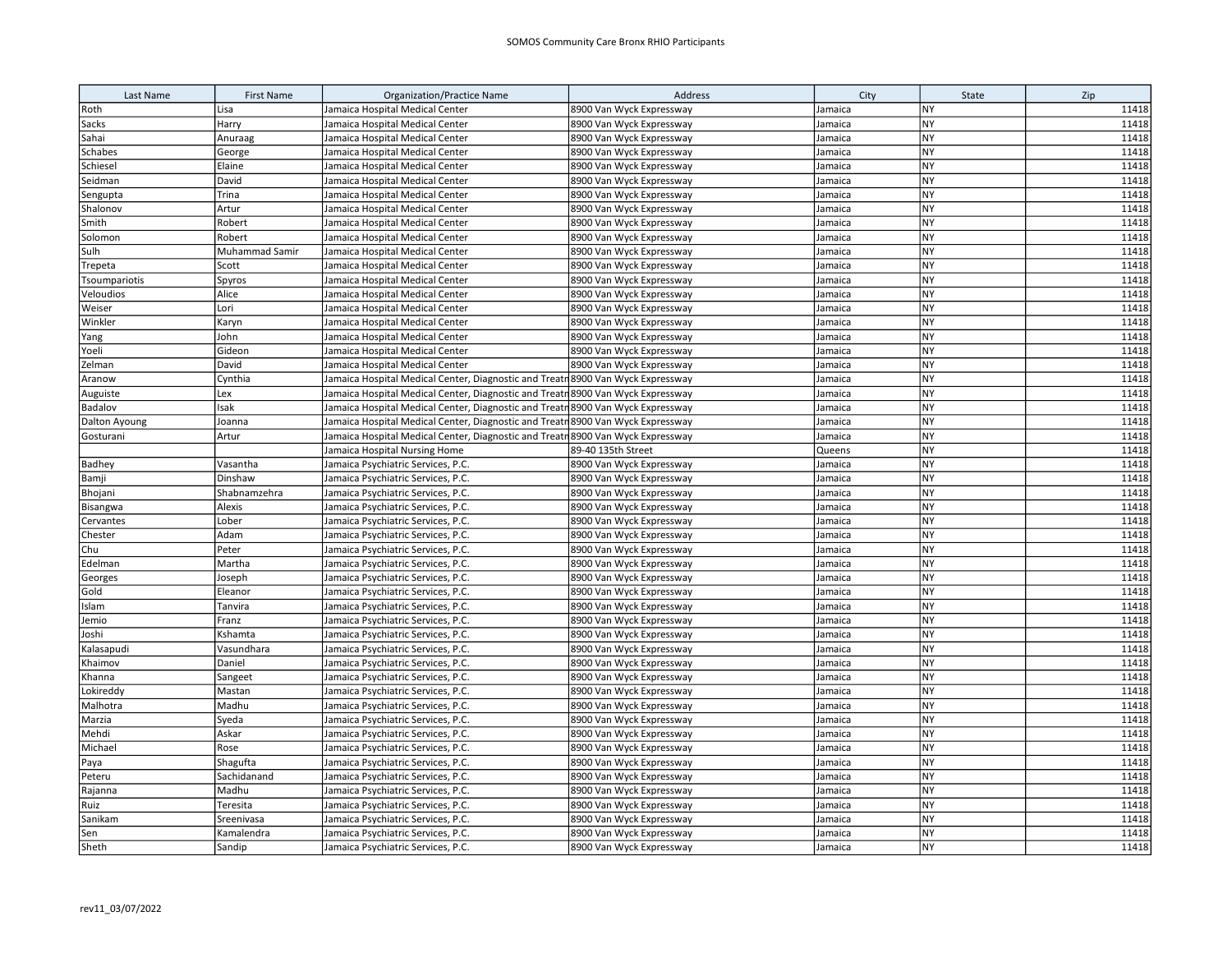| Last Name      | <b>First Name</b>     | <b>Organization/Practice Name</b>                                               | Address                  | City    | State     | Zip   |
|----------------|-----------------------|---------------------------------------------------------------------------------|--------------------------|---------|-----------|-------|
| Roth           | Lisa                  | Jamaica Hospital Medical Center                                                 | 8900 Van Wyck Expressway | Jamaica | NY        | 11418 |
| Sacks          | Harry                 | Jamaica Hospital Medical Center                                                 | 8900 Van Wyck Expressway | Jamaica | NY        | 11418 |
| Sahai          | Anuraag               | Jamaica Hospital Medical Center                                                 | 8900 Van Wyck Expressway | Jamaica | NY        | 11418 |
| Schabes        | George                | Jamaica Hospital Medical Center                                                 | 8900 Van Wyck Expressway | Jamaica | NY        | 11418 |
| Schiesel       | Elaine                | Jamaica Hospital Medical Center                                                 | 8900 Van Wyck Expressway | Jamaica | NY        | 11418 |
| Seidman        | David                 | Jamaica Hospital Medical Center                                                 | 8900 Van Wyck Expressway | Jamaica | NY        | 11418 |
| Sengupta       | Trina                 | Jamaica Hospital Medical Center                                                 | 8900 Van Wyck Expressway | Jamaica | NY        | 11418 |
| Shalonov       | Artur                 | Jamaica Hospital Medical Center                                                 | 8900 Van Wyck Expressway | Jamaica | NY        | 11418 |
| Smith          | Robert                | Jamaica Hospital Medical Center                                                 | 8900 Van Wyck Expressway | Jamaica | NY        | 11418 |
| Solomon        | Robert                | Jamaica Hospital Medical Center                                                 | 8900 Van Wyck Expressway | Jamaica | <b>NY</b> | 11418 |
| Sulh           | <b>Muhammad Samir</b> | Jamaica Hospital Medical Center                                                 | 8900 Van Wyck Expressway | Jamaica | <b>NY</b> | 11418 |
| Trepeta        | Scott                 | Jamaica Hospital Medical Center                                                 | 8900 Van Wyck Expressway | Jamaica | NY        | 11418 |
| Tsoumpariotis  | Spyros                | Jamaica Hospital Medical Center                                                 | 8900 Van Wyck Expressway | Jamaica | <b>NY</b> | 11418 |
| Veloudios      | Alice                 | Jamaica Hospital Medical Center                                                 | 8900 Van Wyck Expressway | Jamaica | <b>NY</b> | 11418 |
| Weiser         | Lori                  | Jamaica Hospital Medical Center                                                 | 8900 Van Wyck Expressway | Jamaica | <b>NY</b> | 11418 |
| Winkler        | Karyn                 | Jamaica Hospital Medical Center                                                 | 8900 Van Wyck Expressway | Jamaica | <b>NY</b> | 11418 |
| Yang           | John                  | Jamaica Hospital Medical Center                                                 | 8900 Van Wyck Expressway | Jamaica | <b>NY</b> | 11418 |
| Yoeli          | Gideon                | Jamaica Hospital Medical Center                                                 | 8900 Van Wyck Expressway | Jamaica | <b>NY</b> | 11418 |
| Zelman         | David                 | Jamaica Hospital Medical Center                                                 | 8900 Van Wyck Expressway | Jamaica | <b>NY</b> | 11418 |
| Aranow         | Cynthia               | Jamaica Hospital Medical Center, Diagnostic and Treatr 8900 Van Wyck Expressway |                          | Jamaica | <b>NY</b> | 11418 |
| Auguiste       | Lex                   | Jamaica Hospital Medical Center, Diagnostic and Treatn 8900 Van Wyck Expressway |                          | Jamaica | <b>NY</b> | 11418 |
| <b>Badalov</b> | Isak                  | Jamaica Hospital Medical Center, Diagnostic and Treatr 8900 Van Wyck Expressway |                          | Jamaica | NY        | 11418 |
| Dalton Ayoung  | Joanna                | Jamaica Hospital Medical Center, Diagnostic and Treatr 8900 Van Wyck Expressway |                          | Jamaica | <b>NY</b> | 11418 |
| Gosturani      | Artur                 | Jamaica Hospital Medical Center, Diagnostic and Treatr 8900 Van Wyck Expressway |                          | Jamaica | NY        | 11418 |
|                |                       | Jamaica Hospital Nursing Home                                                   | 89-40 135th Street       | Queens  | NY        | 11418 |
| Badhey         | Vasantha              | Jamaica Psychiatric Services, P.C.                                              | 8900 Van Wyck Expressway | Jamaica | NY        | 11418 |
| Bamji          | Dinshaw               | Jamaica Psychiatric Services, P.C.                                              | 8900 Van Wyck Expressway | Jamaica | NY        | 11418 |
| Bhojani        | Shabnamzehra          | Jamaica Psychiatric Services, P.C.                                              | 8900 Van Wyck Expressway | Jamaica | <b>NY</b> | 11418 |
| Bisangwa       | Alexis                | Jamaica Psychiatric Services, P.C.                                              | 8900 Van Wyck Expressway | Jamaica | NY        | 11418 |
| Cervantes      | Lober                 | Jamaica Psychiatric Services, P.C.                                              | 8900 Van Wyck Expressway | Jamaica | NY        | 11418 |
| Chester        | Adam                  | Jamaica Psychiatric Services, P.C.                                              | 8900 Van Wyck Expressway | Jamaica | NY        | 11418 |
| Chu            | Peter                 | Jamaica Psychiatric Services, P.C.                                              | 8900 Van Wyck Expressway | Jamaica | <b>NY</b> | 11418 |
| Edelman        | Martha                | Jamaica Psychiatric Services, P.C.                                              | 8900 Van Wyck Expressway | Jamaica | <b>NY</b> | 11418 |
| Georges        | Joseph                | Jamaica Psychiatric Services, P.C.                                              | 8900 Van Wyck Expressway | Jamaica | NY        | 11418 |
| Gold           | Eleanor               | Jamaica Psychiatric Services, P.C.                                              | 8900 Van Wyck Expressway | Jamaica | <b>NY</b> | 11418 |
| Islam          | Tanvira               | Jamaica Psychiatric Services, P.C.                                              | 8900 Van Wyck Expressway | Jamaica | <b>NY</b> | 11418 |
| Jemio          | Franz                 | Jamaica Psychiatric Services, P.C.                                              | 8900 Van Wyck Expressway | Jamaica | <b>NY</b> | 11418 |
| Joshi          | Kshamta               | Jamaica Psychiatric Services, P.C.                                              | 8900 Van Wyck Expressway | Jamaica | NY        | 11418 |
| Kalasapudi     | Vasundhara            | Jamaica Psychiatric Services, P.C.                                              | 8900 Van Wyck Expressway | Jamaica | <b>NY</b> | 11418 |
| Khaimov        | Daniel                | Jamaica Psychiatric Services, P.C.                                              | 8900 Van Wyck Expressway | Jamaica | <b>NY</b> | 11418 |
| Khanna         | Sangeet               | Jamaica Psychiatric Services, P.C.                                              | 8900 Van Wyck Expressway | Jamaica | <b>NY</b> | 11418 |
| Lokireddy      | Mastan                | Jamaica Psychiatric Services, P.C.                                              | 8900 Van Wyck Expressway | Jamaica | <b>NY</b> | 11418 |
| Malhotra       | Madhu                 | Jamaica Psychiatric Services, P.C.                                              | 8900 Van Wyck Expressway | Jamaica | <b>NY</b> | 11418 |
| Marzia         | Syeda                 | Jamaica Psychiatric Services, P.C.                                              | 8900 Van Wyck Expressway | Jamaica | NY        | 11418 |
| Mehdi          | Askar                 | Jamaica Psychiatric Services, P.C.                                              | 8900 Van Wyck Expressway | Jamaica | <b>NY</b> | 11418 |
| Michael        | Rose                  | Jamaica Psychiatric Services, P.C.                                              | 8900 Van Wyck Expressway | Jamaica | <b>NY</b> | 11418 |
| Paya           | Shagufta              | Jamaica Psychiatric Services, P.C.                                              | 8900 Van Wyck Expressway | Jamaica | NY        | 11418 |
| Peteru         | Sachidanand           | Jamaica Psychiatric Services, P.C.                                              | 8900 Van Wyck Expressway | Jamaica | NY        | 11418 |
| Rajanna        | Madhu                 | Jamaica Psychiatric Services, P.C.                                              | 8900 Van Wyck Expressway | Jamaica | <b>NY</b> | 11418 |
| Ruiz           | Teresita              | Jamaica Psychiatric Services, P.C.                                              | 8900 Van Wyck Expressway | Jamaica | NY        | 11418 |
| Sanikam        | Sreenivasa            | Jamaica Psychiatric Services, P.C.                                              | 8900 Van Wyck Expressway | Jamaica | <b>NY</b> | 11418 |
| Sen            | Kamalendra            | Jamaica Psychiatric Services, P.C.                                              | 8900 Van Wyck Expressway | Jamaica | NY        | 11418 |
| Sheth          | Sandip                | Jamaica Psychiatric Services, P.C.                                              | 8900 Van Wyck Expressway | Jamaica | <b>NY</b> | 11418 |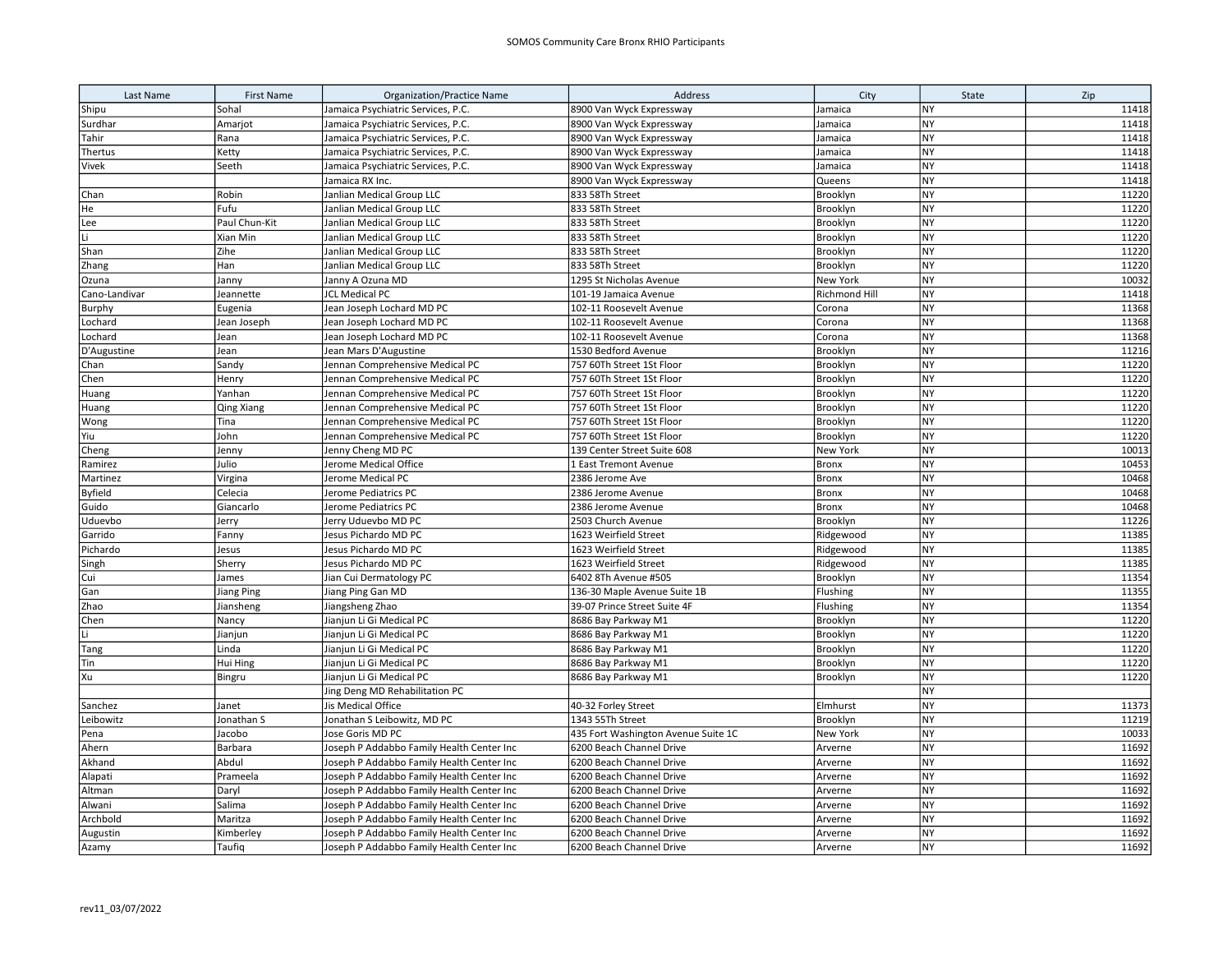| Last Name      | <b>First Name</b> | <b>Organization/Practice Name</b>                                                      | Address                                              | City               | State           | Zip            |
|----------------|-------------------|----------------------------------------------------------------------------------------|------------------------------------------------------|--------------------|-----------------|----------------|
| Shipu          | Sohal             | Jamaica Psychiatric Services, P.C.                                                     | 8900 Van Wyck Expressway                             | Jamaica            | NY              | 11418          |
| Surdhar        | Amarjot           | Jamaica Psychiatric Services, P.C.                                                     | 8900 Van Wyck Expressway                             | Jamaica            | <b>NY</b>       | 11418          |
| Tahir          | Rana              | Jamaica Psychiatric Services, P.C.                                                     | 8900 Van Wyck Expressway                             | Jamaica            | NY              | 11418          |
| Thertus        | Ketty             | Jamaica Psychiatric Services, P.C.                                                     | 8900 Van Wyck Expressway                             | Jamaica            | NY              | 11418          |
| Vivek          | Seeth             | Jamaica Psychiatric Services, P.C.                                                     | 8900 Van Wyck Expressway                             | Jamaica            | <b>NY</b>       | 11418          |
|                |                   | Jamaica RX Inc.                                                                        | 8900 Van Wyck Expressway                             | Queens             | <b>NY</b>       | 11418          |
| Chan           | Robin             | Janlian Medical Group LLC                                                              | 833 58Th Street                                      | Brooklyn           | <b>NY</b>       | 11220          |
| He             | Fufu              | Janlian Medical Group LLC                                                              | 833 58Th Street                                      | Brooklyn           | NY              | 11220          |
| Lee            | Paul Chun-Kit     | Janlian Medical Group LLC                                                              | 833 58Th Street                                      | Brooklyn           | <b>NY</b>       | 11220          |
| lLi.           | Xian Min          | Janlian Medical Group LLC                                                              | 833 58Th Street                                      | Brooklyn           | NY              | 11220          |
| Shan           | Zihe              | Janlian Medical Group LLC                                                              | 833 58Th Street                                      | Brooklyn           | NY              | 11220          |
| Zhang          | Han               | Janlian Medical Group LLC                                                              | 833 58Th Street                                      | Brooklyn           | NY              | 11220          |
| Ozuna          | Janny             | Janny A Ozuna MD                                                                       | 1295 St Nicholas Avenue                              | New York           | <b>NY</b>       | 10032          |
| Cano-Landivar  | Jeannette         | <b>JCL Medical PC</b>                                                                  | 101-19 Jamaica Avenue                                | Richmond Hill      | NY              | 11418          |
| Burphy         | Eugenia           | Jean Joseph Lochard MD PC                                                              | 102-11 Roosevelt Avenue                              | Corona             | NY              | 11368          |
| Lochard        | Jean Joseph       | Jean Joseph Lochard MD PC                                                              | 102-11 Roosevelt Avenue                              | Corona             | <b>NY</b>       | 11368          |
| Lochard        | Jean              | Jean Joseph Lochard MD PC                                                              | 102-11 Roosevelt Avenue                              | Corona             | <b>NY</b>       | 11368          |
| D'Augustine    | Jean              | Jean Mars D'Augustine                                                                  | 1530 Bedford Avenue                                  | Brooklyn           | NY              | 11216          |
| Chan           | Sandy             | Jennan Comprehensive Medical PC                                                        | 757 60Th Street 1St Floor                            | Brooklyn           | <b>NY</b>       | 11220          |
| Chen           | Henry             | Jennan Comprehensive Medical PC                                                        | 757 60Th Street 1St Floor                            | Brooklyn           | <b>NY</b>       | 11220          |
| Huang          | Yanhan            | Jennan Comprehensive Medical PC                                                        | 757 60Th Street 1St Floor                            | Brooklyn           | <b>NY</b>       | 11220          |
| Huang          | Qing Xiang        | Jennan Comprehensive Medical PC                                                        | 757 60Th Street 1St Floor                            | Brooklyn           | <b>NY</b>       | 11220          |
| Wong           | Tina              | Jennan Comprehensive Medical PC                                                        | 757 60Th Street 1St Floor                            | Brooklyn           | <b>NY</b>       | 11220          |
| Yiu            | John              | Jennan Comprehensive Medical PC                                                        | 757 60Th Street 1St Floor                            | Brooklyn           | <b>NY</b>       | 11220          |
| Cheng          | Jenny             | Jenny Cheng MD PC                                                                      | 139 Center Street Suite 608                          | New York           | <b>NY</b>       | 10013          |
| Ramirez        | Julio             | Jerome Medical Office                                                                  | 1 East Tremont Avenue                                | <b>Bronx</b>       | NY              | 10453          |
| Martinez       | Virgina           | Jerome Medical PC                                                                      | 2386 Jerome Ave                                      | <b>Bronx</b>       | <b>NY</b>       | 10468          |
| <b>Byfield</b> | Celecia           | Jerome Pediatrics PC                                                                   | 2386 Jerome Avenue                                   | Bronx              | <b>NY</b>       | 10468          |
| Guido          | Giancarlo         | Jerome Pediatrics PC                                                                   | 2386 Jerome Avenue                                   | <b>Bronx</b>       | <b>NY</b>       | 10468          |
| Uduevbo        | Jerry             | Jerry Uduevbo MD PC                                                                    | 2503 Church Avenue                                   | Brooklyn           | NY              | 11226          |
| Garrido        | Fanny             | Jesus Pichardo MD PC                                                                   | 1623 Weirfield Street                                | Ridgewood          | NY              | 11385          |
| Pichardo       | Jesus             | Jesus Pichardo MD PC                                                                   | 1623 Weirfield Street                                | Ridgewood          | <b>NY</b>       | 11385          |
| Singh          | Sherry            | Jesus Pichardo MD PC                                                                   | 1623 Weirfield Street                                | Ridgewood          | <b>NY</b>       | 11385          |
| Cui            | James             | Jian Cui Dermatology PC                                                                | 6402 8Th Avenue #505                                 | Brooklyn           | NY              | 11354          |
| Gan            | <b>Jiang Ping</b> | Jiang Ping Gan MD                                                                      | 136-30 Maple Avenue Suite 1B                         | Flushing           | $\overline{NY}$ | 11355          |
| Zhao           | Jiansheng         | Jiangsheng Zhao                                                                        | 39-07 Prince Street Suite 4F                         | Flushing           | <b>NY</b>       | 11354          |
| Chen           | Nancy             | Jianjun Li Gi Medical PC                                                               | 8686 Bay Parkway M1                                  | Brooklyn           | <b>NY</b>       | 11220          |
| Li             | Jianjun           | Jianjun Li Gi Medical PC                                                               | 8686 Bay Parkway M1                                  | Brooklyn           | NY              | 11220          |
| Tang           | Linda             | Jianjun Li Gi Medical PC                                                               | 8686 Bay Parkway M1                                  | Brooklyn           | NY              | 11220          |
| Tin            | Hui Hing          | Jianjun Li Gi Medical PC                                                               | 8686 Bay Parkway M1                                  | Brooklyn           | NY              | 11220          |
| Xu             | Bingru            | Jianjun Li Gi Medical PC                                                               | 8686 Bay Parkway M1                                  | Brooklyn           | NY              | 11220          |
|                |                   | Jing Deng MD Rehabilitation PC                                                         |                                                      |                    | NY              |                |
| Sanchez        | Janet             | Jis Medical Office                                                                     | 40-32 Forley Street                                  | Elmhurst           | NY<br><b>NY</b> | 11373          |
| Leibowitz      | Jonathan S        | Jonathan S Leibowitz, MD PC                                                            | 1343 55Th Street                                     | Brooklyn           |                 | 11219          |
| Pena           | Jacobo            | Jose Goris MD PC                                                                       | 435 Fort Washington Avenue Suite 1C                  | New York           | NY              | 10033          |
| Ahern          | Barbara           | Joseph P Addabbo Family Health Center Inc                                              | 6200 Beach Channel Drive                             | Arverne            | NY              | 11692          |
| Akhand         | Abdul             | Joseph P Addabbo Family Health Center Inc                                              | 6200 Beach Channel Drive                             | Arverne            | NY<br><b>NY</b> | 11692          |
| Alapati        | Prameela          | Joseph P Addabbo Family Health Center Inc                                              | 6200 Beach Channel Drive                             | Arverne            | NY              | 11692<br>11692 |
| Altman         | Daryl             | Joseph P Addabbo Family Health Center Inc                                              | 6200 Beach Channel Drive                             | Arverne            | <b>NY</b>       |                |
| Alwani         | Salima<br>Maritza | Joseph P Addabbo Family Health Center Inc                                              | 6200 Beach Channel Drive<br>6200 Beach Channel Drive | Arverne<br>Arverne | NY              | 11692<br>11692 |
| Archbold       |                   | Joseph P Addabbo Family Health Center Inc<br>Joseph P Addabbo Family Health Center Inc | 6200 Beach Channel Drive                             | Arverne            | <b>NY</b>       | 11692          |
| Augustin       | Kimberley         |                                                                                        | 6200 Beach Channel Drive                             |                    | <b>NY</b>       | 11692          |
| Azamy          | Taufiq            | Joseph P Addabbo Family Health Center Inc                                              |                                                      | Arverne            |                 |                |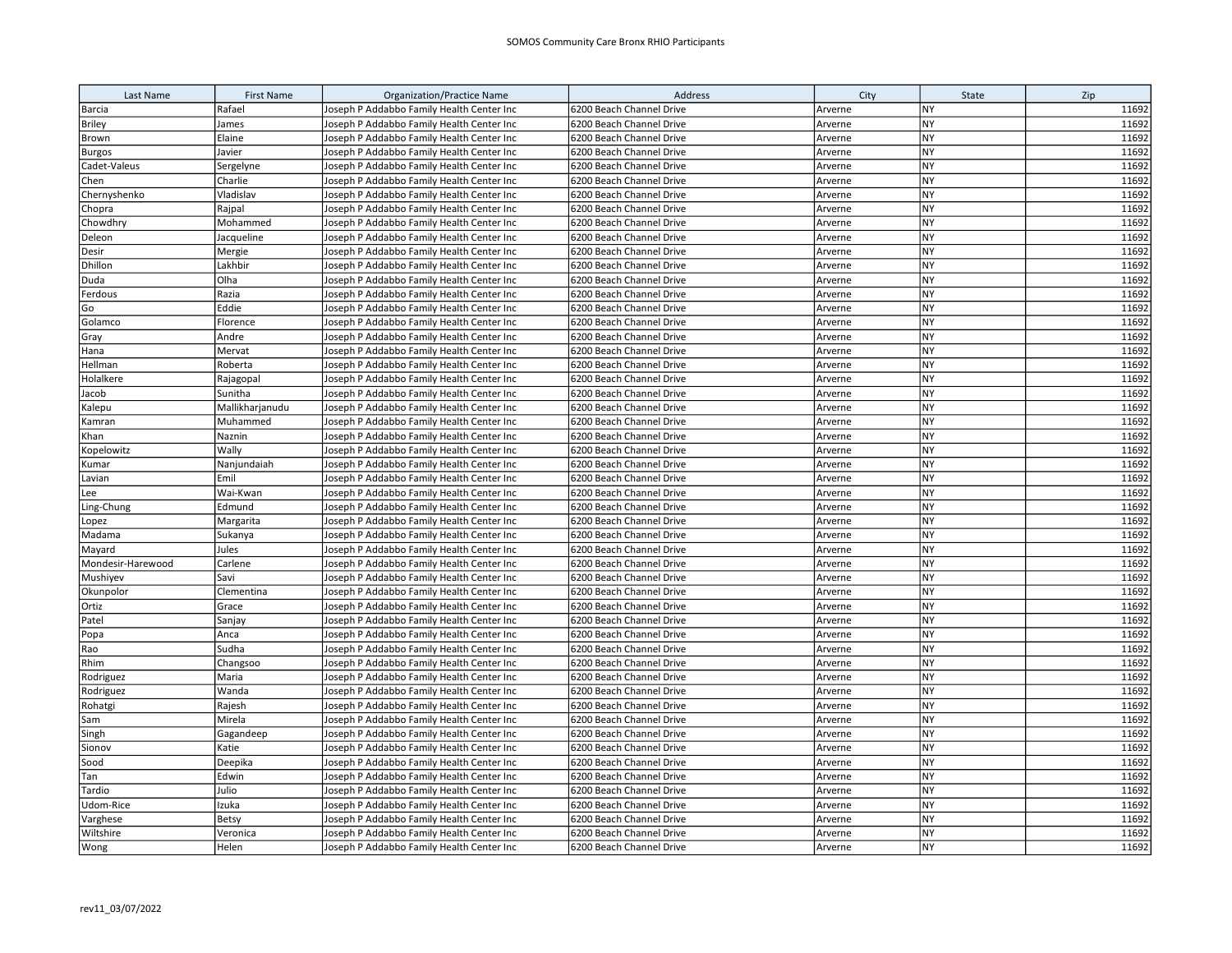| Last Name                                                                                                                                                             | <b>First Name</b> | <b>Organization/Practice Name</b>         | Address                  | City    | State     | Zip   |
|-----------------------------------------------------------------------------------------------------------------------------------------------------------------------|-------------------|-------------------------------------------|--------------------------|---------|-----------|-------|
| Barcia                                                                                                                                                                | Rafael            | Joseph P Addabbo Family Health Center Inc | 6200 Beach Channel Drive | Arverne | <b>NY</b> | 11692 |
| <b>Briley</b>                                                                                                                                                         | James             | Joseph P Addabbo Family Health Center Inc | 6200 Beach Channel Drive | Arverne | <b>NY</b> | 11692 |
| Brown                                                                                                                                                                 | Elaine            | Joseph P Addabbo Family Health Center Inc | 6200 Beach Channel Drive | Arverne | NY        | 11692 |
| <b>Burgos</b>                                                                                                                                                         | Javier            | Joseph P Addabbo Family Health Center Inc | 6200 Beach Channel Drive | Arverne | NY        | 11692 |
| Cadet-Valeus                                                                                                                                                          | Sergelyne         | Joseph P Addabbo Family Health Center Inc | 6200 Beach Channel Drive | Arverne | NY        | 11692 |
| Chen                                                                                                                                                                  | Charlie           | Joseph P Addabbo Family Health Center Inc | 6200 Beach Channel Drive | Arverne | <b>NY</b> | 11692 |
| Chernyshenko                                                                                                                                                          | Vladislav         | Joseph P Addabbo Family Health Center Inc | 6200 Beach Channel Drive | Arverne | <b>NY</b> | 11692 |
| Chopra                                                                                                                                                                | Rajpal            | Joseph P Addabbo Family Health Center Inc | 6200 Beach Channel Drive | Arverne | NY        | 11692 |
| Chowdhry                                                                                                                                                              | Mohammed          | Joseph P Addabbo Family Health Center Inc | 6200 Beach Channel Drive | Arverne | <b>NY</b> | 11692 |
| Deleon                                                                                                                                                                | Jacqueline        | Joseph P Addabbo Family Health Center Inc | 6200 Beach Channel Drive | Arverne | <b>NY</b> | 11692 |
| Desir                                                                                                                                                                 | Mergie            | Joseph P Addabbo Family Health Center Inc | 6200 Beach Channel Drive | Arverne | <b>NY</b> | 11692 |
| Dhillon                                                                                                                                                               | Lakhbir           | Joseph P Addabbo Family Health Center Inc | 6200 Beach Channel Drive | Arverne | NY        | 11692 |
| Duda                                                                                                                                                                  | Olha              | Joseph P Addabbo Family Health Center Inc | 6200 Beach Channel Drive | Arverne | <b>NY</b> | 11692 |
| Ferdous                                                                                                                                                               | Razia             | Joseph P Addabbo Family Health Center Inc | 6200 Beach Channel Drive | Arverne | <b>NY</b> | 11692 |
| Go                                                                                                                                                                    | Eddie             | Joseph P Addabbo Family Health Center Inc | 6200 Beach Channel Drive | Arverne | <b>NY</b> | 11692 |
| Golamco                                                                                                                                                               | Florence          | Joseph P Addabbo Family Health Center Inc | 6200 Beach Channel Drive | Arverne | NY        | 11692 |
| Gray                                                                                                                                                                  | Andre             | Joseph P Addabbo Family Health Center Inc | 6200 Beach Channel Drive | Arverne | <b>NY</b> | 11692 |
| Hana                                                                                                                                                                  | Mervat            | Joseph P Addabbo Family Health Center Inc | 6200 Beach Channel Drive | Arverne | NY        | 11692 |
| Hellman                                                                                                                                                               | Roberta           | Joseph P Addabbo Family Health Center Inc | 6200 Beach Channel Drive | Arverne | <b>NY</b> | 11692 |
| Holalkere                                                                                                                                                             | Rajagopal         | Joseph P Addabbo Family Health Center Inc | 6200 Beach Channel Drive | Arverne | <b>NY</b> | 11692 |
| Jacob                                                                                                                                                                 | Sunitha           | Joseph P Addabbo Family Health Center Inc | 6200 Beach Channel Drive | Arverne | <b>NY</b> | 11692 |
| Kalepu                                                                                                                                                                | Mallikharjanudu   | Joseph P Addabbo Family Health Center Inc | 6200 Beach Channel Drive | Arverne | NY        | 11692 |
| Kamran                                                                                                                                                                | Muhammed          | Joseph P Addabbo Family Health Center Inc | 6200 Beach Channel Drive | Arverne | <b>NY</b> | 11692 |
| Khan                                                                                                                                                                  | Naznin            | Joseph P Addabbo Family Health Center Inc | 6200 Beach Channel Drive | Arverne | <b>NY</b> | 11692 |
| Kopelowitz                                                                                                                                                            | Wally             | Joseph P Addabbo Family Health Center Inc | 6200 Beach Channel Drive | Arverne | NY        | 11692 |
| <umar< td=""><td>Nanjundaiah</td><td>Joseph P Addabbo Family Health Center Inc</td><td>6200 Beach Channel Drive</td><td>Arverne</td><td>NY</td><td>11692</td></umar<> | Nanjundaiah       | Joseph P Addabbo Family Health Center Inc | 6200 Beach Channel Drive | Arverne | NY        | 11692 |
| Lavian                                                                                                                                                                | Emil              | Joseph P Addabbo Family Health Center Inc | 6200 Beach Channel Drive | Arverne | <b>NY</b> | 11692 |
| Lee                                                                                                                                                                   | Wai-Kwan          | Joseph P Addabbo Family Health Center Inc | 6200 Beach Channel Drive | Arverne | <b>NY</b> | 11692 |
| Ling-Chung                                                                                                                                                            | Edmund            | Joseph P Addabbo Family Health Center Inc | 6200 Beach Channel Drive | Arverne | <b>NY</b> | 11692 |
| Lopez                                                                                                                                                                 | Margarita         | Joseph P Addabbo Family Health Center Inc | 6200 Beach Channel Drive | Arverne | NY        | 11692 |
| Madama                                                                                                                                                                | Sukanya           | Joseph P Addabbo Family Health Center Inc | 6200 Beach Channel Drive | Arverne | NY        | 11692 |
| Mayard                                                                                                                                                                | Jules             | Joseph P Addabbo Family Health Center Inc | 6200 Beach Channel Drive | Arverne | <b>NY</b> | 11692 |
| Mondesir-Harewood                                                                                                                                                     | Carlene           | Joseph P Addabbo Family Health Center Inc | 6200 Beach Channel Drive | Arverne | <b>NY</b> | 11692 |
| Mushiyev                                                                                                                                                              | Savi              | Joseph P Addabbo Family Health Center Inc | 6200 Beach Channel Drive | Arverne | <b>NY</b> | 11692 |
| Okunpolor                                                                                                                                                             | Clementina        | Joseph P Addabbo Family Health Center Inc | 6200 Beach Channel Drive | Arverne | NY        | 11692 |
| Ortiz                                                                                                                                                                 | Grace             | Joseph P Addabbo Family Health Center Inc | 6200 Beach Channel Drive | Arverne | <b>NY</b> | 11692 |
| Patel                                                                                                                                                                 | Sanjay            | Joseph P Addabbo Family Health Center Inc | 6200 Beach Channel Drive | Arverne | <b>NY</b> | 11692 |
| Popa                                                                                                                                                                  | Anca              | Joseph P Addabbo Family Health Center Inc | 6200 Beach Channel Drive | Arverne | <b>NY</b> | 11692 |
| Rao                                                                                                                                                                   | Sudha             | Joseph P Addabbo Family Health Center Inc | 6200 Beach Channel Drive | Arverne | <b>NY</b> | 11692 |
| Rhim                                                                                                                                                                  | Changsoo          | Joseph P Addabbo Family Health Center Inc | 6200 Beach Channel Drive | Arverne | <b>NY</b> | 11692 |
| Rodriguez                                                                                                                                                             | Maria             | Joseph P Addabbo Family Health Center Inc | 6200 Beach Channel Drive | Arverne | <b>NY</b> | 11692 |
| Rodriguez                                                                                                                                                             | Wanda             | Joseph P Addabbo Family Health Center Inc | 6200 Beach Channel Drive | Arverne | <b>NY</b> | 11692 |
| Rohatgi                                                                                                                                                               | Rajesh            | Joseph P Addabbo Family Health Center Inc | 6200 Beach Channel Drive | Arverne | NY        | 11692 |
| Sam                                                                                                                                                                   | Mirela            | Joseph P Addabbo Family Health Center Inc | 6200 Beach Channel Drive | Arverne | NY        | 11692 |
| Singh                                                                                                                                                                 | Gagandeep         | Joseph P Addabbo Family Health Center Inc | 6200 Beach Channel Drive | Arverne | <b>NY</b> | 11692 |
| Sionov                                                                                                                                                                | Katie             | Joseph P Addabbo Family Health Center Inc | 6200 Beach Channel Drive | Arverne | <b>NY</b> | 11692 |
| Sood                                                                                                                                                                  | Deepika           | Joseph P Addabbo Family Health Center Inc | 6200 Beach Channel Drive | Arverne | NY        | 11692 |
| Tan                                                                                                                                                                   | Edwin             | Joseph P Addabbo Family Health Center Inc | 6200 Beach Channel Drive | Arverne | NY        | 11692 |
| Tardio                                                                                                                                                                | Julio             | Joseph P Addabbo Family Health Center Inc | 6200 Beach Channel Drive | Arverne | NY        | 11692 |
| Udom-Rice                                                                                                                                                             | Izuka             | Joseph P Addabbo Family Health Center Inc | 6200 Beach Channel Drive | Arverne | <b>NY</b> | 11692 |
| Varghese                                                                                                                                                              | <b>Betsy</b>      | Joseph P Addabbo Family Health Center Inc | 6200 Beach Channel Drive | Arverne | <b>NY</b> | 11692 |
| Wiltshire                                                                                                                                                             | Veronica          | Joseph P Addabbo Family Health Center Inc | 6200 Beach Channel Drive | Arverne | <b>NY</b> | 11692 |
| Wong                                                                                                                                                                  | Helen             | Joseph P Addabbo Family Health Center Inc | 6200 Beach Channel Drive | Arverne | <b>NY</b> | 11692 |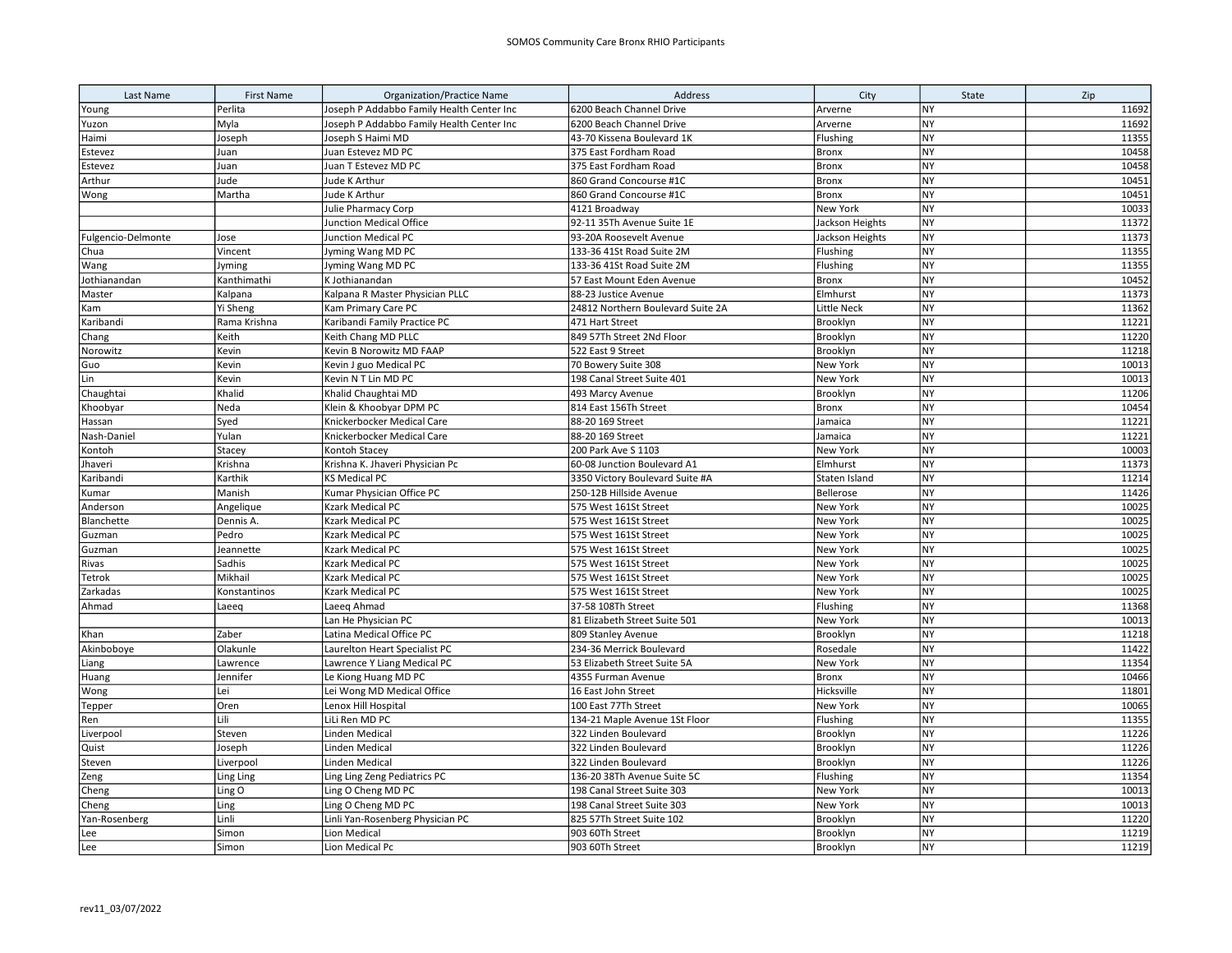| Last Name          | <b>First Name</b> | <b>Organization/Practice Name</b>         | Address                           | City               | State     | Zip   |
|--------------------|-------------------|-------------------------------------------|-----------------------------------|--------------------|-----------|-------|
| Young              | Perlita           | Joseph P Addabbo Family Health Center Inc | 6200 Beach Channel Drive          | Arverne            | <b>NY</b> | 11692 |
| Yuzon              | Myla              | Joseph P Addabbo Family Health Center Inc | 6200 Beach Channel Drive          | Arverne            | <b>NY</b> | 11692 |
| Haimi              | Joseph            | Joseph S Haimi MD                         | 43-70 Kissena Boulevard 1K        | Flushing           | <b>NY</b> | 11355 |
| Estevez            | Juan              | Juan Estevez MD PC                        | 375 East Fordham Road             | <b>Bronx</b>       | <b>NY</b> | 10458 |
| Estevez            | Juan              | Juan T Estevez MD PC                      | 375 East Fordham Road             | <b>Bronx</b>       | <b>NY</b> | 10458 |
| Arthur             | Jude              | Jude K Arthur                             | 860 Grand Concourse #1C           | Bronx              | NY        | 10451 |
| Wong               | Martha            | Jude K Arthur                             | 860 Grand Concourse #1C           | <b>Bronx</b>       | <b>NY</b> | 10451 |
|                    |                   | Julie Pharmacy Corp                       | 4121 Broadway                     | New York           | <b>NY</b> | 10033 |
|                    |                   | Junction Medical Office                   | 92-11 35Th Avenue Suite 1E        | Jackson Heights    | <b>NY</b> | 11372 |
| Fulgencio-Delmonte | Jose              | Junction Medical PC                       | 93-20A Roosevelt Avenue           | Jackson Heights    | NY        | 11373 |
| Chua               | Vincent           | Jyming Wang MD PC                         | 133-36 41St Road Suite 2M         | Flushing           | <b>NY</b> | 11355 |
| Wang               | Jyming            | Jyming Wang MD PC                         | 133-36 41St Road Suite 2M         | Flushing           | <b>NY</b> | 11355 |
| Jothianandan       | Kanthimathi       | K Jothianandan                            | 57 East Mount Eden Avenue         | Bronx              | <b>NY</b> | 10452 |
| Master             | Kalpana           | Kalpana R Master Physician PLLC           | 88-23 Justice Avenue              | Elmhurst           | <b>NY</b> | 11373 |
| Kam                | Yi Sheng          | Kam Primary Care PC                       | 24812 Northern Boulevard Suite 2A | <b>Little Neck</b> | NY        | 11362 |
| Karibandi          | Rama Krishna      | Karibandi Family Practice PC              | 471 Hart Street                   | Brooklyn           | NY        | 11221 |
| Chang              | Keith             | Keith Chang MD PLLC                       | 849 57Th Street 2Nd Floor         | Brooklyn           | <b>NY</b> | 11220 |
| Norowitz           | Kevin             | Kevin B Norowitz MD FAAP                  | 522 East 9 Street                 | Brooklyn           | <b>NY</b> | 11218 |
| Guo                | Kevin             | Kevin J guo Medical PC                    | 70 Bowery Suite 308               | New York           | NY        | 10013 |
| Lin                | Kevin             | Kevin N T Lin MD PC                       | 198 Canal Street Suite 401        | New York           | <b>NY</b> | 10013 |
| Chaughtai          | Khalid            | Khalid Chaughtai MD                       | 493 Marcy Avenue                  | Brooklyn           | <b>NY</b> | 11206 |
| Khoobyar           | Neda              | Klein & Khoobyar DPM PC                   | 814 East 156Th Street             | <b>Bronx</b>       | <b>NY</b> | 10454 |
| Hassan             | Syed              | Knickerbocker Medical Care                | 88-20 169 Street                  | Jamaica            | <b>NY</b> | 11221 |
| Nash-Daniel        | Yulan             | Knickerbocker Medical Care                | 88-20 169 Street                  | Jamaica            | NY        | 11221 |
| Kontoh             | Stacey            | Kontoh Stacey                             | 200 Park Ave S 1103               | New York           | NY        | 10003 |
| Jhaveri            | Krishna           | Krishna K. Jhaveri Physician Pc           | 60-08 Junction Boulevard A1       | Elmhurst           | <b>NY</b> | 11373 |
| Karibandi          | Karthik           | KS Medical PC                             | 3350 Victory Boulevard Suite #A   | Staten Island      | <b>NY</b> | 11214 |
| Kumar              | Manish            | Kumar Physician Office PC                 | 250-12B Hillside Avenue           | Bellerose          | <b>NY</b> | 11426 |
| Anderson           | Angelique         | Kzark Medical PC                          | 575 West 161St Street             | New York           | <b>NY</b> | 10025 |
| Blanchette         | Dennis A.         | Kzark Medical PC                          | 575 West 161St Street             | New York           | <b>NY</b> | 10025 |
| Guzman             | Pedro             | Kzark Medical PC                          | 575 West 161St Street             | New York           | <b>NY</b> | 10025 |
| Guzman             | Jeannette         | <b>Kzark Medical PC</b>                   | 575 West 161St Street             | New York           | <b>NY</b> | 10025 |
| Rivas              | Sadhis            | Kzark Medical PC                          | 575 West 161St Street             | New York           | NY        | 10025 |
| Tetrok             | Mikhail           | Kzark Medical PC                          | 575 West 161St Street             | New York           | <b>NY</b> | 10025 |
| Zarkadas           | Konstantinos      | Kzark Medical PC                          | 575 West 161St Street             | New York           | <b>NY</b> | 10025 |
| Ahmad              | Laeeq             | Laeeg Ahmad                               | 37-58 108Th Street                | Flushing           | <b>NY</b> | 11368 |
|                    |                   | Lan He Physician PC                       | 81 Elizabeth Street Suite 501     | New York           | NY        | 10013 |
| Khan               | Zaber             | Latina Medical Office PC                  | 809 Stanley Avenue                | Brooklyn           | <b>NY</b> | 11218 |
| Akinboboye         | Olakunle          | Laurelton Heart Specialist PC             | 234-36 Merrick Boulevard          | Rosedale           | NY        | 11422 |
| Liang              | Lawrence          | Lawrence Y Liang Medical PC               | 53 Elizabeth Street Suite 5A      | New York           | <b>NY</b> | 11354 |
| Huang              | Jennifer          | Le Kiong Huang MD PC                      | 4355 Furman Avenue                | <b>Bronx</b>       | <b>NY</b> | 10466 |
| Wong               | Lei               | Lei Wong MD Medical Office                | 16 East John Street               | Hicksville         | <b>NY</b> | 11801 |
| Tepper             | Oren              | Lenox Hill Hospital                       | 100 East 77Th Street              | New York           | <b>NY</b> | 10065 |
| Ren                | Lili              | LiLi Ren MD PC                            | 134-21 Maple Avenue 1St Floor     | Flushing           | <b>NY</b> | 11355 |
| Liverpool          | Steven            | Linden Medical                            | 322 Linden Boulevard              | Brooklyn           | NY        | 11226 |
| Quist              | Joseph            | <b>Linden Medical</b>                     | 322 Linden Boulevard              | Brooklyn           | <b>NY</b> | 11226 |
| Steven             | Liverpool         | <b>Linden Medical</b>                     | 322 Linden Boulevard              | Brooklyn           | <b>NY</b> | 11226 |
| Zeng               | Ling Ling         | Ling Ling Zeng Pediatrics PC              | 136-20 38Th Avenue Suite 5C       | Flushing           | NY        | 11354 |
| Cheng              | Ling O            | Ling O Cheng MD PC                        | 198 Canal Street Suite 303        | New York           | NY        | 10013 |
| Cheng              | Ling              | Ling O Cheng MD PC                        | 198 Canal Street Suite 303        | New York           | <b>NY</b> | 10013 |
| Yan-Rosenberg      | Linli             | Linli Yan-Rosenberg Physician PC          | 825 57Th Street Suite 102         | Brooklyn           | NY        | 11220 |
| Lee                | Simon             | Lion Medical                              | 903 60Th Street                   | Brooklyn           | <b>NY</b> | 11219 |
| Lee                | Simon             | Lion Medical Pc                           | 903 60Th Street                   | Brooklyn           | <b>NY</b> | 11219 |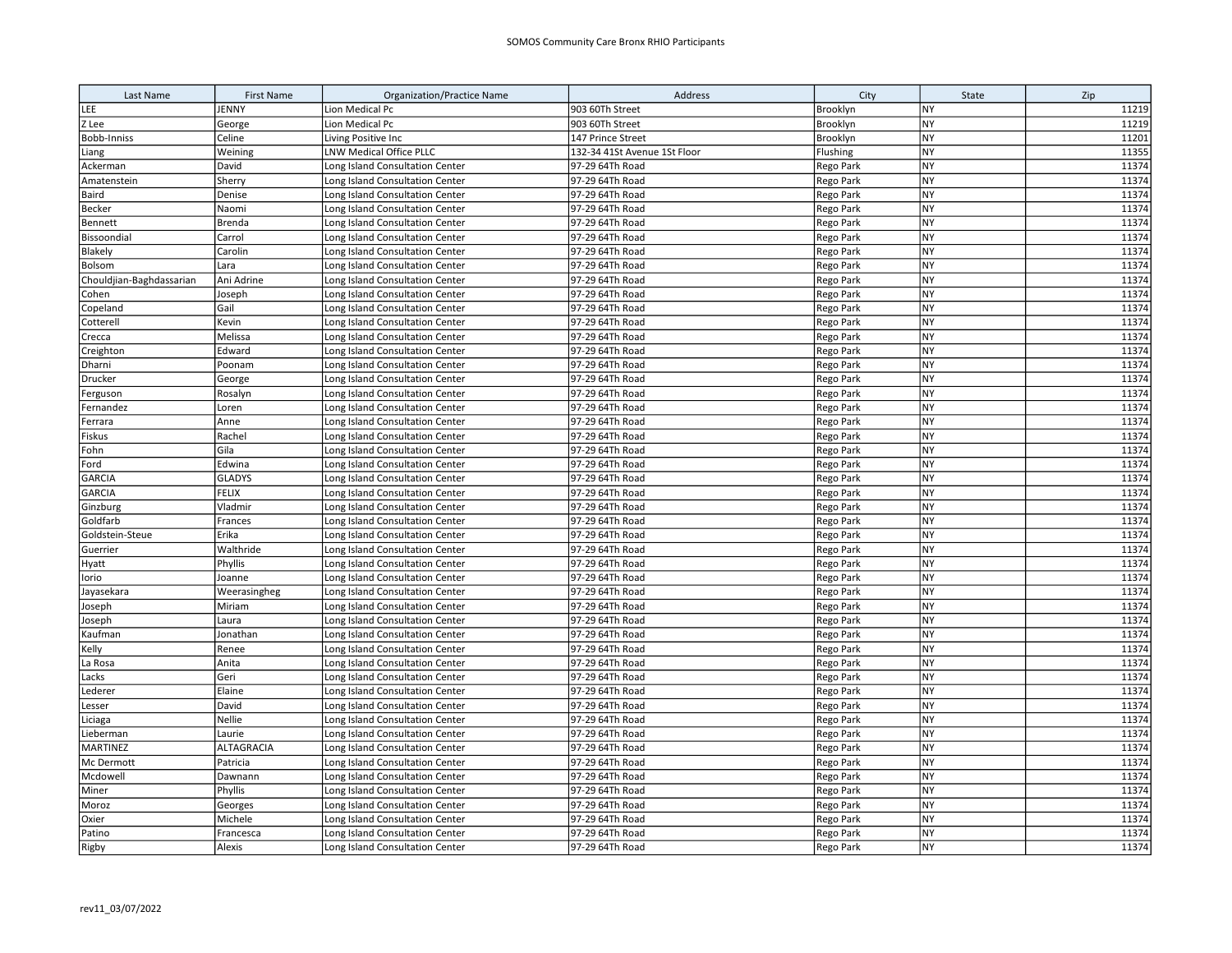| Last Name                | <b>First Name</b>    | <b>Organization/Practice Name</b>                                  | Address                            | City                          | State                  | Zip            |
|--------------------------|----------------------|--------------------------------------------------------------------|------------------------------------|-------------------------------|------------------------|----------------|
| LEE                      | JENNY                | Lion Medical Pc                                                    | 903 60Th Street                    | Brooklyn                      | NY                     | 11219          |
| Z Lee                    | George               | Lion Medical Pc                                                    | 903 60Th Street                    | Brooklyn                      | <b>NY</b>              | 11219          |
| Bobb-Inniss              | Celine               | Living Positive Inc                                                | 147 Prince Street                  | Brooklyn                      | <b>NY</b>              | 11201          |
| Liang                    | Weining              | LNW Medical Office PLLC                                            | 132-34 41St Avenue 1St Floor       | Flushing                      | <b>NY</b>              | 11355          |
| Ackerman                 | David                | Long Island Consultation Center                                    | 97-29 64Th Road                    | Rego Park                     | NY                     | 11374          |
| Amatenstein              | Sherry               | Long Island Consultation Center                                    | 97-29 64Th Road                    | Rego Park                     | <b>NY</b>              | 11374          |
| Baird                    | Denise               | Long Island Consultation Center                                    | 97-29 64Th Road                    | Rego Park                     | <b>NY</b>              | 11374          |
| Becker                   | Naomi                | Long Island Consultation Center                                    | 97-29 64Th Road                    | Rego Park                     | <b>NY</b>              | 11374          |
| Bennett                  | <b>Brenda</b>        | Long Island Consultation Center                                    | 97-29 64Th Road                    | Rego Park                     | <b>NY</b>              | 11374          |
| Bissoondial              | Carrol               | Long Island Consultation Center                                    | 97-29 64Th Road                    | Rego Park                     | NY                     | 11374          |
| Blakely                  | Carolin              | Long Island Consultation Center                                    | 97-29 64Th Road                    | Rego Park                     | <b>NY</b>              | 11374          |
| Bolsom                   | Lara                 | Long Island Consultation Center                                    | 97-29 64Th Road                    | Rego Park                     | <b>NY</b>              | 11374          |
| Chouldjian-Baghdassarian | Ani Adrine           | Long Island Consultation Center                                    | 97-29 64Th Road                    | Rego Park                     | <b>NY</b>              | 11374          |
| Cohen                    | Joseph               | Long Island Consultation Center                                    | 97-29 64Th Road                    | Rego Park                     | NY                     | 11374          |
| Copeland                 | Gail                 | Long Island Consultation Center                                    | 97-29 64Th Road                    | Rego Park                     | <b>NY</b>              | 11374          |
| Cotterell                | Kevin                | Long Island Consultation Center                                    | 97-29 64Th Road                    | Rego Park                     | <b>NY</b>              | 11374          |
| Crecca                   | Melissa              | Long Island Consultation Center                                    | 97-29 64Th Road                    | Rego Park                     | NY                     | 11374          |
| Creighton                | Edward               | Long Island Consultation Center                                    | 97-29 64Th Road                    | Rego Park                     | <b>NY</b>              | 11374          |
| Dharni                   | Poonam               | Long Island Consultation Center                                    | 97-29 64Th Road                    | Rego Park                     | NY                     | 11374          |
| Drucker                  | George               | Long Island Consultation Center                                    | 97-29 64Th Road                    | Rego Park                     | <b>NY</b>              | 11374          |
| Ferguson                 | Rosalyn              | Long Island Consultation Center                                    | 97-29 64Th Road                    | Rego Park                     | NY                     | 11374          |
| Fernandez                | Loren                | Long Island Consultation Center                                    | 97-29 64Th Road                    | Rego Park                     | <b>NY</b>              | 11374          |
| Ferrara                  | Anne                 | Long Island Consultation Center                                    | 97-29 64Th Road                    | Rego Park                     | <b>NY</b>              | 11374          |
| Fiskus                   | Rachel               | Long Island Consultation Center                                    | 97-29 64Th Road                    | Rego Park                     | <b>NY</b>              | 11374          |
| Fohn                     | Gila                 | Long Island Consultation Center                                    | 97-29 64Th Road                    | Rego Park                     | <b>NY</b>              | 11374          |
| Ford                     | Edwina               | Long Island Consultation Center                                    | 97-29 64Th Road                    | Rego Park                     | NY                     | 11374          |
| <b>GARCIA</b>            | <b>GLADYS</b>        | Long Island Consultation Center                                    | 97-29 64Th Road                    | Rego Park                     | <b>NY</b>              | 11374          |
| <b>GARCIA</b>            | <b>FELIX</b>         | Long Island Consultation Center                                    | 97-29 64Th Road                    | Rego Park                     | <b>NY</b>              | 11374          |
| Ginzburg                 | Vladmir              | Long Island Consultation Center                                    | 97-29 64Th Road                    | Rego Park                     | <b>NY</b>              | 11374          |
| Goldfarb                 | Frances              | Long Island Consultation Center                                    | 97-29 64Th Road                    | Rego Park                     | NY                     | 11374          |
| Goldstein-Steue          | Erika                | Long Island Consultation Center                                    | 97-29 64Th Road                    | Rego Park                     | <b>NY</b>              | 11374          |
| Guerrier                 | Walthride            | Long Island Consultation Center                                    | 97-29 64Th Road                    | Rego Park                     | <b>NY</b>              | 11374          |
| Hyatt                    | Phyllis              | Long Island Consultation Center                                    | 97-29 64Th Road                    | Rego Park                     | <b>NY</b>              | 11374          |
| Iorio                    | Joanne               | Long Island Consultation Center                                    | 97-29 64Th Road                    | Rego Park                     | <b>NY</b>              | 11374          |
| Jayasekara               | Weerasingheg         | Long Island Consultation Center                                    | 97-29 64Th Road                    | Rego Park                     | NY                     | 11374          |
| Joseph                   | Miriam               | Long Island Consultation Center                                    | 97-29 64Th Road                    | Rego Park                     | <b>NY</b>              | 11374          |
| Joseph                   | Laura                | Long Island Consultation Center                                    | 97-29 64Th Road                    | Rego Park                     | <b>NY</b>              | 11374          |
| Kaufman                  | Jonathan             | Long Island Consultation Center                                    | 97-29 64Th Road                    | Rego Park                     | NY                     | 11374          |
| Kelly                    | Renee                | Long Island Consultation Center                                    | 97-29 64Th Road                    | <b>Rego Park</b>              | NY                     | 11374          |
| La Rosa                  | Anita                | Long Island Consultation Center                                    | 97-29 64Th Road                    | Rego Park                     | NY                     | 11374          |
| Lacks                    | Geri                 | Long Island Consultation Center                                    | 97-29 64Th Road                    | Rego Park                     | <b>NY</b>              | 11374          |
| Lederer                  | Elaine               | Long Island Consultation Center                                    | 97-29 64Th Road                    | Rego Park                     | <b>NY</b><br>NY        | 11374          |
| Lesser                   | David                | Long Island Consultation Center                                    | 97-29 64Th Road                    | Rego Park                     |                        | 11374<br>11374 |
| Liciaga                  | Nellie               | Long Island Consultation Center                                    | 97-29 64Th Road                    | Rego Park                     | <b>NY</b>              |                |
| Lieberman                | Laurie               | Long Island Consultation Center                                    | 97-29 64Th Road                    | Rego Park                     | <b>NY</b>              | 11374          |
| MARTINEZ                 | ALTAGRACIA           | Long Island Consultation Center                                    | 97-29 64Th Road                    | Rego Park                     | <b>NY</b>              | 11374          |
| Mc Dermott               | Patricia             | Long Island Consultation Center                                    | 97-29 64Th Road                    | Rego Park                     | <b>NY</b>              | 11374<br>11374 |
| Mcdowell                 | Dawnann              | Long Island Consultation Center                                    | 97-29 64Th Road                    | <b>Rego Park</b>              | <b>NY</b><br><b>NY</b> | 11374          |
| Miner                    | Phyllis              | Long Island Consultation Center                                    | 97-29 64Th Road                    | Rego Park                     | <b>NY</b>              | 11374          |
| Moroz                    | Georges              | Long Island Consultation Center                                    | 97-29 64Th Road<br>97-29 64Th Road | Rego Park                     | NY                     | 11374          |
| Oxier<br>Patino          | Michele<br>Francesca | Long Island Consultation Center<br>Long Island Consultation Center | 97-29 64Th Road                    | Rego Park<br><b>Rego Park</b> | NY                     | 11374          |
|                          | Alexis               | Long Island Consultation Center                                    | 97-29 64Th Road                    | Rego Park                     | <b>NY</b>              | 11374          |
| Rigby                    |                      |                                                                    |                                    |                               |                        |                |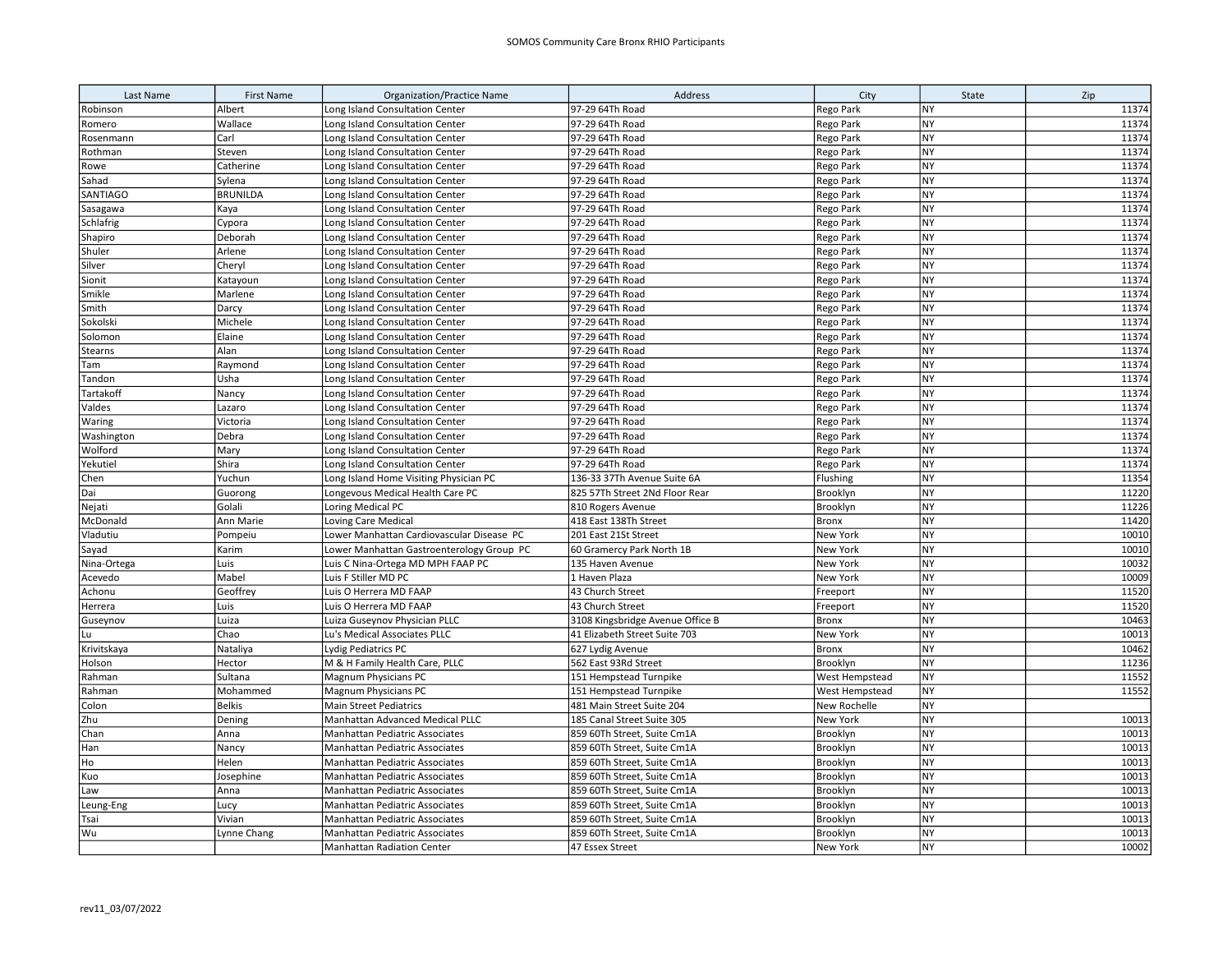| Last Name       | <b>First Name</b>   | <b>Organization/Practice Name</b>                                 | Address                                                    | City                             | State                  | Zip            |
|-----------------|---------------------|-------------------------------------------------------------------|------------------------------------------------------------|----------------------------------|------------------------|----------------|
| Robinson        | Albert              | Long Island Consultation Center                                   | 97-29 64Th Road                                            | Rego Park                        | <b>NY</b>              | 11374          |
| Romero          | Wallace             | Long Island Consultation Center                                   | 97-29 64Th Road                                            | <b>Rego Park</b>                 | <b>NY</b>              | 11374          |
| Rosenmann       | Carl                | Long Island Consultation Center                                   | 97-29 64Th Road                                            | Rego Park                        | <b>NY</b>              | 11374          |
| Rothman         | Steven              | Long Island Consultation Center                                   | 97-29 64Th Road                                            | Rego Park                        | <b>NY</b>              | 11374          |
| Rowe            | Catherine           | Long Island Consultation Center                                   | 97-29 64Th Road                                            | Rego Park                        | <b>NY</b>              | 11374          |
| Sahad           | Sylena              | Long Island Consultation Center                                   | 97-29 64Th Road                                            | Rego Park                        | <b>NY</b>              | 11374          |
| <b>SANTIAGO</b> | <b>BRUNILDA</b>     | Long Island Consultation Center                                   | 97-29 64Th Road                                            | Rego Park                        | <b>NY</b>              | 11374          |
| Sasagawa        | Kaya                | Long Island Consultation Center                                   | 97-29 64Th Road                                            | Rego Park                        | <b>NY</b>              | 11374          |
| Schlafrig       | Cypora              | Long Island Consultation Center                                   | 97-29 64Th Road                                            | Rego Park                        | <b>NY</b>              | 11374          |
| Shapiro         | Deborah             | Long Island Consultation Center                                   | 97-29 64Th Road                                            | Rego Park                        | <b>NY</b>              | 11374          |
| Shuler          | Arlene              | Long Island Consultation Center                                   | 97-29 64Th Road                                            | Rego Park                        | <b>NY</b>              | 11374          |
| Silver          | Cheryl              | Long Island Consultation Center                                   | 97-29 64Th Road                                            | Rego Park                        | <b>NY</b>              | 11374          |
| Sionit          | Katayoun            | Long Island Consultation Center                                   | 97-29 64Th Road                                            | Rego Park                        | <b>NY</b>              | 11374          |
| Smikle          | Marlene             | Long Island Consultation Center                                   | 97-29 64Th Road                                            | Rego Park                        | <b>NY</b>              | 11374          |
| Smith           | Darcy               | Long Island Consultation Center                                   | 97-29 64Th Road                                            | Rego Park                        | NY                     | 11374          |
| Sokolski        | Michele             | Long Island Consultation Center                                   | 97-29 64Th Road                                            | Rego Park                        | <b>NY</b>              | 11374          |
| Solomon         | Elaine              | Long Island Consultation Center                                   | 97-29 64Th Road                                            | Rego Park                        | <b>NY</b>              | 11374          |
| <b>Stearns</b>  | Alan                | Long Island Consultation Center                                   | 97-29 64Th Road                                            | Rego Park                        | <b>NY</b>              | 11374          |
| Tam             | Raymond             | Long Island Consultation Center                                   | 97-29 64Th Road                                            | <b>Rego Park</b>                 | NY                     | 11374          |
| Tandon          | Usha                | Long Island Consultation Center                                   | 97-29 64Th Road                                            | Rego Park                        | <b>NY</b>              | 11374          |
| Tartakoff       | Nancy               | Long Island Consultation Center                                   | 97-29 64Th Road                                            | Rego Park                        | <b>NY</b>              | 11374          |
| Valdes          | Lazaro              | Long Island Consultation Center                                   | 97-29 64Th Road                                            | Rego Park                        | <b>NY</b>              | 11374          |
| Waring          | Victoria            | Long Island Consultation Center                                   | 97-29 64Th Road                                            | Rego Park                        | NY                     | 11374          |
| Washington      | Debra               | Long Island Consultation Center                                   | 97-29 64Th Road                                            | Rego Park                        | NY                     | 11374          |
| Wolford         | Mary                | Long Island Consultation Center                                   | 97-29 64Th Road                                            | Rego Park                        | NY                     | 11374          |
| Yekutiel        | Shira               | Long Island Consultation Center                                   | 97-29 64Th Road                                            | Rego Park                        | <b>NY</b>              | 11374          |
| Chen            | Yuchun              | Long Island Home Visiting Physician PC                            | 136-33 37Th Avenue Suite 6A                                | Flushing                         | NY                     | 11354          |
| Dai             | Guorong             | Longevous Medical Health Care PC                                  | 825 57Th Street 2Nd Floor Rear                             | Brooklyn                         | <b>NY</b>              | 11220          |
| Nejati          | Golali              | Loring Medical PC                                                 | 810 Rogers Avenue                                          | Brooklyn                         | <b>NY</b>              | 11226          |
| McDonald        | Ann Marie           | Loving Care Medical                                               | 418 East 138Th Street                                      | <b>Bronx</b>                     | <b>NY</b>              | 11420          |
| Vladutiu        | Pompeiu             | Lower Manhattan Cardiovascular Disease PC                         | 201 East 21St Street                                       | New York                         | <b>NY</b>              | 10010          |
| Sayad           | Karim               | Lower Manhattan Gastroenterology Group PC                         | 60 Gramercy Park North 1B                                  | New York                         | <b>NY</b>              | 10010          |
| Nina-Ortega     | Luis                | Luis C Nina-Ortega MD MPH FAAP PC                                 | 135 Haven Avenue                                           | New York                         | <b>NY</b>              | 10032          |
| Acevedo         | Mabel               | Luis F Stiller MD PC                                              | 1 Haven Plaza                                              | New York                         | <b>NY</b>              | 10009          |
| Achonu          | Geoffrey            | Luis O Herrera MD FAAP                                            | 43 Church Street                                           | Freeport                         | <b>NY</b>              | 11520          |
| Herrera         | Luis                | Luis O Herrera MD FAAP                                            | 43 Church Street                                           | Freeport                         | <b>NY</b>              | 11520          |
| Guseynov        | Luiza               | Luiza Guseynov Physician PLLC                                     | 3108 Kingsbridge Avenue Office B                           | Bronx                            | <b>NY</b>              | 10463          |
| lLu             | Chao                | Lu's Medical Associates PLLC                                      | 41 Elizabeth Street Suite 703                              | New York                         | <b>NY</b>              | 10013          |
| Krivitskaya     | Nataliya            | Lydig Pediatrics PC                                               | 627 Lydig Avenue                                           | <b>Bronx</b>                     | <b>NY</b><br><b>NY</b> | 10462          |
| Holson          | Hector              | M & H Family Health Care, PLLC                                    | 562 East 93Rd Street                                       | Brooklyn                         |                        | 11236          |
| Rahman          | Sultana<br>Mohammed | Magnum Physicians PC                                              | 151 Hempstead Turnpike<br>151 Hempstead Turnpike           | West Hempstead<br>West Hempstead | NY<br><b>NY</b>        | 11552<br>11552 |
| Rahman<br>Colon | <b>Belkis</b>       | Magnum Physicians PC<br><b>Main Street Pediatrics</b>             | 481 Main Street Suite 204                                  | New Rochelle                     | <b>NY</b>              |                |
|                 |                     |                                                                   | 185 Canal Street Suite 305                                 | New York                         | <b>NY</b>              | 10013          |
| Zhu<br>Chan     | Dening<br>Anna      | Manhattan Advanced Medical PLLC<br>Manhattan Pediatric Associates |                                                            | Brooklyn                         | <b>NY</b>              | 10013          |
| Han             | Nancy               | <b>Manhattan Pediatric Associates</b>                             | 859 60Th Street, Suite Cm1A<br>859 60Th Street, Suite Cm1A | Brooklyn                         | <b>NY</b>              | 10013          |
| Ho              | Helen               | Manhattan Pediatric Associates                                    | 859 60Th Street, Suite Cm1A                                | Brooklyn                         | <b>NY</b>              | 10013          |
| Kuo             | Josephine           | Manhattan Pediatric Associates                                    | 859 60Th Street, Suite Cm1A                                | Brooklyn                         | NY                     | 10013          |
| Law             | Anna                | Manhattan Pediatric Associates                                    | 859 60Th Street, Suite Cm1A                                | Brooklyn                         | NY                     | 10013          |
| Leung-Eng       | Lucy                | Manhattan Pediatric Associates                                    | 859 60Th Street, Suite Cm1A                                | Brooklyn                         | <b>NY</b>              | 10013          |
| Tsai            | Vivian              | <b>Manhattan Pediatric Associates</b>                             | 859 60Th Street, Suite Cm1A                                | Brooklyn                         | NY                     | 10013          |
| Wu              | Lynne Chang         | Manhattan Pediatric Associates                                    | 859 60Th Street, Suite Cm1A                                | Brooklyn                         | NY                     | 10013          |
|                 |                     | <b>Manhattan Radiation Center</b>                                 | 47 Essex Street                                            | New York                         | <b>NY</b>              | 10002          |
|                 |                     |                                                                   |                                                            |                                  |                        |                |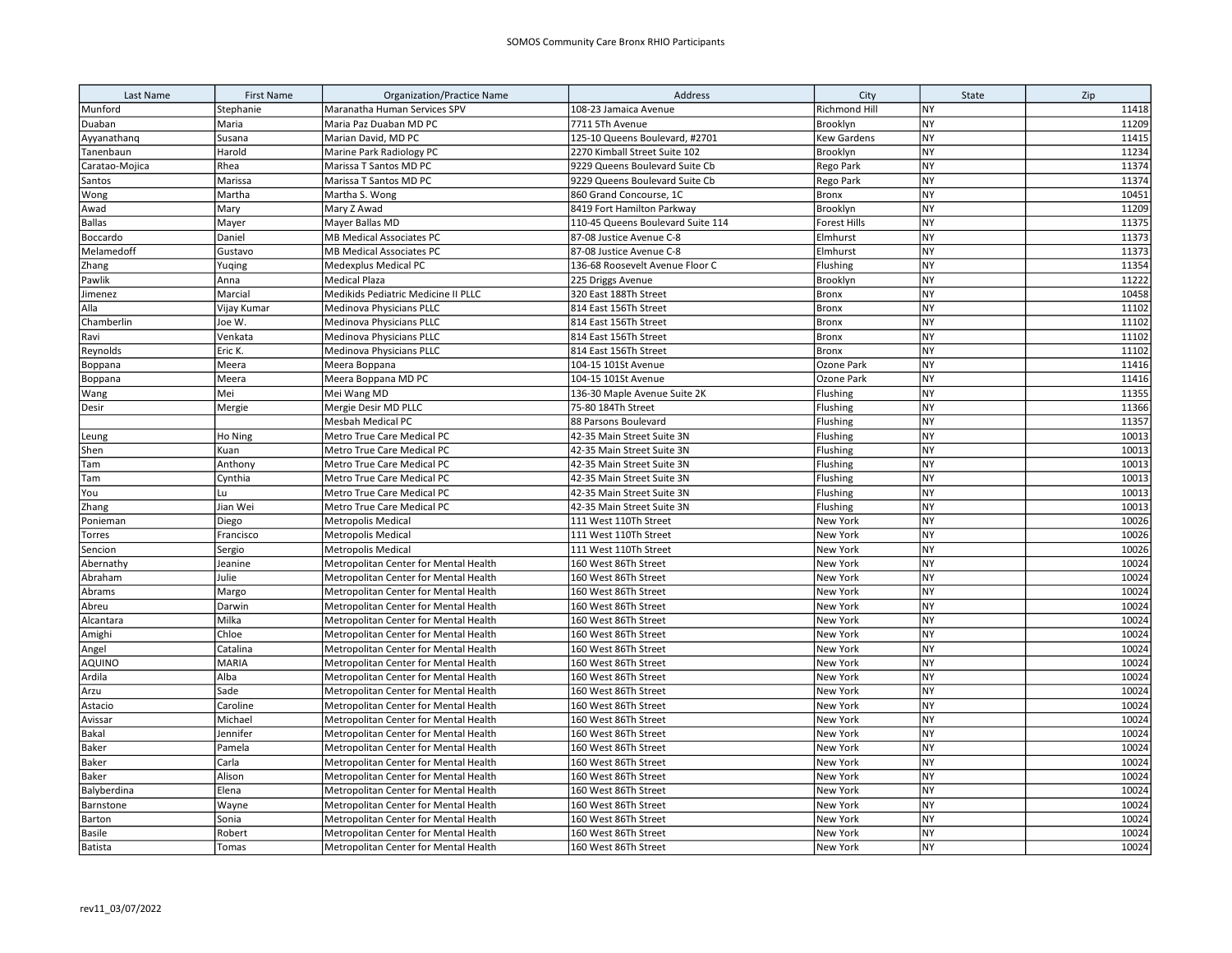| Last Name      | <b>First Name</b> | <b>Organization/Practice Name</b>     | Address                           | City                | State     | Zip   |
|----------------|-------------------|---------------------------------------|-----------------------------------|---------------------|-----------|-------|
| Munford        | Stephanie         | Maranatha Human Services SPV          | 108-23 Jamaica Avenue             | Richmond Hill       | NY        | 11418 |
| Duaban         | Maria             | Maria Paz Duaban MD PC                | 7711 5Th Avenue                   | Brooklyn            | <b>NY</b> | 11209 |
| Ayyanathanq    | Susana            | Marian David, MD PC                   | 125-10 Queens Boulevard, #2701    | <b>Kew Gardens</b>  | <b>NY</b> | 11415 |
| Tanenbaun      | Harold            | Marine Park Radiology PC              | 2270 Kimball Street Suite 102     | Brooklyn            | <b>NY</b> | 11234 |
| Caratao-Mojica | Rhea              | Marissa T Santos MD PC                | 9229 Queens Boulevard Suite Cb    | Rego Park           | <b>NY</b> | 11374 |
| Santos         | Marissa           | Marissa T Santos MD PC                | 9229 Queens Boulevard Suite Cb    | Rego Park           | <b>NY</b> | 11374 |
| Wong           | Martha            | Martha S. Wong                        | 860 Grand Concourse, 1C           | Bronx               | <b>NY</b> | 10451 |
| Awad           | Mary              | Mary Z Awad                           | 8419 Fort Hamilton Parkway        | Brooklyn            | <b>NY</b> | 11209 |
| <b>Ballas</b>  | Mayer             | Mayer Ballas MD                       | 110-45 Queens Boulevard Suite 114 | <b>Forest Hills</b> | <b>NY</b> | 11375 |
| Boccardo       | Daniel            | <b>MB Medical Associates PC</b>       | 87-08 Justice Avenue C-8          | Elmhurst            | <b>NY</b> | 11373 |
| Melamedoff     | Gustavo           | <b>MB Medical Associates PC</b>       | 87-08 Justice Avenue C-8          | Elmhurst            | <b>NY</b> | 11373 |
| Zhang          | Yuqing            | Medexplus Medical PC                  | 136-68 Roosevelt Avenue Floor C   | Flushing            | <b>NY</b> | 11354 |
| Pawlik         | Anna              | Medical Plaza                         | 225 Driggs Avenue                 | Brooklyn            | <b>NY</b> | 11222 |
| Jimenez        | Marcial           | Medikids Pediatric Medicine II PLLC   | 320 East 188Th Street             | <b>Bronx</b>        | <b>NY</b> | 10458 |
| Alla           | Vijay Kumar       | Medinova Physicians PLLC              | 814 East 156Th Street             | <b>Bronx</b>        | <b>NY</b> | 11102 |
| Chamberlin     | Joe W.            | Medinova Physicians PLLC              | 814 East 156Th Street             | Bronx               | <b>NY</b> | 11102 |
| Ravi           | Venkata           | Medinova Physicians PLLC              | 814 East 156Th Street             | <b>Bronx</b>        | <b>NY</b> | 11102 |
| Reynolds       | Eric K.           | Medinova Physicians PLLC              | 814 East 156Th Street             | <b>Bronx</b>        | <b>NY</b> | 11102 |
| Boppana        | Meera             | Meera Boppana                         | 104-15 101St Avenue               | Ozone Park          | <b>NY</b> | 11416 |
| Boppana        | Meera             | Meera Boppana MD PC                   | 104-15 101St Avenue               | Ozone Park          | <b>NY</b> | 11416 |
| Wang           | Mei               | Mei Wang MD                           | 136-30 Maple Avenue Suite 2K      | Flushing            | <b>NY</b> | 11355 |
| Desir          | Mergie            | Mergie Desir MD PLLC                  | 75-80 184Th Street                | Flushing            | <b>NY</b> | 11366 |
|                |                   | Mesbah Medical PC                     | 88 Parsons Boulevard              | Flushing            | <b>NY</b> | 11357 |
| Leung          | Ho Ning           | Metro True Care Medical PC            | 42-35 Main Street Suite 3N        | Flushing            | <b>NY</b> | 10013 |
| Shen           | Kuan              | Metro True Care Medical PC            | 42-35 Main Street Suite 3N        | Flushing            | <b>NY</b> | 10013 |
| Tam            | Anthony           | Metro True Care Medical PC            | 42-35 Main Street Suite 3N        | Flushing            | <b>NY</b> | 10013 |
| Tam            | Cynthia           | Metro True Care Medical PC            | 42-35 Main Street Suite 3N        | Flushing            | <b>NY</b> | 10013 |
| You            | Lu                | Metro True Care Medical PC            | 42-35 Main Street Suite 3N        | Flushing            | <b>NY</b> | 10013 |
| Zhang          | Jian Wei          | Metro True Care Medical PC            | 42-35 Main Street Suite 3N        | Flushing            | <b>NY</b> | 10013 |
| Ponieman       | Diego             | <b>Metropolis Medical</b>             | 111 West 110Th Street             | New York            | <b>NY</b> | 10026 |
| Torres         | Francisco         | <b>Metropolis Medical</b>             | 111 West 110Th Street             | New York            | <b>NY</b> | 10026 |
| Sencion        | Sergio            | <b>Metropolis Medical</b>             | 111 West 110Th Street             | New York            | <b>NY</b> | 10026 |
| Abernathy      | Jeanine           | Metropolitan Center for Mental Health | 160 West 86Th Street              | New York            | <b>NY</b> | 10024 |
| Abraham        | Julie             | Metropolitan Center for Mental Health | 160 West 86Th Street              | New York            | <b>NY</b> | 10024 |
| Abrams         | Margo             | Metropolitan Center for Mental Health | 160 West 86Th Street              | New York            | NY        | 10024 |
| Abreu          | Darwin            | Metropolitan Center for Mental Health | 160 West 86Th Street              | New York            | <b>NY</b> | 10024 |
| Alcantara      | Milka             | Metropolitan Center for Mental Health | 160 West 86Th Street              | New York            | <b>NY</b> | 10024 |
| Amighi         | Chloe             | Metropolitan Center for Mental Health | 160 West 86Th Street              | New York            | <b>NY</b> | 10024 |
| Angel          | Catalina          | Metropolitan Center for Mental Health | 160 West 86Th Street              | New York            | <b>NY</b> | 10024 |
| <b>AQUINO</b>  | <b>MARIA</b>      | Metropolitan Center for Mental Health | 160 West 86Th Street              | New York            | <b>NY</b> | 10024 |
| Ardila         | Alba              | Metropolitan Center for Mental Health | 160 West 86Th Street              | New York            | <b>NY</b> | 10024 |
| Arzu           | Sade              | Metropolitan Center for Mental Health | 160 West 86Th Street              | New York            | <b>NY</b> | 10024 |
| Astacio        | Caroline          | Metropolitan Center for Mental Health | 160 West 86Th Street              | New York            | <b>NY</b> | 10024 |
| Avissar        | Michael           | Metropolitan Center for Mental Health | 160 West 86Th Street              | New York            | <b>NY</b> | 10024 |
| Bakal          | Jennifer          | Metropolitan Center for Mental Health | 160 West 86Th Street              | New York            | <b>NY</b> | 10024 |
| <b>Baker</b>   | Pamela            | Metropolitan Center for Mental Health | 160 West 86Th Street              | New York            | <b>NY</b> | 10024 |
| <b>Baker</b>   | Carla             | Metropolitan Center for Mental Health | 160 West 86Th Street              | New York            | <b>NY</b> | 10024 |
| Baker          | Alison            | Metropolitan Center for Mental Health | 160 West 86Th Street              | New York            | NY        | 10024 |
| Balyberdina    | Elena             | Metropolitan Center for Mental Health | 160 West 86Th Street              | New York            | <b>NY</b> | 10024 |
| Barnstone      | Wayne             | Metropolitan Center for Mental Health | 160 West 86Th Street              | New York            | <b>NY</b> | 10024 |
| Barton         | Sonia             | Metropolitan Center for Mental Health | 160 West 86Th Street              | New York            | <b>NY</b> | 10024 |
| <b>Basile</b>  | Robert            | Metropolitan Center for Mental Health | 160 West 86Th Street              | New York            | <b>NY</b> | 10024 |
| Batista        | Tomas             | Metropolitan Center for Mental Health | 160 West 86Th Street              | <b>New York</b>     | <b>NY</b> | 10024 |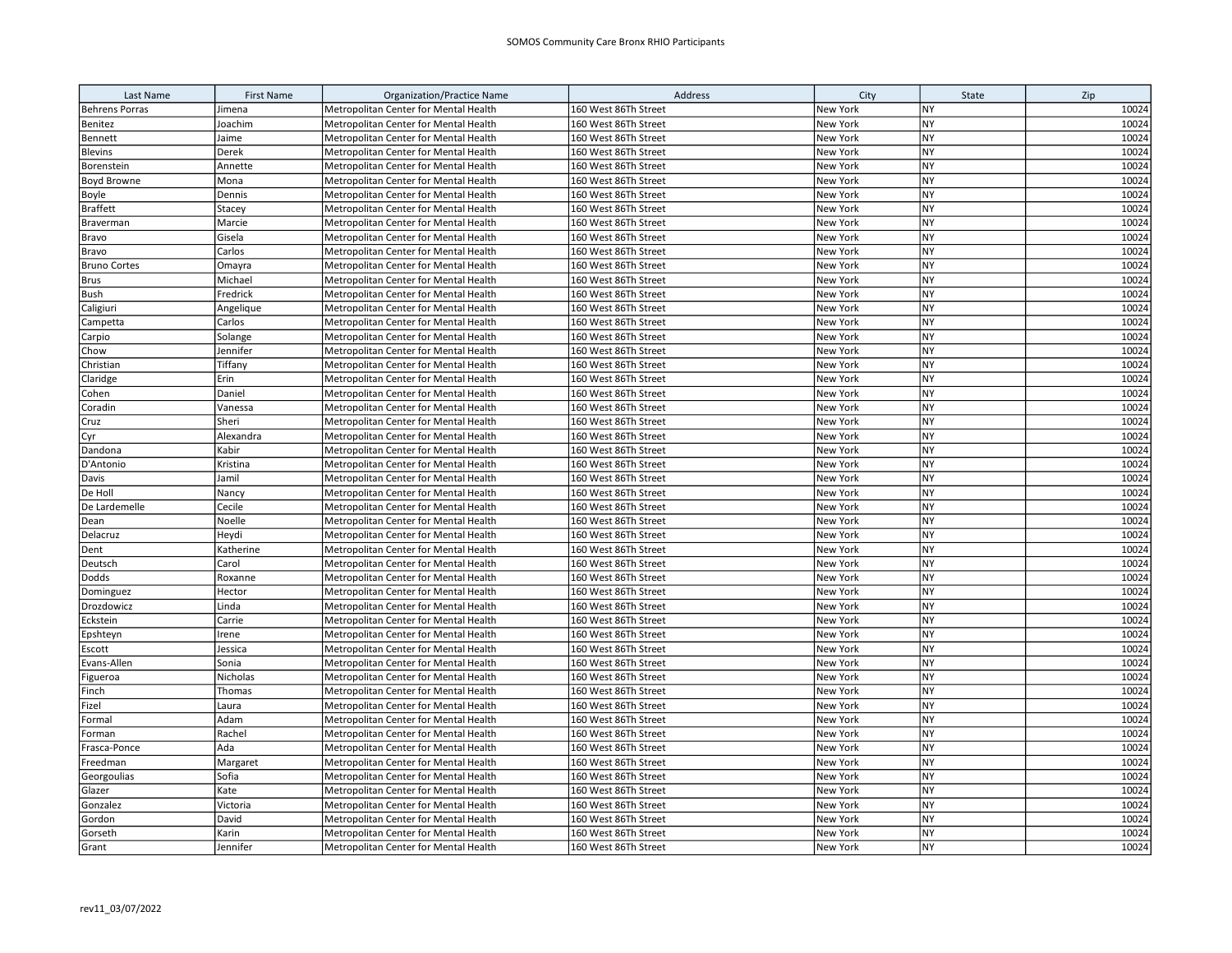| Last Name             | <b>First Name</b> | <b>Organization/Practice Name</b>     | Address              | City     | State     | Zip   |
|-----------------------|-------------------|---------------------------------------|----------------------|----------|-----------|-------|
| <b>Behrens Porras</b> | Jimena            | Metropolitan Center for Mental Health | 160 West 86Th Street | New York | <b>NY</b> | 10024 |
| Benitez               | Joachim           | Metropolitan Center for Mental Health | 160 West 86Th Street | New York | <b>NY</b> | 10024 |
| Bennett               | Jaime             | Metropolitan Center for Mental Health | 160 West 86Th Street | New York | NY        | 10024 |
| <b>Blevins</b>        | Derek             | Metropolitan Center for Mental Health | 160 West 86Th Street | New York | NY        | 10024 |
| Borenstein            | Annette           | Metropolitan Center for Mental Health | 160 West 86Th Street | New York | <b>NY</b> | 10024 |
| <b>Boyd Browne</b>    | Mona              | Metropolitan Center for Mental Health | 160 West 86Th Street | New York | <b>NY</b> | 10024 |
| Boyle                 | Dennis            | Metropolitan Center for Mental Health | 160 West 86Th Street | New York | <b>NY</b> | 10024 |
| <b>Braffett</b>       | Stacey            | Metropolitan Center for Mental Health | 160 West 86Th Street | New York | <b>NY</b> | 10024 |
| Braverman             | Marcie            | Metropolitan Center for Mental Health | 160 West 86Th Street | New York | <b>NY</b> | 10024 |
| Bravo                 | Gisela            | Metropolitan Center for Mental Health | 160 West 86Th Street | New York | <b>NY</b> | 10024 |
| Bravo                 | Carlos            | Metropolitan Center for Mental Health | 160 West 86Th Street | New York | <b>NY</b> | 10024 |
| <b>Bruno Cortes</b>   | Omayra            | Metropolitan Center for Mental Health | 160 West 86Th Street | New York | NY        | 10024 |
| <b>Brus</b>           | Michael           | Metropolitan Center for Mental Health | 160 West 86Th Street | New York | <b>NY</b> | 10024 |
| Bush                  | Fredrick          | Metropolitan Center for Mental Health | 160 West 86Th Street | New York | <b>NY</b> | 10024 |
| Caligiuri             | Angelique         | Metropolitan Center for Mental Health | 160 West 86Th Street | New York | <b>NY</b> | 10024 |
| Campetta              | Carlos            | Metropolitan Center for Mental Health | 160 West 86Th Street | New York | <b>NY</b> | 10024 |
| Carpio                | Solange           | Metropolitan Center for Mental Health | 160 West 86Th Street | New York | <b>NY</b> | 10024 |
| Chow                  | Jennifer          | Metropolitan Center for Mental Health | 160 West 86Th Street | New York | <b>NY</b> | 10024 |
| Christian             | Tiffany           | Metropolitan Center for Mental Health | 160 West 86Th Street | New York | <b>NY</b> | 10024 |
| Claridge              | Erin              | Metropolitan Center for Mental Health | 160 West 86Th Street | New York | <b>NY</b> | 10024 |
| Cohen                 | Daniel            | Metropolitan Center for Mental Health | 160 West 86Th Street | New York | <b>NY</b> | 10024 |
| Coradin               | Vanessa           | Metropolitan Center for Mental Health | 160 West 86Th Street | New York | <b>NY</b> | 10024 |
| Cruz                  | Sheri             | Metropolitan Center for Mental Health | 160 West 86Th Street | New York | <b>NY</b> | 10024 |
| Cyr                   | Alexandra         | Metropolitan Center for Mental Health | 160 West 86Th Street | New York | <b>NY</b> | 10024 |
| Dandona               | Kabir             | Metropolitan Center for Mental Health | 160 West 86Th Street | New York | NY        | 10024 |
| D'Antonio             | Kristina          | Metropolitan Center for Mental Health | 160 West 86Th Street | New York | <b>NY</b> | 10024 |
| Davis                 | Jamil             | Metropolitan Center for Mental Health | 160 West 86Th Street | New York | <b>NY</b> | 10024 |
| De Holl               | Nancy             | Metropolitan Center for Mental Health | 160 West 86Th Street | New York | <b>NY</b> | 10024 |
| De Lardemelle         | Cecile            | Metropolitan Center for Mental Health | 160 West 86Th Street | New York | <b>NY</b> | 10024 |
| Dean                  | Noelle            | Metropolitan Center for Mental Health | 160 West 86Th Street | New York | <b>NY</b> | 10024 |
| Delacruz              | Heydi             | Metropolitan Center for Mental Health | 160 West 86Th Street | New York | <b>NY</b> | 10024 |
| Dent                  | Katherine         | Metropolitan Center for Mental Health | 160 West 86Th Street | New York | <b>NY</b> | 10024 |
| Deutsch               | Carol             | Metropolitan Center for Mental Health | 160 West 86Th Street | New York | <b>NY</b> | 10024 |
| Dodds                 | Roxanne           | Metropolitan Center for Mental Health | 160 West 86Th Street | New York | <b>NY</b> | 10024 |
| Dominguez             | Hector            | Metropolitan Center for Mental Health | 160 West 86Th Street | New York | <b>NY</b> | 10024 |
| Drozdowicz            | Linda             | Metropolitan Center for Mental Health | 160 West 86Th Street | New York | <b>NY</b> | 10024 |
| Eckstein              | Carrie            | Metropolitan Center for Mental Health | 160 West 86Th Street | New York | <b>NY</b> | 10024 |
| Epshteyn              | Irene             | Metropolitan Center for Mental Health | 160 West 86Th Street | New York | <b>NY</b> | 10024 |
| Escott                | Jessica           | Metropolitan Center for Mental Health | 160 West 86Th Street | New York | NY        | 10024 |
| Evans-Allen           | Sonia             | Metropolitan Center for Mental Health | 160 West 86Th Street | New York | <b>NY</b> | 10024 |
| Figueroa              | Nicholas          | Metropolitan Center for Mental Health | 160 West 86Th Street | New York | <b>NY</b> | 10024 |
| Finch                 | Thomas            | Metropolitan Center for Mental Health | 160 West 86Th Street | New York | <b>NY</b> | 10024 |
| Fizel                 | Laura             | Metropolitan Center for Mental Health | 160 West 86Th Street | New York | <b>NY</b> | 10024 |
| Formal                | Adam              | Metropolitan Center for Mental Health | 160 West 86Th Street | New York | <b>NY</b> | 10024 |
| Forman                | Rachel            | Metropolitan Center for Mental Health | 160 West 86Th Street | New York | <b>NY</b> | 10024 |
| Frasca-Ponce          | Ada               | Metropolitan Center for Mental Health | 160 West 86Th Street | New York | <b>NY</b> | 10024 |
| Freedman              | Margaret          | Metropolitan Center for Mental Health | 160 West 86Th Street | New York | <b>NY</b> | 10024 |
| Georgoulias           | Sofia             | Metropolitan Center for Mental Health | 160 West 86Th Street | New York | NY        | 10024 |
| Glazer                | Kate              | Metropolitan Center for Mental Health | 160 West 86Th Street | New York | <b>NY</b> | 10024 |
| Gonzalez              | Victoria          | Metropolitan Center for Mental Health | 160 West 86Th Street | New York | <b>NY</b> | 10024 |
| Gordon                | David             | Metropolitan Center for Mental Health | 160 West 86Th Street | New York | <b>NY</b> | 10024 |
| Gorseth               | Karin             | Metropolitan Center for Mental Health | 160 West 86Th Street | New York | <b>NY</b> | 10024 |
| Grant                 | Jennifer          | Metropolitan Center for Mental Health | 160 West 86Th Street | New York | <b>NY</b> | 10024 |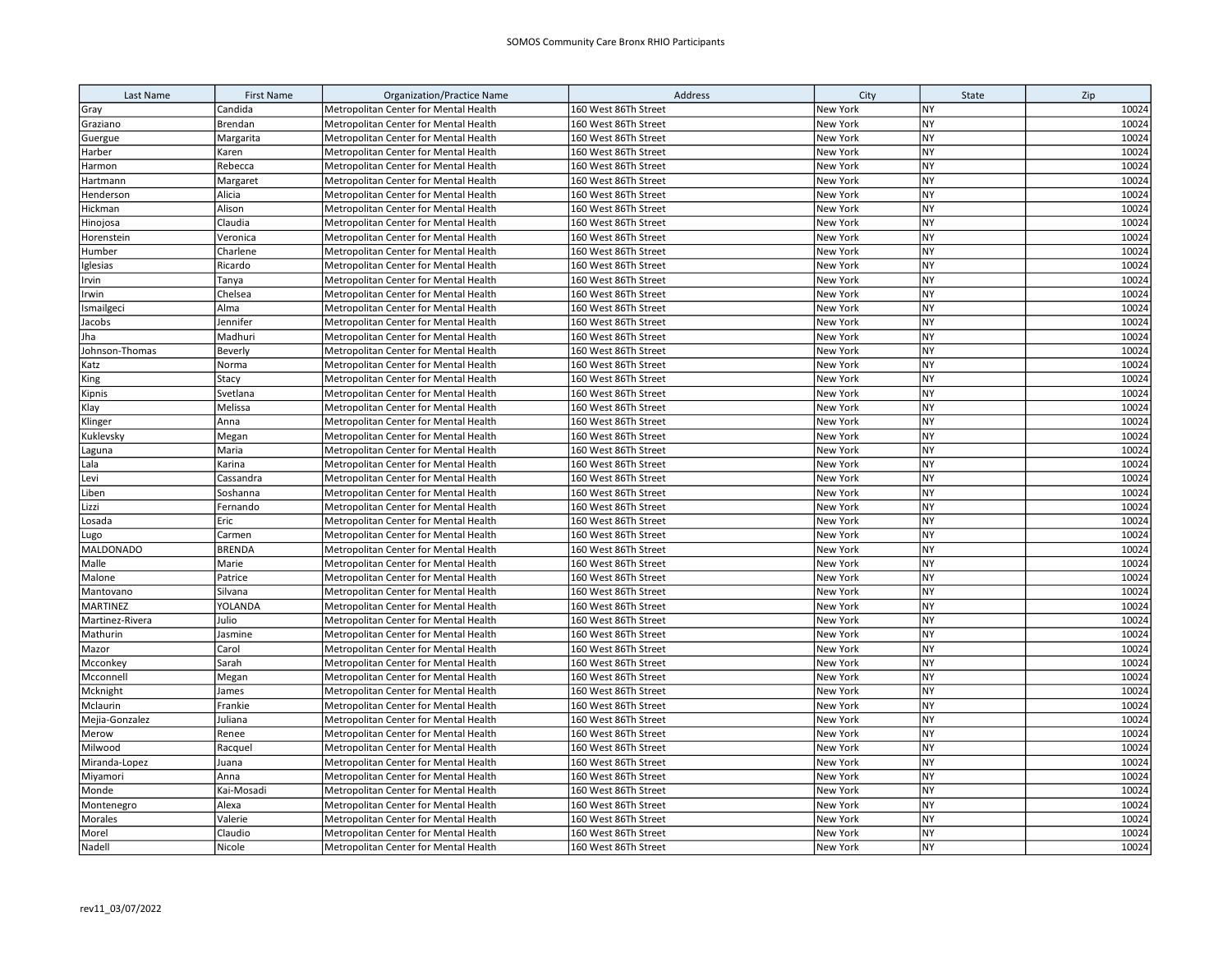| Last Name        | <b>First Name</b> | <b>Organization/Practice Name</b>     | Address              | City     | State     | Zip   |
|------------------|-------------------|---------------------------------------|----------------------|----------|-----------|-------|
| Gray             | Candida           | Metropolitan Center for Mental Health | 160 West 86Th Street | New York | <b>NY</b> | 10024 |
| Graziano         | Brendan           | Metropolitan Center for Mental Health | 160 West 86Th Street | New York | <b>NY</b> | 10024 |
| Guergue          | Margarita         | Metropolitan Center for Mental Health | 160 West 86Th Street | New York | NY        | 10024 |
| Harber           | Karen             | Metropolitan Center for Mental Health | 160 West 86Th Street | New York | NY        | 10024 |
| Harmon           | Rebecca           | Metropolitan Center for Mental Health | 160 West 86Th Street | New York | <b>NY</b> | 10024 |
| Hartmann         | Margaret          | Metropolitan Center for Mental Health | 160 West 86Th Street | New York | <b>NY</b> | 10024 |
| Henderson        | Alicia            | Metropolitan Center for Mental Health | 160 West 86Th Street | New York | <b>NY</b> | 10024 |
| Hickman          | Alison            | Metropolitan Center for Mental Health | 160 West 86Th Street | New York | NY        | 10024 |
| Hinojosa         | Claudia           | Metropolitan Center for Mental Health | 160 West 86Th Street | New York | <b>NY</b> | 10024 |
| Horenstein       | Veronica          | Metropolitan Center for Mental Health | 160 West 86Th Street | New York | <b>NY</b> | 10024 |
| Humber           | Charlene          | Metropolitan Center for Mental Health | 160 West 86Th Street | New York | <b>NY</b> | 10024 |
| Iglesias         | Ricardo           | Metropolitan Center for Mental Health | 160 West 86Th Street | New York | NY        | 10024 |
| Irvin            | Tanya             | Metropolitan Center for Mental Health | 160 West 86Th Street | New York | <b>NY</b> | 10024 |
| Irwin            | Chelsea           | Metropolitan Center for Mental Health | 160 West 86Th Street | New York | <b>NY</b> | 10024 |
| Ismailgeci       | Alma              | Metropolitan Center for Mental Health | 160 West 86Th Street | New York | <b>NY</b> | 10024 |
| Jacobs           | Jennifer          | Metropolitan Center for Mental Health | 160 West 86Th Street | New York | NY        | 10024 |
| Jha              | Madhuri           | Metropolitan Center for Mental Health | 160 West 86Th Street | New York | <b>NY</b> | 10024 |
| Johnson-Thomas   | Beverly           | Metropolitan Center for Mental Health | 160 West 86Th Street | New York | <b>NY</b> | 10024 |
| Katz             | Norma             | Metropolitan Center for Mental Health | 160 West 86Th Street | New York | <b>NY</b> | 10024 |
| King             | Stacy             | Metropolitan Center for Mental Health | 160 West 86Th Street | New York | <b>NY</b> | 10024 |
| Kipnis           | Svetlana          | Metropolitan Center for Mental Health | 160 West 86Th Street | New York | <b>NY</b> | 10024 |
| Klay             | Melissa           | Metropolitan Center for Mental Health | 160 West 86Th Street | New York | NY        | 10024 |
| Klinger          | Anna              | Metropolitan Center for Mental Health | 160 West 86Th Street | New York | <b>NY</b> | 10024 |
| Kuklevsky        | Megan             | Metropolitan Center for Mental Health | 160 West 86Th Street | New York | <b>NY</b> | 10024 |
| Laguna           | Maria             | Metropolitan Center for Mental Health | 160 West 86Th Street | New York | NY        | 10024 |
| Lala             | Karina            | Metropolitan Center for Mental Health | 160 West 86Th Street | New York | NY        | 10024 |
| Levi             | Cassandra         | Metropolitan Center for Mental Health | 160 West 86Th Street | New York | NY        | 10024 |
| Liben            | Soshanna          | Metropolitan Center for Mental Health | 160 West 86Th Street | New York | <b>NY</b> | 10024 |
| Lizzi            | Fernando          | Metropolitan Center for Mental Health | 160 West 86Th Street | New York | <b>NY</b> | 10024 |
| Losada           | Eric              | Metropolitan Center for Mental Health | 160 West 86Th Street | New York | NY        | 10024 |
| ugo.             | Carmen            | Metropolitan Center for Mental Health | 160 West 86Th Street | New York | NY        | 10024 |
| <b>MALDONADO</b> | <b>BRENDA</b>     | Metropolitan Center for Mental Health | 160 West 86Th Street | New York | <b>NY</b> | 10024 |
| Malle            | Marie             | Metropolitan Center for Mental Health | 160 West 86Th Street | New York | <b>NY</b> | 10024 |
| Malone           | Patrice           | Metropolitan Center for Mental Health | 160 West 86Th Street | New York | <b>NY</b> | 10024 |
| Mantovano        | Silvana           | Metropolitan Center for Mental Health | 160 West 86Th Street | New York | NY        | 10024 |
| <b>MARTINEZ</b>  | YOLANDA           | Metropolitan Center for Mental Health | 160 West 86Th Street | New York | <b>NY</b> | 10024 |
| Martinez-Rivera  | Julio             | Metropolitan Center for Mental Health | 160 West 86Th Street | New York | <b>NY</b> | 10024 |
| Mathurin         | Jasmine           | Metropolitan Center for Mental Health | 160 West 86Th Street | New York | <b>NY</b> | 10024 |
| Mazor            | Carol             | Metropolitan Center for Mental Health | 160 West 86Th Street | New York | NY        | 10024 |
| Mcconkey         | Sarah             | Metropolitan Center for Mental Health | 160 West 86Th Street | New York | <b>NY</b> | 10024 |
| Mcconnell        | Megan             | Metropolitan Center for Mental Health | 160 West 86Th Street | New York | <b>NY</b> | 10024 |
| Mcknight         | James             | Metropolitan Center for Mental Health | 160 West 86Th Street | New York | <b>NY</b> | 10024 |
| Mclaurin         | Frankie           | Metropolitan Center for Mental Health | 160 West 86Th Street | New York | NY        | 10024 |
| Mejia-Gonzalez   | Juliana           | Metropolitan Center for Mental Health | 160 West 86Th Street | New York | NY        | 10024 |
| Merow            | Renee             | Metropolitan Center for Mental Health | 160 West 86Th Street | New York | <b>NY</b> | 10024 |
| Milwood          | Racquel           | Metropolitan Center for Mental Health | 160 West 86Th Street | New York | <b>NY</b> | 10024 |
| Miranda-Lopez    | Juana             | Metropolitan Center for Mental Health | 160 West 86Th Street | New York | NY        | 10024 |
| Miyamori         | Anna              | Metropolitan Center for Mental Health | 160 West 86Th Street | New York | NY        | 10024 |
| Monde            | Kai-Mosadi        | Metropolitan Center for Mental Health | 160 West 86Th Street | New York | <b>NY</b> | 10024 |
| Montenegro       | Alexa             | Metropolitan Center for Mental Health | 160 West 86Th Street | New York | <b>NY</b> | 10024 |
| Morales          | Valerie           | Metropolitan Center for Mental Health | 160 West 86Th Street | New York | <b>NY</b> | 10024 |
| Morel            | Claudio           | Metropolitan Center for Mental Health | 160 West 86Th Street | New York | <b>NY</b> | 10024 |
| Nadell           | Nicole            | Metropolitan Center for Mental Health | 160 West 86Th Street | New York | <b>NY</b> | 10024 |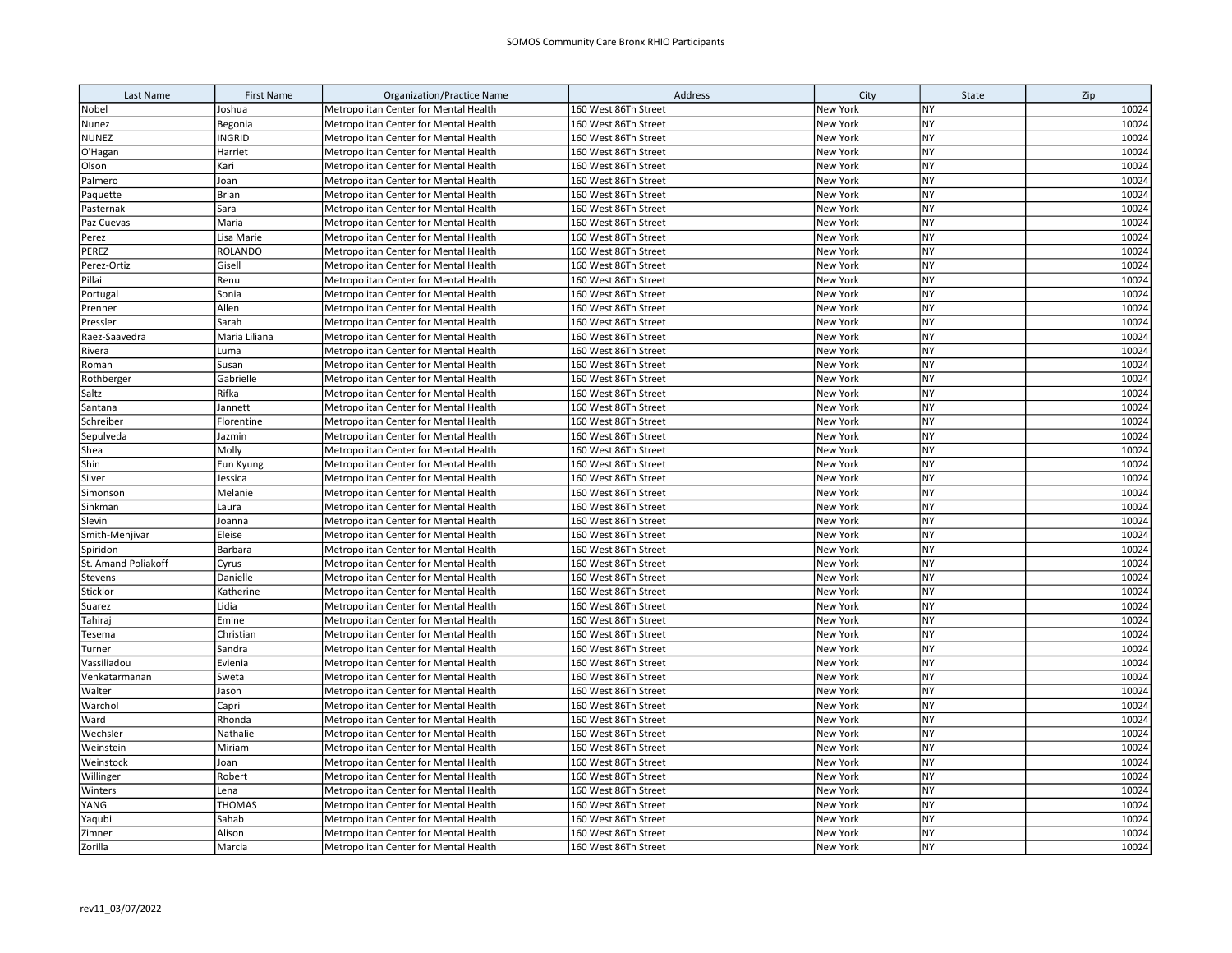| Last Name           | <b>First Name</b> | <b>Organization/Practice Name</b>     | Address              | City            | State     | Zip   |
|---------------------|-------------------|---------------------------------------|----------------------|-----------------|-----------|-------|
| Nobel               | Joshua            | Metropolitan Center for Mental Health | 160 West 86Th Street | New York        | NY        | 10024 |
| Nunez               | Begonia           | Metropolitan Center for Mental Health | 160 West 86Th Street | New York        | <b>NY</b> | 10024 |
| <b>NUNEZ</b>        | <b>INGRID</b>     | Metropolitan Center for Mental Health | 160 West 86Th Street | New York        | <b>NY</b> | 10024 |
| O'Hagan             | Harriet           | Metropolitan Center for Mental Health | 160 West 86Th Street | New York        | <b>NY</b> | 10024 |
| Olson               | Kari              | Metropolitan Center for Mental Health | 160 West 86Th Street | New York        | <b>NY</b> | 10024 |
| Palmero             | Joan              | Metropolitan Center for Mental Health | 160 West 86Th Street | New York        | <b>NY</b> | 10024 |
| Paquette            | Brian             | Metropolitan Center for Mental Health | 160 West 86Th Street | New York        | <b>NY</b> | 10024 |
| Pasternak           | Sara              | Metropolitan Center for Mental Health | 160 West 86Th Street | New York        | <b>NY</b> | 10024 |
| Paz Cuevas          | Maria             | Metropolitan Center for Mental Health | 160 West 86Th Street | New York        | <b>NY</b> | 10024 |
| Perez               | Lisa Marie        | Metropolitan Center for Mental Health | 160 West 86Th Street | New York        | <b>NY</b> | 10024 |
| PEREZ               | <b>ROLANDO</b>    | Metropolitan Center for Mental Health | 160 West 86Th Street | New York        | <b>NY</b> | 10024 |
| Perez-Ortiz         | Gisell            | Metropolitan Center for Mental Health | 160 West 86Th Street | New York        | <b>NY</b> | 10024 |
| Pillai              | Renu              | Metropolitan Center for Mental Health | 160 West 86Th Street | New York        | <b>NY</b> | 10024 |
| Portugal            | Sonia             | Metropolitan Center for Mental Health | 160 West 86Th Street | New York        | <b>NY</b> | 10024 |
| Prenner             | Allen             | Metropolitan Center for Mental Health | 160 West 86Th Street | New York        | <b>NY</b> | 10024 |
| Pressler            | Sarah             | Metropolitan Center for Mental Health | 160 West 86Th Street | New York        | <b>NY</b> | 10024 |
| Raez-Saavedra       | Maria Liliana     | Metropolitan Center for Mental Health | 160 West 86Th Street | New York        | <b>NY</b> | 10024 |
| Rivera              | Luma              | Metropolitan Center for Mental Health | 160 West 86Th Street | New York        | <b>NY</b> | 10024 |
| Roman               | Susan             | Metropolitan Center for Mental Health | 160 West 86Th Street | New York        | <b>NY</b> | 10024 |
| Rothberger          | Gabrielle         | Metropolitan Center for Mental Health | 160 West 86Th Street | New York        | <b>NY</b> | 10024 |
| Saltz               | Rifka             | Metropolitan Center for Mental Health | 160 West 86Th Street | New York        | <b>NY</b> | 10024 |
| Santana             | Jannett           | Metropolitan Center for Mental Health | 160 West 86Th Street | New York        | <b>NY</b> | 10024 |
| Schreiber           | Florentine        | Metropolitan Center for Mental Health | 160 West 86Th Street | New York        | <b>NY</b> | 10024 |
| Sepulveda           | Jazmin            | Metropolitan Center for Mental Health | 160 West 86Th Street | New York        | <b>NY</b> | 10024 |
| Shea                | Molly             | Metropolitan Center for Mental Health | 160 West 86Th Street | New York        | <b>NY</b> | 10024 |
| Shin                | Eun Kyung         | Metropolitan Center for Mental Health | 160 West 86Th Street | New York        | <b>NY</b> | 10024 |
| Silver              | Jessica           | Metropolitan Center for Mental Health | 160 West 86Th Street | New York        | <b>NY</b> | 10024 |
| Simonson            | Melanie           | Metropolitan Center for Mental Health | 160 West 86Th Street | New York        | <b>NY</b> | 10024 |
| Sinkman             | Laura             | Metropolitan Center for Mental Health | 160 West 86Th Street | New York        | <b>NY</b> | 10024 |
| Slevin              | Joanna            | Metropolitan Center for Mental Health | 160 West 86Th Street | New York        | <b>NY</b> | 10024 |
| Smith-Menjivar      | Eleise            | Metropolitan Center for Mental Health | 160 West 86Th Street | New York        | <b>NY</b> | 10024 |
| Spiridon            | Barbara           | Metropolitan Center for Mental Health | 160 West 86Th Street | New York        | <b>NY</b> | 10024 |
| St. Amand Poliakoff | Cyrus             | Metropolitan Center for Mental Health | 160 West 86Th Street | New York        | <b>NY</b> | 10024 |
| Stevens             | Danielle          | Metropolitan Center for Mental Health | 160 West 86Th Street | New York        | <b>NY</b> | 10024 |
| Sticklor            | Katherine         | Metropolitan Center for Mental Health | 160 West 86Th Street | New York        | NY        | 10024 |
| Suarez              | Lidia             | Metropolitan Center for Mental Health | 160 West 86Th Street | New York        | <b>NY</b> | 10024 |
| Tahiraj             | Emine             | Metropolitan Center for Mental Health | 160 West 86Th Street | New York        | <b>NY</b> | 10024 |
| Tesema              | Christian         | Metropolitan Center for Mental Health | 160 West 86Th Street | New York        | <b>NY</b> | 10024 |
| Turner              | Sandra            | Metropolitan Center for Mental Health | 160 West 86Th Street | New York        | <b>NY</b> | 10024 |
| Vassiliadou         | Evienia           | Metropolitan Center for Mental Health | 160 West 86Th Street | New York        | <b>NY</b> | 10024 |
| Venkatarmanan       | Sweta             | Metropolitan Center for Mental Health | 160 West 86Th Street | New York        | <b>NY</b> | 10024 |
| Walter              | Jason             | Metropolitan Center for Mental Health | 160 West 86Th Street | New York        | <b>NY</b> | 10024 |
| Warchol             | Capri             | Metropolitan Center for Mental Health | 160 West 86Th Street | New York        | <b>NY</b> | 10024 |
| Ward                | Rhonda            | Metropolitan Center for Mental Health | 160 West 86Th Street | New York        | <b>NY</b> | 10024 |
| Wechsler            | Nathalie          | Metropolitan Center for Mental Health | 160 West 86Th Street | New York        | <b>NY</b> | 10024 |
| Weinstein           | Miriam            | Metropolitan Center for Mental Health | 160 West 86Th Street | New York        | <b>NY</b> | 10024 |
| Weinstock           | Joan              | Metropolitan Center for Mental Health | 160 West 86Th Street | New York        | <b>NY</b> | 10024 |
| Willinger           | Robert            | Metropolitan Center for Mental Health | 160 West 86Th Street | New York        | <b>NY</b> | 10024 |
| Winters             | Lena              | Metropolitan Center for Mental Health | 160 West 86Th Street | New York        | <b>NY</b> | 10024 |
| YANG                | <b>THOMAS</b>     | Metropolitan Center for Mental Health | 160 West 86Th Street | New York        | <b>NY</b> | 10024 |
| Yaqubi              | Sahab             | Metropolitan Center for Mental Health | 160 West 86Th Street | New York        | <b>NY</b> | 10024 |
| Zimner              | Alison            | Metropolitan Center for Mental Health | 160 West 86Th Street | New York        | <b>NY</b> | 10024 |
| Zorilla             | Marcia            | Metropolitan Center for Mental Health | 160 West 86Th Street | <b>New York</b> | <b>NY</b> | 10024 |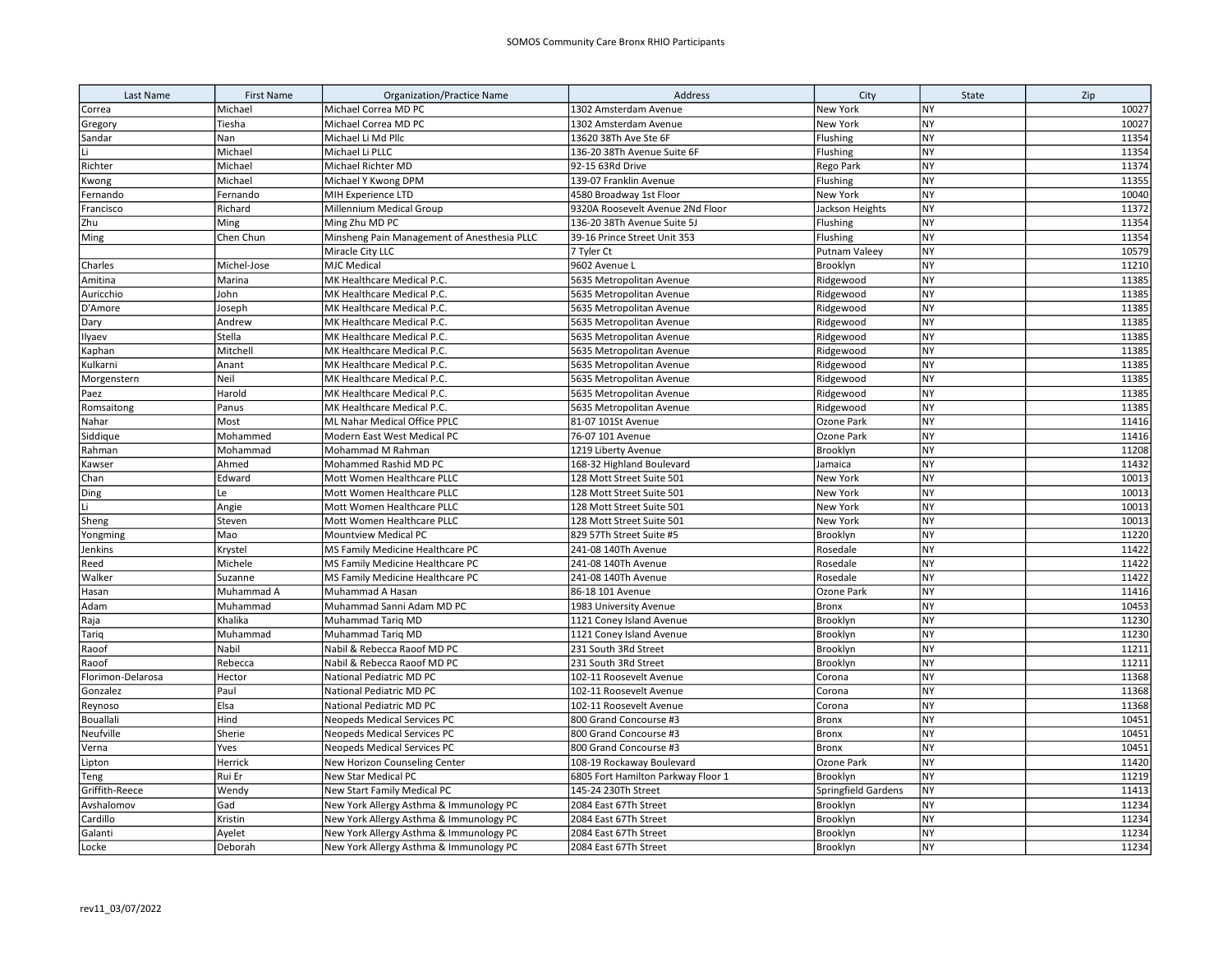| Last Name         | <b>First Name</b> | Organization/Practice Name                  | Address                            | City                | State     | Zip   |
|-------------------|-------------------|---------------------------------------------|------------------------------------|---------------------|-----------|-------|
| Correa            | Michael           | Michael Correa MD PC                        | 1302 Amsterdam Avenue              | New York            | NY        | 10027 |
| Gregory           | Tiesha            | Michael Correa MD PC                        | 1302 Amsterdam Avenue              | New York            | <b>NY</b> | 10027 |
| Sandar            | Nan               | Michael Li Md Pllc                          | 13620 38Th Ave Ste 6F              | Flushing            | <b>NY</b> | 11354 |
|                   | Michael           | Michael Li PLLC                             | 136-20 38Th Avenue Suite 6F        | Flushing            | NY        | 11354 |
| Richter           | Michael           | Michael Richter MD                          | 92-15 63Rd Drive                   | Rego Park           | <b>NY</b> | 11374 |
| Kwong             | Michael           | Michael Y Kwong DPM                         | 139-07 Franklin Avenue             | Flushing            | <b>NY</b> | 11355 |
| Fernando          | Fernando          | MIH Experience LTD                          | 4580 Broadway 1st Floor            | New York            | <b>NY</b> | 10040 |
| Francisco         | Richard           | Millennium Medical Group                    | 9320A Roosevelt Avenue 2Nd Floor   | Jackson Heights     | NY        | 11372 |
| Zhu               | Ming              | Ming Zhu MD PC                              | 136-20 38Th Avenue Suite 5J        | Flushing            | <b>NY</b> | 11354 |
| Ming              | Chen Chun         | Minsheng Pain Management of Anesthesia PLLC | 39-16 Prince Street Unit 353       | Flushing            | NY        | 11354 |
|                   |                   | Miracle City LLC                            | 7 Tyler Ct                         | Putnam Valeey       | NY        | 10579 |
| Charles           | Michel-Jose       | <b>MJC Medical</b>                          | 9602 Avenue L                      | Brooklyn            | NY        | 11210 |
| Amitina           | Marina            | MK Healthcare Medical P.C.                  | 5635 Metropolitan Avenue           | Ridgewood           | <b>NY</b> | 11385 |
| Auricchio         | John              | MK Healthcare Medical P.C.                  | 5635 Metropolitan Avenue           | Ridgewood           | NY        | 11385 |
| D'Amore           | Joseph            | MK Healthcare Medical P.C.                  | 5635 Metropolitan Avenue           | Ridgewood           | NY        | 11385 |
| Dary              | Andrew            | MK Healthcare Medical P.C.                  | 5635 Metropolitan Avenue           | Ridgewood           | NY        | 11385 |
| Ilyaev            | Stella            | MK Healthcare Medical P.C.                  | 5635 Metropolitan Avenue           | Ridgewood           | <b>NY</b> | 11385 |
| Kaphan            | Mitchell          | MK Healthcare Medical P.C.                  | 5635 Metropolitan Avenue           | Ridgewood           | NY        | 11385 |
| Kulkarni          | Anant             | MK Healthcare Medical P.C.                  | 5635 Metropolitan Avenue           | Ridgewood           | <b>NY</b> | 11385 |
| Morgenstern       | Neil              | MK Healthcare Medical P.C.                  | 5635 Metropolitan Avenue           | Ridgewood           | NY        | 11385 |
| Paez              | Harold            | MK Healthcare Medical P.C.                  | 5635 Metropolitan Avenue           | Ridgewood           | <b>NY</b> | 11385 |
| Romsaitong        | Panus             | MK Healthcare Medical P.C.                  | 5635 Metropolitan Avenue           | Ridgewood           | NY        | 11385 |
| Nahar             | Most              | ML Nahar Medical Office PPLC                | 81-07 101St Avenue                 | Ozone Park          | <b>NY</b> | 11416 |
| Siddique          | Mohammed          | Modern East West Medical PC                 | 76-07 101 Avenue                   | Ozone Park          | <b>NY</b> | 11416 |
| Rahman            | Mohammad          | Mohammad M Rahman                           | 1219 Liberty Avenue                | Brooklyn            | <b>NY</b> | 11208 |
| Kawser            | Ahmed             | Mohammed Rashid MD PC                       | 168-32 Highland Boulevard          | Jamaica             | NY        | 11432 |
| Chan              | Edward            | Mott Women Healthcare PLLC                  | 128 Mott Street Suite 501          | New York            | <b>NY</b> | 10013 |
| Ding              | Le                | Mott Women Healthcare PLLC                  | 128 Mott Street Suite 501          | New York            | <b>NY</b> | 10013 |
| Li                | Angie             | Mott Women Healthcare PLLC                  | 128 Mott Street Suite 501          | New York            | <b>NY</b> | 10013 |
| Sheng             | Steven            | Mott Women Healthcare PLLC                  | 128 Mott Street Suite 501          | New York            | NY        | 10013 |
| Yongming          | Mao               | Mountview Medical PC                        | 829 57Th Street Suite #5           | Brooklyn            | NY        | 11220 |
| Jenkins           | Krystel           | MS Family Medicine Healthcare PC            | 241-08 140Th Avenue                | Rosedale            | NY        | 11422 |
| Reed              | Michele           | MS Family Medicine Healthcare PC            | 241-08 140Th Avenue                | Rosedale            | <b>NY</b> | 11422 |
| Walker            | Suzanne           | MS Family Medicine Healthcare PC            | 241-08 140Th Avenue                | Rosedale            | NY        | 11422 |
| Hasan             | Muhammad A        | Muhammad A Hasan                            | 86-18 101 Avenue                   | Ozone Park          | NY        | 11416 |
| Adam              | Muhammad          | Muhammad Sanni Adam MD PC                   | 1983 University Avenue             | <b>Bronx</b>        | <b>NY</b> | 10453 |
| Raja              | Khalika           | Muhammad Tariq MD                           | 1121 Coney Island Avenue           | Brooklyn            | <b>NY</b> | 11230 |
| Tariq             | Muhammad          | Muhammad Tarig MD                           | 1121 Coney Island Avenue           | Brooklyn            | NY        | 11230 |
| Raoof             | Nabil             | Nabil & Rebecca Raoof MD PC                 | 231 South 3Rd Street               | Brooklyn            | NY        | 11211 |
| Raoof             | Rebecca           | Nabil & Rebecca Raoof MD PC                 | 231 South 3Rd Street               | Brooklyn            | <b>NY</b> | 11211 |
| Florimon-Delarosa | Hector            | National Pediatric MD PC                    | 102-11 Roosevelt Avenue            | Corona              | NY        | 11368 |
| Gonzalez          | Paul              | National Pediatric MD PC                    | 102-11 Roosevelt Avenue            | Corona              | NY        | 11368 |
| Reynoso           | Elsa              | National Pediatric MD PC                    | 102-11 Roosevelt Avenue            | Corona              | NY        | 11368 |
| Bouallali         | Hind              | <b>Neopeds Medical Services PC</b>          | 800 Grand Concourse #3             | <b>Bronx</b>        | <b>NY</b> | 10451 |
| Neufville         | Sherie            | Neopeds Medical Services PC                 | 800 Grand Concourse #3             | <b>Bronx</b>        | NY        | 10451 |
| Verna             | Yves              | <b>Neopeds Medical Services PC</b>          | 800 Grand Concourse #3             | <b>Bronx</b>        | NY        | 10451 |
| Lipton            | Herrick           | New Horizon Counseling Center               | 108-19 Rockaway Boulevard          | Ozone Park          | NY        | 11420 |
| Teng              | Rui Er            | New Star Medical PC                         | 6805 Fort Hamilton Parkway Floor 1 | Brooklyn            | <b>NY</b> | 11219 |
| Griffith-Reece    | Wendy             | New Start Family Medical PC                 | 145-24 230Th Street                | Springfield Gardens | NY        | 11413 |
| Avshalomov        | Gad               | New York Allergy Asthma & Immunology PC     | 2084 East 67Th Street              | Brooklyn            | <b>NY</b> | 11234 |
| Cardillo          | Kristin           | New York Allergy Asthma & Immunology PC     | 2084 East 67Th Street              | Brooklyn            | NY        | 11234 |
| Galanti           | Ayelet            | New York Allergy Asthma & Immunology PC     | 2084 East 67Th Street              | Brooklyn            | <b>NY</b> | 11234 |
| Locke             | Deborah           | New York Allergy Asthma & Immunology PC     | 2084 East 67Th Street              | Brooklyn            | <b>NY</b> | 11234 |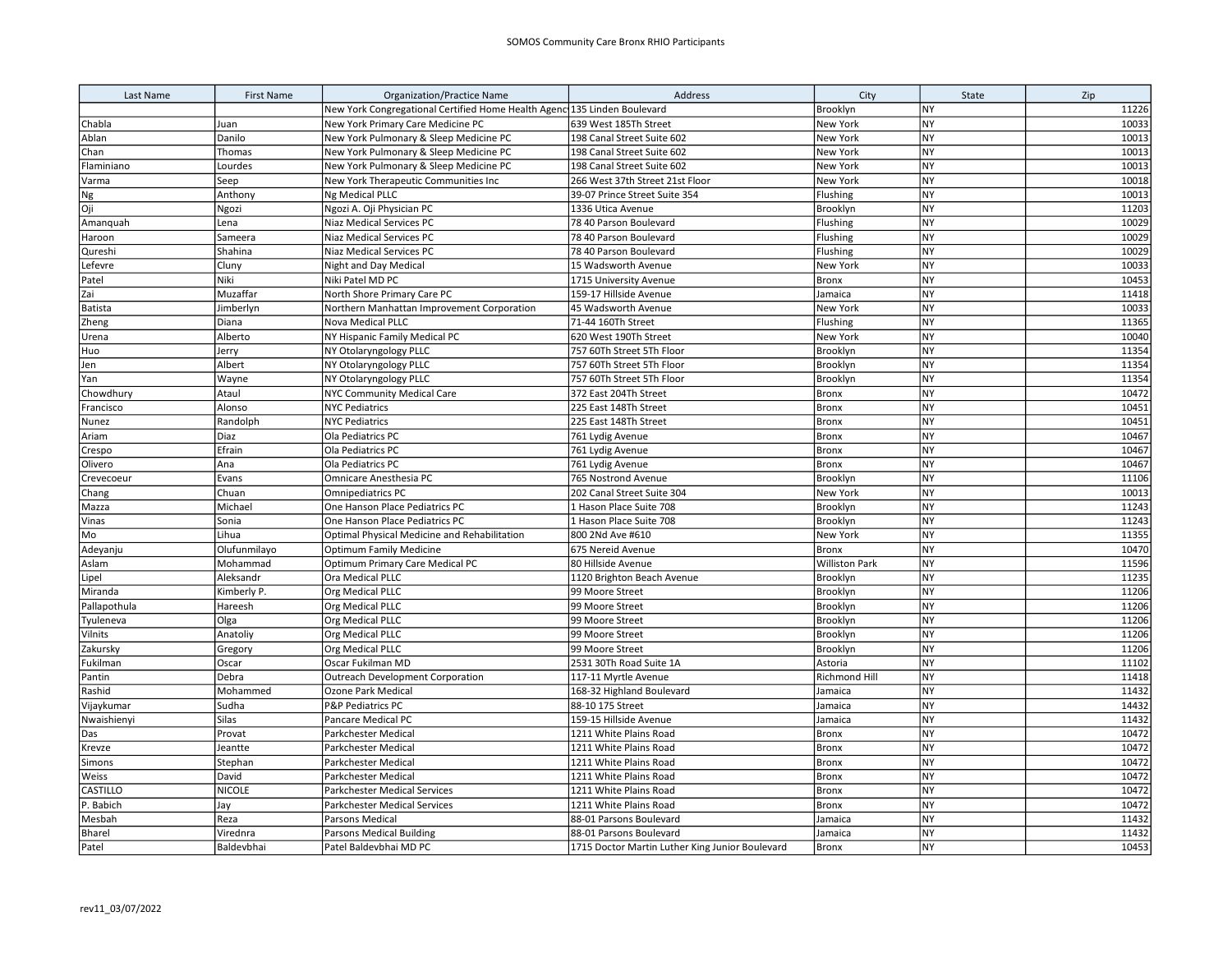| Last Name    | <b>First Name</b> | <b>Organization/Practice Name</b>                                        | Address                                         | City                  | State     | Zip   |
|--------------|-------------------|--------------------------------------------------------------------------|-------------------------------------------------|-----------------------|-----------|-------|
|              |                   | New York Congregational Certified Home Health Agenc 135 Linden Boulevard |                                                 | Brooklyn              | <b>NY</b> | 11226 |
| Chabla       | Juan              | New York Primary Care Medicine PC                                        | 639 West 185Th Street                           | New York              | NY        | 10033 |
| Ablan        | Danilo            | New York Pulmonary & Sleep Medicine PC                                   | 198 Canal Street Suite 602                      | New York              | NY        | 10013 |
| Chan         | Thomas            | New York Pulmonary & Sleep Medicine PC                                   | 198 Canal Street Suite 602                      | New York              | NY        | 10013 |
| Flaminiano   | Lourdes           | New York Pulmonary & Sleep Medicine PC                                   | 198 Canal Street Suite 602                      | New York              | <b>NY</b> | 10013 |
| Varma        | Seep              | New York Therapeutic Communities Inc                                     | 266 West 37th Street 21st Floor                 | New York              | NY        | 10018 |
| Ng           | Anthony           | Ng Medical PLLC                                                          | 39-07 Prince Street Suite 354                   | Flushing              | NY        | 10013 |
| Oji          | Ngozi             | Ngozi A. Oji Physician PC                                                | 1336 Utica Avenue                               | Brooklyn              | NY        | 11203 |
| Amanquah     | Lena              | Niaz Medical Services PC                                                 | 78 40 Parson Boulevard                          | Flushing              | <b>NY</b> | 10029 |
| Haroon       | Sameera           | Niaz Medical Services PC                                                 | 78 40 Parson Boulevard                          | Flushing              | NY        | 10029 |
| Qureshi      | Shahina           | Niaz Medical Services PC                                                 | 78 40 Parson Boulevard                          | Flushing              | NY        | 10029 |
| Lefevre      | Cluny             | Night and Day Medical                                                    | 15 Wadsworth Avenue                             | New York              | NY        | 10033 |
| Patel        | Niki              | Niki Patel MD PC                                                         | 1715 University Avenue                          | <b>Bronx</b>          | <b>NY</b> | 10453 |
| Zai          | Muzaffar          | North Shore Primary Care PC                                              | 159-17 Hillside Avenue                          | Jamaica               | <b>NY</b> | 11418 |
| Batista      | Jimberlyn         | Northern Manhattan Improvement Corporation                               | 45 Wadsworth Avenue                             | New York              | NY        | 10033 |
| Zheng        | Diana             | Nova Medical PLLC                                                        | 71-44 160Th Street                              | Flushing              | <b>NY</b> | 11365 |
| Urena        | Alberto           | NY Hispanic Family Medical PC                                            | 620 West 190Th Street                           | <b>New York</b>       | NY        | 10040 |
| Huo          | Jerry             | NY Otolaryngology PLLC                                                   | 757 60Th Street 5Th Floor                       | Brooklyn              | NY        | 11354 |
| Jen          | Albert            | NY Otolaryngology PLLC                                                   | 757 60Th Street 5Th Floor                       | Brooklyn              | NY        | 11354 |
| Yan          | Wayne             | NY Otolaryngology PLLC                                                   | 757 60Th Street 5Th Floor                       | Brooklyn              | <b>NY</b> | 11354 |
| Chowdhury    | Ataul             | <b>NYC Community Medical Care</b>                                        | 372 East 204Th Street                           | <b>Bronx</b>          | NY        | 10472 |
| Francisco    | Alonso            | <b>NYC Pediatrics</b>                                                    | 225 East 148Th Street                           | <b>Bronx</b>          | <b>NY</b> | 10451 |
| Nunez        | Randolph          | <b>NYC Pediatrics</b>                                                    | 225 East 148Th Street                           | Bronx                 | NY        | 10451 |
| Ariam        | Diaz              | Ola Pediatrics PC                                                        | 761 Lydig Avenue                                | <b>Bronx</b>          | <b>NY</b> | 10467 |
| Crespo       | Efrain            | Ola Pediatrics PC                                                        | 761 Lydig Avenue                                | <b>Bronx</b>          | <b>NY</b> | 10467 |
| Olivero      | Ana               | Ola Pediatrics PC                                                        | 761 Lydig Avenue                                | <b>Bronx</b>          | <b>NY</b> | 10467 |
| Crevecoeur   | Evans             | Omnicare Anesthesia PC                                                   | 765 Nostrond Avenue                             | Brooklyn              | NY        | 11106 |
| Chang        | Chuan             | <b>Omnipediatrics PC</b>                                                 | 202 Canal Street Suite 304                      | <b>New York</b>       | NY        | 10013 |
| Mazza        | Michael           | One Hanson Place Pediatrics PC                                           | 1 Hason Place Suite 708                         | Brooklyn              | <b>NY</b> | 11243 |
| Vinas        | Sonia             | One Hanson Place Pediatrics PC                                           | 1 Hason Place Suite 708                         | Brooklyn              | <b>NY</b> | 11243 |
| Mo           | Lihua             | Optimal Physical Medicine and Rehabilitation                             | 800 2Nd Ave #610                                | New York              | NY        | 11355 |
| Adeyanju     | Olufunmilayo      | <b>Optimum Family Medicine</b>                                           | 675 Nereid Avenue                               | Bronx                 | NY        | 10470 |
| Aslam        | Mohammad          | Optimum Primary Care Medical PC                                          | 80 Hillside Avenue                              | <b>Williston Park</b> | <b>NY</b> | 11596 |
| Lipel        | Aleksandr         | Ora Medical PLLC                                                         | 1120 Brighton Beach Avenue                      | Brooklyn              | <b>NY</b> | 11235 |
| Miranda      | Kimberly P.       | Org Medical PLLC                                                         | 99 Moore Street                                 | Brooklyn              | NY        | 11206 |
| Pallapothula | Hareesh           | Org Medical PLLC                                                         | 99 Moore Street                                 | Brooklyn              | NY        | 11206 |
| Tyuleneva    | Olga              | Org Medical PLLC                                                         | 99 Moore Street                                 | Brooklyn              | NY        | 11206 |
| Vilnits      | Anatoliy          | Org Medical PLLC                                                         | 99 Moore Street                                 | Brooklyn              | NY        | 11206 |
| Zakursky     | Gregory           | Org Medical PLLC                                                         | 99 Moore Street                                 | Brooklyn              | NY        | 11206 |
| Fukilman     | Oscar             | Oscar Fukilman MD                                                        | 2531 30Th Road Suite 1A                         | Astoria               | NY        | 11102 |
| Pantin       | Debra             | Outreach Development Corporation                                         | 117-11 Myrtle Avenue                            | Richmond Hill         | NY        | 11418 |
| Rashid       | Mohammed          | Ozone Park Medical                                                       | 168-32 Highland Boulevard                       | Jamaica               | <b>NY</b> | 11432 |
| Vijaykumar   | Sudha             | <b>P&amp;P Pediatrics PC</b>                                             | 88-10 175 Street                                | Jamaica               | NY        | 14432 |
| Nwaishienyi  | <b>Silas</b>      | Pancare Medical PC                                                       | 159-15 Hillside Avenue                          | Jamaica               | <b>NY</b> | 11432 |
| Das          | Provat            | Parkchester Medical                                                      | 1211 White Plains Road                          | <b>Bronx</b>          | <b>NY</b> | 10472 |
| Krevze       | Jeantte           | Parkchester Medical                                                      | 1211 White Plains Road                          | <b>Bronx</b>          | NY        | 10472 |
| Simons       | Stephan           | Parkchester Medical                                                      | 1211 White Plains Road                          | <b>Bronx</b>          | <b>NY</b> | 10472 |
| Weiss        | David             | Parkchester Medical                                                      | 1211 White Plains Road                          | Bronx                 | NY        | 10472 |
| CASTILLO     | <b>NICOLE</b>     | <b>Parkchester Medical Services</b>                                      | 1211 White Plains Road                          | <b>Bronx</b>          | <b>NY</b> | 10472 |
| P. Babich    | Jay               | <b>Parkchester Medical Services</b>                                      | 1211 White Plains Road                          | <b>Bronx</b>          | <b>NY</b> | 10472 |
| Mesbah       | Reza              | Parsons Medical                                                          | 88-01 Parsons Boulevard                         | Jamaica               | <b>NY</b> | 11432 |
| Bharel       | Virednra          | <b>Parsons Medical Building</b>                                          | 88-01 Parsons Boulevard                         | Jamaica               | NY        | 11432 |
| Patel        | Baldevbhai        | Patel Baldevbhai MD PC                                                   | 1715 Doctor Martin Luther King Junior Boulevard | <b>Bronx</b>          | <b>NY</b> | 10453 |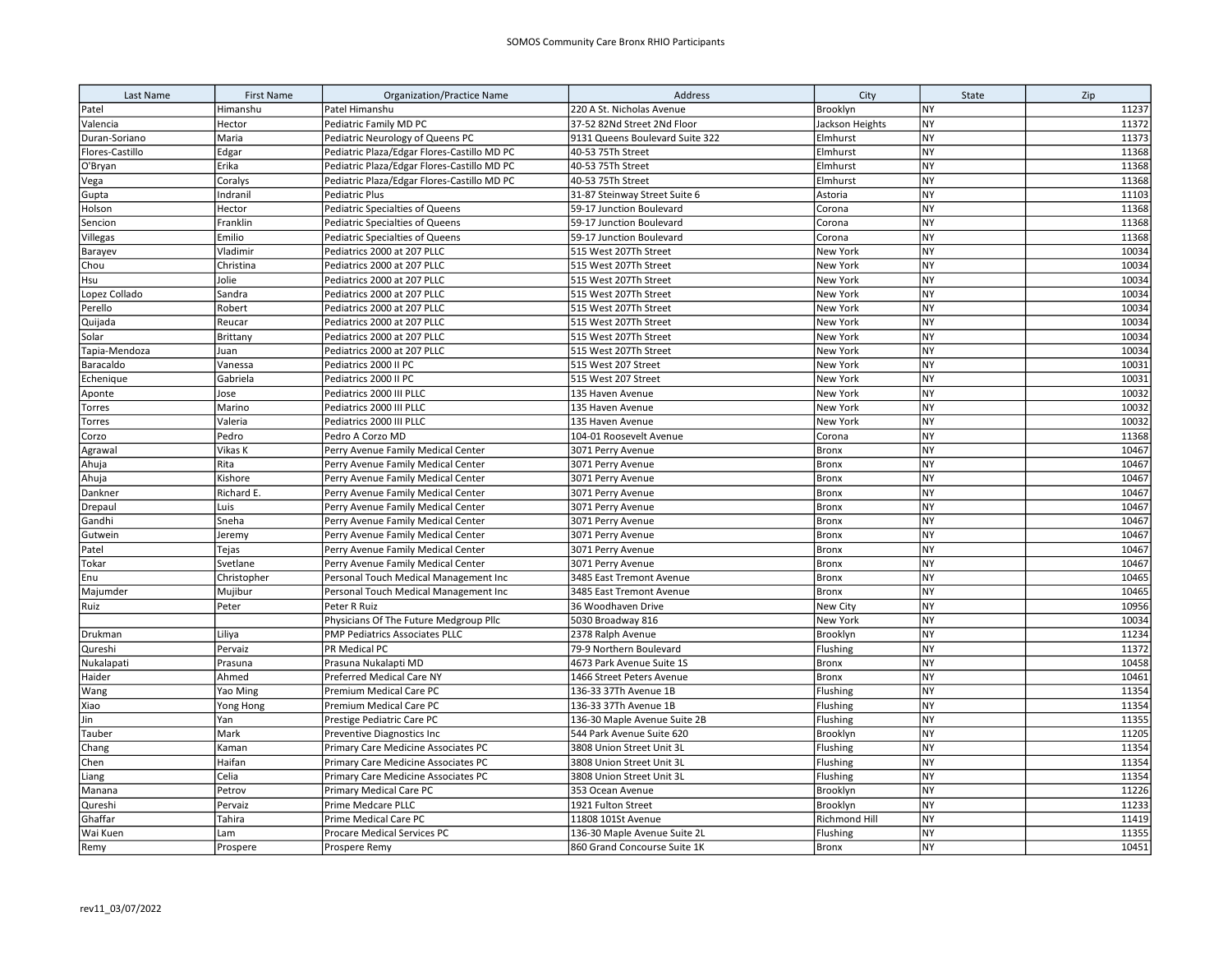| Last Name           | <b>First Name</b> | <b>Organization/Practice Name</b>           | Address                                  | City                      | State                  | Zip            |
|---------------------|-------------------|---------------------------------------------|------------------------------------------|---------------------------|------------------------|----------------|
| Patel               | Himanshu          | Patel Himanshu                              | 220 A St. Nicholas Avenue                | Brooklyn                  | <b>NY</b>              | 11237          |
| Valencia            | Hector            | Pediatric Family MD PC                      | 37-52 82Nd Street 2Nd Floor              | Jackson Heights           | <b>NY</b>              | 11372          |
| Duran-Soriano       | Maria             | Pediatric Neurology of Queens PC            | 9131 Queens Boulevard Suite 322          | Elmhurst                  | <b>NY</b>              | 11373          |
| Flores-Castillo     | Edgar             | Pediatric Plaza/Edgar Flores-Castillo MD PC | 40-53 75Th Street                        | Elmhurst                  | <b>NY</b>              | 11368          |
| O'Bryan             | Erika             | Pediatric Plaza/Edgar Flores-Castillo MD PC | 40-53 75Th Street                        | Elmhurst                  | NY                     | 11368          |
| Vega                | Coralys           | Pediatric Plaza/Edgar Flores-Castillo MD PC | 40-53 75Th Street                        | Elmhurst                  | <b>NY</b>              | 11368          |
| Gupta               | Indranil          | <b>Pediatric Plus</b>                       | 31-87 Steinway Street Suite 6            | Astoria                   | <b>NY</b>              | 11103          |
| Holson              | Hector            | Pediatric Specialties of Queens             | 59-17 Junction Boulevard                 | Corona                    | <b>NY</b>              | 11368          |
| Sencion             | Franklin          | Pediatric Specialties of Queens             | 59-17 Junction Boulevard                 | Corona                    | <b>NY</b>              | 11368          |
| Villegas            | Emilio            | <b>Pediatric Specialties of Queens</b>      | 59-17 Junction Boulevard                 | Corona                    | <b>NY</b>              | 11368          |
| Barayev             | Vladimir          | Pediatrics 2000 at 207 PLLC                 | 515 West 207Th Street                    | New York                  | <b>NY</b>              | 10034          |
| Chou                | Christina         | Pediatrics 2000 at 207 PLLC                 | 515 West 207Th Street                    | New York                  | <b>NY</b>              | 10034          |
| Hsu                 | Jolie             | Pediatrics 2000 at 207 PLLC                 | 515 West 207Th Street                    | New York                  | <b>NY</b>              | 10034          |
| Lopez Collado       | Sandra            | Pediatrics 2000 at 207 PLLC                 | 515 West 207Th Street                    | New York                  | <b>NY</b>              | 10034          |
| Perello             | Robert            | Pediatrics 2000 at 207 PLLC                 | 515 West 207Th Street                    | New York                  | <b>NY</b>              | 10034          |
| Quijada             | Reucar            | Pediatrics 2000 at 207 PLLC                 | 515 West 207Th Street                    | New York                  | NY                     | 10034          |
| Solar               | Brittany          | Pediatrics 2000 at 207 PLLC                 | 515 West 207Th Street                    | New York                  | NY                     | 10034          |
| Tapia-Mendoza       | Juan              | Pediatrics 2000 at 207 PLLC                 | 515 West 207Th Street                    | New York                  | <b>NY</b>              | 10034          |
| Baracaldo           | Vanessa           | Pediatrics 2000 II PC                       | 515 West 207 Street                      | New York                  | <b>NY</b>              | 10031          |
| Echenique           | Gabriela          | Pediatrics 2000 II PC                       | 515 West 207 Street                      | New York                  | <b>NY</b>              | 10031          |
| Aponte              | Jose              | Pediatrics 2000 III PLLC                    | 135 Haven Avenue                         | New York                  | NY                     | 10032          |
| Torres              | Marino            | Pediatrics 2000 III PLLC                    | 135 Haven Avenue                         | New York                  | <b>NY</b>              | 10032          |
| Torres              | Valeria           | Pediatrics 2000 III PLLC                    | 135 Haven Avenue                         | New York                  | <b>NY</b>              | 10032          |
| Corzo               | Pedro             | Pedro A Corzo MD                            | 104-01 Roosevelt Avenue                  | Corona                    | <b>NY</b>              | 11368          |
| Agrawal             | Vikas K           | Perry Avenue Family Medical Center          | 3071 Perry Avenue                        | Bronx                     | <b>NY</b>              | 10467          |
| Ahuja               | Rita              | Perry Avenue Family Medical Center          | 3071 Perry Avenue                        | <b>Bronx</b>              | NY                     | 10467          |
| Ahuja               | Kishore           | Perry Avenue Family Medical Center          | 3071 Perry Avenue                        | <b>Bronx</b>              | <b>NY</b>              | 10467          |
| Dankner             | Richard E.        | Perry Avenue Family Medical Center          | 3071 Perry Avenue                        | <b>Bronx</b>              | <b>NY</b>              | 10467          |
| Drepaul             | Luis              | Perry Avenue Family Medical Center          | 3071 Perry Avenue                        | Bronx                     | NY                     | 10467          |
| Gandhi              | Sneha             | Perry Avenue Family Medical Center          | 3071 Perry Avenue                        | Bronx                     | NY                     | 10467          |
| Gutwein             | Jeremy            | Perry Avenue Family Medical Center          | 3071 Perry Avenue                        | <b>Bronx</b>              | <b>NY</b>              | 10467          |
| Patel               | Tejas             | Perry Avenue Family Medical Center          | 3071 Perry Avenue                        | <b>Bronx</b>              | NY                     | 10467          |
| Tokar               | Svetlane          | Perry Avenue Family Medical Center          | 3071 Perry Avenue                        | Bronx                     | <b>NY</b>              | 10467          |
| Enu                 | Christopher       | Personal Touch Medical Management Inc       | 3485 East Tremont Avenue                 | <b>Bronx</b>              | <b>NY</b>              | 10465          |
| Majumder            | Mujibur           | Personal Touch Medical Management Inc       | 3485 East Tremont Avenue                 | <b>Bronx</b>              | NY                     | 10465          |
| Ruiz                | Peter             | Peter R Ruiz                                | 36 Woodhaven Drive                       | New City                  | <b>NY</b>              | 10956          |
|                     |                   | Physicians Of The Future Medgroup Pllc      | 5030 Broadway 816                        | New York                  | <b>NY</b>              | 10034          |
| Drukman             | Liliya            | PMP Pediatrics Associates PLLC              | 2378 Ralph Avenue                        | Brooklyn                  | NY                     | 11234          |
| Qureshi             | Pervaiz           | PR Medical PC                               | 79-9 Northern Boulevard                  | Flushing                  | NY                     | 11372          |
| Nukalapati          | Prasuna           | Prasuna Nukalapti MD                        | 4673 Park Avenue Suite 1S                | <b>Bronx</b>              | <b>NY</b>              | 10458          |
| Haider              | Ahmed             | Preferred Medical Care NY                   | 1466 Street Peters Avenue                | <b>Bronx</b>              | <b>NY</b>              | 10461          |
| Wang                | Yao Ming          | Premium Medical Care PC                     | 136-33 37Th Avenue 1B                    | Flushing                  | <b>NY</b><br>NY        | 11354          |
| Xiao                | Yong Hong         | Premium Medical Care PC                     | 136-33 37Th Avenue 1B                    | Flushing                  |                        | 11354          |
| Jin                 | Yan               | Prestige Pediatric Care PC                  | 136-30 Maple Avenue Suite 2B             | Flushing                  | NY                     | 11355          |
| Tauber              | Mark              | Preventive Diagnostics Inc                  | 544 Park Avenue Suite 620                | Brooklyn                  | <b>NY</b>              | 11205          |
| Chang               | Kaman             | Primary Care Medicine Associates PC         | 3808 Union Street Unit 3L                | Flushing                  | <b>NY</b>              | 11354          |
| Chen                | Haifan            | Primary Care Medicine Associates PC         | 3808 Union Street Unit 3L                | Flushing                  | <b>NY</b>              | 11354          |
| Liang               | Celia             | Primary Care Medicine Associates PC         | 3808 Union Street Unit 3L                | Flushing                  | <b>NY</b><br><b>NY</b> | 11354<br>11226 |
| Manana              | Petrov            | Primary Medical Care PC                     | 353 Ocean Avenue                         | Brooklyn                  | <b>NY</b>              | 11233          |
| Qureshi             | Pervaiz<br>Tahira | Prime Medcare PLLC<br>Prime Medical Care PC | 1921 Fulton Street<br>11808 101St Avenue | Brooklyn<br>Richmond Hill | <b>NY</b>              | 11419          |
| Ghaffar<br>Wai Kuen | Lam               | Procare Medical Services PC                 | 136-30 Maple Avenue Suite 2L             | Flushing                  | NY                     | 11355          |
|                     |                   |                                             | 860 Grand Concourse Suite 1K             |                           | <b>NY</b>              | 10451          |
| Remy                | Prospere          | Prospere Remy                               |                                          | <b>Bronx</b>              |                        |                |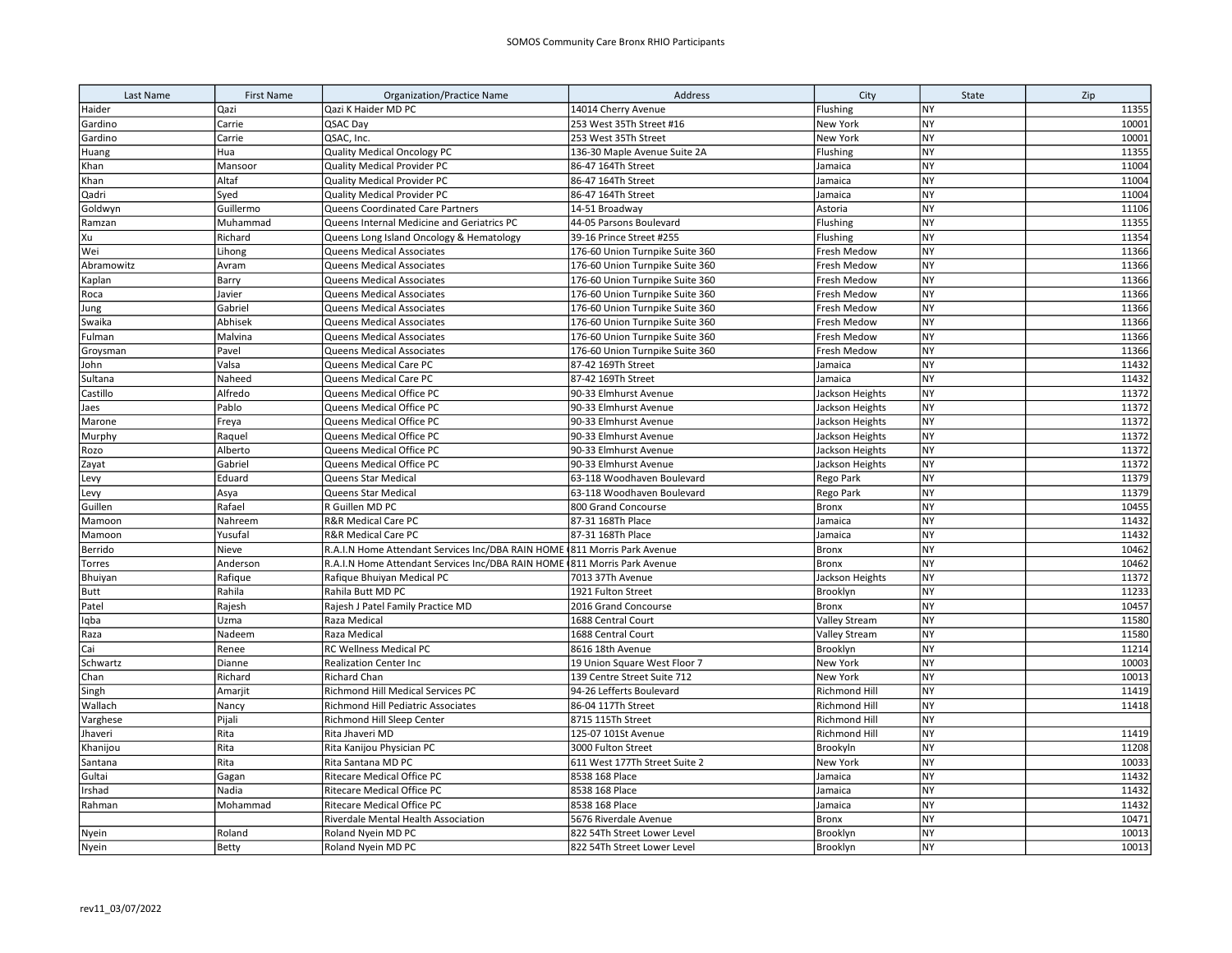| Last Name   | <b>First Name</b> | <b>Organization/Practice Name</b>                                         | Address                         | City            | State     | Zip   |
|-------------|-------------------|---------------------------------------------------------------------------|---------------------------------|-----------------|-----------|-------|
| Haider      | Qazi              | Qazi K Haider MD PC                                                       | 14014 Cherry Avenue             | Flushing        | <b>NY</b> | 11355 |
| Gardino     | Carrie            | QSAC Day                                                                  | 253 West 35Th Street #16        | New York        | <b>NY</b> | 10001 |
| Gardino     | Carrie            | QSAC, Inc.                                                                | 253 West 35Th Street            | New York        | <b>NY</b> | 10001 |
| Huang       | Hua               | <b>Quality Medical Oncology PC</b>                                        | 136-30 Maple Avenue Suite 2A    | Flushing        | <b>NY</b> | 11355 |
| Khan        | Mansoor           | <b>Quality Medical Provider PC</b>                                        | 86-47 164Th Street              | Jamaica         | NY        | 11004 |
| Khan        | Altaf             | <b>Quality Medical Provider PC</b>                                        | 86-47 164Th Street              | Jamaica         | <b>NY</b> | 11004 |
| Qadri       | Syed              | Quality Medical Provider PC                                               | 86-47 164Th Street              | Jamaica         | <b>NY</b> | 11004 |
| Goldwyn     | Guillermo         | Queens Coordinated Care Partners                                          | 14-51 Broadway                  | Astoria         | <b>NY</b> | 11106 |
| Ramzan      | Muhammad          | Queens Internal Medicine and Geriatrics PC                                | 44-05 Parsons Boulevard         | Flushing        | <b>NY</b> | 11355 |
| Xu          | Richard           | Queens Long Island Oncology & Hematology                                  | 39-16 Prince Street #255        | Flushing        | <b>NY</b> | 11354 |
| Wei         | Lihong            | Queens Medical Associates                                                 | 176-60 Union Turnpike Suite 360 | Fresh Medow     | <b>NY</b> | 11366 |
| Abramowitz  | Avram             | Queens Medical Associates                                                 | 176-60 Union Turnpike Suite 360 | Fresh Medow     | <b>NY</b> | 11366 |
| Kaplan      | Barry             | Queens Medical Associates                                                 | 176-60 Union Turnpike Suite 360 | Fresh Medow     | <b>NY</b> | 11366 |
| Roca        | Javier            | Queens Medical Associates                                                 | 176-60 Union Turnpike Suite 360 | Fresh Medow     | <b>NY</b> | 11366 |
| Jung        | Gabriel           | Queens Medical Associates                                                 | 176-60 Union Turnpike Suite 360 | Fresh Medow     | NY        | 11366 |
| Swaika      | Abhisek           | <b>Queens Medical Associates</b>                                          | 176-60 Union Turnpike Suite 360 | Fresh Medow     | <b>NY</b> | 11366 |
| Fulman      | Malvina           | Queens Medical Associates                                                 | 176-60 Union Turnpike Suite 360 | Fresh Medow     | <b>NY</b> | 11366 |
| Groysman    | Pavel             | Queens Medical Associates                                                 | 176-60 Union Turnpike Suite 360 | Fresh Medow     | <b>NY</b> | 11366 |
| John        | Valsa             | Queens Medical Care PC                                                    | 87-42 169Th Street              | Jamaica         | NY        | 11432 |
| Sultana     | Naheed            | Queens Medical Care PC                                                    | 87-42 169Th Street              | Jamaica         | <b>NY</b> | 11432 |
| Castillo    | Alfredo           | Queens Medical Office PC                                                  | 90-33 Elmhurst Avenue           | Jackson Heights | NY        | 11372 |
| Jaes        | Pablo             | Queens Medical Office PC                                                  | 90-33 Elmhurst Avenue           | Jackson Heights | <b>NY</b> | 11372 |
| Marone      | Freya             | Queens Medical Office PC                                                  | 90-33 Elmhurst Avenue           | Jackson Heights | <b>NY</b> | 11372 |
| Murphy      | Raquel            | Queens Medical Office PC                                                  | 90-33 Elmhurst Avenue           | Jackson Heights | <b>NY</b> | 11372 |
| Rozo        | Alberto           | Queens Medical Office PC                                                  | 90-33 Elmhurst Avenue           | Jackson Heights | <b>NY</b> | 11372 |
| Zayat       | Gabriel           | Queens Medical Office PC                                                  | 90-33 Elmhurst Avenue           | Jackson Heights | <b>NY</b> | 11372 |
| Levy        | Eduard            | Queens Star Medical                                                       | 63-118 Woodhaven Boulevard      | Rego Park       | NY        | 11379 |
| Levy        | Asya              | Queens Star Medical                                                       | 63-118 Woodhaven Boulevard      | Rego Park       | <b>NY</b> | 11379 |
| Guillen     | Rafael            | R Guillen MD PC                                                           | 800 Grand Concourse             | <b>Bronx</b>    | NY        | 10455 |
| Mamoon      | Nahreem           | R&R Medical Care PC                                                       | 87-31 168Th Place               | Jamaica         | <b>NY</b> | 11432 |
| Mamoon      | Yusufal           | <b>R&amp;R Medical Care PC</b>                                            | 87-31 168Th Place               | Jamaica         | <b>NY</b> | 11432 |
| Berrido     | Nieve             | R.A.I.N Home Attendant Services Inc/DBA RAIN HOME (811 Morris Park Avenue |                                 | <b>Bronx</b>    | <b>NY</b> | 10462 |
| Torres      | Anderson          | R.A.I.N Home Attendant Services Inc/DBA RAIN HOME (811 Morris Park Avenue |                                 | <b>Bronx</b>    | <b>NY</b> | 10462 |
| Bhuiyan     | Rafique           | Rafique Bhuiyan Medical PC                                                | 7013 37Th Avenue                | Jackson Heights | <b>NY</b> | 11372 |
| <b>Butt</b> | Rahila            | Rahila Butt MD PC                                                         | 1921 Fulton Street              | Brooklyn        | <b>NY</b> | 11233 |
| Patel       | Rajesh            | Rajesh J Patel Family Practice MD                                         | 2016 Grand Concourse            | Bronx           | <b>NY</b> | 10457 |
| Iqba        | Uzma              | Raza Medical                                                              | 1688 Central Court              | Valley Stream   | NY        | 11580 |
| Raza        | Nadeem            | Raza Medical                                                              | 1688 Central Court              | Valley Stream   | <b>NY</b> | 11580 |
| Cai         | Renee             | RC Wellness Medical PC                                                    | 8616 18th Avenue                | Brooklyn        | <b>NY</b> | 11214 |
| Schwartz    | Dianne            | <b>Realization Center Inc</b>                                             | 19 Union Square West Floor 7    | New York        | <b>NY</b> | 10003 |
| Chan        | Richard           | <b>Richard Chan</b>                                                       | 139 Centre Street Suite 712     | New York        | <b>NY</b> | 10013 |
| Singh       | Amarjit           | Richmond Hill Medical Services PC                                         | 94-26 Lefferts Boulevard        | Richmond Hill   | <b>NY</b> | 11419 |
| Wallach     | Nancy             | Richmond Hill Pediatric Associates                                        | 86-04 117Th Street              | Richmond Hill   | <b>NY</b> | 11418 |
| Varghese    | Pijali            | Richmond Hill Sleep Center                                                | 8715 115Th Street               | Richmond Hill   | NY        |       |
| Jhaveri     | Rita              | Rita Jhaveri MD                                                           | 125-07 101St Avenue             | Richmond Hill   | <b>NY</b> | 11419 |
| Khanijou    | Rita              | Rita Kanijou Physician PC                                                 | 3000 Fulton Street              | Brookyln        | <b>NY</b> | 11208 |
| Santana     | Rita              | Rita Santana MD PC                                                        | 611 West 177Th Street Suite 2   | <b>New York</b> | NY        | 10033 |
| Gultai      | Gagan             | Ritecare Medical Office PC                                                | 8538 168 Place                  | Jamaica         | NY        | 11432 |
| Irshad      | Nadia             | Ritecare Medical Office PC                                                | 8538 168 Place                  | Jamaica         | NY        | 11432 |
| Rahman      | Mohammad          | Ritecare Medical Office PC                                                | 8538 168 Place                  | Jamaica         | NY        | 11432 |
|             |                   | Riverdale Mental Health Association                                       | 5676 Riverdale Avenue           | <b>Bronx</b>    | NY        | 10471 |
| Nyein       | Roland            | Roland Nyein MD PC                                                        | 822 54Th Street Lower Level     | Brooklyn        | NY        | 10013 |
| Nyein       | Betty             | Roland Nyein MD PC                                                        | 822 54Th Street Lower Level     | Brooklyn        | <b>NY</b> | 10013 |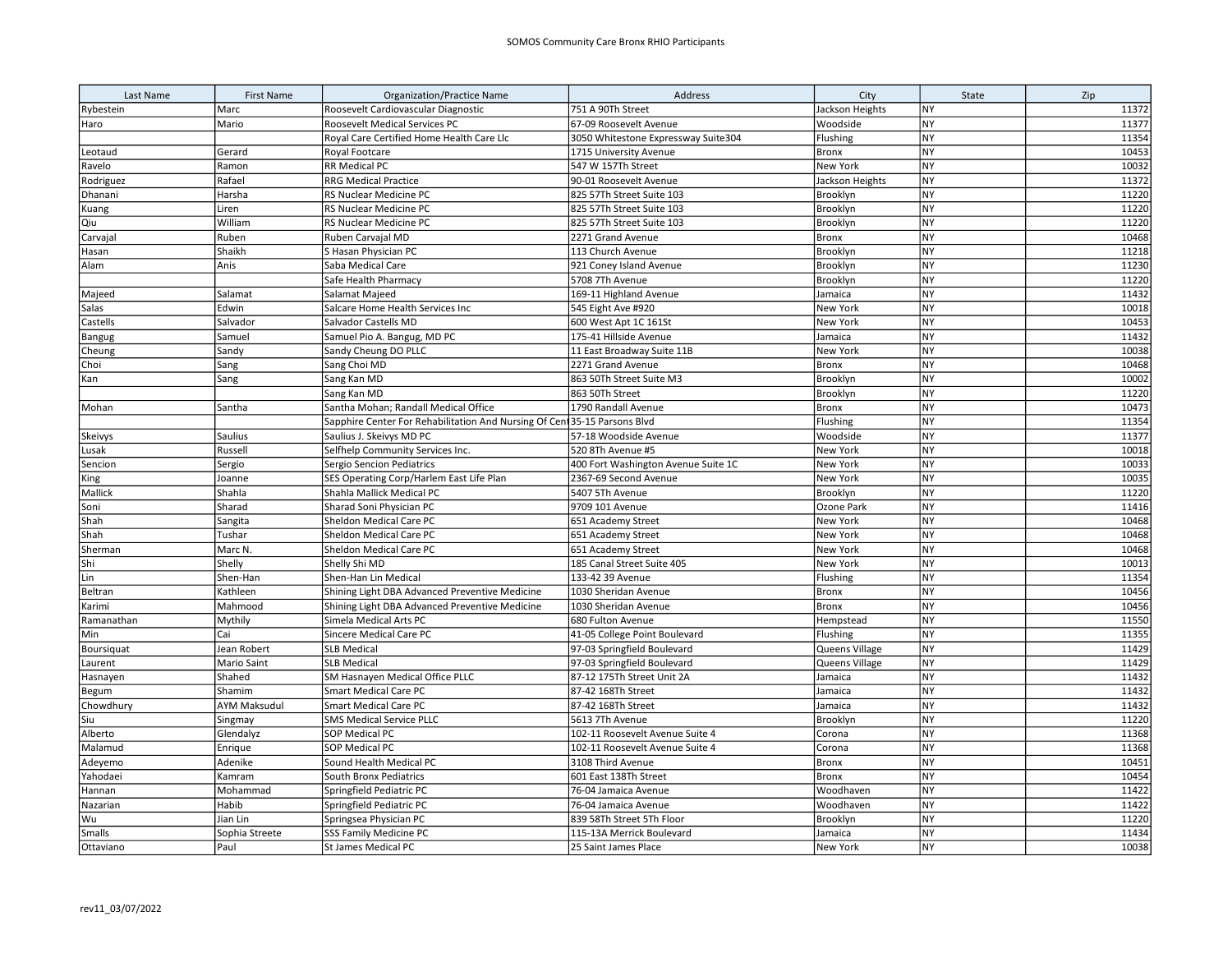| Last Name  | <b>First Name</b>   | <b>Organization/Practice Name</b>                                         | Address                             | City            | State     | Zip   |
|------------|---------------------|---------------------------------------------------------------------------|-------------------------------------|-----------------|-----------|-------|
| Rybestein  | Marc                | Roosevelt Cardiovascular Diagnostic                                       | 751 A 90Th Street                   | Jackson Heights | <b>NY</b> | 11372 |
| Haro       | Mario               | Roosevelt Medical Services PC                                             | 67-09 Roosevelt Avenue              | Woodside        | <b>NY</b> | 11377 |
|            |                     | Royal Care Certified Home Health Care Llc                                 | 3050 Whitestone Expressway Suite304 | Flushing        | <b>NY</b> | 11354 |
| Leotaud    | Gerard              | Royal Footcare                                                            | 1715 University Avenue              | Bronx           | <b>NY</b> | 10453 |
| Ravelo     | Ramon               | RR Medical PC                                                             | 547 W 157Th Street                  | New York        | <b>NY</b> | 10032 |
| Rodriguez  | Rafael              | <b>RRG Medical Practice</b>                                               | 90-01 Roosevelt Avenue              | Jackson Heights | <b>NY</b> | 11372 |
| Dhanani    | Harsha              | RS Nuclear Medicine PC                                                    | 825 57Th Street Suite 103           | Brooklyn        | <b>NY</b> | 11220 |
| Kuang      | Liren               | RS Nuclear Medicine PC                                                    | 825 57Th Street Suite 103           | Brooklyn        | NY        | 11220 |
| Qiu        | William             | RS Nuclear Medicine PC                                                    | 825 57Th Street Suite 103           | Brooklyn        | <b>NY</b> | 11220 |
| Carvajal   | Ruben               | Ruben Carvajal MD                                                         | 2271 Grand Avenue                   | <b>Bronx</b>    | <b>NY</b> | 10468 |
| Hasan      | Shaikh              | S Hasan Physician PC                                                      | 113 Church Avenue                   | Brooklyn        | <b>NY</b> | 11218 |
| Alam       | Anis                | Saba Medical Care                                                         | 921 Coney Island Avenue             | Brooklyn        | NY        | 11230 |
|            |                     | Safe Health Pharmacy                                                      | 5708 7Th Avenue                     | Brooklyn        | NY        | 11220 |
| Majeed     | Salamat             | Salamat Majeed                                                            | 169-11 Highland Avenue              | Jamaica         | <b>NY</b> | 11432 |
| Salas      | Edwin               | Salcare Home Health Services Inc                                          | 545 Eight Ave #920                  | <b>New York</b> | <b>NY</b> | 10018 |
| Castells   | Salvador            | Salvador Castells MD                                                      | 600 West Apt 1C 161St               | New York        | <b>NY</b> | 10453 |
| Bangug     | Samuel              | Samuel Pio A. Bangug, MD PC                                               | 175-41 Hillside Avenue              | Jamaica         | NY        | 11432 |
| Cheung     | Sandy               | Sandy Cheung DO PLLC                                                      | 11 East Broadway Suite 11B          | New York        | <b>NY</b> | 10038 |
| Choi       | Sang                | Sang Choi MD                                                              | 2271 Grand Avenue                   | <b>Bronx</b>    | <b>NY</b> | 10468 |
| Kan        | Sang                | Sang Kan MD                                                               | 863 50Th Street Suite M3            | Brooklyn        | <b>NY</b> | 10002 |
|            |                     | Sang Kan MD                                                               | 863 50Th Street                     | Brooklyn        | <b>NY</b> | 11220 |
| Mohan      | Santha              | Santha Mohan; Randall Medical Office                                      | 1790 Randall Avenue                 | <b>Bronx</b>    | <b>NY</b> | 10473 |
|            |                     | Sapphire Center For Rehabilitation And Nursing Of Cent 35-15 Parsons Blvd |                                     | Flushing        | <b>NY</b> | 11354 |
| Skeivys    | Saulius             | Saulius J. Skeivys MD PC                                                  | 57-18 Woodside Avenue               | Woodside        | <b>NY</b> | 11377 |
| Lusak      | Russell             | Selfhelp Community Services Inc.                                          | 520 8Th Avenue #5                   | New York        | <b>NY</b> | 10018 |
| Sencion    | Sergio              | Sergio Sencion Pediatrics                                                 | 400 Fort Washington Avenue Suite 1C | New York        | <b>NY</b> | 10033 |
| King       | Joanne              | SES Operating Corp/Harlem East Life Plan                                  | 2367-69 Second Avenue               | New York        | <b>NY</b> | 10035 |
| Mallick    | Shahla              | Shahla Mallick Medical PC                                                 | 5407 5Th Avenue                     | Brooklyn        | <b>NY</b> | 11220 |
| Soni       | Sharad              | Sharad Soni Physician PC                                                  | 9709 101 Avenue                     | Ozone Park      | <b>NY</b> | 11416 |
| Shah       | Sangita             | Sheldon Medical Care PC                                                   | 651 Academy Street                  | New York        | <b>NY</b> | 10468 |
| Shah       | Tushar              | Sheldon Medical Care PC                                                   | 651 Academy Street                  | New York        | <b>NY</b> | 10468 |
| Sherman    | Marc N              | Sheldon Medical Care PC                                                   | 651 Academy Street                  | New York        | <b>NY</b> | 10468 |
| Shi        | Shelly              | Shelly Shi MD                                                             | 185 Canal Street Suite 405          | New York        | NY        | 10013 |
| Lin        | Shen-Han            | Shen-Han Lin Medical                                                      | 133-42 39 Avenue                    | Flushing        | <b>NY</b> | 11354 |
| Beltran    | Kathleen            | Shining Light DBA Advanced Preventive Medicine                            | 1030 Sheridan Avenue                | Bronx           | <b>NY</b> | 10456 |
| Karimi     | Mahmood             | Shining Light DBA Advanced Preventive Medicine                            | 1030 Sheridan Avenue                | <b>Bronx</b>    | <b>NY</b> | 10456 |
| Ramanathan | Mythily             | Simela Medical Arts PC                                                    | 680 Fulton Avenue                   | Hempstead       | <b>NY</b> | 11550 |
| Min        | Cai                 | Sincere Medical Care PC                                                   | 41-05 College Point Boulevard       | Flushing        | NY        | 11355 |
| Boursiquat | Jean Robert         | <b>SLB Medical</b>                                                        | 97-03 Springfield Boulevard         | Queens Village  | <b>NY</b> | 11429 |
| Laurent    | Mario Saint         | <b>SLB Medical</b>                                                        | 97-03 Springfield Boulevard         | Queens Village  | <b>NY</b> | 11429 |
| Hasnayen   | Shahed              | SM Hasnayen Medical Office PLLC                                           | 87-12 175Th Street Unit 2A          | Jamaica         | <b>NY</b> | 11432 |
| Begum      | Shamim              | <b>Smart Medical Care PC</b>                                              | 87-42 168Th Street                  | Jamaica         | <b>NY</b> | 11432 |
| Chowdhury  | <b>AYM Maksudul</b> | <b>Smart Medical Care PC</b>                                              | 87-42 168Th Street                  | Jamaica         | <b>NY</b> | 11432 |
| Siu        | Singmay             | <b>SMS Medical Service PLLC</b>                                           | 5613 7Th Avenue                     | Brooklyn        | <b>NY</b> | 11220 |
| Alberto    | Glendalyz           | <b>SOP Medical PC</b>                                                     | 102-11 Roosevelt Avenue Suite 4     | Corona          | <b>NY</b> | 11368 |
| Malamud    | Enrique             | SOP Medical PC                                                            | 102-11 Roosevelt Avenue Suite 4     | Corona          | <b>NY</b> | 11368 |
| Adeyemo    | Adenike             | Sound Health Medical PC                                                   | 3108 Third Avenue                   | <b>Bronx</b>    | <b>NY</b> | 10451 |
| Yahodaei   | Kamram              | <b>South Bronx Pediatrics</b>                                             | 601 East 138Th Street               | <b>Bronx</b>    | <b>NY</b> | 10454 |
| Hannan     | Mohammad            | Springfield Pediatric PC                                                  | 76-04 Jamaica Avenue                | Woodhaven       | NY        | 11422 |
| Nazarian   | Habib               | Springfield Pediatric PC                                                  | 76-04 Jamaica Avenue                | Woodhaven       | <b>NY</b> | 11422 |
| Wu         | Jian Lin            | Springsea Physician PC                                                    | 839 58Th Street 5Th Floor           | Brooklyn        | <b>NY</b> | 11220 |
| Smalls     | Sophia Streete      | SSS Family Medicine PC                                                    | 115-13A Merrick Boulevard           | Jamaica         | <b>NY</b> | 11434 |
| Ottaviano  | Paul                | <b>St James Medical PC</b>                                                | 25 Saint James Place                | New York        | <b>NY</b> | 10038 |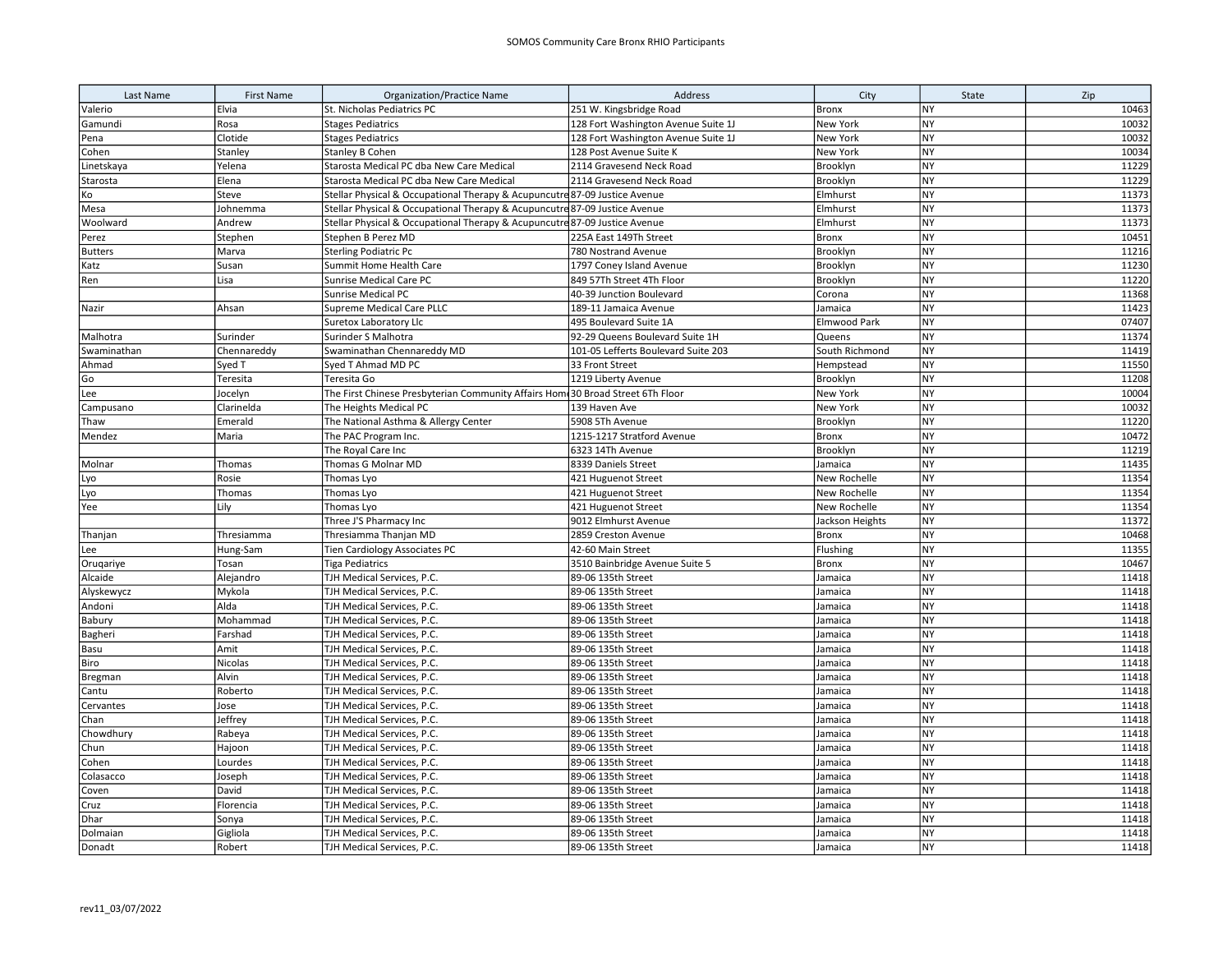| Last Name      | <b>First Name</b> | <b>Organization/Practice Name</b>                                              | Address                             | City            | State     | Zip   |
|----------------|-------------------|--------------------------------------------------------------------------------|-------------------------------------|-----------------|-----------|-------|
| Valerio        | Elvia             | St. Nicholas Pediatrics PC                                                     | 251 W. Kingsbridge Road             | <b>Bronx</b>    | <b>NY</b> | 10463 |
| Gamundi        | Rosa              | <b>Stages Pediatrics</b>                                                       | 128 Fort Washington Avenue Suite 1J | New York        | <b>NY</b> | 10032 |
| Pena           | Clotide           | <b>Stages Pediatrics</b>                                                       | 128 Fort Washington Avenue Suite 1J | New York        | <b>NY</b> | 10032 |
| Cohen          | Stanley           | <b>Stanley B Cohen</b>                                                         | 128 Post Avenue Suite K             | New York        | <b>NY</b> | 10034 |
| .inetskaya     | Yelena            | Starosta Medical PC dba New Care Medical                                       | 2114 Gravesend Neck Road            | Brooklyn        | <b>NY</b> | 11229 |
| Starosta       | Elena             | Starosta Medical PC dba New Care Medical                                       | 2114 Gravesend Neck Road            | Brooklyn        | NY        | 11229 |
| Ko             | Steve             | Stellar Physical & Occupational Therapy & Acupuncutre 87-09 Justice Avenue     |                                     | Elmhurst        | NY        | 11373 |
| Mesa           | Johnemma          | Stellar Physical & Occupational Therapy & Acupuncutre 87-09 Justice Avenue     |                                     | Elmhurst        | <b>NY</b> | 11373 |
| Woolward       | Andrew            | Stellar Physical & Occupational Therapy & Acupuncutre 87-09 Justice Avenue     |                                     | Elmhurst        | <b>NY</b> | 11373 |
| Perez          | Stephen           | Stephen B Perez MD                                                             | 225A East 149Th Street              | Bronx           | NY        | 10451 |
| <b>Butters</b> | Marva             | <b>Sterling Podiatric Pc</b>                                                   | 780 Nostrand Avenue                 | Brooklyn        | <b>NY</b> | 11216 |
| Katz           | Susan             | Summit Home Health Care                                                        | 1797 Coney Island Avenue            | Brooklyn        | <b>NY</b> | 11230 |
| Ren            | Lisa              | Sunrise Medical Care PC                                                        | 849 57Th Street 4Th Floor           | Brooklyn        | <b>NY</b> | 11220 |
|                |                   | <b>Sunrise Medical PC</b>                                                      | 40-39 Junction Boulevard            | Corona          | <b>NY</b> | 11368 |
| Nazir          | Ahsan             | Supreme Medical Care PLLC                                                      | 189-11 Jamaica Avenue               | Jamaica         | <b>NY</b> | 11423 |
|                |                   | Suretox Laboratory Llc                                                         | 495 Boulevard Suite 1A              | Elmwood Park    | <b>NY</b> | 07407 |
| Malhotra       | Surinder          | Surinder S Malhotra                                                            | 92-29 Queens Boulevard Suite 1H     | Queens          | <b>NY</b> | 11374 |
| Swaminathan    | Chennareddy       | Swaminathan Chennareddy MD                                                     | 101-05 Lefferts Boulevard Suite 203 | South Richmond  | <b>NY</b> | 11419 |
| Ahmad          | Syed T            | Syed T Ahmad MD PC                                                             | 33 Front Street                     | Hempstead       | NY        | 11550 |
| Go             | Teresita          | Teresita Go                                                                    | 1219 Liberty Avenue                 | Brooklyn        | <b>NY</b> | 11208 |
| Lee            | Jocelyn           | The First Chinese Presbyterian Community Affairs Hom 30 Broad Street 6Th Floor |                                     | New York        | <b>NY</b> | 10004 |
| Campusano      | Clarinelda        | The Heights Medical PC                                                         | 139 Haven Ave                       | New York        | <b>NY</b> | 10032 |
| Thaw           | Emerald           | The National Asthma & Allergy Center                                           | 5908 5Th Avenue                     | Brooklyn        | NY        | 11220 |
| Mendez         | Maria             | The PAC Program Inc.                                                           | 1215-1217 Stratford Avenue          | Bronx           | NY        | 10472 |
|                |                   | The Royal Care Inc                                                             | 6323 14Th Avenue                    | Brooklyn        | NY        | 11219 |
| Molnar         | Thomas            | Thomas G Molnar MD                                                             | 8339 Daniels Street                 | Jamaica         | <b>NY</b> | 11435 |
| Lyo            | Rosie             | Thomas Lyo                                                                     | 421 Huguenot Street                 | New Rochelle    | NY        | 11354 |
| Lyo            | Thomas            | Thomas Lyo                                                                     | 421 Huguenot Street                 | New Rochelle    | <b>NY</b> | 11354 |
| Yee            | Lily              | Thomas Lyo                                                                     | 421 Huguenot Street                 | New Rochelle    | <b>NY</b> | 11354 |
|                |                   | Three J'S Pharmacy Inc                                                         | 9012 Elmhurst Avenue                | Jackson Heights | <b>NY</b> | 11372 |
| Thanjan        | Thresiamma        | Thresiamma Thanjan MD                                                          | 2859 Creston Avenue                 | Bronx           | <b>NY</b> | 10468 |
| Lee            | Hung-Sam          | Tien Cardiology Associates PC                                                  | 42-60 Main Street                   | Flushing        | <b>NY</b> | 11355 |
| Orugariye      | Tosan             | <b>Tiga Pediatrics</b>                                                         | 3510 Bainbridge Avenue Suite 5      | Bronx           | NY        | 10467 |
| Alcaide        | Alejandro         | TJH Medical Services, P.C.                                                     | 89-06 135th Street                  | Jamaica         | <b>NY</b> | 11418 |
| Alyskewycz     | Mykola            | TJH Medical Services, P.C.                                                     | 89-06 135th Street                  | Jamaica         | NY        | 11418 |
| Andoni         | Alda              | TJH Medical Services, P.C.                                                     | 89-06 135th Street                  | Jamaica         | <b>NY</b> | 11418 |
| Babury         | Mohammad          | TJH Medical Services, P.C.                                                     | 89-06 135th Street                  | Jamaica         | <b>NY</b> | 11418 |
| Bagheri        | Farshad           | TJH Medical Services, P.C.                                                     | 89-06 135th Street                  | Jamaica         | NY        | 11418 |
| Basu           | Amit              | TJH Medical Services, P.C.                                                     | 89-06 135th Street                  | Jamaica         | <b>NY</b> | 11418 |
| Biro           | Nicolas           | TJH Medical Services, P.C.                                                     | 89-06 135th Street                  | Jamaica         | <b>NY</b> | 11418 |
| Bregman        | Alvin             | TJH Medical Services, P.C.                                                     | 89-06 135th Street                  | Jamaica         | <b>NY</b> | 11418 |
| Cantu          | Roberto           | TJH Medical Services, P.C.                                                     | 89-06 135th Street                  | Jamaica         | <b>NY</b> | 11418 |
| Cervantes      | Jose              | TJH Medical Services, P.C.                                                     | 89-06 135th Street                  | Jamaica         | <b>NY</b> | 11418 |
| Chan           | Jeffrey           | TJH Medical Services, P.C.                                                     | 89-06 135th Street                  | Jamaica         | NY        | 11418 |
| Chowdhury      | Rabeya            | TJH Medical Services, P.C.                                                     | 89-06 135th Street                  | Jamaica         | NY        | 11418 |
| Chun           | Hajoon            | TJH Medical Services, P.C.                                                     | 89-06 135th Street                  | Jamaica         | <b>NY</b> | 11418 |
| Cohen          | Lourdes           | TJH Medical Services, P.C.                                                     | 89-06 135th Street                  | Jamaica         | <b>NY</b> | 11418 |
| Colasacco      | Joseph            | TJH Medical Services, P.C.                                                     | 89-06 135th Street                  | Jamaica         | NY        | 11418 |
| Coven          | David             | TJH Medical Services, P.C.                                                     | 89-06 135th Street                  | Jamaica         | NY        | 11418 |
| Cruz           | Florencia         | TJH Medical Services, P.C.                                                     | 89-06 135th Street                  | Jamaica         | <b>NY</b> | 11418 |
| Dhar           | Sonya             | TJH Medical Services, P.C.                                                     | 89-06 135th Street                  | Jamaica         | NY<br>NY  | 11418 |
| Dolmaian       | Gigliola          | TJH Medical Services, P.C.                                                     | 89-06 135th Street                  | Jamaica         |           | 11418 |
| Donadt         | Robert            | TJH Medical Services, P.C.                                                     | 89-06 135th Street                  | Jamaica         | <b>NY</b> | 11418 |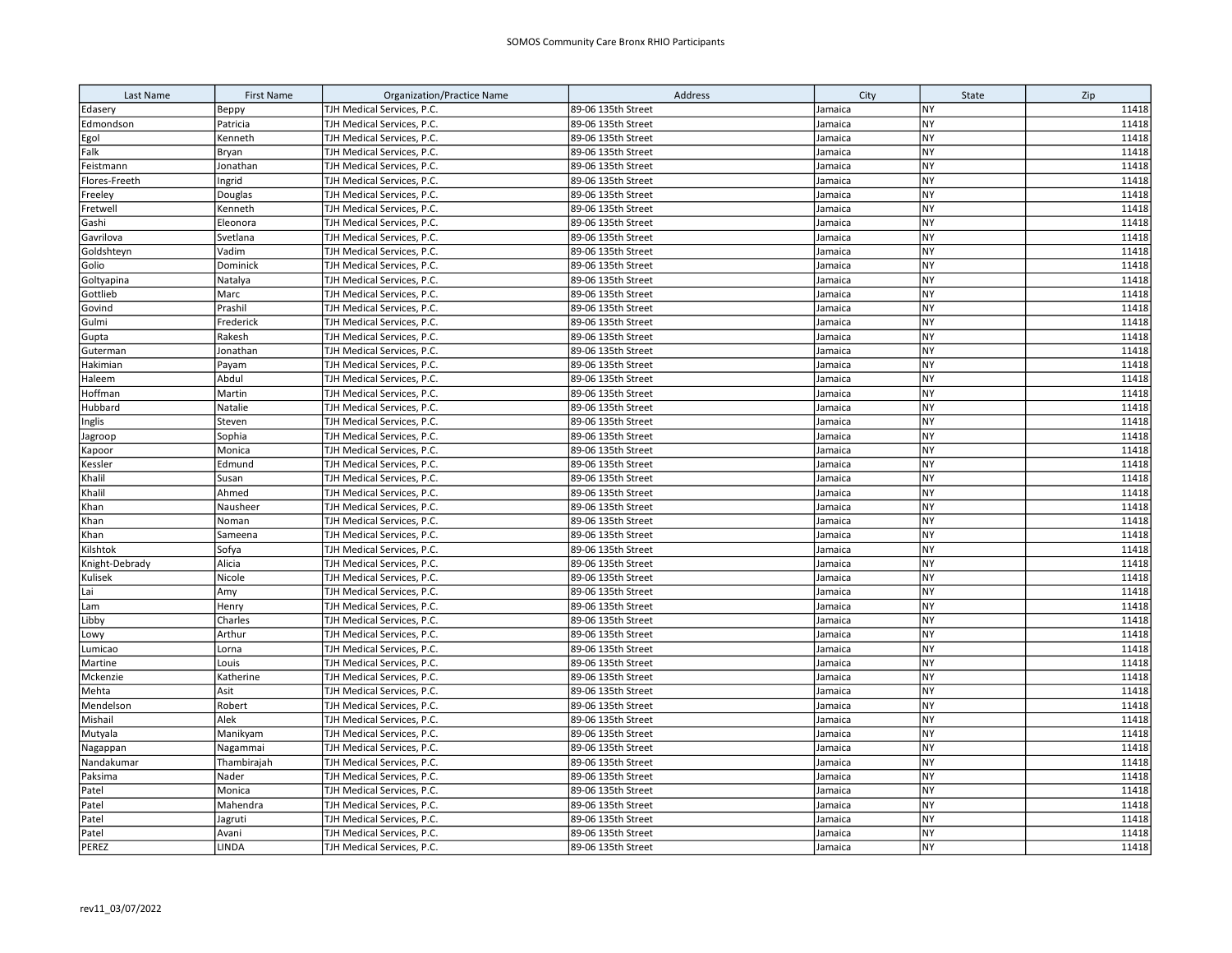| Last Name      | <b>First Name</b> | <b>Organization/Practice Name</b> | Address                                  | City               | State                  | Zip            |
|----------------|-------------------|-----------------------------------|------------------------------------------|--------------------|------------------------|----------------|
| Edasery        | Верру             | TJH Medical Services, P.C.        | 89-06 135th Street                       | Jamaica            | NY                     | 11418          |
| Edmondson      | Patricia          | TJH Medical Services, P.C.        | 89-06 135th Street                       | Jamaica            | <b>NY</b>              | 11418          |
| Egol           | Kenneth           | TJH Medical Services, P.C.        | 89-06 135th Street                       | Jamaica            | NY                     | 11418          |
| Falk           | Bryan             | TJH Medical Services, P.C.        | 89-06 135th Street                       | Jamaica            | <b>NY</b>              | 11418          |
| Feistmann      | Jonathan          | TJH Medical Services, P.C.        | 89-06 135th Street                       | Jamaica            | <b>NY</b>              | 11418          |
| Flores-Freeth  | Ingrid            | TJH Medical Services, P.C.        | 89-06 135th Street                       | Jamaica            | <b>NY</b>              | 11418          |
| Freeley        | Douglas           | TJH Medical Services, P.C.        | 89-06 135th Street                       | Jamaica            | <b>NY</b>              | 11418          |
| Fretwell       | Kenneth           | TJH Medical Services, P.C.        | 89-06 135th Street                       | Jamaica            | <b>NY</b>              | 11418          |
| Gashi          | Eleonora          | TJH Medical Services, P.C.        | 89-06 135th Street                       | Jamaica            | <b>NY</b>              | 11418          |
| Gavrilova      | Svetlana          | TJH Medical Services, P.C.        | 89-06 135th Street                       | Jamaica            | NY                     | 11418          |
| Goldshteyn     | Vadim             | TJH Medical Services, P.C.        | 89-06 135th Street                       | Jamaica            | <b>NY</b>              | 11418          |
| Golio          | Dominick          | TJH Medical Services, P.C.        | 89-06 135th Street                       | Jamaica            | <b>NY</b>              | 11418          |
| Goltyapina     | Natalya           | TJH Medical Services, P.C.        | 89-06 135th Street                       | Jamaica            | <b>NY</b>              | 11418          |
| Gottlieb       | Marc              | TJH Medical Services, P.C.        | 89-06 135th Street                       | Jamaica            | NY                     | 11418          |
| Govind         | Prashil           | TJH Medical Services, P.C.        | 89-06 135th Street                       | Jamaica            | <b>NY</b>              | 11418          |
| Gulmi          | Frederick         | TJH Medical Services, P.C.        | 89-06 135th Street                       | Jamaica            | NY                     | 11418          |
| Gupta          | Rakesh            | TJH Medical Services, P.C.        | 89-06 135th Street                       | Jamaica            | NY                     | 11418          |
| Guterman       | Jonathan          | TJH Medical Services, P.C.        | 89-06 135th Street                       | Jamaica            | <b>NY</b>              | 11418          |
| Hakimian       | Payam             | TJH Medical Services, P.C.        | 89-06 135th Street                       | Jamaica            | <b>NY</b>              | 11418          |
| Haleem         | Abdul             | TJH Medical Services, P.C.        | 89-06 135th Street                       | Jamaica            | <b>NY</b>              | 11418          |
| Hoffman        | Martin            | TJH Medical Services, P.C.        | 89-06 135th Street                       | Jamaica            | NY                     | 11418          |
| Hubbard        | Natalie           | TJH Medical Services, P.C.        | 89-06 135th Street                       | Jamaica            | <b>NY</b>              | 11418          |
| Inglis         | Steven            | TJH Medical Services, P.C.        | 89-06 135th Street                       | Jamaica            | <b>NY</b>              | 11418          |
| Jagroop        | Sophia            | TJH Medical Services, P.C.        | 89-06 135th Street                       | Jamaica            | <b>NY</b>              | 11418          |
| Kapoor         | Monica            | TJH Medical Services, P.C.        | 89-06 135th Street                       | Jamaica            | <b>NY</b>              | 11418          |
| Kessler        | Edmund            | TJH Medical Services, P.C.        | 89-06 135th Street                       | Jamaica            | <b>NY</b>              | 11418          |
| Khalil         | Susan             | TJH Medical Services, P.C.        | 89-06 135th Street                       | Jamaica            | <b>NY</b>              | 11418          |
| Khalil         | Ahmed             | TJH Medical Services, P.C.        | 89-06 135th Street                       | Jamaica            | <b>NY</b>              | 11418          |
| Khan           | Nausheer          | TJH Medical Services, P.C.        | 89-06 135th Street                       | Jamaica            | <b>NY</b>              | 11418          |
| Khan           | Noman             | TJH Medical Services, P.C.        | 89-06 135th Street                       | Jamaica            | <b>NY</b>              | 11418          |
| Khan           | Sameena           | TJH Medical Services, P.C.        | 89-06 135th Street                       | Jamaica            | NY                     | 11418          |
| Kilshtok       | Sofya             | TJH Medical Services, P.C.        | 89-06 135th Street                       | Jamaica            | NY                     | 11418          |
| Knight-Debrady | Alicia            | TJH Medical Services, P.C.        | 89-06 135th Street                       | Jamaica            | <b>NY</b>              | 11418          |
| Kulisek        | Nicole            | TJH Medical Services, P.C.        | 89-06 135th Street                       | Jamaica            | <b>NY</b>              | 11418          |
| Lai            | Amy               | TJH Medical Services, P.C.        | 89-06 135th Street                       | Jamaica            | NY                     | 11418          |
| Lam            | Henry             | TJH Medical Services, P.C.        | 89-06 135th Street                       | Jamaica            | NY                     | 11418          |
| Libby          | Charles           | TJH Medical Services, P.C.        | 89-06 135th Street                       | Jamaica            | <b>NY</b>              | 11418          |
| Lowy           | Arthur            | TJH Medical Services, P.C.        | 89-06 135th Street                       | Jamaica            | NY                     | 11418          |
| umicao.        | Lorna             | TJH Medical Services, P.C.        | 89-06 135th Street                       | Jamaica            | NY                     | 11418          |
| Martine        | Louis             | TJH Medical Services, P.C.        | 89-06 135th Street                       | Jamaica            | NY                     | 11418          |
| Mckenzie       | Katherine         | TJH Medical Services, P.C.        | 89-06 135th Street                       | Jamaica            | NY                     | 11418          |
| Mehta          | Asit              | TJH Medical Services, P.C.        | 89-06 135th Street                       | Jamaica            | <b>NY</b>              | 11418          |
| Mendelson      | Robert            | TJH Medical Services, P.C.        | 89-06 135th Street                       | Jamaica            | NY                     | 11418          |
| Mishail        | Alek              | TJH Medical Services, P.C.        | 89-06 135th Street                       | Jamaica            | <b>NY</b>              | 11418          |
| Mutyala        | Manikyam          | TJH Medical Services, P.C.        | 89-06 135th Street                       | Jamaica            | <b>NY</b>              | 11418          |
| Nagappan       | Nagammai          | TJH Medical Services, P.C.        | 89-06 135th Street                       | Jamaica            | <b>NY</b>              | 11418          |
| Nandakumar     | Thambirajah       | TJH Medical Services, P.C.        | 89-06 135th Street                       | Jamaica            | <b>NY</b>              | 11418          |
| Paksima        | Nader             | TJH Medical Services, P.C.        | 89-06 135th Street                       | Jamaica            | <b>NY</b><br><b>NY</b> | 11418          |
| Patel          | Monica            | TJH Medical Services, P.C.        | 89-06 135th Street                       | Jamaica            |                        | 11418          |
| Patel          | Mahendra          | TJH Medical Services, P.C.        | 89-06 135th Street                       | Jamaica            | <b>NY</b><br>NY        | 11418<br>11418 |
| Patel          | Jagruti<br>Avani  | TJH Medical Services, P.C.        | 89-06 135th Street<br>89-06 135th Street | Jamaica<br>Jamaica | NY                     | 11418          |
| Patel          |                   | TJH Medical Services, P.C.        |                                          |                    | <b>NY</b>              | 11418          |
| PEREZ          | LINDA             | TJH Medical Services, P.C.        | 89-06 135th Street                       | Jamaica            |                        |                |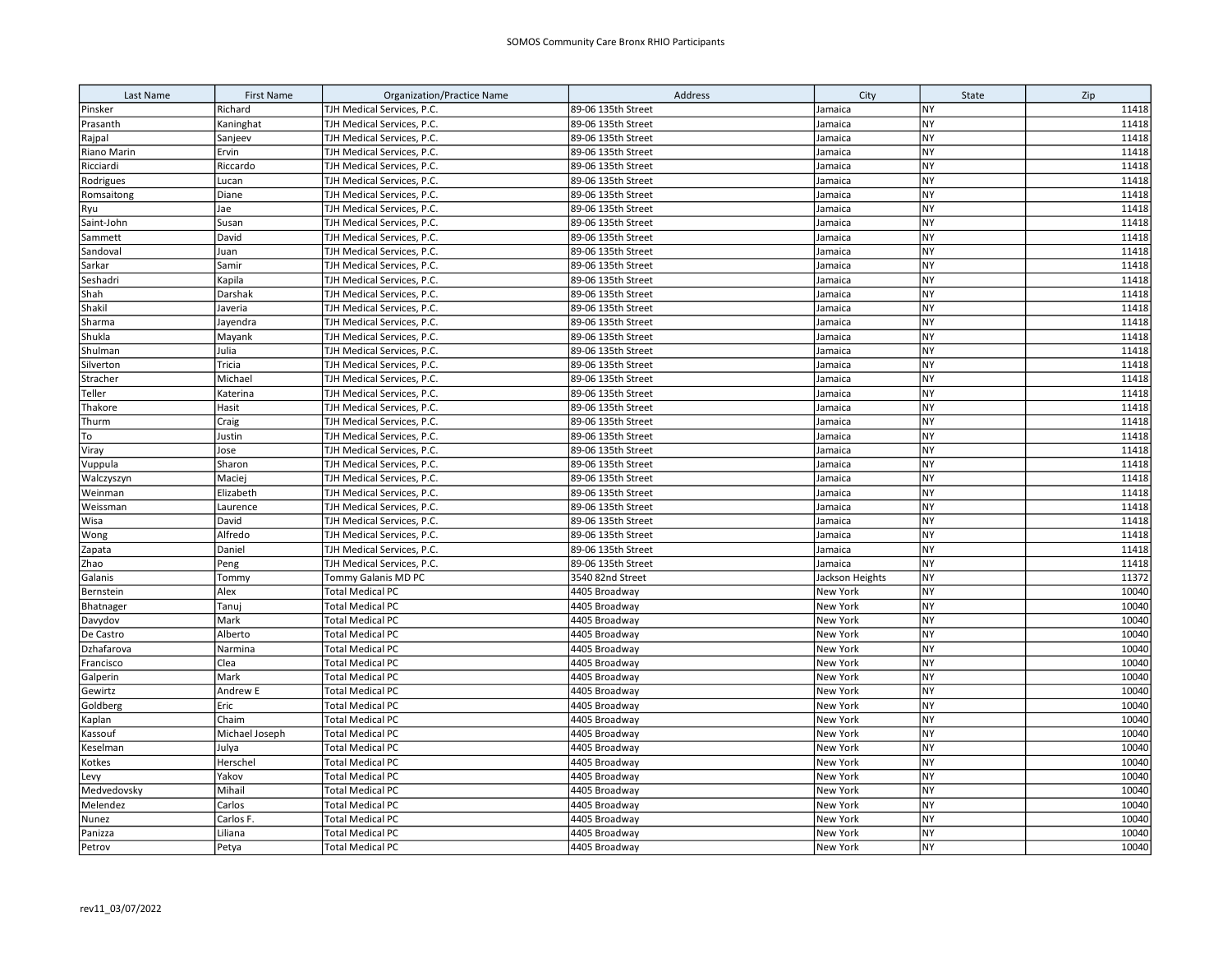| Last Name           | <b>First Name</b> | <b>Organization/Practice Name</b>                  | Address                        | City                        | State                  | Zip            |
|---------------------|-------------------|----------------------------------------------------|--------------------------------|-----------------------------|------------------------|----------------|
| Pinsker             | Richard           | TJH Medical Services, P.C.                         | 89-06 135th Street             | Jamaica                     | <b>NY</b>              | 11418          |
| Prasanth            | Kaninghat         | TJH Medical Services, P.C.                         | 89-06 135th Street             | Jamaica                     | <b>NY</b>              | 11418          |
| Rajpal              | Sanjeev           | TJH Medical Services, P.C.                         | 89-06 135th Street             | Jamaica                     | <b>NY</b>              | 11418          |
| Riano Marin         | Ervin             | TJH Medical Services, P.C.                         | 89-06 135th Street             | Jamaica                     | <b>NY</b>              | 11418          |
| Ricciardi           | Riccardo          | TJH Medical Services, P.C.                         | 89-06 135th Street             | Jamaica                     | <b>NY</b>              | 11418          |
| Rodrigues           | Lucan             | TJH Medical Services, P.C.                         | 89-06 135th Street             | Jamaica                     | <b>NY</b>              | 11418          |
| Romsaitong          | Diane             | TJH Medical Services, P.C.                         | 89-06 135th Street             | Jamaica                     | <b>NY</b>              | 11418          |
| Ryu                 | Jae               | TJH Medical Services, P.C.                         | 89-06 135th Street             | Jamaica                     | <b>NY</b>              | 11418          |
| Saint-John          | Susan             | TJH Medical Services, P.C.                         | 89-06 135th Street             | Jamaica                     | <b>NY</b>              | 11418          |
| Sammett             | David             | TJH Medical Services, P.C.                         | 89-06 135th Street             | Jamaica                     | <b>NY</b>              | 11418          |
| Sandoval            | Juan              | TJH Medical Services, P.C.                         | 89-06 135th Street             | Jamaica                     | <b>NY</b>              | 11418          |
| Sarkar              | Samir             | TJH Medical Services, P.C.                         | 89-06 135th Street             | Jamaica                     | <b>NY</b>              | 11418          |
| Seshadri            | Kapila            | TJH Medical Services, P.C.                         | 89-06 135th Street             | Jamaica                     | <b>NY</b>              | 11418          |
| Shah                | Darshak           | TJH Medical Services, P.C.                         | 89-06 135th Street             | Jamaica                     | <b>NY</b>              | 11418          |
| Shakil              | Javeria           | TJH Medical Services, P.C.                         | 89-06 135th Street             | Jamaica                     | <b>NY</b>              | 11418          |
| Sharma              | Jayendra          | TJH Medical Services, P.C.                         | 89-06 135th Street             | Jamaica                     | <b>NY</b>              | 11418          |
| Shukla              | Mayank            | TJH Medical Services, P.C.                         | 89-06 135th Street             | Jamaica                     | <b>NY</b>              | 11418          |
| Shulman             | Julia             | TJH Medical Services, P.C.                         | 89-06 135th Street             | Jamaica                     | <b>NY</b>              | 11418          |
| Silverton           | Tricia            | TJH Medical Services, P.C.                         | 89-06 135th Street             | Jamaica                     | NY                     | 11418          |
| Stracher            | Michael           | TJH Medical Services, P.C.                         | 89-06 135th Street             | Jamaica                     | <b>NY</b>              | 11418          |
| Teller              | Katerina          | TJH Medical Services, P.C.                         | 89-06 135th Street             | Jamaica                     | <b>NY</b>              | 11418          |
| Thakore             | Hasit             | TJH Medical Services, P.C.                         | 89-06 135th Street             | Jamaica                     | NY                     | 11418          |
| Thurm               | Craig             | TJH Medical Services, P.C.                         | 89-06 135th Street             | Jamaica                     | NY                     | 11418          |
| To                  | Justin            | TJH Medical Services, P.C.                         | 89-06 135th Street             | Jamaica                     | <b>NY</b>              | 11418          |
| Viray               | Jose              | TJH Medical Services, P.C.                         | 89-06 135th Street             | Jamaica                     | NY                     | 11418          |
| Vuppula             | Sharon            | TJH Medical Services, P.C.                         | 89-06 135th Street             | Jamaica                     | NY                     | 11418          |
| Walczyszyn          | Maciej            | TJH Medical Services, P.C.                         | 89-06 135th Street             | Jamaica                     | <b>NY</b>              | 11418          |
| Weinman             | Elizabeth         | TJH Medical Services, P.C.                         | 89-06 135th Street             | Jamaica                     | <b>NY</b>              | 11418          |
| Weissman            | Laurence          | TJH Medical Services, P.C.                         | 89-06 135th Street             | Jamaica                     | <b>NY</b>              | 11418          |
| Wisa                | David             | TJH Medical Services, P.C.                         | 89-06 135th Street             | Jamaica                     | NY                     | 11418          |
| Wong                | Alfredo           | TJH Medical Services, P.C.                         | 89-06 135th Street             | Jamaica                     | <b>NY</b>              | 11418          |
| Zapata              | Daniel            | TJH Medical Services, P.C.                         | 89-06 135th Street             | Jamaica                     | <b>NY</b>              | 11418          |
| Zhao                | Peng              | TJH Medical Services, P.C.                         | 89-06 135th Street             | Jamaica                     | NY                     | 11418          |
| Galanis             | Tommy             | Tommy Galanis MD PC                                | 3540 82nd Street               | Jackson Heights             | <b>NY</b>              | 11372          |
| Bernstein           | Alex              | <b>Total Medical PC</b>                            | 4405 Broadway                  | New York                    | <b>NY</b>              | 10040          |
| Bhatnager           | Tanuj             | <b>Total Medical PC</b>                            | 4405 Broadway                  | New York                    | <b>NY</b>              | 10040          |
| Davydov             | Mark              | <b>Total Medical PC</b>                            | 4405 Broadway                  | New York                    | NY                     | 10040          |
| De Castro           | Alberto           | <b>Total Medical PC</b>                            | 4405 Broadway                  | New York                    | NY                     | 10040          |
| Dzhafarova          | Narmina           | <b>Total Medical PC</b>                            | 4405 Broadway                  | New York<br><b>New York</b> | <b>NY</b><br><b>NY</b> | 10040          |
| Francisco           | Clea              | <b>Total Medical PC</b>                            | 4405 Broadway                  |                             | <b>NY</b>              | 10040<br>10040 |
| Galperin<br>Gewirtz | Mark<br>Andrew E  | <b>Total Medical PC</b><br><b>Total Medical PC</b> | 4405 Broadway<br>4405 Broadway | New York<br>New York        | <b>NY</b>              | 10040          |
| Goldberg            | Eric              | <b>Total Medical PC</b>                            | 4405 Broadway                  | New York                    | <b>NY</b>              | 10040          |
| Kaplan              | Chaim             | <b>Total Medical PC</b>                            | 4405 Broadway                  | New York                    | <b>NY</b>              | 10040          |
| Kassouf             | Michael Joseph    | <b>Total Medical PC</b>                            | 4405 Broadway                  | New York                    | <b>NY</b>              | 10040          |
| Keselman            | Julya             | <b>Total Medical PC</b>                            | 4405 Broadway                  | New York                    | <b>NY</b>              | 10040          |
| Kotkes              | Herschel          | <b>Total Medical PC</b>                            | 4405 Broadway                  | New York                    | <b>NY</b>              | 10040          |
| Levy                | Yakov             | <b>Total Medical PC</b>                            | 4405 Broadway                  | New York                    | <b>NY</b>              | 10040          |
| Medvedovsky         | Mihail            | <b>Total Medical PC</b>                            | 4405 Broadway                  | New York                    | <b>NY</b>              | 10040          |
| Melendez            | Carlos            | <b>Total Medical PC</b>                            | 4405 Broadway                  | New York                    | <b>NY</b>              | 10040          |
| Nunez               | Carlos F.         | <b>Total Medical PC</b>                            | 4405 Broadway                  | New York                    | <b>NY</b>              | 10040          |
| Panizza             | Liliana           | <b>Total Medical PC</b>                            | 4405 Broadway                  | New York                    | <b>NY</b>              | 10040          |
| Petrov              | Petya             | <b>Total Medical PC</b>                            | 4405 Broadway                  | New York                    | <b>NY</b>              | 10040          |
|                     |                   |                                                    |                                |                             |                        |                |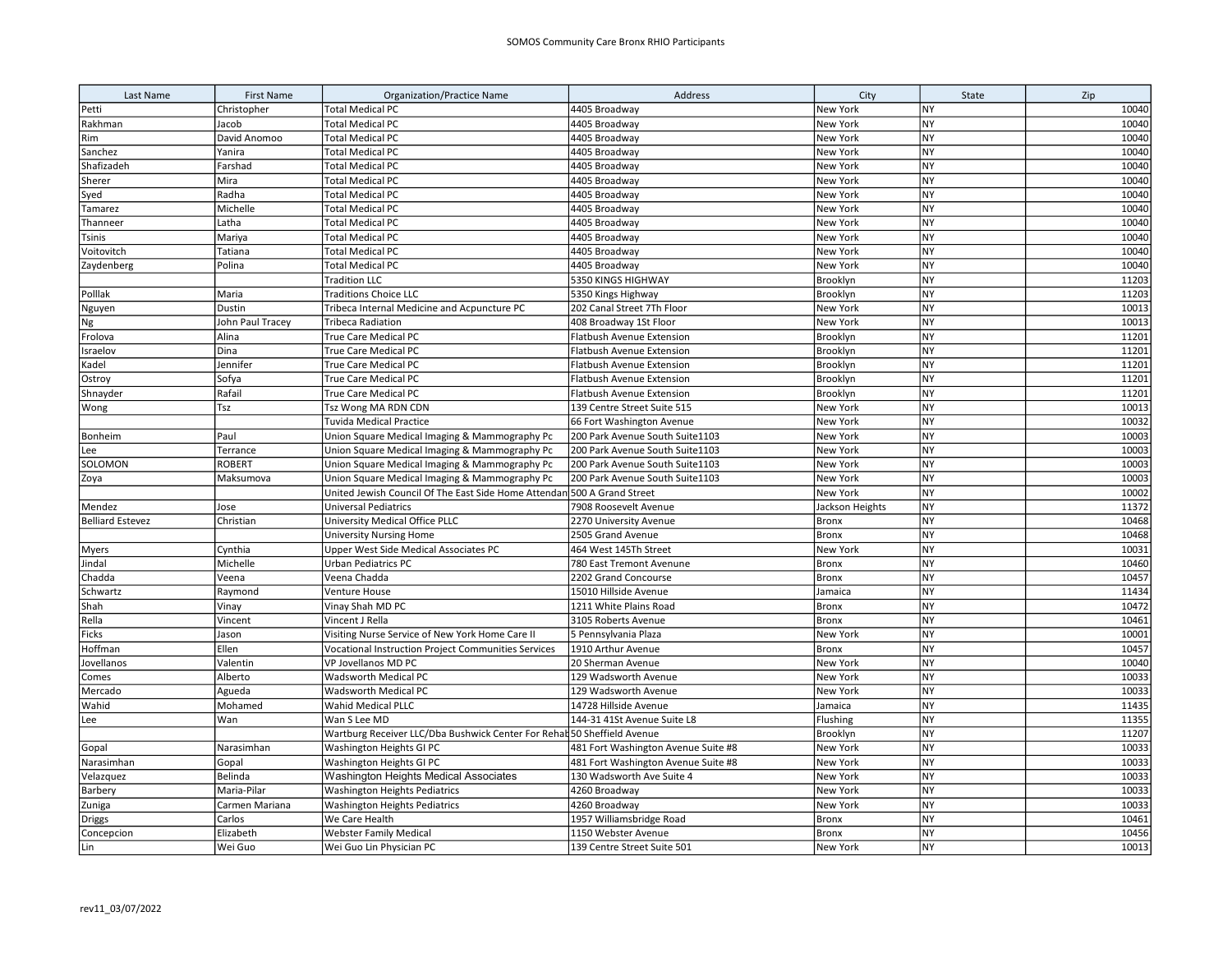| Last Name               | <b>First Name</b> | <b>Organization/Practice Name</b>                                       | Address                             | City            | State     | Zip   |
|-------------------------|-------------------|-------------------------------------------------------------------------|-------------------------------------|-----------------|-----------|-------|
| Petti                   | Christopher       | <b>Total Medical PC</b>                                                 | 4405 Broadway                       | New York        | <b>NY</b> | 10040 |
| Rakhman                 | Jacob             | <b>Total Medical PC</b>                                                 | 4405 Broadway                       | New York        | <b>NY</b> | 10040 |
| Rim                     | David Anomoo      | <b>Total Medical PC</b>                                                 | 4405 Broadway                       | New York        | <b>NY</b> | 10040 |
| Sanchez                 | Yanira            | <b>Total Medical PC</b>                                                 | 4405 Broadway                       | New York        | <b>NY</b> | 10040 |
| Shafizadeh              | Farshad           | <b>Total Medical PC</b>                                                 | 4405 Broadway                       | New York        | <b>NY</b> | 10040 |
| Sherer                  | Mira              | <b>Total Medical PC</b>                                                 | 4405 Broadway                       | New York        | <b>NY</b> | 10040 |
| Syed                    | Radha             | <b>Total Medical PC</b>                                                 | 4405 Broadway                       | New York        | NY        | 10040 |
| Tamarez                 | Michelle          | <b>Total Medical PC</b>                                                 | 4405 Broadway                       | New York        | <b>NY</b> | 10040 |
| Thanneer                | Latha             | <b>Total Medical PC</b>                                                 | 4405 Broadway                       | New York        | <b>NY</b> | 10040 |
| Tsinis                  | Mariya            | <b>Total Medical PC</b>                                                 | 4405 Broadway                       | <b>New York</b> | <b>NY</b> | 10040 |
| Voitovitch              | Tatiana           | <b>Total Medical PC</b>                                                 | 4405 Broadway                       | New York        | <b>NY</b> | 10040 |
| Zaydenberg              | Polina            | <b>Total Medical PC</b>                                                 | 4405 Broadway                       | New York        | <b>NY</b> | 10040 |
|                         |                   | <b>Tradition LLC</b>                                                    | 5350 KINGS HIGHWAY                  | Brooklyn        | <b>NY</b> | 11203 |
| Polllak                 | Maria             | <b>Traditions Choice LLC</b>                                            | 5350 Kings Highway                  | Brooklyn        | NY        | 11203 |
| Nguyen                  | Dustin            | Tribeca Internal Medicine and Acpuncture PC                             | 202 Canal Street 7Th Floor          | New York        | <b>NY</b> | 10013 |
| Ng                      | John Paul Tracey  | <b>Tribeca Radiation</b>                                                | 408 Broadway 1St Floor              | New York        | <b>NY</b> | 10013 |
| Frolova                 | Alina             | True Care Medical PC                                                    | Flatbush Avenue Extension           | Brooklyn        | <b>NY</b> | 11201 |
| Israelov                | Dina              | True Care Medical PC                                                    | Flatbush Avenue Extension           | Brooklyn        | <b>NY</b> | 11201 |
| Kadel                   | Jennifer          | <b>True Care Medical PC</b>                                             | <b>Flatbush Avenue Extension</b>    | Brooklyn        | NY        | 11201 |
| Ostroy                  | Sofya             | <b>True Care Medical PC</b>                                             | Flatbush Avenue Extension           | Brooklyn        | <b>NY</b> | 11201 |
| Shnayder                | Rafail            | True Care Medical PC                                                    | Flatbush Avenue Extension           | Brooklyn        | <b>NY</b> | 11201 |
| Wong                    | Tsz               | Tsz Wong MA RDN CDN                                                     | 139 Centre Street Suite 515         | New York        | <b>NY</b> | 10013 |
|                         |                   | <b>Tuvida Medical Practice</b>                                          | 66 Fort Washington Avenue           | New York        | NY        | 10032 |
| Bonheim                 | Paul              | Union Square Medical Imaging & Mammography Pc                           | 200 Park Avenue South Suite1103     | New York        | lny       | 10003 |
| Lee                     | Terrance          | Union Square Medical Imaging & Mammography Pc                           | 200 Park Avenue South Suite1103     | New York        | NY        | 10003 |
| SOLOMON                 | ROBERT            | Union Square Medical Imaging & Mammography Pc                           | 200 Park Avenue South Suite1103     | New York        | <b>NY</b> | 10003 |
| Zoya                    | Maksumova         | Union Square Medical Imaging & Mammography Pc                           | 200 Park Avenue South Suite1103     | New York        | NY        | 10003 |
|                         |                   | United Jewish Council Of The East Side Home Attendan 500 A Grand Street |                                     | New York        | Iny       | 10002 |
| Mendez                  | Jose              | <b>Universal Pediatrics</b>                                             | 7908 Roosevelt Avenue               | Jackson Heights | <b>NY</b> | 11372 |
| <b>Belliard Estevez</b> | Christian         | University Medical Office PLLC                                          | 2270 University Avenue              | <b>Bronx</b>    | <b>NY</b> | 10468 |
|                         |                   | University Nursing Home                                                 | 2505 Grand Avenue                   | <b>Bronx</b>    | <b>NY</b> | 10468 |
| <b>Myers</b>            | Cynthia           | Upper West Side Medical Associates PC                                   | 464 West 145Th Street               | New York        | <b>NY</b> | 10031 |
| Jindal                  | Michelle          | Urban Pediatrics PC                                                     | 780 East Tremont Avenune            | <b>Bronx</b>    | <b>NY</b> | 10460 |
| Chadda                  | Veena             | Veena Chadda                                                            | 2202 Grand Concourse                | <b>Bronx</b>    | <b>NY</b> | 10457 |
| Schwartz                | Raymond           | Venture House                                                           | 15010 Hillside Avenue               | Jamaica         | <b>NY</b> | 11434 |
| Shah                    | Vinay             | Vinay Shah MD PC                                                        | 1211 White Plains Road              | <b>Bronx</b>    | <b>NY</b> | 10472 |
| Rella                   | Vincent           | Vincent J Rella                                                         | 3105 Roberts Avenue                 | <b>Bronx</b>    | <b>NY</b> | 10461 |
| Ficks                   | Jason             | Visiting Nurse Service of New York Home Care II                         | 5 Pennsylvania Plaza                | New York        | <b>NY</b> | 10001 |
| Hoffman                 | Ellen             | <b>Vocational Instruction Project Communities Services</b>              | 1910 Arthur Avenue                  | <b>Bronx</b>    | <b>NY</b> | 10457 |
| Jovellanos              | Valentin          | <b>VP Jovellanos MD PC</b>                                              | 20 Sherman Avenue                   | New York        | <b>NY</b> | 10040 |
| Comes                   | Alberto           | Wadsworth Medical PC                                                    | 129 Wadsworth Avenue                | New York        | NY        | 10033 |
| Mercado                 | Agueda            | Wadsworth Medical PC                                                    | 129 Wadsworth Avenue                | New York        | <b>NY</b> | 10033 |
| Wahid                   | Mohamed           | Wahid Medical PLLC                                                      | 14728 Hillside Avenue               | Jamaica         | <b>NY</b> | 11435 |
| Lee                     | Wan               | Wan S Lee MD                                                            | 144-31 41St Avenue Suite L8         | Flushing        | <b>NY</b> | 11355 |
|                         |                   | Wartburg Receiver LLC/Dba Bushwick Center For Rehal 50 Sheffield Avenue |                                     | Brooklyn        | <b>NY</b> | 11207 |
| Gopal                   | Narasimhan        | Washington Heights GI PC                                                | 481 Fort Washington Avenue Suite #8 | New York        | <b>NY</b> | 10033 |
| Narasimhan              | Gopal             | Washington Heights GI PC                                                | 481 Fort Washington Avenue Suite #8 | New York        | <b>NY</b> | 10033 |
| Velazquez               | Belinda           | Washington Heights Medical Associates                                   | 130 Wadsworth Ave Suite 4           | New York        | <b>NY</b> | 10033 |
| Barbery                 | Maria-Pilar       | <b>Washington Heights Pediatrics</b>                                    | 4260 Broadway                       | New York        | <b>NY</b> | 10033 |
| Zuniga                  | Carmen Mariana    | <b>Washington Heights Pediatrics</b>                                    | 4260 Broadway                       | New York        | <b>NY</b> | 10033 |
| Driggs                  | Carlos            | We Care Health                                                          | 1957 Williamsbridge Road            | <b>Bronx</b>    | <b>NY</b> | 10461 |
| Concepcion              | Elizabeth         | <b>Webster Family Medical</b>                                           | 1150 Webster Avenue                 | <b>Bronx</b>    | <b>NY</b> | 10456 |
| Lin                     | Wei Guo           | Wei Guo Lin Physician PC                                                | 139 Centre Street Suite 501         | New York        | Iny       | 10013 |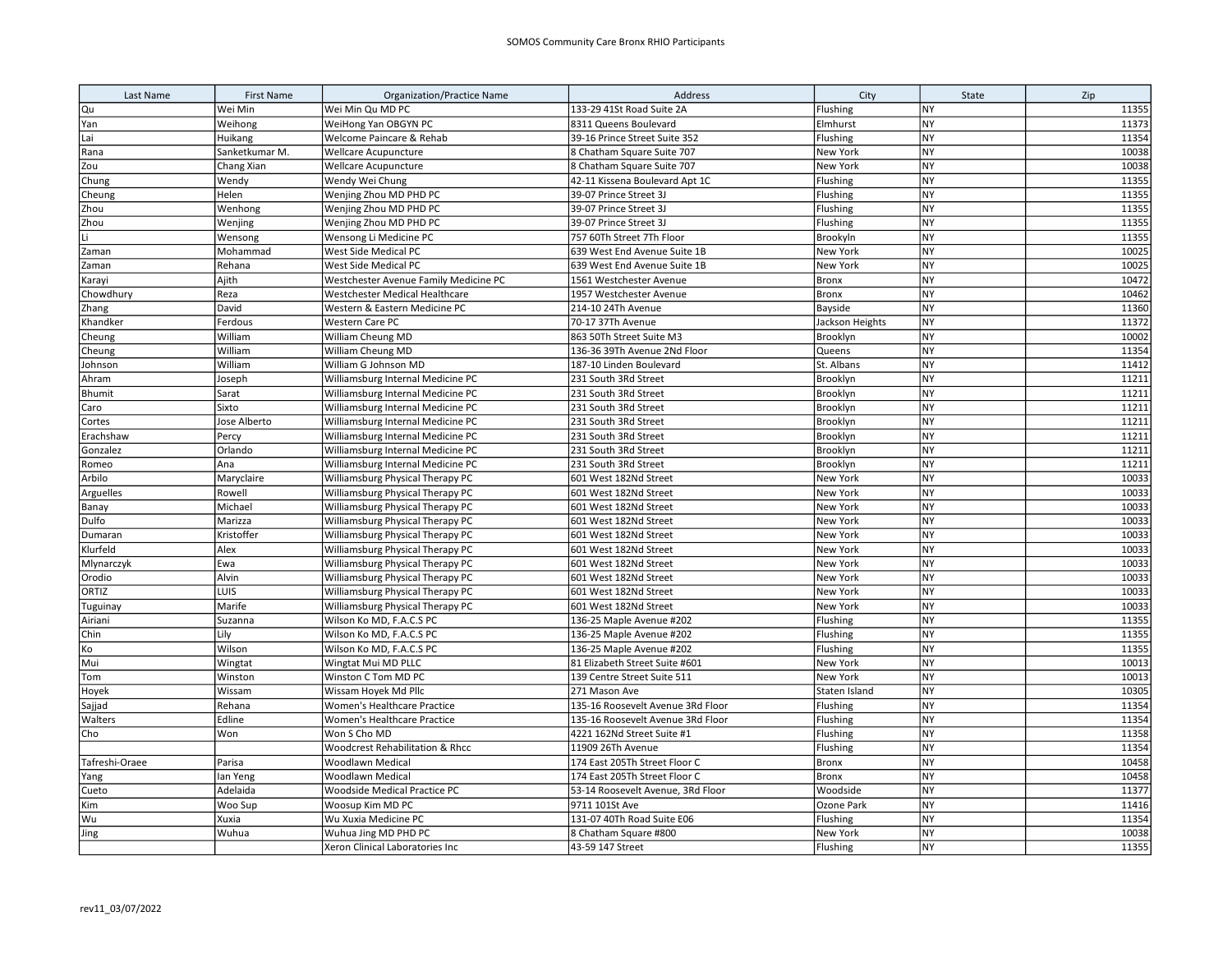| Last Name      | <b>First Name</b> | Organization/Practice Name            | Address                           | City            | State     | Zip   |
|----------------|-------------------|---------------------------------------|-----------------------------------|-----------------|-----------|-------|
| Qu             | Wei Min           | Wei Min Qu MD PC                      | 133-29 41St Road Suite 2A         | Flushing        | NY        | 11355 |
| Yan            | Weihong           | WeiHong Yan OBGYN PC                  | 8311 Queens Boulevard             | Elmhurst        | <b>NY</b> | 11373 |
| Lai            | Huikang           | Welcome Paincare & Rehab              | 39-16 Prince Street Suite 352     | Flushing        | NY        | 11354 |
| Rana           | Sanketkumar M.    | Wellcare Acupuncture                  | 8 Chatham Square Suite 707        | New York        | NY        | 10038 |
| Zou            | Chang Xian        | <b>Wellcare Acupuncture</b>           | 8 Chatham Square Suite 707        | New York        | NY        | 10038 |
| Chung          | Wendy             | Wendy Wei Chung                       | 42-11 Kissena Boulevard Apt 1C    | Flushing        | NY        | 11355 |
| Cheung         | Helen             | Wenjing Zhou MD PHD PC                | 39-07 Prince Street 3J            | Flushing        | <b>NY</b> | 11355 |
| Zhou           | Wenhong           | Wenjing Zhou MD PHD PC                | 39-07 Prince Street 3J            | Flushing        | NY        | 11355 |
| Zhou           | Wenjing           | Wenjing Zhou MD PHD PC                | 39-07 Prince Street 3J            | Flushing        | <b>NY</b> | 11355 |
| Li             | Wensong           | Wensong Li Medicine PC                | 757 60Th Street 7Th Floor         | Brookyln        | <b>NY</b> | 11355 |
| Zaman          | Mohammad          | West Side Medical PC                  | 639 West End Avenue Suite 1B      | New York        | <b>NY</b> | 10025 |
| Zaman          | Rehana            | West Side Medical PC                  | 639 West End Avenue Suite 1B      | New York        | <b>NY</b> | 10025 |
| Karayi         | Ajith             | Westchester Avenue Family Medicine PC | 1561 Westchester Avenue           | Bronx           | <b>NY</b> | 10472 |
| Chowdhury      | Reza              | Westchester Medical Healthcare        | 1957 Westchester Avenue           | <b>Bronx</b>    | <b>NY</b> | 10462 |
| Zhang          | David             | Western & Eastern Medicine PC         | 214-10 24Th Avenue                | Bayside         | <b>NY</b> | 11360 |
| Khandker       | Ferdous           | Western Care PC                       | 70-17 37Th Avenue                 | Jackson Heights | <b>NY</b> | 11372 |
| Cheung         | William           | William Cheung MD                     | 863 50Th Street Suite M3          | Brooklyn        | <b>NY</b> | 10002 |
| Cheung         | William           | William Cheung MD                     | 136-36 39Th Avenue 2Nd Floor      | Queens          | <b>NY</b> | 11354 |
| Johnson        | William           | William G Johnson MD                  | 187-10 Linden Boulevard           | St. Albans      | <b>NY</b> | 11412 |
| Ahram          | Joseph            | Williamsburg Internal Medicine PC     | 231 South 3Rd Street              | Brooklyn        | <b>NY</b> | 11211 |
| Bhumit         | Sarat             | Williamsburg Internal Medicine PC     | 231 South 3Rd Street              | Brooklyn        | <b>NY</b> | 11211 |
| Caro           | Sixto             | Williamsburg Internal Medicine PC     | 231 South 3Rd Street              | Brooklyn        | NY        | 11211 |
| Cortes         | Jose Alberto      | Williamsburg Internal Medicine PC     | 231 South 3Rd Street              | Brooklyn        | <b>NY</b> | 11211 |
| Erachshaw      | Percy             | Williamsburg Internal Medicine PC     | 231 South 3Rd Street              | Brooklyn        | <b>NY</b> | 11211 |
| Gonzalez       | Orlando           | Williamsburg Internal Medicine PC     | 231 South 3Rd Street              | Brooklyn        | NY        | 11211 |
| Romeo          | Ana               | Williamsburg Internal Medicine PC     | 231 South 3Rd Street              | Brooklyn        | NY        | 11211 |
| Arbilo         | Maryclaire        | Williamsburg Physical Therapy PC      | 601 West 182Nd Street             | New York        | NY        | 10033 |
| Arguelles      | Rowell            | Williamsburg Physical Therapy PC      | 601 West 182Nd Street             | New York        | <b>NY</b> | 10033 |
| Banay          | Michael           | Williamsburg Physical Therapy PC      | 601 West 182Nd Street             | New York        | <b>NY</b> | 10033 |
| Dulfo          | Marizza           | Williamsburg Physical Therapy PC      | 601 West 182Nd Street             | New York        | NY        | 10033 |
| Dumaran        | Kristoffer        | Williamsburg Physical Therapy PC      | 601 West 182Nd Street             | New York        | NY        | 10033 |
| Klurfeld       | Alex              | Williamsburg Physical Therapy PC      | 601 West 182Nd Street             | New York        | <b>NY</b> | 10033 |
| Mlynarczyk     | Ewa               | Williamsburg Physical Therapy PC      | 601 West 182Nd Street             | New York        | <b>NY</b> | 10033 |
| Orodio         | Alvin             | Williamsburg Physical Therapy PC      | 601 West 182Nd Street             | New York        | <b>NY</b> | 10033 |
| ORTIZ          | LUIS              | Williamsburg Physical Therapy PC      | 601 West 182Nd Street             | New York        | NY        | 10033 |
| Tuguinay       | Marife            | Williamsburg Physical Therapy PC      | 601 West 182Nd Street             | New York        | <b>NY</b> | 10033 |
| Airiani        | Suzanna           | Wilson Ko MD, F.A.C.S PC              | 136-25 Maple Avenue #202          | Flushing        | <b>NY</b> | 11355 |
| Chin           | Lily              | Wilson Ko MD, F.A.C.S PC              | 136-25 Maple Avenue #202          | Flushing        | NY        | 11355 |
| Ko             | Wilson            | Wilson Ko MD, F.A.C.S PC              | 136-25 Maple Avenue #202          | Flushing        | NY        | 11355 |
| Mui            | Wingtat           | Wingtat Mui MD PLLC                   | 81 Elizabeth Street Suite #601    | New York        | <b>NY</b> | 10013 |
| Tom            | Winston           | Winston C Tom MD PC                   | 139 Centre Street Suite 511       | New York        | <b>NY</b> | 10013 |
| Hoyek          | Wissam            | Wissam Hoyek Md Pllc                  | 271 Mason Ave                     | Staten Island   | <b>NY</b> | 10305 |
| Sajjad         | Rehana            | Women's Healthcare Practice           | 135-16 Roosevelt Avenue 3Rd Floor | Flushing        | <b>NY</b> | 11354 |
| Walters        | Edline            | Women's Healthcare Practice           | 135-16 Roosevelt Avenue 3Rd Floor | Flushing        | NY        | 11354 |
| Cho            | Won               | Won S Cho MD                          | 4221 162Nd Street Suite #1        | Flushing        | <b>NY</b> | 11358 |
|                |                   | Woodcrest Rehabilitation & Rhcc       | 11909 26Th Avenue                 | Flushing        | <b>NY</b> | 11354 |
| Tafreshi-Oraee | Parisa            | Woodlawn Medical                      | 174 East 205Th Street Floor C     | <b>Bronx</b>    | NY        | 10458 |
| Yang           | lan Yeng          | Woodlawn Medical                      | 174 East 205Th Street Floor C     | <b>Bronx</b>    | NY        | 10458 |
| Cueto          | Adelaida          | Woodside Medical Practice PC          | 53-14 Roosevelt Avenue, 3Rd Floor | Woodside        | NY        | 11377 |
| Kim            | Woo Sup           | Woosup Kim MD PC                      | 9711 101St Ave                    | Ozone Park      | <b>NY</b> | 11416 |
| Wu             | Xuxia             | Wu Xuxia Medicine PC                  | 131-07 40Th Road Suite E06        | Flushing        | NY        | 11354 |
| Jing           | Wuhua             | Wuhua Jing MD PHD PC                  | 8 Chatham Square #800             | New York        | NY        | 10038 |
|                |                   | Xeron Clinical Laboratories Inc       | 43-59 147 Street                  | Flushing        | <b>NY</b> | 11355 |